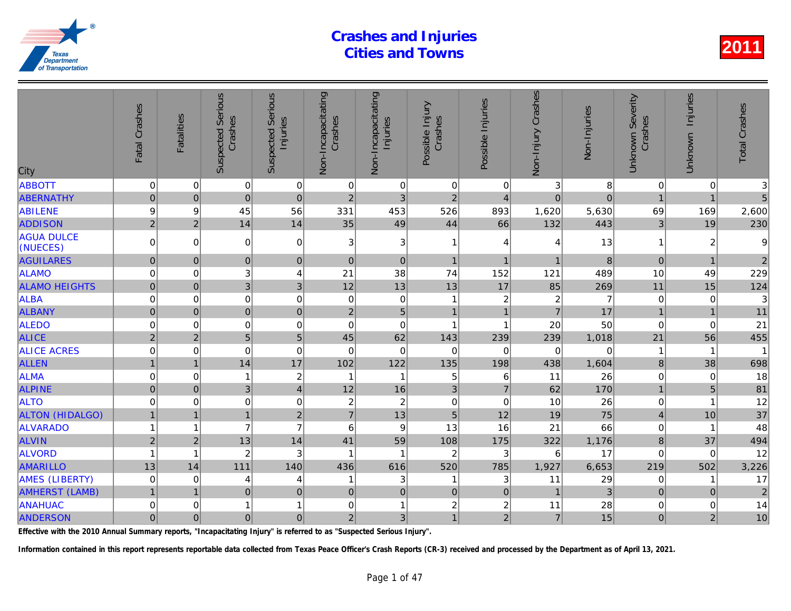| City                          | Fatal Crashes  | <b>Fatalities</b> | <b>Suspected Serious</b><br>Crashes | Serious<br>Injuries<br>Suspected | Non-Incapacitating<br>Crashes | Non-Incapacitating<br>Injuries | Possible Injury<br>Crashes | Possible Injuries       | Non-Injury Crashes | Non-Injuries |
|-------------------------------|----------------|-------------------|-------------------------------------|----------------------------------|-------------------------------|--------------------------------|----------------------------|-------------------------|--------------------|--------------|
| <b>ABBOTT</b>                 | $\pmb{0}$      | $\mathbf 0$       | $\pmb{0}$                           | $\overline{0}$                   | 0                             | $\pmb{0}$                      | $\mathbf 0$                | $\mathbf 0$             | 3                  | 8            |
| <b>ABERNATHY</b>              | $\overline{0}$ | $\mathbf 0$       | $\mathbf 0$                         | $\mathbf 0$                      | 2 <sup>1</sup>                | 3                              | $\overline{2}$             | $\overline{4}$          | $\overline{0}$     | $\Omega$     |
| <b>ABILENE</b>                | 9              | 9                 | 45                                  | 56                               | 331                           | 453                            | 526                        | 893                     | 1,620              | 5,630        |
| <b>ADDISON</b>                | $\overline{2}$ | $\overline{2}$    | 14                                  | 14                               | 35                            | 49                             | 44                         | 66                      | 132                | 443          |
| <b>AGUA DULCE</b><br>(NUECES) | 0              | $\Omega$          | $\mathbf 0$                         | $\mathbf 0$                      | 3                             | $\ensuremath{\mathsf{3}}$      | $\mathbf{1}$               | 4                       | 4                  | 13           |
| <b>AGUILARES</b>              | $\overline{0}$ | $\mathbf{0}$      | $\overline{0}$                      | $\pmb{0}$                        | $\mathbf 0$                   | $\pmb{0}$                      | $\mathbf{1}$               | $\overline{1}$          | 1                  | 8            |
| <b>ALAMO</b>                  | $\overline{0}$ | $\mathbf 0$       | 3                                   | $\overline{\mathbf{4}}$          | 21                            | 38                             | 74                         | 152                     | 121                | 489          |
| <b>ALAMO HEIGHTS</b>          | $\mathbf 0$    | $\pmb{0}$         | 3                                   | 3                                | 12                            | 13                             | 13                         | 17                      | 85                 | 269          |
| <b>ALBA</b>                   | $\mathbf 0$    | $\mathbf 0$       | $\mathbf 0$                         | $\mathbf 0$                      | $\mathbf 0$                   | $\pmb{0}$                      | $\mathbf{1}$               | $\overline{2}$          | $\overline{c}$     |              |
| <b>ALBANY</b>                 | $\mathbf 0$    | $\Omega$          | $\overline{0}$                      | $\mathbf 0$                      | $\overline{2}$                | $\overline{5}$                 | $\mathbf{1}$               | $\overline{1}$          | $\overline{7}$     | 17           |
| <b>ALEDO</b>                  | $\mathbf 0$    | 0                 | $\mathbf 0$                         | $\mathbf 0$                      | 0                             | $\mathbf 0$                    | 1                          | $\overline{\mathbf{1}}$ | 20                 | 50           |
| <b>ALICE</b>                  | $\overline{2}$ | $\overline{2}$    | 5                                   | 5                                | 45                            | 62                             | 143                        | 239                     | 239                | 1,018        |
| <b>ALICE ACRES</b>            | $\mathbf 0$    | $\mathbf 0$       | $\mathbf 0$                         | $\mathbf 0$                      | $\mathbf 0$                   | $\mathbf 0$                    | $\mathbf 0$                | 0                       | $\mathbf 0$        |              |
| <b>ALLEN</b>                  |                | $\overline{1}$    | 14                                  | 17                               | 102                           | 122                            | 135                        | 198                     | 438                | 1,604        |
| <b>ALMA</b>                   | $\mathbf 0$    | $\mathbf 0$       | 1                                   | $\overline{\mathbf{c}}$          | $\overline{1}$                | 1                              | 5                          | 6                       | 11                 | 26           |
| <b>ALPINE</b>                 | $\mathbf 0$    | $\mathbf 0$       | $\overline{3}$                      | $\overline{4}$                   | 12                            | 16                             | 3                          | $\overline{7}$          | 62                 | 170          |
| <b>ALTO</b>                   | 0              | $\mathbf 0$       | 0                                   | $\mathbf 0$                      | 2                             | $\overline{c}$                 | $\mathbf 0$                | 0                       | 10                 | 26           |
| <b>ALTON (HIDALGO)</b>        |                | $\overline{1}$    | $\mathbf{1}$                        | $\sqrt{2}$                       | $\overline{7}$                | 13                             | $\overline{5}$             | 12                      | 19                 | 75           |
| <b>ALVARADO</b>               |                | 1                 | $\overline{7}$                      | $\overline{7}$                   | 6                             | $\boldsymbol{9}$               | 13                         | 16                      | 21                 | 66           |
| <b>ALVIN</b>                  | $\overline{2}$ | $\overline{2}$    | 13                                  | 14                               | 41                            | 59                             | 108                        | 175                     | 322                | 1,176        |
| <b>ALVORD</b>                 | 1              | $\overline{1}$    | $\overline{c}$                      | 3                                | $\overline{\mathbf{1}}$       | 1                              | $\overline{2}$             | 3                       | 6                  | 17           |
| <b>AMARILLO</b>               | 13             | 14                | 111                                 | 140                              | 436                           | 616                            | 520                        | 785                     | 1,927              | 6,653        |
| <b>AMES (LIBERTY)</b>         | 0              | 0                 | 4                                   | 4                                | 1                             | 3                              | $\mathbf{1}$               | 3                       | 11                 | 29           |
| <b>AMHERST (LAMB)</b>         | $\mathbf{1}$   | $\overline{1}$    | $\pmb{0}$                           | $\pmb{0}$                        | $\mathbf 0$                   | $\pmb{0}$                      | $\pmb{0}$                  | $\mathbf 0$             | $\mathbf{1}$       | 3            |
| <b>ANAHUAC</b>                | 0              | 0                 | 1                                   | $\mathbf{1}$                     | 0                             | 1                              | $\boldsymbol{2}$           | $\boldsymbol{2}$        | 11                 | 28           |
| <b>ANDERSON</b>               | $\overline{0}$ | $\mathbf 0$       | 0                                   | $\overline{0}$                   | $\overline{2}$                | 3                              | $\mathbf{1}$               | $\overline{2}$          | $\overline{7}$     | 15           |

Effective with the 2010 Annual Summary reports, "Incapacitating Injury" is referred to as "Suspected Serious Injury".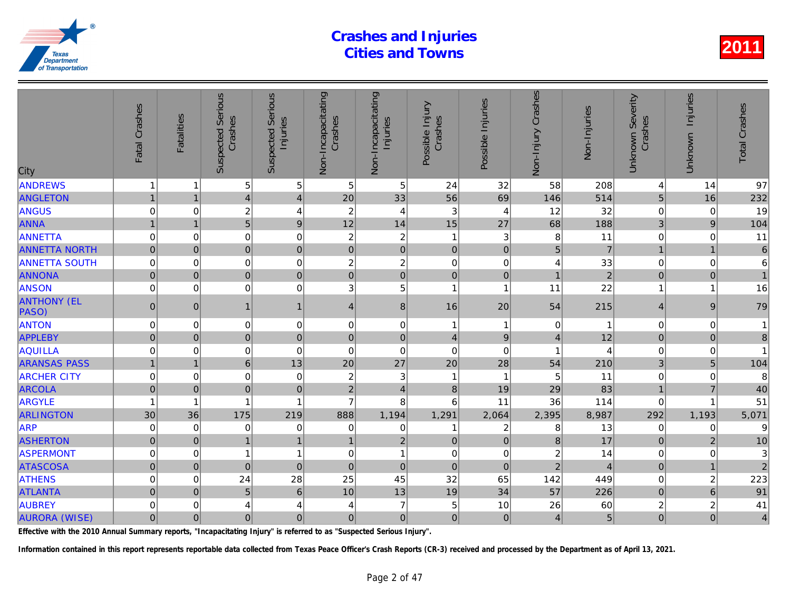| City                        | Fatal Crashes  | <b>Fatalities</b> | Serious<br>Crashes<br>Suspected | <b>Serious</b><br>Injuries<br>Suspected | Non-Incapacitating<br>Crashes | Non-Incapacitating<br>Injuries | Possible Injury<br>Crashes | Possible Injuries | Non-Injury Crashes | Non-Injuries            |
|-----------------------------|----------------|-------------------|---------------------------------|-----------------------------------------|-------------------------------|--------------------------------|----------------------------|-------------------|--------------------|-------------------------|
| <b>ANDREWS</b>              | $\mathbf 1$    | 1                 | 5                               | 5                                       | 5                             | 5                              | 24                         | 32                | 58                 | 208                     |
| <b>ANGLETON</b>             | $\mathbf{1}$   | $\overline{1}$    | $\vert 4 \vert$                 | $\overline{4}$                          | 20                            | 33                             | 56                         | 69                | 146                | 514                     |
| ANGUS                       | $\mathbf 0$    | $\Omega$          | $\overline{c}$                  | $\overline{4}$                          | $\overline{c}$                | $\overline{4}$                 | 3                          | 4                 | 12                 | 32                      |
| <b>ANNA</b>                 | $\overline{1}$ | 1                 | 5 <sup>1</sup>                  | 9                                       | 12                            | 14                             | 15                         | 27                | 68                 | 188                     |
| <b>ANNETTA</b>              | 0              | $\Omega$          | $\mathbf 0$                     | $\mathbf 0$                             | $\overline{c}$                | $\overline{2}$                 | 1                          | 3                 | 8                  | 11                      |
| <b>ANNETTA NORTH</b>        | $\pmb{0}$      | $\mathbf{0}$      | $\overline{0}$                  | $\mathbf 0$                             | $\pmb{0}$                     | $\mathbf 0$                    | $\mathbf 0$                | $\pmb{0}$         | 5                  | $\overline{7}$          |
| <b>ANNETTA SOUTH</b>        | $\mathbf 0$    | 0                 | 0                               | $\mathbf 0$                             | $\overline{c}$                | $\overline{2}$                 | $\mathbf 0$                | 0                 | 4                  | 33                      |
| <b>ANNONA</b>               | $\mathbf 0$    | $\mathbf 0$       | $\overline{0}$                  | $\overline{0}$                          | $\pmb{0}$                     | $\overline{0}$                 | $\mathbf 0$                | $\pmb{0}$         | $\overline{1}$     | $\overline{a}$          |
| <b>ANSON</b>                | $\mathbf 0$    | $\Omega$          | 0                               | $\mathbf 0$                             | 3                             | 5                              | $\mathbf{1}$               | $\overline{1}$    | 11                 | 22                      |
| <b>ANTHONY (EL</b><br>PASO) | $\pmb{0}$      | $\Omega$          | $\mathbf{1}$                    | $\mathbf{1}$                            | $\overline{4}$                | $\bf 8$                        | 16                         | 20                | 54                 | 215                     |
| <b>ANTON</b>                | $\mathbf 0$    | $\Omega$          | $\mathbf 0$                     | $\mathbf 0$                             | 0                             | 0                              | 1                          | 1                 | 0                  |                         |
| <b>APPLEBY</b>              | $\pmb{0}$      | $\mathbf{0}$      | $\overline{0}$                  | $\mathbf 0$                             | $\mathbf 0$                   | $\pmb{0}$                      | $\overline{\mathbf{4}}$    | $9\,$             | $\overline{4}$     | 12                      |
| AQUILLA                     | $\mathbf 0$    | 0                 | 0                               | $\mathbf 0$                             | $\mathbf 0$                   | $\mathbf 0$                    | $\mathbf 0$                | $\mathbf 0$       |                    |                         |
| <b>ARANSAS PASS</b>         | $\overline{1}$ | $\overline{1}$    | $6\phantom{a}$                  | 13                                      | 20                            | 27                             | 20                         | 28                | 54                 | 210                     |
| <b>ARCHER CITY</b>          | $\mathbf 0$    | $\Omega$          | $\mathbf 0$                     | $\mathbf 0$                             | $\overline{c}$                | $\mathbf{3}$                   | $\mathbf{1}$               | -1                | 5                  | 11                      |
| <b>ARCOLA</b>               | $\mathbf 0$    | $\mathbf{0}$      | $\overline{0}$                  | $\mathbf 0$                             | $\overline{2}$                | $\overline{4}$                 | 8                          | 19                | 29                 | 83                      |
| <b>ARGYLE</b>               | $\mathbf{1}$   | 1                 | 1                               | $\overline{1}$                          | $\overline{7}$                | 8                              | 6                          | 11                | 36                 | 114                     |
| <b>ARLINGTON</b>            | 30             | 36                | 175                             | 219                                     | 888                           | 1,194                          | 1,291                      | 2,064             | 2,395              | 8,987                   |
| <b>ARP</b>                  | $\mathbf 0$    | 0                 | 0                               | $\mathbf 0$                             | 0                             | 0                              | 1                          | $\overline{c}$    | 8                  | 13                      |
| <b>ASHERTON</b>             | $\pmb{0}$      | $\pmb{0}$         | $\mathbf{1}$                    | $\mathbf{1}$                            | $\mathbf{1}$                  | $\mathbf 2$                    | $\mathbf 0$                | $\pmb{0}$         | 8                  | 17                      |
| <b>ASPERMONT</b>            | 0              | 0                 | $\mathbf{1}$                    | $\overline{1}$                          | $\mathbf 0$                   | $\mathbf{1}$                   | $\mathbf 0$                | 0                 | $\overline{c}$     | 14                      |
| <b>ATASCOSA</b>             | $\overline{0}$ | $\Omega$          | $\overline{0}$                  | $\mathbf 0$                             | $\overline{0}$                | $\mathbf 0$                    | $\overline{0}$             | $\Omega$          | $\overline{2}$     | $\overline{\mathbf{A}}$ |
| <b>ATHENS</b>               | $\mathbf 0$    | 0                 | 24                              | 28                                      | 25                            | 45                             | 32                         | 65                | 142                | 449                     |
| <b>ATLANTA</b>              | $\mathbf 0$    | $\Omega$          | 5                               | $6\phantom{1}$                          | 10                            | 13                             | 19                         | 34                | 57                 | 226                     |
| <b>AUBREY</b>               | 0              | 0                 | 4                               | 4                                       | 4                             | $\overline{7}$                 | 5                          | 10                | 26                 | 60                      |
| <b>AURORA (WISE)</b>        | 0              | $\mathbf 0$       | 0                               | $\pmb{0}$                               | $\mathbf 0$                   | $\overline{0}$                 | $\overline{0}$             | $\mathbf 0$       | $\overline{4}$     | 5                       |

Effective with the 2010 Annual Summary reports, "Incapacitating Injury" is referred to as "Suspected Serious Injury".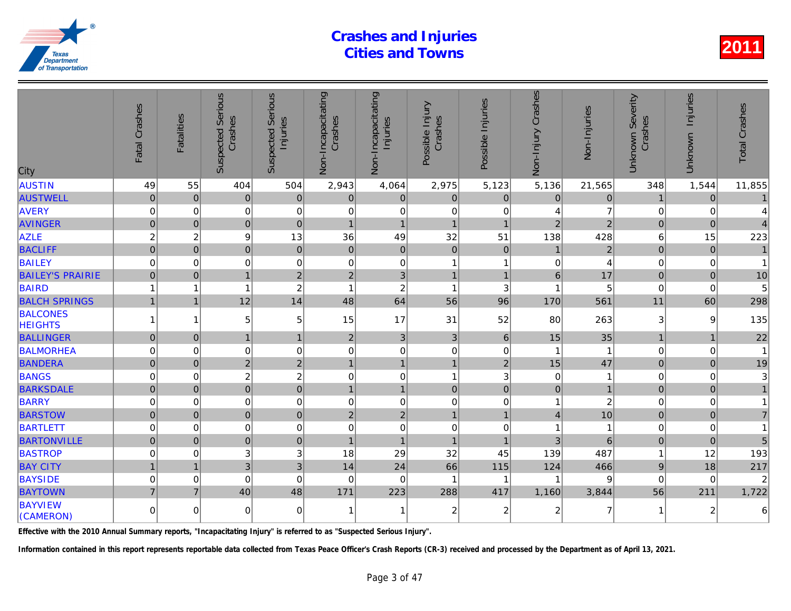| City                              | Fatal Crashes       | Fatalities     | <b>Suspected Serious</b><br>Crashes | Serious<br>Injuries<br>Suspected | Non-Incapacitating<br>Crashes | Non-Incapacitating<br>Injuries | Possible Injury<br>Crashes | Possible Injuries | Non-Injury Crashes | Non-Injuries   |
|-----------------------------------|---------------------|----------------|-------------------------------------|----------------------------------|-------------------------------|--------------------------------|----------------------------|-------------------|--------------------|----------------|
| <b>AUSTIN</b>                     | 49                  | 55             | 404                                 | 504                              | 2,943                         | 4,064                          | 2,975                      | 5,123             | 5,136              | 21,565         |
| <b>AUSTWELL</b>                   | $\pmb{0}$           | $\mathbf{0}$   | $\pmb{0}$                           | $\mathbf 0$                      | $\mathbf 0$                   | $\pmb{0}$                      | $\mathbf 0$                | $\mathbf 0$       | $\mathbf 0$        | $\overline{0}$ |
| <b>AVERY</b>                      | 0                   | 0              | $\pmb{0}$                           | 0                                | 0                             | $\mathbf 0$                    | $\mathbf 0$                | 0                 | 4                  |                |
| <b>AVINGER</b>                    | $\overline{0}$      | $\Omega$       | $\overline{0}$                      | $\mathbf 0$                      | $\overline{1}$                | $\overline{1}$                 | $\overline{1}$             | $\overline{1}$    | $\overline{2}$     | $\overline{2}$ |
| <b>AZLE</b>                       | $\overline{c}$      | $\overline{c}$ | 9                                   | 13                               | 36                            | 49                             | 32                         | 51                | 138                | 428            |
| <b>BACLIFF</b>                    | $\mathbf 0$         | $\mathbf 0$    | $\overline{0}$                      | $\mathbf 0$                      | $\pmb{0}$                     | $\pmb{0}$                      | $\pmb{0}$                  | $\mathbf 0$       | $\overline{1}$     | $\overline{a}$ |
| <b>BAILEY</b>                     | 0                   | $\mathbf 0$    | $\mathbf 0$                         | 0                                | $\mathbf 0$                   | $\pmb{0}$                      | 1                          | 1                 | $\mathbf 0$        |                |
| <b>BAILEY'S PRAIRIE</b>           | $\overline{0}$      | $\Omega$       | $\overline{1}$                      | $\overline{2}$                   | $\overline{c}$                | 3                              | $\mathbf{1}$               | $\overline{1}$    | 6                  | 17             |
| <b>BAIRD</b>                      |                     | 1              |                                     | $\overline{c}$                   | $\overline{1}$                | $\overline{c}$                 | $\mathbf{1}$               | 3                 | 1                  | 5              |
| <b>BALCH SPRINGS</b>              | $\mathbf{1}$        | $\mathbf 1$    | 12                                  | 14                               | 48                            | 64                             | 56                         | 96                | 170                | 561            |
| <b>BALCONES</b><br><b>HEIGHTS</b> | 1                   | 1              | 5                                   | 5                                | 15                            | 17                             | 31                         | 52                | 80                 | 263            |
| <b>BALLINGER</b>                  | $\overline{0}$      | $\Omega$       | $\mathbf{1}$                        | $\mathbf{1}$                     | $\overline{2}$                | $\mathfrak{S}$                 | 3                          | $6\phantom{1}$    | 15                 | 35             |
| <b>BALMORHEA</b>                  | 0                   | $\mathbf 0$    | $\mathbf 0$                         | $\mathbf 0$                      | $\mathbf 0$                   | $\mathbf 0$                    | $\mathbf 0$                | $\mathbf 0$       |                    |                |
| <b>BANDERA</b>                    | $\overline{0}$      | $\overline{0}$ | $\overline{2}$                      | $\overline{2}$                   | $\overline{1}$                | $\overline{1}$                 | $\mathbf{1}$               | $\overline{2}$    | 15                 | 47             |
| <b>BANGS</b>                      | $\mathbf 0$         | $\Omega$       | $\overline{c}$                      | $\overline{c}$                   | 0                             | $\mathbf 0$                    | 1                          | 3                 | $\Omega$           |                |
| <b>BARKSDALE</b>                  | $\mathbf 0$         | $\Omega$       | $\mathbf 0$                         | $\mathbf 0$                      | $\mathbf{1}$                  | $\mathbf{1}$                   | $\mathbf 0$                | $\Omega$          | $\overline{0}$     |                |
| <b>BARRY</b>                      | $\mathbf 0$         | $\mathbf 0$    | $\mathbf 0$                         | 0                                | $\mathbf 0$                   | $\mathbf 0$                    | $\pmb{0}$                  | $\mathbf 0$       | 1                  |                |
| <b>BARSTOW</b>                    | $\overline{0}$      | $\Omega$       | $\overline{0}$                      | $\mathbf 0$                      | $\overline{2}$                | $\overline{2}$                 | $\overline{1}$             | $\overline{1}$    | $\overline{4}$     | 10             |
| <b>BARTLETT</b>                   | 0                   | $\Omega$       | $\mathbf 0$                         | $\mathbf 0$                      | $\mathbf 0$                   | $\pmb{0}$                      | $\mathbf 0$                | $\mathbf 0$       | 1                  |                |
| <b>BARTONVILLE</b>                | $\mathsf{O}\xspace$ | $\mathbf 0$    | $\mathbf 0$                         | $\mathbf 0$                      | $\overline{1}$                | $\overline{1}$                 | $\overline{1}$             | $\overline{1}$    | 3                  | 6              |
| <b>BASTROP</b>                    | 0                   | $\Omega$       | 3                                   | 3                                | 18                            | 29                             | 32                         | 45                | 139                | 487            |
| <b>BAY CITY</b>                   | $\mathbf{1}$        | $\overline{1}$ | 3                                   | 3                                | 14                            | 24                             | 66                         | 115               | 124                | 466            |
| <b>BAYSIDE</b>                    | $\mathbf 0$         | $\mathbf 0$    | $\mathbf 0$                         | $\mathbf 0$                      | $\mathbf 0$                   | $\mathbf 0$                    | $\mathbf{1}$               | -1                | 1                  |                |
| <b>BAYTOWN</b>                    | $\overline{7}$      | $\overline{7}$ | 40                                  | 48                               | 171                           | 223                            | 288                        | 417               | 1,160              | 3,844          |
| <b>BAYVIEW</b><br>(CAMERON)       | 0                   | $\Omega$       | $\mathbf 0$                         | $\overline{0}$                   | 1                             | 1                              | 2                          | $\overline{2}$    | 2                  |                |

Effective with the 2010 Annual Summary reports, "Incapacitating Injury" is referred to as "Suspected Serious Injury".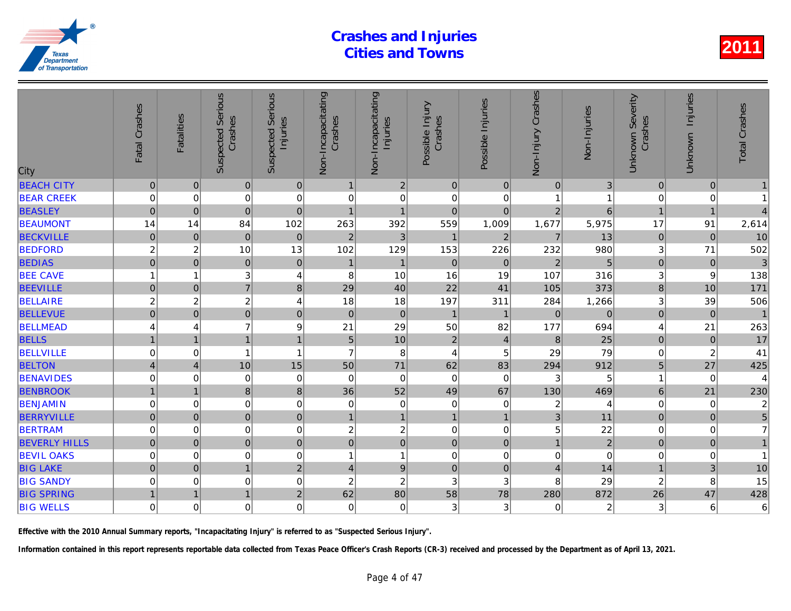| City                 | Fatal Crashes           | <b>Fatalities</b> | <b>Suspected Serious</b><br>Crashes | Serious<br>Injuries<br>Suspected | Non-Incapacitating<br>Crashes | Non-Incapacitating<br>Injuries | Possible Injury<br>Crashes | Possible Injuries | Non-Injury Crashes | Non-Injuries   |
|----------------------|-------------------------|-------------------|-------------------------------------|----------------------------------|-------------------------------|--------------------------------|----------------------------|-------------------|--------------------|----------------|
| <b>BEACH CITY</b>    | $\pmb{0}$               | $\mathbf 0$       | $\pmb{0}$                           | 0                                | $\mathbf{1}$                  | $\sqrt{2}$                     | $\mathbf 0$                | $\mathbf{0}$      | $\pmb{0}$          | 3              |
| <b>BEAR CREEK</b>    | 0                       | $\mathbf 0$       | $\pmb{0}$                           | $\mathbf 0$                      | 0                             | $\mathbf 0$                    | $\pmb{0}$                  | 0                 |                    |                |
| <b>BEASLEY</b>       | $\pmb{0}$               | $\Omega$          | $\overline{0}$                      | $\mathbf 0$                      | $\overline{1}$                | $\overline{1}$                 | $\overline{0}$             | $\mathbf 0$       | $\overline{2}$     | 6              |
| <b>BEAUMONT</b>      | 14                      | 14                | 84                                  | 102                              | 263                           | 392                            | 559                        | 1,009             | 1,677              | 5,975          |
| <b>BECKVILLE</b>     | $\pmb{0}$               | $\mathbf 0$       | $\mathbf 0$                         | $\pmb{0}$                        | $\overline{2}$                | 3                              | $\mathbf{1}$               | $\overline{2}$    | $\overline{7}$     | 13             |
| <b>BEDFORD</b>       | $\overline{c}$          | $\overline{c}$    | 10                                  | 13                               | 102                           | 129                            | 153                        | 226               | 232                | 980            |
| <b>BEDIAS</b>        | $\overline{0}$          | $\mathbf 0$       | $\mathbf 0$                         | $\mathbf 0$                      | $\mathbf{1}$                  | $\mathbf{1}$                   | $\mathbf 0$                | $\mathbf{0}$      | $\overline{2}$     | 5              |
| <b>BEE CAVE</b>      |                         | 1                 | 3                                   | 4                                | 8                             | 10                             | 16                         | 19                | 107                | 316            |
| <b>BEEVILLE</b>      | $\pmb{0}$               | $\mathbf 0$       | $\overline{7}$                      | 8                                | 29                            | 40                             | 22                         | 41                | 105                | 373            |
| <b>BELLAIRE</b>      | $\overline{c}$          | $\overline{c}$    | $\boldsymbol{2}$                    | $\overline{\mathbf{4}}$          | 18                            | 18                             | 197                        | 311               | 284                | 1,266          |
| <b>BELLEVUE</b>      | $\mathbf 0$             | $\mathbf 0$       | $\overline{0}$                      | $\overline{0}$                   | $\mathbf 0$                   | $\pmb{0}$                      | $\mathbf{1}$               | $\overline{1}$    | $\Omega$           | $\Omega$       |
| <b>BELLMEAD</b>      | 4                       | 4                 | $\overline{7}$                      | 9                                | 21                            | 29                             | 50                         | 82                | 177                | 694            |
| <b>BELLS</b>         |                         | $\overline{1}$    | $\mathbf{1}$                        | $\overline{1}$                   | 5                             | 10                             | $\overline{2}$             | $\overline{4}$    | $\,8\,$            | 25             |
| <b>BELLVILLE</b>     | 0                       | $\mathbf 0$       | 1                                   | $\mathbf{1}$                     | $\overline{7}$                | 8                              | 4                          | 5                 | 29                 | 79             |
| <b>BELTON</b>        | $\overline{\mathbf{4}}$ | $\overline{4}$    | 10                                  | 15                               | 50                            | 71                             | 62                         | 83                | 294                | 912            |
| <b>BENAVIDES</b>     | $\mathbf 0$             | 0                 | $\mathbf 0$                         | $\mathbf 0$                      | $\mathbf 0$                   | $\mathbf 0$                    | $\mathbf 0$                | $\mathbf 0$       | 3                  | 5              |
| <b>BENBROOK</b>      | $\overline{1}$          | $\overline{1}$    | 8                                   | $\bf{8}$                         | 36                            | 52                             | 49                         | 67                | 130                | 469            |
| <b>BENJAMIN</b>      | $\mathbf 0$             | $\mathbf 0$       | 0                                   | $\pmb{0}$                        | 0                             | $\pmb{0}$                      | $\pmb{0}$                  | 0                 | $\overline{c}$     |                |
| <b>BERRYVILLE</b>    | $\mathsf{O}\xspace$     | $\pmb{0}$         | $\pmb{0}$                           | $\overline{0}$                   | $\mathbf{1}$                  | $\mathbf{1}$                   | $\mathbf{1}$               | $\overline{1}$    | 3                  | 11             |
| <b>BERTRAM</b>       | 0                       | 0                 | 0                                   | 0                                | $\overline{\mathbf{c}}$       | $\sqrt{2}$                     | $\pmb{0}$                  | $\,0\,$           | 5                  | 22             |
| <b>BEVERLY HILLS</b> | $\overline{0}$          | $\mathbf 0$       | $\mathbf 0$                         | $\overline{0}$                   | $\overline{0}$                | $\overline{0}$                 | $\pmb{0}$                  | $\mathbf 0$       | $\overline{1}$     | $\overline{a}$ |
| <b>BEVIL OAKS</b>    | $\mathbf 0$             | 0                 | $\mathbf 0$                         | $\mathbf 0$                      | $\overline{1}$                | $\mathbf{1}$                   | $\mathbf 0$                | 0                 | 0                  | $\Omega$       |
| <b>BIG LAKE</b>      | $\mathbf 0$             | $\mathbf 0$       | $\mathbf{1}$                        | $\overline{2}$                   | 4                             | $\mathsf g$                    | $\pmb{0}$                  | $\mathbf 0$       | $\overline{4}$     | 14             |
| <b>BIG SANDY</b>     | 0                       | 0                 | 0                                   | 0                                | $\boldsymbol{2}$              | $\overline{c}$                 | $\mathbf{3}$               | 3                 | 8                  | 29             |
| <b>BIG SPRING</b>    |                         | $\overline{1}$    | $\overline{1}$                      | $\overline{c}$                   | 62                            | 80                             | 58                         | 78                | 280                | 872            |
| <b>BIG WELLS</b>     | $\mathbf 0$             | $\Omega$          | $\mathbf 0$                         | $\overline{0}$                   | $\mathbf 0$                   | $\mathbf 0$                    | 3                          | 3                 | $\mathbf 0$        | $\overline{2}$ |
|                      |                         |                   |                                     |                                  |                               |                                |                            |                   |                    |                |

Effective with the 2010 Annual Summary reports, "Incapacitating Injury" is referred to as "Suspected Serious Injury".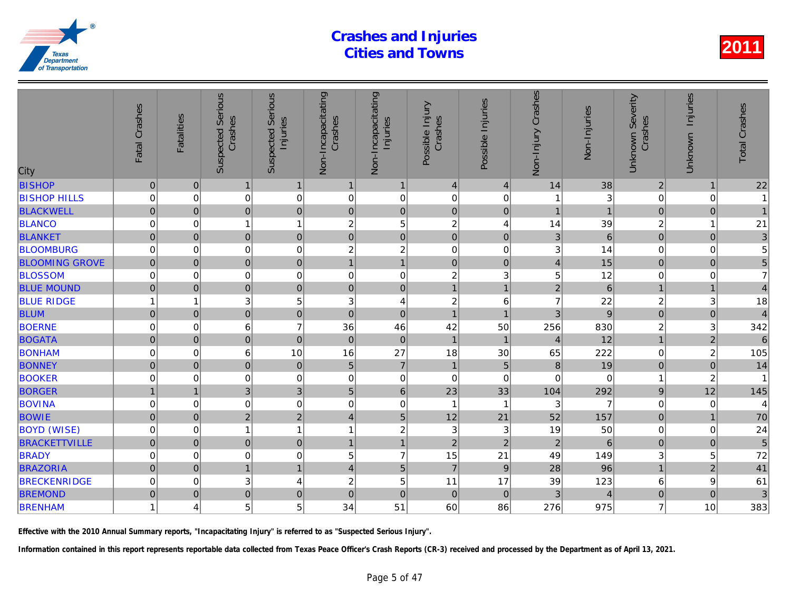| City                  | Fatal Crashes       | <b>Fatalities</b>     | <b>Suspected Serious</b><br>Crashes | Serious<br>Injuries<br>Suspected | Non-Incapacitating<br>Crashes | Non-Incapacitating<br>Injuries | Possible Injury<br>Crashes | Possible Injuries | Non-Injury Crashes | Non-Injuries   |
|-----------------------|---------------------|-----------------------|-------------------------------------|----------------------------------|-------------------------------|--------------------------------|----------------------------|-------------------|--------------------|----------------|
| <b>BISHOP</b>         | $\pmb{0}$           | $\pmb{0}$             | $\mathbf{1}$                        | $\mathbf{1}$                     | $\mathbf{1}$                  | $\mathbf{1}$                   | $\overline{4}$             | $\overline{4}$    | 14                 | 38             |
| <b>BISHOP HILLS</b>   | 0                   | 0                     | $\pmb{0}$                           | $\mathbf 0$                      | 0                             | $\pmb{0}$                      | $\mathbf 0$                | 0                 |                    |                |
| <b>BLACKWELL</b>      | $\mathbf 0$         | $\mathbf 0$           | $\overline{0}$                      | $\pmb{0}$                        | $\pmb{0}$                     | $\mathsf{O}\xspace$            | $\mathbf 0$                | $\mathbf 0$       | $\overline{1}$     |                |
| <b>BLANCO</b>         | $\mathbf 0$         | $\mathbf 0$           | 1                                   | $\mathbf{1}$                     | 2                             | $\,$ 5 $\,$                    | $\boldsymbol{2}$           | 4                 | 14                 | 39             |
| <b>BLANKET</b>        | $\mathsf{O}\xspace$ | $\mathbf 0$           | $\pmb{0}$                           | $\pmb{0}$                        | $\mathbf 0$                   | $\mathbf 0$                    | $\mathbf 0$                | $\mathbf 0$       | 3                  | 6              |
| <b>BLOOMBURG</b>      | $\mathbf 0$         | $\mathbf 0$           | $\mathbf 0$                         | 0                                | 2                             | $\overline{c}$                 | $\mathbf 0$                | 0                 | 3                  | 14             |
| <b>BLOOMING GROVE</b> | $\mathbf 0$         | $\overline{0}$        | $\overline{0}$                      | $\pmb{0}$                        | $\mathbf{1}$                  | $\mathbf{1}$                   | $\mathbf 0$                | $\overline{0}$    | $\overline{4}$     | 15             |
| <b>BLOSSOM</b>        | 0                   | 0                     | $\mathbf 0$                         | 0                                | 0                             | $\pmb{0}$                      | $\overline{c}$             | 3                 | 5                  | 12             |
| <b>BLUE MOUND</b>     | $\mathbf 0$         | $\mathbf 0$           | $\pmb{0}$                           | $\mathbf 0$                      | $\mathbf 0$                   | $\mathbf 0$                    | $\mathbf{1}$               | $\mathbf{1}$      | $\overline{2}$     | 6              |
| <b>BLUE RIDGE</b>     |                     | 1                     | 3                                   | 5                                | 3                             | 4                              | $\boldsymbol{2}$           | 6                 | $\overline{7}$     | 22             |
| <b>BLUM</b>           | $\pmb{0}$           | $\boldsymbol{0}$      | $\overline{0}$                      | $\overline{0}$                   | $\mathbf 0$                   | $\mathsf{O}\xspace$            | $\mathbf{1}$               | 1                 | 3                  | $\overline{9}$ |
| <b>BOERNE</b>         | $\overline{0}$      | 0                     | $6\phantom{1}6$                     | $\overline{7}$                   | 36                            | 46                             | 42                         | 50                | 256                | 830            |
| <b>BOGATA</b>         | $\mathbf 0$         | $\pmb{0}$             | $\overline{0}$                      | $\pmb{0}$                        | $\pmb{0}$                     | $\pmb{0}$                      | $\mathbf{1}$               | $\mathbf{1}$      | $\overline{4}$     | 12             |
| <b>BONHAM</b>         | 0                   | $\mathbf 0$           | 6                                   | 10                               | 16                            | 27                             | 18                         | 30                | 65                 | 222            |
| <b>BONNEY</b>         | $\mathsf{O}\xspace$ | $\pmb{0}$             | $\overline{0}$                      | $\pmb{0}$                        | $\overline{5}$                | $\overline{7}$                 | $\mathbf{1}$               | $\overline{5}$    | 8                  | 19             |
| <b>BOOKER</b>         | $\mathbf 0$         | 0                     | $\mathbf 0$                         | $\mathbf 0$                      | 0                             | $\boldsymbol{0}$               | $\mathbf 0$                | $\mathbf 0$       | $\overline{0}$     | $\Omega$       |
| <b>BORGER</b>         |                     | $\overline{1}$        | $\overline{3}$                      | 3                                | 5                             | $6\phantom{a}$                 | 23                         | 33                | 104                | 292            |
| <b>BOVINA</b>         | 0                   | $\mathbf 0$           | 0                                   | $\mathbf 0$                      | 0                             | $\pmb{0}$                      | $\mathbf{1}$               | -1                | 3                  |                |
| <b>BOWIE</b>          | $\mathsf{O}\xspace$ | $\pmb{0}$             | $\mathbf 2$                         | $\overline{c}$                   | 4                             | 5                              | 12                         | 21                | 52                 | 157            |
| <b>BOYD (WISE)</b>    | 0                   | 0                     | 1                                   | $\mathbf{1}$                     | 1                             | $\overline{\mathbf{c}}$        | $\sqrt{3}$                 | $\mathbf{3}$      | 19                 | 50             |
| <b>BRACKETTVILLE</b>  | $\overline{0}$      | $\mathbf 0$           | $\pmb{0}$                           | $\pmb{0}$                        | $\overline{1}$                | $\mathbf{1}$                   | $\overline{2}$             | $\overline{2}$    | $\overline{2}$     | 6              |
| <b>BRADY</b>          | $\mathbf 0$         | 0                     | 0                                   | $\pmb{0}$                        | 5                             | $\overline{7}$                 | 15                         | 21                | 49                 | 149            |
| <b>BRAZORIA</b>       | $\mathbf 0$         | $\mathbf{0}$          | $\overline{1}$                      | $\mathbf{1}$                     | 4                             | 5                              | $\overline{7}$             | 9                 | 28                 | 96             |
| <b>BRECKENRIDGE</b>   | 0                   | 0                     | 3                                   | 4                                | $\overline{c}$                | 5                              | 11                         | 17                | 39                 | 123            |
| <b>BREMOND</b>        | $\mathbf 0$         | $\pmb{0}$             | $\overline{0}$                      | $\mathbf 0$                      | $\mathbf 0$                   | $\mathbf 0$                    | $\pmb{0}$                  | $\mathbf 0$       | 3                  |                |
| <b>BRENHAM</b>        | 1                   | $\boldsymbol{\Delta}$ | 5                                   | 5                                | 34                            | 51                             | 60                         | 86                | 276                | 975            |
|                       |                     |                       |                                     |                                  |                               |                                |                            |                   |                    |                |

Effective with the 2010 Annual Summary reports, "Incapacitating Injury" is referred to as "Suspected Serious Injury".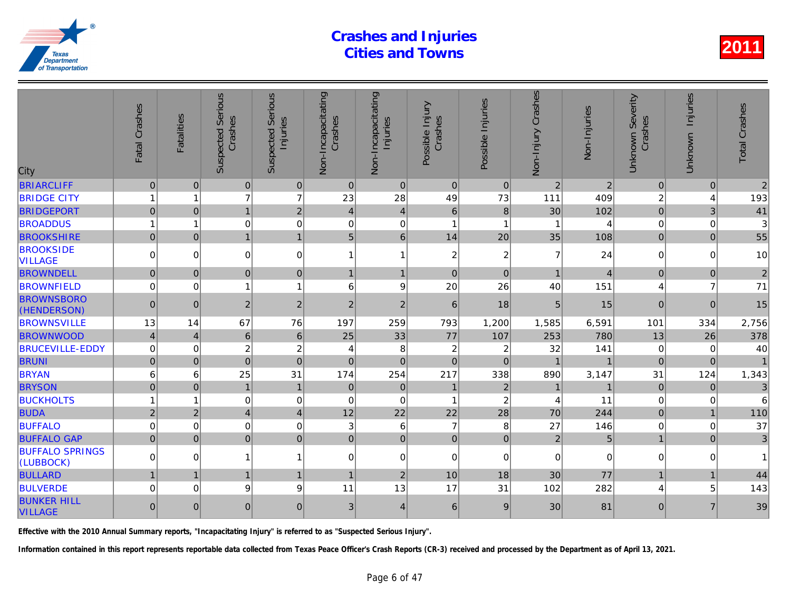| <b>BRIARCLIFF</b><br> 0 <br>$\pmb{0}$<br>$\overline{0}$<br>$\pmb{0}$<br>$\overline{0}$<br>$\mathbf 0$<br>$\mathbf{0}$<br> 0 <br>$\overline{2}$<br>$\overline{c}$<br>$\overline{7}$<br>$\overline{7}$<br>23<br><b>BRIDGE CITY</b><br>28<br>49<br>73<br>111<br>409<br>$\mathbf{1}$<br>1<br>$\overline{2}$<br>$\overline{0}$<br>$\mathbf{1}$<br><b>BRIDGEPORT</b><br>30<br>$\overline{0}$<br>$\overline{4}$<br>$\vert 4 \vert$<br>6<br>8<br>102<br>$\mathbf 0$<br><b>BROADDUS</b><br>0<br>$\mathbf 0$<br>$\Omega$<br>$\overline{1}$<br>1<br>-1<br>1<br>6 <sup>1</sup><br><b>BROOKSHIRE</b><br>$\mathbf 0$<br>$5\phantom{.}$<br>14<br>$\Omega$<br>$\mathbf{1}$<br>$\mathbf{1}$<br>20<br>35<br>108<br><b>BROOKSIDE</b><br>0<br>0<br>$\mathbf 0$<br>$\mathbf{1}$<br>$\overline{c}$<br>$\overline{c}$<br>$\overline{7}$<br>24<br>$\mathbf 0$<br>1<br><b>VILLAGE</b><br><b>BROWNDELL</b><br>$\overline{0}$<br>$\overline{0}$<br>$\mathbf 0$<br>$\overline{A}$<br>$\Omega$<br>$\mathbf{1}$<br>$\Omega$<br>$\Omega$<br>$\mathbf{1}$<br>$\overline{1}$<br>9<br>20<br><b>BROWNFIELD</b><br>0<br>26<br>40<br>$\Omega$<br>1<br>$\mathbf{1}$<br>6<br>151<br><b>BROWNSBORO</b><br>$\overline{c}$<br>$\overline{c}$<br>$\overline{0}$<br>$\sqrt{2}$<br>$\overline{2}$<br>6<br>18<br>5<br>15<br>$\Omega$<br>(HENDERSON)<br><b>BROWNSVILLE</b><br>13<br>67<br>76<br>197<br>259<br>793<br>1,200<br>6,591<br>1,585<br>14<br><b>BROWNWOOD</b><br>33<br>$\overline{4}$<br>$6\phantom{a}$<br>$\,$ 6 $\,$<br>25<br>77<br>107<br>253<br>780<br>$\overline{4}$<br>$\overline{c}$<br>$\overline{c}$<br><b>BRUCEVILLE-EDDY</b><br>0<br>8<br>$\overline{c}$<br>32<br>$\Omega$<br>$\overline{c}$<br>141<br>$\overline{4}$<br>$\overline{0}$<br><b>BRUNI</b><br>$\overline{0}$<br>$\mathbf 0$<br>$\mathbf 0$<br>$\Omega$<br>$\Omega$<br>$\Omega$<br>$\Omega$<br>25<br>217<br><b>BRYAN</b><br>6<br>31<br>174<br>254<br>338<br>890<br>3,147<br>6<br>$\overline{0}$<br><b>BRYSON</b><br>$\mathbf{1}$<br>$\overline{0}$<br>$\mathbf{1}$<br>$\mathbf 0$<br>$\overline{0}$<br>$\mathbf{1}$<br>$\vert$ 2<br>$\mathbf{1}$<br>$\mathbf 0$<br>0<br>$\mathbf 0$<br>$\overline{1}$<br>$\overline{\mathbf{c}}$<br><b>BUCKHOLTS</b><br>$\Omega$<br>11<br>1<br>4<br>$\overline{2}$<br>12<br>22<br>70<br>$\overline{\mathbf{4}}$<br>22<br>28<br>244<br><b>BUDA</b><br>$\overline{2}$<br>$\overline{4}$<br><b>BUFFALO</b><br>0<br>0<br>$\mathbf 0$<br>3<br>6<br>$\overline{7}$<br>8<br>27<br>$\Omega$<br>146<br>5<br>$\overline{0}$<br><b>BUFFALO GAP</b><br>$\overline{0}$<br>$\overline{0}$<br>$\mathbf 0$<br>$\overline{2}$<br>$\mathbf{0}$<br>$\mathbf{0}$<br>$\mathbf{0}$<br>$\mathbf{0}$<br><b>BUFFALO SPRINGS</b><br>$\overline{0}$<br>$\mathbf 0$<br>0<br>$\Omega$<br>0<br>$\Omega$<br>1<br>$\mathbf{1}$<br>$\mathbf 0$<br>0<br>(LUBBOCK)<br><b>BULLARD</b><br>$\overline{1}$<br>$\overline{2}$<br>77<br>$\overline{1}$<br>18<br>30<br>$\mathbf{1}$<br>10<br>$\mathbf{1}$<br>1<br>13<br><b>BULVERDE</b><br>9<br>9<br>17<br>$\Omega$<br>11<br>31<br>282<br>$\Omega$<br>102<br><b>BUNKER HILL</b><br>$\overline{0}$<br>$\overline{0}$<br>$\pmb{0}$<br>$\mathfrak{B}$<br>30<br>81<br>$\Omega$<br>$\vert 4 \vert$<br>6<br>9<br><b>VILLAGE</b> | City | Fatal Crashes | <b>Fatalities</b> | <b>Suspected Serious</b><br>Crashes | Serious<br>Injuries<br>Suspected | Non-Incapacitating<br>Crashes | Non-Incapacitating<br>Injuries | Possible Injury<br>Crashes | Possible Injuries | Non-Injury Crashes | Non-Injuries |
|--------------------------------------------------------------------------------------------------------------------------------------------------------------------------------------------------------------------------------------------------------------------------------------------------------------------------------------------------------------------------------------------------------------------------------------------------------------------------------------------------------------------------------------------------------------------------------------------------------------------------------------------------------------------------------------------------------------------------------------------------------------------------------------------------------------------------------------------------------------------------------------------------------------------------------------------------------------------------------------------------------------------------------------------------------------------------------------------------------------------------------------------------------------------------------------------------------------------------------------------------------------------------------------------------------------------------------------------------------------------------------------------------------------------------------------------------------------------------------------------------------------------------------------------------------------------------------------------------------------------------------------------------------------------------------------------------------------------------------------------------------------------------------------------------------------------------------------------------------------------------------------------------------------------------------------------------------------------------------------------------------------------------------------------------------------------------------------------------------------------------------------------------------------------------------------------------------------------------------------------------------------------------------------------------------------------------------------------------------------------------------------------------------------------------------------------------------------------------------------------------------------------------------------------------------------------------------------------------------------------------------------------------------------------------------------------------------------------------------------------------------------------------------------------------------------------------------------------------------------------------------------------------------------------------------------------------------------------------------------------------------------------------------------------------------------------------------------------------------------------------------------------------------------------------------------------------|------|---------------|-------------------|-------------------------------------|----------------------------------|-------------------------------|--------------------------------|----------------------------|-------------------|--------------------|--------------|
|                                                                                                                                                                                                                                                                                                                                                                                                                                                                                                                                                                                                                                                                                                                                                                                                                                                                                                                                                                                                                                                                                                                                                                                                                                                                                                                                                                                                                                                                                                                                                                                                                                                                                                                                                                                                                                                                                                                                                                                                                                                                                                                                                                                                                                                                                                                                                                                                                                                                                                                                                                                                                                                                                                                                                                                                                                                                                                                                                                                                                                                                                                                                                                                                  |      |               |                   |                                     |                                  |                               |                                |                            |                   |                    |              |
|                                                                                                                                                                                                                                                                                                                                                                                                                                                                                                                                                                                                                                                                                                                                                                                                                                                                                                                                                                                                                                                                                                                                                                                                                                                                                                                                                                                                                                                                                                                                                                                                                                                                                                                                                                                                                                                                                                                                                                                                                                                                                                                                                                                                                                                                                                                                                                                                                                                                                                                                                                                                                                                                                                                                                                                                                                                                                                                                                                                                                                                                                                                                                                                                  |      |               |                   |                                     |                                  |                               |                                |                            |                   |                    |              |
|                                                                                                                                                                                                                                                                                                                                                                                                                                                                                                                                                                                                                                                                                                                                                                                                                                                                                                                                                                                                                                                                                                                                                                                                                                                                                                                                                                                                                                                                                                                                                                                                                                                                                                                                                                                                                                                                                                                                                                                                                                                                                                                                                                                                                                                                                                                                                                                                                                                                                                                                                                                                                                                                                                                                                                                                                                                                                                                                                                                                                                                                                                                                                                                                  |      |               |                   |                                     |                                  |                               |                                |                            |                   |                    |              |
|                                                                                                                                                                                                                                                                                                                                                                                                                                                                                                                                                                                                                                                                                                                                                                                                                                                                                                                                                                                                                                                                                                                                                                                                                                                                                                                                                                                                                                                                                                                                                                                                                                                                                                                                                                                                                                                                                                                                                                                                                                                                                                                                                                                                                                                                                                                                                                                                                                                                                                                                                                                                                                                                                                                                                                                                                                                                                                                                                                                                                                                                                                                                                                                                  |      |               |                   |                                     |                                  |                               |                                |                            |                   |                    |              |
|                                                                                                                                                                                                                                                                                                                                                                                                                                                                                                                                                                                                                                                                                                                                                                                                                                                                                                                                                                                                                                                                                                                                                                                                                                                                                                                                                                                                                                                                                                                                                                                                                                                                                                                                                                                                                                                                                                                                                                                                                                                                                                                                                                                                                                                                                                                                                                                                                                                                                                                                                                                                                                                                                                                                                                                                                                                                                                                                                                                                                                                                                                                                                                                                  |      |               |                   |                                     |                                  |                               |                                |                            |                   |                    |              |
|                                                                                                                                                                                                                                                                                                                                                                                                                                                                                                                                                                                                                                                                                                                                                                                                                                                                                                                                                                                                                                                                                                                                                                                                                                                                                                                                                                                                                                                                                                                                                                                                                                                                                                                                                                                                                                                                                                                                                                                                                                                                                                                                                                                                                                                                                                                                                                                                                                                                                                                                                                                                                                                                                                                                                                                                                                                                                                                                                                                                                                                                                                                                                                                                  |      |               |                   |                                     |                                  |                               |                                |                            |                   |                    |              |
|                                                                                                                                                                                                                                                                                                                                                                                                                                                                                                                                                                                                                                                                                                                                                                                                                                                                                                                                                                                                                                                                                                                                                                                                                                                                                                                                                                                                                                                                                                                                                                                                                                                                                                                                                                                                                                                                                                                                                                                                                                                                                                                                                                                                                                                                                                                                                                                                                                                                                                                                                                                                                                                                                                                                                                                                                                                                                                                                                                                                                                                                                                                                                                                                  |      |               |                   |                                     |                                  |                               |                                |                            |                   |                    |              |
|                                                                                                                                                                                                                                                                                                                                                                                                                                                                                                                                                                                                                                                                                                                                                                                                                                                                                                                                                                                                                                                                                                                                                                                                                                                                                                                                                                                                                                                                                                                                                                                                                                                                                                                                                                                                                                                                                                                                                                                                                                                                                                                                                                                                                                                                                                                                                                                                                                                                                                                                                                                                                                                                                                                                                                                                                                                                                                                                                                                                                                                                                                                                                                                                  |      |               |                   |                                     |                                  |                               |                                |                            |                   |                    |              |
|                                                                                                                                                                                                                                                                                                                                                                                                                                                                                                                                                                                                                                                                                                                                                                                                                                                                                                                                                                                                                                                                                                                                                                                                                                                                                                                                                                                                                                                                                                                                                                                                                                                                                                                                                                                                                                                                                                                                                                                                                                                                                                                                                                                                                                                                                                                                                                                                                                                                                                                                                                                                                                                                                                                                                                                                                                                                                                                                                                                                                                                                                                                                                                                                  |      |               |                   |                                     |                                  |                               |                                |                            |                   |                    |              |
|                                                                                                                                                                                                                                                                                                                                                                                                                                                                                                                                                                                                                                                                                                                                                                                                                                                                                                                                                                                                                                                                                                                                                                                                                                                                                                                                                                                                                                                                                                                                                                                                                                                                                                                                                                                                                                                                                                                                                                                                                                                                                                                                                                                                                                                                                                                                                                                                                                                                                                                                                                                                                                                                                                                                                                                                                                                                                                                                                                                                                                                                                                                                                                                                  |      |               |                   |                                     |                                  |                               |                                |                            |                   |                    |              |
|                                                                                                                                                                                                                                                                                                                                                                                                                                                                                                                                                                                                                                                                                                                                                                                                                                                                                                                                                                                                                                                                                                                                                                                                                                                                                                                                                                                                                                                                                                                                                                                                                                                                                                                                                                                                                                                                                                                                                                                                                                                                                                                                                                                                                                                                                                                                                                                                                                                                                                                                                                                                                                                                                                                                                                                                                                                                                                                                                                                                                                                                                                                                                                                                  |      |               |                   |                                     |                                  |                               |                                |                            |                   |                    |              |
|                                                                                                                                                                                                                                                                                                                                                                                                                                                                                                                                                                                                                                                                                                                                                                                                                                                                                                                                                                                                                                                                                                                                                                                                                                                                                                                                                                                                                                                                                                                                                                                                                                                                                                                                                                                                                                                                                                                                                                                                                                                                                                                                                                                                                                                                                                                                                                                                                                                                                                                                                                                                                                                                                                                                                                                                                                                                                                                                                                                                                                                                                                                                                                                                  |      |               |                   |                                     |                                  |                               |                                |                            |                   |                    |              |
|                                                                                                                                                                                                                                                                                                                                                                                                                                                                                                                                                                                                                                                                                                                                                                                                                                                                                                                                                                                                                                                                                                                                                                                                                                                                                                                                                                                                                                                                                                                                                                                                                                                                                                                                                                                                                                                                                                                                                                                                                                                                                                                                                                                                                                                                                                                                                                                                                                                                                                                                                                                                                                                                                                                                                                                                                                                                                                                                                                                                                                                                                                                                                                                                  |      |               |                   |                                     |                                  |                               |                                |                            |                   |                    |              |
|                                                                                                                                                                                                                                                                                                                                                                                                                                                                                                                                                                                                                                                                                                                                                                                                                                                                                                                                                                                                                                                                                                                                                                                                                                                                                                                                                                                                                                                                                                                                                                                                                                                                                                                                                                                                                                                                                                                                                                                                                                                                                                                                                                                                                                                                                                                                                                                                                                                                                                                                                                                                                                                                                                                                                                                                                                                                                                                                                                                                                                                                                                                                                                                                  |      |               |                   |                                     |                                  |                               |                                |                            |                   |                    |              |
|                                                                                                                                                                                                                                                                                                                                                                                                                                                                                                                                                                                                                                                                                                                                                                                                                                                                                                                                                                                                                                                                                                                                                                                                                                                                                                                                                                                                                                                                                                                                                                                                                                                                                                                                                                                                                                                                                                                                                                                                                                                                                                                                                                                                                                                                                                                                                                                                                                                                                                                                                                                                                                                                                                                                                                                                                                                                                                                                                                                                                                                                                                                                                                                                  |      |               |                   |                                     |                                  |                               |                                |                            |                   |                    |              |
|                                                                                                                                                                                                                                                                                                                                                                                                                                                                                                                                                                                                                                                                                                                                                                                                                                                                                                                                                                                                                                                                                                                                                                                                                                                                                                                                                                                                                                                                                                                                                                                                                                                                                                                                                                                                                                                                                                                                                                                                                                                                                                                                                                                                                                                                                                                                                                                                                                                                                                                                                                                                                                                                                                                                                                                                                                                                                                                                                                                                                                                                                                                                                                                                  |      |               |                   |                                     |                                  |                               |                                |                            |                   |                    |              |
|                                                                                                                                                                                                                                                                                                                                                                                                                                                                                                                                                                                                                                                                                                                                                                                                                                                                                                                                                                                                                                                                                                                                                                                                                                                                                                                                                                                                                                                                                                                                                                                                                                                                                                                                                                                                                                                                                                                                                                                                                                                                                                                                                                                                                                                                                                                                                                                                                                                                                                                                                                                                                                                                                                                                                                                                                                                                                                                                                                                                                                                                                                                                                                                                  |      |               |                   |                                     |                                  |                               |                                |                            |                   |                    |              |
|                                                                                                                                                                                                                                                                                                                                                                                                                                                                                                                                                                                                                                                                                                                                                                                                                                                                                                                                                                                                                                                                                                                                                                                                                                                                                                                                                                                                                                                                                                                                                                                                                                                                                                                                                                                                                                                                                                                                                                                                                                                                                                                                                                                                                                                                                                                                                                                                                                                                                                                                                                                                                                                                                                                                                                                                                                                                                                                                                                                                                                                                                                                                                                                                  |      |               |                   |                                     |                                  |                               |                                |                            |                   |                    |              |
|                                                                                                                                                                                                                                                                                                                                                                                                                                                                                                                                                                                                                                                                                                                                                                                                                                                                                                                                                                                                                                                                                                                                                                                                                                                                                                                                                                                                                                                                                                                                                                                                                                                                                                                                                                                                                                                                                                                                                                                                                                                                                                                                                                                                                                                                                                                                                                                                                                                                                                                                                                                                                                                                                                                                                                                                                                                                                                                                                                                                                                                                                                                                                                                                  |      |               |                   |                                     |                                  |                               |                                |                            |                   |                    |              |
|                                                                                                                                                                                                                                                                                                                                                                                                                                                                                                                                                                                                                                                                                                                                                                                                                                                                                                                                                                                                                                                                                                                                                                                                                                                                                                                                                                                                                                                                                                                                                                                                                                                                                                                                                                                                                                                                                                                                                                                                                                                                                                                                                                                                                                                                                                                                                                                                                                                                                                                                                                                                                                                                                                                                                                                                                                                                                                                                                                                                                                                                                                                                                                                                  |      |               |                   |                                     |                                  |                               |                                |                            |                   |                    |              |
|                                                                                                                                                                                                                                                                                                                                                                                                                                                                                                                                                                                                                                                                                                                                                                                                                                                                                                                                                                                                                                                                                                                                                                                                                                                                                                                                                                                                                                                                                                                                                                                                                                                                                                                                                                                                                                                                                                                                                                                                                                                                                                                                                                                                                                                                                                                                                                                                                                                                                                                                                                                                                                                                                                                                                                                                                                                                                                                                                                                                                                                                                                                                                                                                  |      |               |                   |                                     |                                  |                               |                                |                            |                   |                    |              |
|                                                                                                                                                                                                                                                                                                                                                                                                                                                                                                                                                                                                                                                                                                                                                                                                                                                                                                                                                                                                                                                                                                                                                                                                                                                                                                                                                                                                                                                                                                                                                                                                                                                                                                                                                                                                                                                                                                                                                                                                                                                                                                                                                                                                                                                                                                                                                                                                                                                                                                                                                                                                                                                                                                                                                                                                                                                                                                                                                                                                                                                                                                                                                                                                  |      |               |                   |                                     |                                  |                               |                                |                            |                   |                    |              |
|                                                                                                                                                                                                                                                                                                                                                                                                                                                                                                                                                                                                                                                                                                                                                                                                                                                                                                                                                                                                                                                                                                                                                                                                                                                                                                                                                                                                                                                                                                                                                                                                                                                                                                                                                                                                                                                                                                                                                                                                                                                                                                                                                                                                                                                                                                                                                                                                                                                                                                                                                                                                                                                                                                                                                                                                                                                                                                                                                                                                                                                                                                                                                                                                  |      |               |                   |                                     |                                  |                               |                                |                            |                   |                    |              |

Effective with the 2010 Annual Summary reports, "Incapacitating Injury" is referred to as "Suspected Serious Injury".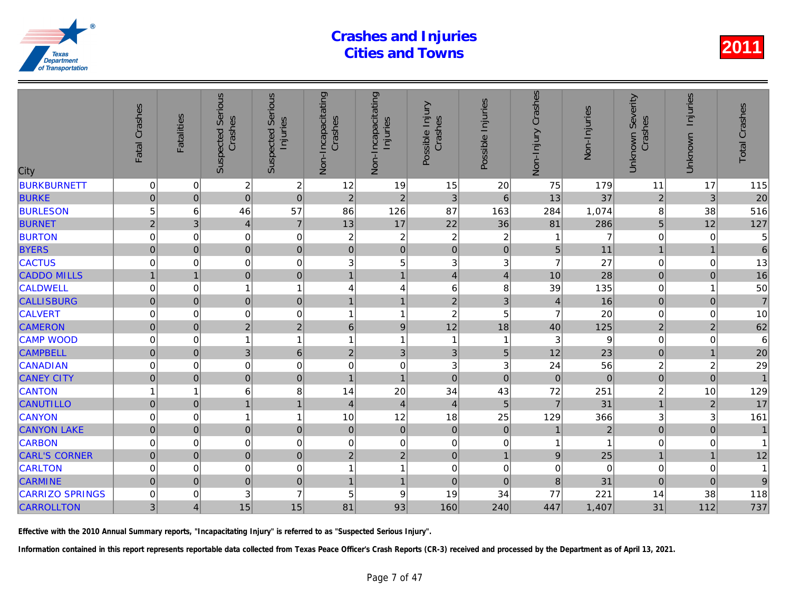| City                   | Fatal Crashes       | <b>Fatalities</b> | <b>Suspected Serious</b><br>Crashes | Serious<br>Injuries<br>Suspected | Non-Incapacitating<br>Crashes | Non-Incapacitating<br>Injuries | Possible Injury<br>Crashes | Possible Injuries       | Crashes<br>Non-Injury | Non-Injuries   |
|------------------------|---------------------|-------------------|-------------------------------------|----------------------------------|-------------------------------|--------------------------------|----------------------------|-------------------------|-----------------------|----------------|
| <b>BURKBURNETT</b>     | 0                   | 0                 | $\boldsymbol{2}$                    | $\overline{\mathbf{c}}$          | 12                            | 19                             | 15                         | 20                      | 75                    | 179            |
| <b>BURKE</b>           | $\mathbf 0$         | $\overline{0}$    | $\mathbf 0$                         | $\mathbf 0$                      | $\overline{2}$                | $\overline{2}$                 | 3                          | $\,6\,$                 | 13                    | 37             |
| <b>BURLESON</b>        | 5                   | 6                 | 46                                  | 57                               | 86                            | 126                            | 87                         | 163                     | 284                   | 1,074          |
| <b>BURNET</b>          | $\overline{2}$      | 3                 | $\overline{4}$                      | $\overline{7}$                   | 13                            | 17                             | 22                         | 36                      | 81                    | 286            |
| <b>BURTON</b>          | 0                   | $\mathbf 0$       | 0                                   | $\mathbf 0$                      | 2                             | $\boldsymbol{2}$               | $\boldsymbol{2}$           | $\boldsymbol{2}$        |                       | 7              |
| <b>BYERS</b>           | $\mathbf 0$         | $\overline{0}$    | $\pmb{0}$                           | $\pmb{0}$                        | $\overline{0}$                | $\mathsf{O}\xspace$            | $\mathbf 0$                | $\pmb{0}$               | 5                     | 11             |
| <b>CACTUS</b>          | $\mathbf 0$         | 0                 | $\mathbf 0$                         | $\mathbf 0$                      | 3                             | $\mathbf 5$                    | $\mathbf{3}$               | 3                       | $\overline{7}$        | 27             |
| <b>CADDO MILLS</b>     | $\mathbf{1}$        | $\overline{1}$    | $\mathbf 0$                         | $\mathbf 0$                      | $\overline{1}$                | $\mathbf{1}$                   | $\overline{4}$             | $\overline{4}$          | 10                    | 28             |
| <b>CALDWELL</b>        | 0                   | 0                 | 1                                   | $\mathbf{1}$                     | 4                             | 4                              | 6                          | 8                       | 39                    | 135            |
| <b>CALLISBURG</b>      | $\mathbf 0$         | $\mathbf 0$       | $\overline{0}$                      | $\mathbf 0$                      | 1                             | $\overline{1}$                 | $\overline{c}$             | 3                       | $\overline{4}$        | 16             |
| <b>CALVERT</b>         | 0                   | $\Omega$          | $\mathbf 0$                         | $\mathbf 0$                      | 1                             | $\mathbf{1}$                   | $\overline{c}$             | 5                       | 7                     | 20             |
| <b>CAMERON</b>         | $\mathsf{O}\xspace$ | $\mathbf 0$       | $\overline{2}$                      | $\sqrt{2}$                       | $\,$ 6 $\,$                   | $\boldsymbol{9}$               | 12                         | 18                      | 40                    | 125            |
| <b>CAMP WOOD</b>       | 0                   | $\mathbf 0$       | 1                                   | $\mathbf{1}$                     | 1                             | $\mathbf{1}$                   | $\mathbf{1}$               | $\overline{\mathbf{1}}$ | 3                     | 9              |
| <b>CAMPBELL</b>        | 0                   | $\overline{0}$    | $\mathfrak{B}$                      | $6\phantom{1}6$                  | $\overline{2}$                | 3                              | 3                          | 5                       | 12                    | 23             |
| <b>CANADIAN</b>        | 0                   | 0                 | $\mathbf 0$                         | $\mathbf 0$                      | 0                             | $\mathbf 0$                    | 3                          | 3                       | 24                    | 56             |
| <b>CANEY CITY</b>      | $\pmb{0}$           | $\overline{0}$    | $\pmb{0}$                           | $\pmb{0}$                        | $\mathbf{1}$                  | $\mathbf{1}$                   | $\mathbf 0$                | $\mathbf 0$             | $\mathbf 0$           | $\overline{0}$ |
| <b>CANTON</b>          | 1                   | 1                 | 6                                   | 8                                | 14                            | 20                             | 34                         | 43                      | 72                    | 251            |
| <b>CANUTILLO</b>       | $\pmb{0}$           | $\Omega$          |                                     | $\mathbf{1}$                     | $\overline{4}$                | $\overline{4}$                 | $\overline{4}$             | 5                       | $\overline{7}$        | 31             |
| <b>CANYON</b>          | $\mathbf 0$         | 0                 |                                     | $\mathbf{1}$                     | 10                            | 12                             | 18                         | 25                      | 129                   | 366            |
| <b>CANYON LAKE</b>     | $\mathbf 0$         | $\mathbf{0}$      | $\pmb{0}$                           | $\pmb{0}$                        | $\mathbf 0$                   | $\mathbf 0$                    | $\mathbf 0$                | $\mathbf 0$             | $\mathbf{1}$          | $\overline{a}$ |
| <b>CARBON</b>          | 0                   | 0                 | $\mathbf 0$                         | $\mathbf 0$                      | 0                             | $\pmb{0}$                      | $\mathbf 0$                | 0                       |                       |                |
| <b>CARL'S CORNER</b>   | 0                   | $\overline{0}$    | $\overline{0}$                      | $\mathbf 0$                      | $\overline{2}$                | $\overline{2}$                 | $\mathbf 0$                | $\overline{1}$          | 9                     | 25             |
| <b>CARLTON</b>         | $\mathbf 0$         | 0                 | $\mathbf 0$                         | $\mathbf 0$                      | 1                             | 1                              | $\pmb{0}$                  | 0                       | $\mathbf 0$           |                |
| <b>CARMINE</b>         | $\mathbf 0$         | $\mathbf 0$       | $\overline{0}$                      | $\mathbf 0$                      | $\overline{1}$                | $\overline{1}$                 | $\mathbf 0$                | $\mathbf 0$             | 8                     | 31             |
| <b>CARRIZO SPRINGS</b> | 0                   | $\mathbf 0$       | 3                                   | $\overline{7}$                   | 5                             | $\boldsymbol{9}$               | 19                         | 34                      | 77                    | 221            |
| <b>CARROLLTON</b>      | 3                   | $\overline{4}$    | 15                                  | 15                               | 81                            | 93                             | 160                        | 240                     | 447                   | 1,407          |
|                        |                     |                   |                                     |                                  |                               |                                |                            |                         |                       |                |

Effective with the 2010 Annual Summary reports, "Incapacitating Injury" is referred to as "Suspected Serious Injury".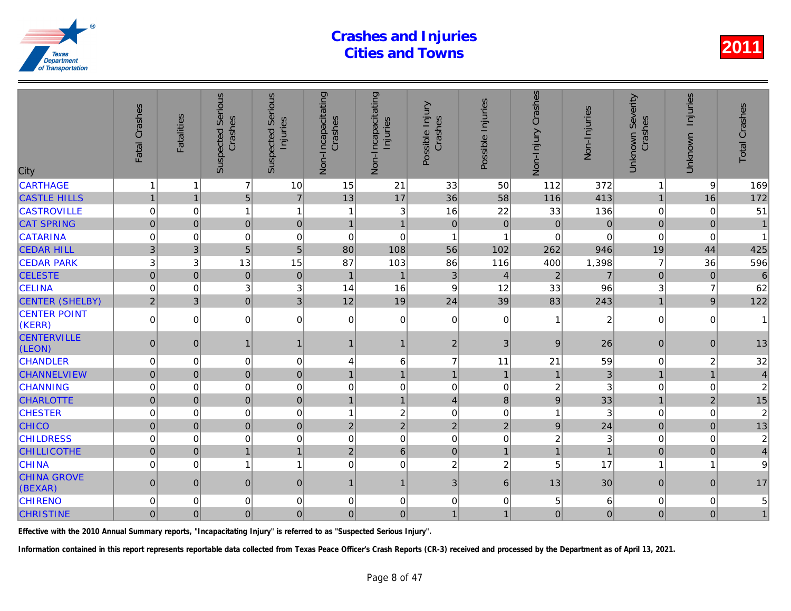| City                          | Fatal Crashes  | <b>Fatalities</b> | <b>Suspected Serious</b><br>Crashes | <b>Serious</b><br>Injuries<br>Suspected | Non-Incapacitating<br>Crashes | Non-Incapacitating<br>Injuries | Possible Injury<br>Crashes | Possible Injuries | Non-Injury Crashes | Non-Injuries   |
|-------------------------------|----------------|-------------------|-------------------------------------|-----------------------------------------|-------------------------------|--------------------------------|----------------------------|-------------------|--------------------|----------------|
| <b>CARTHAGE</b>               | $\mathbf 1$    |                   | $\overline{7}$                      | 10                                      | 15                            | 21                             | 33                         | 50                | 112                | 372            |
| <b>CASTLE HILLS</b>           | $\mathbf{1}$   | $\overline{1}$    | 5 <sup>1</sup>                      | $\overline{7}$                          | 13                            | 17                             | 36                         | 58                | 116                | 413            |
| <b>CASTROVILLE</b>            | 0              | 0                 | $\mathbf{1}$                        | $\mathbf{1}$                            | 1                             | $\sqrt{3}$                     | 16                         | 22                | 33                 | 136            |
| <b>CAT SPRING</b>             | $\mathbf 0$    | $\Omega$          | $\mathbf 0$                         | $\mathbf 0$                             | $\overline{1}$                | $\overline{1}$                 | $\overline{0}$             | $\mathbf 0$       | $\overline{0}$     |                |
| <b>CATARINA</b>               | $\mathbf 0$    | $\Omega$          | 0                                   | $\mathbf 0$                             | 0                             | $\mathbf 0$                    | 1                          | 1                 | 0                  |                |
| <b>CEDAR HILL</b>             | 3              | 3                 | 5                                   | 5                                       | 80                            | 108                            | 56                         | 102               | 262                | 946            |
| <b>CEDAR PARK</b>             | 3              | 3                 | 13                                  | 15                                      | 87                            | 103                            | 86                         | 116               | 400                | 1,398          |
| <b>CELESTE</b>                | $\overline{0}$ | $\mathbf 0$       | $\mathbf 0$                         | $\mathbf 0$                             | $\overline{1}$                | $\mathbf{1}$                   | 3                          | $\overline{4}$    | $\overline{2}$     | 7              |
| <b>CELINA</b>                 | $\mathbf 0$    | $\Omega$          | 3                                   | 3                                       | 14                            | 16                             | 9                          | 12                | 33                 | 96             |
| <b>CENTER (SHELBY)</b>        | $\overline{2}$ | 3                 | $\overline{0}$                      | 3                                       | 12                            | 19                             | 24                         | 39                | 83                 | 243            |
| <b>CENTER POINT</b><br>(KERR) | $\mathbf 0$    | $\Omega$          | $\overline{0}$                      | $\pmb{0}$                               | 0                             | $\mathbf 0$                    | $\mathbf 0$                | $\mathbf 0$       |                    | $\overline{a}$ |
| <b>CENTERVILLE</b><br>(LEON)  | $\overline{0}$ | $\mathbf{0}$      | $\mathbf{1}$                        | $\mathbf{1}$                            | 1                             | $\mathbf{1}$                   | $\overline{c}$             | 3                 | 9                  | 26             |
| <b>CHANDLER</b>               | $\mathbf 0$    | 0                 | $\Omega$                            | $\mathbf 0$                             | 4                             | 6                              | $\overline{7}$             | 11                | 21                 | 59             |
| <b>CHANNELVIEW</b>            | $\mathbf 0$    | $\Omega$          | $\overline{0}$                      | $\overline{0}$                          | $\overline{1}$                | $\mathbf{1}$                   | $\mathbf{1}$               | $\overline{1}$    |                    | 3              |
| <b>CHANNING</b>               | $\mathbf 0$    | $\Omega$          | 0                                   | $\mathbf 0$                             | $\Omega$                      | $\boldsymbol{0}$               | $\mathbf 0$                | $\mathbf 0$       | $\overline{c}$     |                |
| <b>CHARLOTTE</b>              | $\mathbf 0$    | $\mathbf 0$       | $\overline{0}$                      | $\mathbf 0$                             | $\overline{1}$                | $\mathbf{1}$                   | $\overline{4}$             | $\bf 8$           | $\mathsf g$        | 33             |
| <b>CHESTER</b>                | $\mathbf 0$    | $\Omega$          | 0                                   | $\mathbf 0$                             | 1                             | $\overline{c}$                 | $\mathbf 0$                | $\mathbf 0$       | 1                  | 3              |
| <b>CHICO</b>                  | $\pmb{0}$      | $\Omega$          | $\overline{0}$                      | $\mathbf 0$                             | $\overline{2}$                | $\overline{2}$                 | $\overline{2}$             | $\overline{2}$    | $\overline{9}$     | 24             |
| <b>CHILDRESS</b>              | $\mathbf 0$    | $\Omega$          | 0                                   | $\mathbf 0$                             | $\mathbf 0$                   | $\pmb{0}$                      | $\Omega$                   | $\mathbf 0$       | $\overline{2}$     |                |
| <b>CHILLICOTHE</b>            | $\pmb{0}$      | $\mathbf{0}$      | 1                                   | $\mathbf{1}$                            | $\overline{2}$                | $\,6\,$                        | $\mathbf 0$                | $\overline{1}$    | $\mathbf{1}$       |                |
| <b>CHINA</b>                  | $\Omega$       | $\Omega$          | $\mathbf{1}$                        | $\overline{1}$                          | $\Omega$                      | $\mathbf 0$                    | $\overline{c}$             | $\overline{c}$    | 5                  | 17             |
| <b>CHINA GROVE</b><br>(BEXAR) | $\mathbf{0}$   | $\Omega$          | 0                                   | $\mathbf{0}$                            | 1                             | $\mathbf{1}$                   | 3                          | 6                 | 13                 | 30             |
| <b>CHIRENO</b>                | $\mathbf 0$    | $\Omega$          | 0                                   | $\mathbf 0$                             | 0                             | $\mathbf 0$                    | $\mathbf 0$                | 0                 | 5                  | 6              |
| <b>CHRISTINE</b>              | $\mathbf 0$    | $\mathbf{0}$      | $\overline{0}$                      | $\pmb{0}$                               | $\mathbf{0}$                  | $\overline{0}$                 | $\mathbf{1}$               | $\overline{1}$    | $\overline{0}$     | $\overline{0}$ |
|                               |                |                   |                                     |                                         |                               |                                |                            |                   |                    |                |

Effective with the 2010 Annual Summary reports, "Incapacitating Injury" is referred to as "Suspected Serious Injury".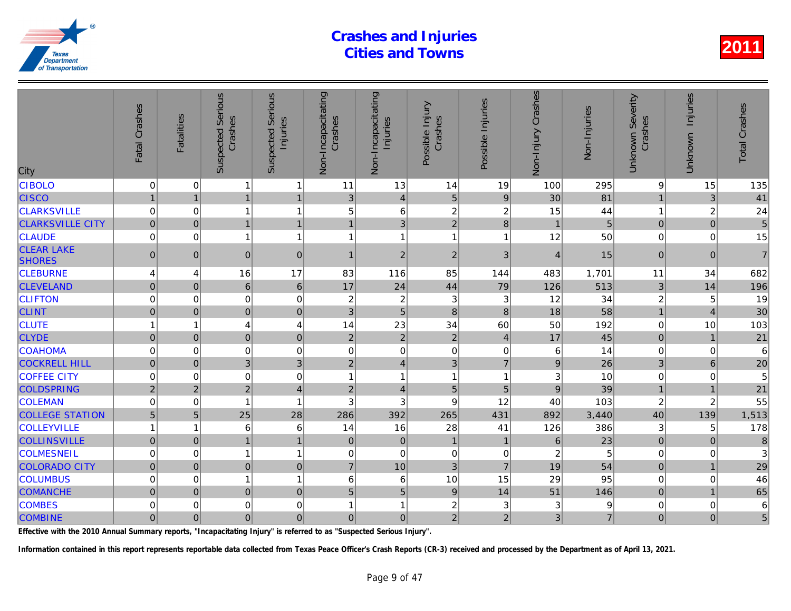| City                               | Fatal Crashes    | <b>Fatalities</b> | Serious<br>Crashes<br>Suspected | <b>Serious</b><br>Injuries<br>Suspected | Non-Incapacitating<br>Crashes | Non-Incapacitating<br>Injuries | Possible Injury<br>Crashes | Possible Injuries | Non-Injury Crashes | Non-Injuries |
|------------------------------------|------------------|-------------------|---------------------------------|-----------------------------------------|-------------------------------|--------------------------------|----------------------------|-------------------|--------------------|--------------|
| <b>CIBOLO</b>                      | $\mathbf 0$      | $\Omega$          | 1                               | $\mathbf{1}$                            | 11                            | 13                             | 14                         | 19                | 100                | 295          |
| <b>CISCO</b>                       | $\mathbf{1}$     | $\overline{1}$    | 1                               | $\mathbf{1}$                            | 3                             | $\vert 4 \vert$                | 5                          | $\boldsymbol{9}$  | 30                 | 81           |
| <b>CLARKSVILLE</b>                 | $\boldsymbol{0}$ | 0                 | $\mathbf{1}$                    | $\overline{1}$                          | 5                             | $\,6$                          | $\overline{c}$             | $\overline{c}$    | 15                 | 44           |
| <b>CLARKSVILLE CITY</b>            | $\overline{0}$   | $\mathbf 0$       | $\overline{1}$                  | $\mathbf{1}$                            | 1                             | 3                              | $\overline{2}$             | 8                 | $\overline{1}$     | 5            |
| <b>CLAUDE</b>                      | $\mathbf 0$      | $\Omega$          | 1                               | $\overline{1}$                          | 1                             | $\overline{1}$                 | 1                          | 1                 | 12                 | 50           |
| <b>CLEAR LAKE</b><br><b>SHORES</b> | $\pmb{0}$        | $\mathbf{0}$      | $\mathbf 0$                     | $\boldsymbol{0}$                        | 1                             | $\overline{2}$                 | $\overline{c}$             | 3                 | $\overline{4}$     | 15           |
| <b>CLEBURNE</b>                    | 4                | 4                 | 16                              | 17                                      | 83                            | 116                            | 85                         | 144               | 483                | 1,701        |
| <b>CLEVELAND</b>                   | $\mathbf 0$      | $\mathbf 0$       | 6 <sup>1</sup>                  | $\,6\,$                                 | 17                            | 24                             | 44                         | 79                | 126                | 513          |
| <b>CLIFTON</b>                     | $\mathbf 0$      | $\Omega$          | $\mathbf 0$                     | $\mathbf 0$                             | $\overline{c}$                | $\boldsymbol{2}$               | 3                          | 3                 | 12                 | 34           |
| <b>CLINT</b>                       | $\mathbf 0$      | $\Omega$          | 0                               | $\mathbf 0$                             | 3                             | $\overline{5}$                 | 8                          | 8                 | 18                 | 58           |
| <b>CLUTE</b>                       | 1                | 1                 | 4                               | 4                                       | 14                            | 23                             | 34                         | 60                | 50                 | 192          |
| <b>CLYDE</b>                       | $\overline{0}$   | $\mathbf 0$       | $\overline{0}$                  | $\mathbf 0$                             | $\overline{2}$                | $\overline{2}$                 | $\overline{2}$             | $\overline{4}$    | 17                 | 45           |
| <b>COAHOMA</b>                     | $\mathbf 0$      | 0                 | $\mathbf 0$                     | $\mathbf 0$                             | 0                             | $\mathsf 0$                    | $\mathbf 0$                | 0                 | 6                  | 14           |
| <b>COCKRELL HILL</b>               | $\mathbf 0$      | $\Omega$          | 3 <sup>1</sup>                  | 3                                       | $\overline{2}$                | $\overline{4}$                 | 3                          | $\overline{7}$    | $\overline{9}$     | 26           |
| <b>COFFEE CITY</b>                 | $\Omega$         | $\Omega$          | 0                               | $\mathbf 0$                             | 1                             | $\mathbf{1}$                   | 1                          | 1                 | 3                  | 10           |
| <b>COLDSPRING</b>                  | $\overline{2}$   | $\overline{2}$    | $\overline{2}$                  | $\overline{\mathbf{4}}$                 | $\overline{2}$                | $\overline{4}$                 | 5                          | 5                 | 9                  | 39           |
| <b>COLEMAN</b>                     | 0                | 0                 | 1                               | $\overline{1}$                          | 3                             | 3                              | 9                          | 12                | 40                 | 103          |
| <b>COLLEGE STATION</b>             | 5                | 5                 | 25                              | 28                                      | 286                           | 392                            | 265                        | 431               | 892                | 3,440        |
| <b>COLLEYVILLE</b>                 | 1                | 1                 | 6                               | 6                                       | 14                            | 16                             | 28                         | 41                | 126                | 386          |
| <b>COLLINSVILLE</b>                | $\overline{0}$   | $\mathbf{0}$      | $\mathbf{1}$                    | $\mathbf{1}$                            | $\pmb{0}$                     | $\mathbf 0$                    | $\mathbf{1}$               | $\mathbf{1}$      | $\,$ 6 $\,$        | 23           |
| <b>COLMESNEIL</b>                  | 0                | 0                 | $\mathbf{1}$                    | $\overline{1}$                          | 0                             | $\mathbf 0$                    | $\mathbf 0$                | 0                 | $\boldsymbol{2}$   | 5            |
| <b>COLORADO CITY</b>               | $\overline{0}$   | $\mathbf 0$       | $\overline{0}$                  | $\mathbf 0$                             | $\overline{7}$                | 10                             | 3                          | $\overline{7}$    | 19                 | 54           |
| <b>COLUMBUS</b>                    | $\mathbf 0$      | $\Omega$          | $\mathbf{1}$                    | $\overline{1}$                          | 6                             | 6                              | 10                         | 15                | 29                 | 95           |
| <b>COMANCHE</b>                    | $\mathbf{0}$     | $\mathbf{0}$      | 0                               | $\mathbf 0$                             | 5                             | 5                              | $\overline{9}$             | 14                | 51                 | 146          |
| <b>COMBES</b>                      | 0                | 0                 | 0                               | $\mathbf 0$                             | 1                             | 1                              | $\overline{c}$             | 3                 | 3                  |              |
| <b>COMBINE</b>                     | $\overline{0}$   | $\overline{0}$    | $\overline{0}$                  | $\mathbf 0$                             | $\mathbf{0}$                  | $\overline{0}$                 | $\overline{2}$             | $\overline{2}$    | 3                  | 7            |

Effective with the 2010 Annual Summary reports, "Incapacitating Injury" is referred to as "Suspected Serious Injury".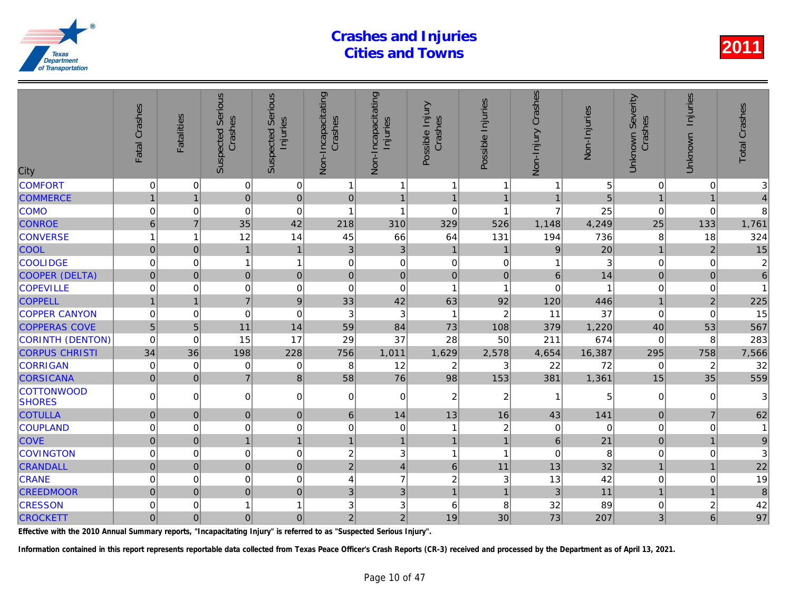| City                               | Fatal Crashes       | <b>Fatalities</b> | <b>Serious</b><br>Crashes<br>Suspected | Serious<br>Injuries<br>Suspected | Non-Incapacitating<br>Crashes | Non-Incapacitating<br>Injuries | Possible Injury<br>Crashes | Possible Injuries       | Non-Injury Crashes | Non-Injuries |
|------------------------------------|---------------------|-------------------|----------------------------------------|----------------------------------|-------------------------------|--------------------------------|----------------------------|-------------------------|--------------------|--------------|
| <b>COMFORT</b>                     | $\mathbf 0$         | 0                 | $\mathbf 0$                            | 0                                | 1                             | 1                              | $\mathbf{1}$               | -1                      |                    |              |
| <b>COMMERCE</b>                    | $\mathbf{1}$        | $\overline{1}$    | $\mathbf 0$                            | $\overline{0}$                   | $\mathbf 0$                   | $\mathbf{1}$                   | $\mathbf{1}$               | $\overline{1}$          | $\mathbf{1}$       | 5            |
| <b>COMO</b>                        | $\mathbf 0$         | $\mathbf 0$       | $\boldsymbol{0}$                       | $\mathbf 0$                      | $\overline{\mathbf{1}}$       | 1                              | $\mathbf 0$                | $\overline{\mathbf{1}}$ | $\overline{7}$     | 25           |
| <b>CONROE</b>                      | 6                   | $\overline{7}$    | 35                                     | 42                               | 218                           | 310                            | 329                        | 526                     | 1,148              | 4,249        |
| <b>CONVERSE</b>                    |                     | 1                 | 12                                     | 14                               | 45                            | 66                             | 64                         | 131                     | 194                | 736          |
| <b>COOL</b>                        | $\mathbf 0$         | $\overline{0}$    | $\overline{1}$                         | $\mathbf{1}$                     | 3                             | $\sqrt{3}$                     | $\mathbf{1}$               | $\overline{1}$          | $9$                | 20           |
| <b>COOLIDGE</b>                    | 0                   | 0                 | 1                                      | $\mathbf{1}$                     | $\mathbf 0$                   | $\mathbf 0$                    | $\mathbf 0$                | 0                       | 1                  |              |
| COOPER (DELTA)                     | $\mathsf{O}\xspace$ | $\mathbf 0$       | $\mathbf 0$                            | $\mathbf 0$                      | $\pmb{0}$                     | $\mathbf 0$                    | $\mathbf 0$                | $\pmb{0}$               | $6\phantom{a}$     | 14           |
| <b>COPEVILLE</b>                   | 0                   | $\Omega$          | $\mathbf 0$                            | $\mathbf 0$                      | $\Omega$                      | $\mathbf 0$                    | $\mathbf{1}$               | $\overline{\mathbf{1}}$ | $\Omega$           |              |
| <b>COPPELL</b>                     |                     | $\overline{1}$    | $\overline{7}$                         | $\boldsymbol{9}$                 | 33                            | 42                             | 63                         | 92                      | 120                | 446          |
| <b>COPPER CANYON</b>               | $\mathbf 0$         | 0                 | $\mathbf 0$                            | $\mathbf 0$                      | 3                             | 3                              | $\mathbf{1}$               | $\overline{c}$          | 11                 | 37           |
| <b>COPPERAS COVE</b>               | $\overline{5}$      | 5                 | 11                                     | 14                               | 59                            | 84                             | 73                         | 108                     | 379                | 1,220        |
| <b>CORINTH (DENTON)</b>            | $\mathbf 0$         | $\mathbf 0$       | 15                                     | 17                               | 29                            | 37                             | 28                         | 50                      | 211                | 674          |
| <b>CORPUS CHRISTI</b>              | 34                  | 36                | 198                                    | 228                              | 756                           | 1,011                          | 1,629                      | 2,578                   | 4,654              | 16,387       |
| <b>CORRIGAN</b>                    | $\mathbf 0$         | $\mathbf 0$       | $\mathbf 0$                            | 0                                | 8                             | 12                             | $\overline{c}$             | 3                       | 22                 | 72           |
| <b>CORSICANA</b>                   | $\mathbf 0$         | $\mathbf{0}$      | $\overline{7}$                         | 8                                | 58                            | 76                             | 98                         | 153                     | 381                | 1,361        |
| <b>COTTONWOOD</b><br><b>SHORES</b> | $\mathbf 0$         | $\Omega$          | $\mathbf 0$                            | $\overline{0}$                   | 0                             | $\mathbf 0$                    | $\overline{2}$             | 2                       | 1                  |              |
| <b>COTULLA</b>                     | $\overline{0}$      | $\Omega$          | $\mathbf 0$                            | $\overline{0}$                   | 6                             | 14                             | 13                         | 16                      | 43                 | 141          |
| COUPLAND                           | $\mathbf 0$         | $\Omega$          | $\mathbf 0$                            | $\mathbf 0$                      | $\mathbf 0$                   | $\pmb{0}$                      | 1                          | $\boldsymbol{2}$        | $\mathbf 0$        | $\Omega$     |
| <b>COVE</b>                        | $\mathbf 0$         | $\mathbf{0}$      | $\overline{1}$                         | $\mathbf{1}$                     | $\mathbf{1}$                  | $\mathbf{1}$                   | $\mathbf{1}$               | $\overline{1}$          | $6\phantom{1}$     | 21           |
| <b>COVINGTON</b>                   | 0                   | 0                 | 0                                      | $\mathbf 0$                      | 2                             | 3                              | $\mathbf{1}$               | $\overline{\mathbf{1}}$ | 0                  | 8            |
| <b>CRANDALL</b>                    | $\mathbf 0$         | $\mathbf 0$       | $\mathbf 0$                            | $\mathbf 0$                      | $\overline{2}$                | $\overline{4}$                 | $6\phantom{1}$             | 11                      | 13                 | 32           |
| <b>CRANE</b>                       | $\mathbf 0$         | $\Omega$          | $\mathbf 0$                            | $\Omega$                         | $\overline{4}$                | $\overline{7}$                 | $\overline{2}$             | 3                       | 13                 | 42           |
| <b>CREEDMOOR</b>                   | $\overline{0}$      | $\mathbf{0}$      | $\overline{0}$                         | $\mathbf 0$                      | 3                             | 3                              | $\mathbf{1}$               | $\overline{1}$          | 3                  | 11           |
| <b>CRESSON</b>                     | $\Omega$            | 0                 |                                        | $\mathbf{1}$                     | 3                             | 3                              | 6                          | 8                       | 32                 | 89           |
| <b>CROCKETT</b>                    | $\mathbf 0$         | $\mathbf 0$       | $\mathbf 0$                            | $\overline{0}$                   | $\overline{c}$                | $\overline{2}$                 | 19                         | 30                      | 73                 | 207          |

Effective with the 2010 Annual Summary reports, "Incapacitating Injury" is referred to as "Suspected Serious Injury".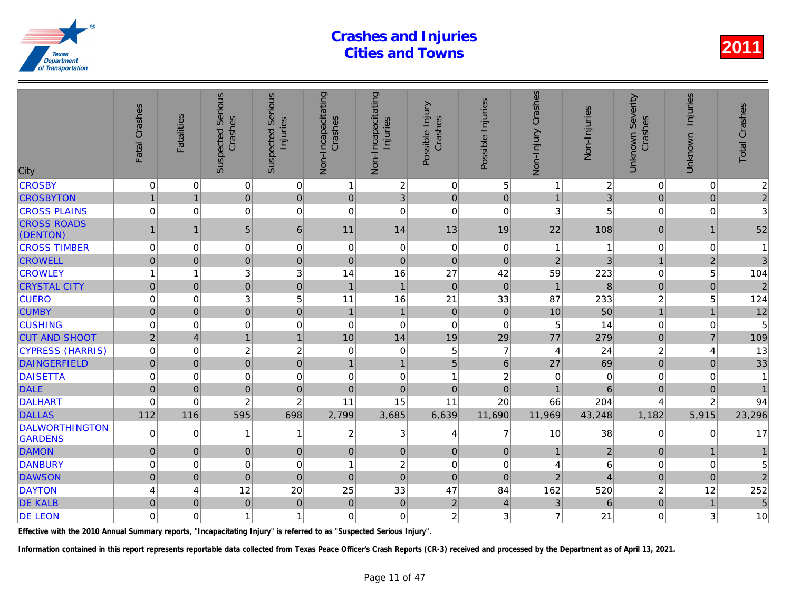| City                                    | Fatal Crashes    | <b>Fatalities</b> | Serious<br>Crashes<br>Suspected | <b>Serious</b><br>Injuries<br>Suspected | Non-Incapacitating<br>Crashes | Non-Incapacitating<br>Injuries | Possible Injury<br>Crashes | Possible Injuries | Non-Injury Crashes | Non-Injuries        |
|-----------------------------------------|------------------|-------------------|---------------------------------|-----------------------------------------|-------------------------------|--------------------------------|----------------------------|-------------------|--------------------|---------------------|
| <b>CROSBY</b>                           | $\pmb{0}$        | 0                 | $\overline{0}$                  | $\pmb{0}$                               | 1                             | $\overline{c}$                 | $\mathbf 0$                | 5                 |                    | $\overline{c}$      |
| <b>CROSBYTON</b>                        | $\mathbf{1}$     | $\overline{1}$    | $\overline{0}$                  | $\pmb{0}$                               | $\mathbf 0$                   | 3                              | $\mathbf 0$                | $\mathbf 0$       | $\mathbf{1}$       |                     |
| <b>CROSS PLAINS</b>                     | $\mathbf 0$      | $\Omega$          | 0                               | $\mathbf 0$                             | $\Omega$                      | $\mathbf 0$                    | $\Omega$                   | $\Omega$          | 3                  |                     |
| <b>CROSS ROADS</b><br>(DENTON)          | $\mathbf{1}$     | 1                 | 5 <sub>5</sub>                  | $\,6\,$                                 | 11                            | 14                             | 13                         | 19                | 22                 | 108                 |
| <b>CROSS TIMBER</b>                     | $\mathbf 0$      | $\Omega$          | $\overline{0}$                  | $\mathbf 0$                             | $\mathbf 0$                   | $\mathbf 0$                    | $\mathbf 0$                | $\mathbf 0$       | 1                  |                     |
| <b>CROWELL</b>                          | $\mathbf 0$      | $\Omega$          | $\overline{0}$                  | $\mathbf 0$                             | $\mathbf 0$                   | $\pmb{0}$                      | $\Omega$                   | $\Omega$          | $\overline{2}$     |                     |
| <b>CROWLEY</b>                          | 1                | 1                 | 3                               | 3                                       | 14                            | 16                             | 27                         | 42                | 59                 | 223                 |
| <b>CRYSTAL CITY</b>                     | $\pmb{0}$        | $\mathbf 0$       | $\overline{0}$                  | $\mathbf 0$                             | $\overline{1}$                | $\mathbf{1}$                   | $\overline{0}$             | $\mathbf 0$       | $\overline{1}$     | 8                   |
| <b>CUERO</b>                            | $\mathbf 0$      | $\Omega$          | 3                               | 5                                       | 11                            | 16                             | 21                         | 33                | 87                 | 233                 |
| <b>CUMBY</b>                            | $\pmb{0}$        | $\Omega$          | $\overline{0}$                  | $\mathbf 0$                             | $\overline{1}$                | $\mathbf{1}$                   | $\mathbf 0$                | $\mathbf 0$       | 10                 | 50                  |
| <b>CUSHING</b>                          | $\mathbf 0$      | $\Omega$          | $\mathbf 0$                     | $\mathbf 0$                             | 0                             | $\mathbf 0$                    | $\Omega$                   | $\Omega$          | 5                  | 14                  |
| <b>CUT AND SHOOT</b>                    | $\overline{2}$   | $\overline{4}$    | 1                               | $\mathbf{1}$                            | 10                            | 14                             | 19                         | 29                | 77                 | 279                 |
| <b>CYPRESS (HARRIS)</b>                 | $\boldsymbol{0}$ | 0                 | $\overline{c}$                  | $\overline{c}$                          | 0                             | $\mathsf 0$                    | 5                          | $\overline{7}$    | $\overline{4}$     | 24                  |
| <b>DAINGERFIELD</b>                     | $\overline{0}$   | $\overline{0}$    | $\overline{0}$                  | $\overline{0}$                          | $\overline{1}$                | $\overline{1}$                 | 5                          | $\,6$             | 27                 | 69                  |
| <b>DAISETTA</b>                         | $\mathbf 0$      | $\Omega$          | $\mathbf 0$                     | $\mathbf 0$                             | $\mathbf 0$                   | $\pmb{0}$                      | $\mathbf{1}$               | $\overline{c}$    | $\mathbf 0$        |                     |
| <b>DALE</b>                             | $\mathbf 0$      | $\mathbf{0}$      | $\overline{0}$                  | $\mathbf 0$                             | $\mathbf 0$                   | $\mathbf 0$                    | $\mathbf 0$                | $\mathbf 0$       |                    | 6                   |
| DALHART                                 | $\mathbf 0$      | $\Omega$          | $\overline{c}$                  | $\overline{2}$                          | 11                            | 15                             | 11                         | 20                | 66                 | 204                 |
| <b>DALLAS</b>                           | 112              | 116               | 595                             | 698                                     | 2,799                         | 3,685                          | 6,639                      | 11,690            | 11,969             | 43,248              |
| <b>DALWORTHINGTON</b><br><b>GARDENS</b> | $\mathbf 0$      | $\Omega$          | 1                               | $\overline{1}$                          | $\overline{c}$                | 3                              | 4                          | $\overline{7}$    | 10                 | 38                  |
| <b>DAMON</b>                            | $\pmb{0}$        | $\Omega$          | $\pmb{0}$                       | $\mathbf 0$                             | $\pmb{0}$                     | $\pmb{0}$                      | $\mathbf 0$                | $\mathbf 0$       |                    | $\overline{2}$      |
| DANBURY                                 | 0                | 0                 | 0                               | $\mathbf 0$                             | 1                             | $\boldsymbol{2}$               | $\mathbf 0$                | $\mathbf 0$       | 4                  | 6                   |
| <b>DAWSON</b>                           | $\mathbf 0$      | $\Omega$          | $\overline{0}$                  | $\mathbf 0$                             | $\Omega$                      | $\mathbf 0$                    | $\Omega$                   | $\Omega$          | $\overline{2}$     | $\overline{\Delta}$ |
| <b>DAYTON</b>                           | 4                | 4                 | 12                              | 20                                      | 25                            | 33                             | 47                         | 84                | 162                | 520                 |
| <b>DE KALB</b>                          | 0                | $\mathbf{0}$      | $\pmb{0}$                       | $\pmb{0}$                               | $\mathbf{0}$                  | $\pmb{0}$                      | $\overline{c}$             | 4                 | $\mathbf{3}$       | 6                   |
| <b>DE LEON</b>                          | $\mathbf 0$      | $\Omega$          | $\mathbf{1}$                    | $\overline{1}$                          | 0                             | $\mathbf 0$                    | $\overline{2}$             | 3                 | $\overline{7}$     | 21                  |
|                                         |                  |                   |                                 |                                         |                               |                                |                            |                   |                    |                     |

Effective with the 2010 Annual Summary reports, "Incapacitating Injury" is referred to as "Suspected Serious Injury".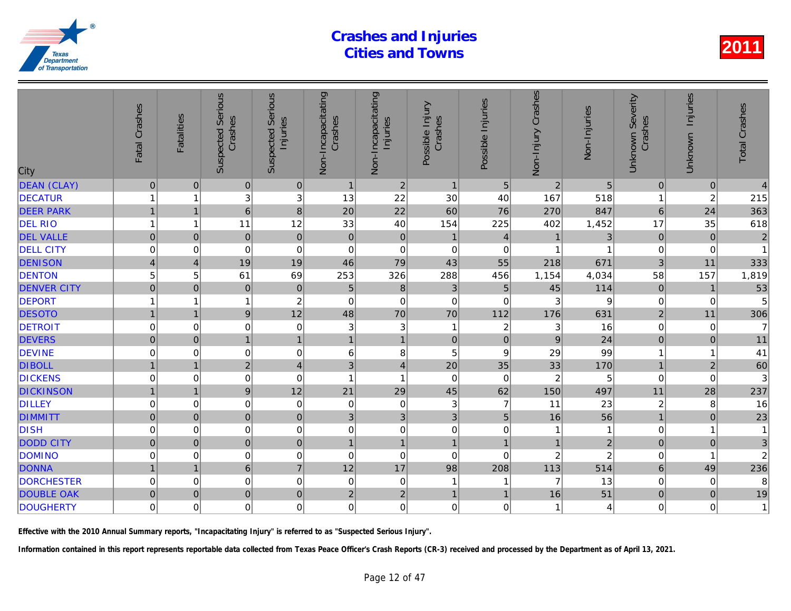| City               | Fatal Crashes           | <b>Fatalities</b> | <b>Suspected Serious</b><br>Crashes | Serious<br>Injuries<br>Suspected | Non-Incapacitating<br>Crashes | Non-Incapacitating<br>Injuries | Possible Injury<br>Crashes | Possible Injuries | Non-Injury Crashes | Non-Injuries   |
|--------------------|-------------------------|-------------------|-------------------------------------|----------------------------------|-------------------------------|--------------------------------|----------------------------|-------------------|--------------------|----------------|
| <b>DEAN (CLAY)</b> | $\pmb{0}$               | $\mathbf{0}$      | $\pmb{0}$                           | $\vert 0 \vert$                  | $\mathbf{1}$                  | $\sqrt{2}$                     | $\mathbf{1}$               | $5\phantom{.0}$   | $\sqrt{2}$         | 5              |
| <b>DECATUR</b>     |                         | 1                 | 3                                   | 3                                | 13                            | 22                             | 30                         | 40                | 167                | 518            |
| <b>DEER PARK</b>   |                         | $\overline{1}$    | $6\overline{6}$                     | 8                                | 20                            | 22                             | 60                         | 76                | 270                | 847            |
| <b>DEL RIO</b>     | 1                       | 1                 | 11                                  | 12                               | 33                            | 40                             | 154                        | 225               | 402                | 1,452          |
| <b>DEL VALLE</b>   | $\mathsf{O}\xspace$     | $\overline{0}$    | $\pmb{0}$                           | $\mathbf 0$                      | $\mathbf 0$                   | $\pmb{0}$                      | $\mathbf{1}$               | $\overline{4}$    | $\mathbf{1}$       | 3              |
| <b>DELL CITY</b>   | 0                       | 0                 | $\pmb{0}$                           | $\mathbf 0$                      | 0                             | $\pmb{0}$                      | $\boldsymbol{0}$           | 0                 | 1                  |                |
| <b>DENISON</b>     | $\overline{\mathbf{4}}$ | $\overline{4}$    | 19                                  | 19                               | 46                            | 79                             | 43                         | 55                | 218                | 671            |
| <b>DENTON</b>      | 5                       | 5                 | 61                                  | 69                               | 253                           | 326                            | 288                        | 456               | 1,154              | 4,034          |
| <b>DENVER CITY</b> | $\overline{0}$          | $\overline{0}$    | $\mathbf 0$                         | $\pmb{0}$                        | 5                             | 8                              | 3                          | 5                 | 45                 | 114            |
| <b>DEPORT</b>      |                         | 1                 |                                     | $\overline{c}$                   | $\mathbf 0$                   | $\mathbf 0$                    | $\boldsymbol{0}$           | 0                 | 3                  |                |
| <b>DESOTO</b>      |                         |                   | $\overline{9}$                      | 12                               | 48                            | 70                             | 70                         | 112               | 176                | 631            |
| <b>DETROIT</b>     | $\mathbf 0$             | 0                 | $\mathbf 0$                         | $\mathbf 0$                      | 3                             | $\ensuremath{\mathsf{3}}$      | $\mathbf{1}$               | $\boldsymbol{2}$  | 3                  | 16             |
| <b>DEVERS</b>      | $\mathbf 0$             | $\pmb{0}$         | $\mathbf{1}$                        | $\mathbf{1}$                     | $\mathbf{1}$                  | $\mathbf{1}$                   | $\mathbf 0$                | $\pmb{0}$         | $\boldsymbol{9}$   | 24             |
| <b>DEVINE</b>      | 0                       | $\mathbf 0$       | 0                                   | $\mathbf 0$                      | 6                             | $\bf 8$                        | 5                          | 9                 | 29                 | 99             |
| <b>DIBOLL</b>      |                         | 1                 | $\overline{2}$                      | $\overline{4}$                   | 3                             | $\overline{4}$                 | 20                         | 35                | 33                 | 170            |
| <b>DICKENS</b>     | 0                       | $\mathbf 0$       | $\mathbf 0$                         | $\mathbf 0$                      | $\overline{1}$                | $\mathbf{1}$                   | $\mathbf 0$                | $\mathbf 0$       | $\overline{2}$     | 5              |
| <b>DICKINSON</b>   | 1                       | $\overline{1}$    | $\overline{9}$                      | 12                               | 21                            | 29                             | 45                         | 62                | 150                | 497            |
| <b>DILLEY</b>      | $\mathbf 0$             | $\mathbf 0$       | $\mathbf 0$                         | $\mathbf 0$                      | $\mathbf 0$                   | $\pmb{0}$                      | $\mathbf{3}$               | $\overline{7}$    | 11                 | 23             |
| <b>DIMMITT</b>     | $\mathbf 0$             | $\mathbf 0$       | $\overline{0}$                      | $\pmb{0}$                        | 3                             | 3                              | $\overline{3}$             | $\overline{5}$    | 16                 | 56             |
| <b>DISH</b>        | 0                       | 0                 | 0                                   | $\mathbf 0$                      | 0                             | $\mathbf 0$                    | $\pmb{0}$                  | 0                 | 1                  |                |
| <b>DODD CITY</b>   | $\overline{0}$          | $\mathbf 0$       | $\mathbf 0$                         | $\mathbf 0$                      | $\mathbf{1}$                  | $\mathbf{1}$                   | $\mathbf{1}$               | $\mathbf{1}$      | $\overline{1}$     | $\overline{2}$ |
| <b>DOMINO</b>      | $\mathbf 0$             | $\mathbf 0$       | 0                                   | $\pmb{0}$                        | 0                             | $\pmb{0}$                      | $\mathbf 0$                | $\mathbf 0$       | $\overline{c}$     |                |
| <b>DONNA</b>       | $\mathbf{1}$            | $\mathbf 1$       | 6                                   | $\overline{7}$                   | 12                            | 17                             | 98                         | 208               | 113                | 514            |
| <b>DORCHESTER</b>  | 0                       | 0                 | $\mathbf 0$                         | 0                                | 0                             | $\mathbf 0$                    | $\mathbf{1}$               | -1                | 7                  | 13             |
| <b>DOUBLE OAK</b>  | $\overline{0}$          | $\mathbf 0$       | $\overline{0}$                      | $\pmb{0}$                        | $\overline{2}$                | $\overline{c}$                 | $\mathbf{1}$               | 1                 | 16                 | 51             |
| <b>DOUGHERTY</b>   | 0                       | $\Omega$          | $\mathbf 0$                         | 0                                | $\mathbf 0$                   | $\mathbf 0$                    | $\Omega$                   | 0                 | 1                  |                |
|                    |                         |                   |                                     |                                  |                               |                                |                            |                   |                    |                |

Effective with the 2010 Annual Summary reports, "Incapacitating Injury" is referred to as "Suspected Serious Injury".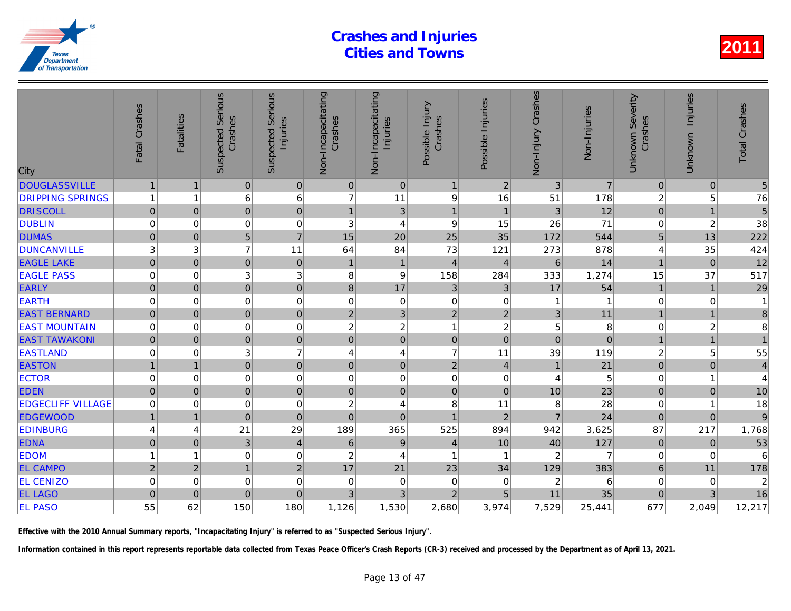| City                     | Fatal Crashes       | <b>Fatalities</b> | <b>Suspected Serious</b><br>Crashes | Serious<br>Injuries<br>Suspected | Non-Incapacitating<br>Crashes | Non-Incapacitating<br>Injuries | Possible Injury<br>Crashes | Possible Injuries | Non-Injury Crashes        | Non-Injuries   |
|--------------------------|---------------------|-------------------|-------------------------------------|----------------------------------|-------------------------------|--------------------------------|----------------------------|-------------------|---------------------------|----------------|
| <b>DOUGLASSVILLE</b>     | $\mathbf{1}$        | $\overline{1}$    | $\pmb{0}$                           | 0                                | $\mathbf 0$                   | $\pmb{0}$                      | $\mathbf{1}$               | $\overline{2}$    | $\ensuremath{\mathsf{3}}$ | $\overline{7}$ |
| <b>DRIPPING SPRINGS</b>  | 1                   | 1                 | 6                                   | 6                                | $\overline{7}$                | 11                             | $\boldsymbol{9}$           | 16                | 51                        | 178            |
| <b>DRISCOLL</b>          | $\mathsf{O}\xspace$ | $\Omega$          | $\overline{0}$                      | $\mathbf 0$                      | $\mathbf{1}$                  | $\mathfrak{3}$                 | $\mathbf{1}$               | $\overline{1}$    | 3                         | 12             |
| <b>DUBLIN</b>            | $\mathbf 0$         | 0                 | 0                                   | $\mathbf 0$                      | 3                             | $\overline{4}$                 | 9                          | 15                | 26                        | 71             |
| <b>DUMAS</b>             | $\mathsf{O}\xspace$ | $\mathbf{0}$      | $\overline{5}$                      | $\overline{7}$                   | 15                            | 20                             | 25                         | 35                | 172                       | 544            |
| <b>DUNCANVILLE</b>       | 3                   | 3                 | $\overline{7}$                      | 11                               | 64                            | 84                             | 73                         | 121               | 273                       | 878            |
| <b>EAGLE LAKE</b>        | $\mathbf 0$         | $\Omega$          | $\mathbf 0$                         | $\bf 0$                          | $\mathbf{1}$                  | $\mathbf{1}$                   | $\overline{4}$             | $\overline{4}$    | 6                         | 14             |
| <b>EAGLE PASS</b>        | 0                   | 0                 | 3                                   | 3                                | 8                             | $\boldsymbol{9}$               | 158                        | 284               | 333                       | 1,274          |
| <b>EARLY</b>             | $\mathbf 0$         | $\Omega$          | $\mathbf 0$                         | $\mathbf 0$                      | 8                             | 17                             | 3                          | $\mathbf{3}$      | 17                        | 54             |
| <b>EARTH</b>             | $\mathbf 0$         | $\mathbf 0$       | $\mathbf 0$                         | 0                                | $\mathbf 0$                   | $\pmb{0}$                      | $\mathbf 0$                | 0                 |                           |                |
| <b>EAST BERNARD</b>      | $\mathbf 0$         | $\Omega$          | $\overline{0}$                      | $\mathbf 0$                      | $\overline{2}$                | $\mathfrak{S}$                 | $\overline{2}$             | $\overline{2}$    | 3                         | 11             |
| <b>EAST MOUNTAIN</b>     | $\mathbf 0$         | 0                 | $\mathbf 0$                         | $\mathbf 0$                      | $\overline{c}$                | $\overline{c}$                 | $\mathbf{1}$               | $\boldsymbol{2}$  | 5                         |                |
| <b>EAST TAWAKONI</b>     | $\mathsf{O}\xspace$ | $\pmb{0}$         | $\overline{0}$                      | $\overline{0}$                   | $\mathbf 0$                   | $\mathsf{O}\xspace$            | $\pmb{0}$                  | $\pmb{0}$         | $\mathbf 0$               | $\overline{0}$ |
| <b>EASTLAND</b>          | 0                   | 0                 | $\sqrt{3}$                          | $\overline{7}$                   | 4                             | $\overline{\mathbf{r}}$        | $\overline{7}$             | 11                | 39                        | 119            |
| <b>EASTON</b>            |                     | 1                 | $\overline{0}$                      | $\mathbf 0$                      | $\mathsf 0$                   | $\mathbf 0$                    | $\overline{c}$             | $\overline{4}$    |                           | 21             |
| <b>ECTOR</b>             | $\mathbf 0$         | 0                 | $\mathbf 0$                         | $\mathbf 0$                      | 0                             | $\mathbf 0$                    | $\boldsymbol{0}$           | 0                 | 4                         | 5              |
| <b>EDEN</b>              | $\overline{0}$      | $\mathbf 0$       | $\overline{0}$                      | $\mathbf 0$                      | $\mathbf 0$                   | $\mathbf 0$                    | $\mathbf 0$                | $\mathbf 0$       | 10                        | 23             |
| <b>EDGECLIFF VILLAGE</b> | 0                   | $\Omega$          | $\mathbf 0$                         | $\mathbf 0$                      | $\overline{c}$                | $\overline{\mathbf{4}}$        | 8                          | 11                | 8                         | 28             |
| <b>EDGEWOOD</b>          | $\mathbf{1}$        | $\mathbf 1$       | $\overline{0}$                      | $\pmb{0}$                        | $\mathbf 0$                   | $\mathbf 0$                    | $\overline{1}$             | $\overline{2}$    | $\overline{7}$            | 24             |
| <b>EDINBURG</b>          | 4                   | 4                 | 21                                  | 29                               | 189                           | 365                            | 525                        | 894               | 942                       | 3,625          |
| <b>EDNA</b>              | $\mathbf 0$         | $\overline{0}$    | $\mathfrak{B}$                      | $\overline{4}$                   | $\,6$                         | $\boldsymbol{9}$               | $\overline{4}$             | 10                | 40                        | 127            |
| <b>EDOM</b>              |                     | 1                 | $\mathbf 0$                         | $\mathbf 0$                      | $\boldsymbol{2}$              | 4                              | 1                          | -1                | $\overline{c}$            | 7              |
| <b>EL CAMPO</b>          | $\overline{2}$      | $\overline{2}$    | $\mathbf{1}$                        | $\overline{c}$                   | 17                            | 21                             | 23                         | 34                | 129                       | 383            |
| <b>EL CENIZO</b>         | 0                   | 0                 | 0                                   | $\mathbf 0$                      | 0                             | $\mathbf 0$                    | $\mathbf 0$                | 0                 | $\overline{c}$            | 6              |
| <b>EL LAGO</b>           | $\overline{0}$      | $\overline{0}$    | $\overline{0}$                      | $\pmb{0}$                        | 3                             | 3                              | $\overline{2}$             | 5                 | 11                        | 35             |
| <b>EL PASO</b>           | 55                  | 62                | 150                                 | 180                              | 1,126                         | 1,530                          | 2,680                      | 3,974             | 7,529                     | 25,441         |
|                          |                     |                   |                                     |                                  |                               |                                |                            |                   |                           |                |

Effective with the 2010 Annual Summary reports, "Incapacitating Injury" is referred to as "Suspected Serious Injury".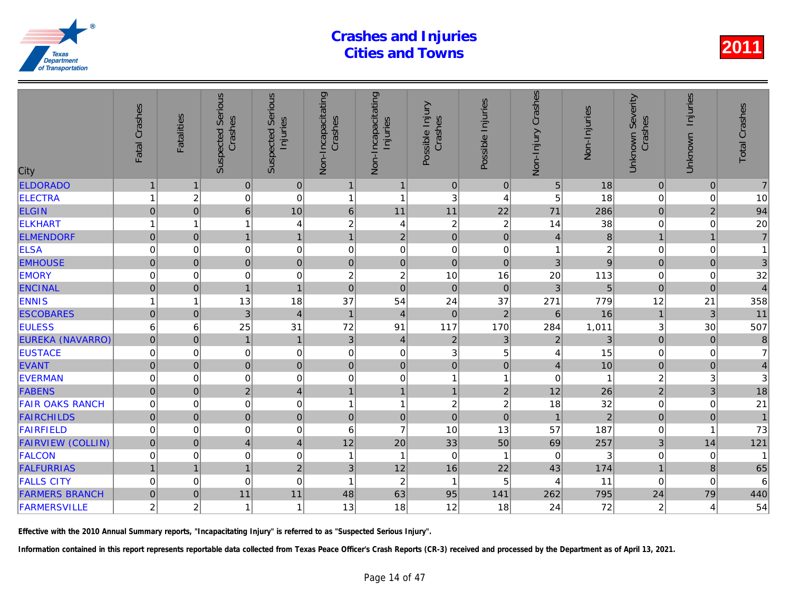| City                     | Fatal Crashes       | <b>Fatalities</b>       | <b>Suspected Serious</b><br>Crashes | Serious<br>Injuries<br>Suspected | Non-Incapacitating<br>Crashes | Non-Incapacitating<br>Injuries | Possible Injury<br>Crashes | Possible Injuries | Non-Injury Crashes | Non-Injuries   |
|--------------------------|---------------------|-------------------------|-------------------------------------|----------------------------------|-------------------------------|--------------------------------|----------------------------|-------------------|--------------------|----------------|
| <b>ELDORADO</b>          | $\mathbf{1}$        | $\mathbf 1$             | $\pmb{0}$                           | $\mathbf 0$                      | $\mathbf{1}$                  | $\mathbf{1}$                   | $\mathbf 0$                | $\mathbf 0$       | 5                  | 18             |
| <b>ELECTRA</b>           |                     | $\overline{\mathbf{c}}$ | 0                                   | $\mathbf 0$                      | $\overline{1}$                | $\mathbf{1}$                   | $\sqrt{3}$                 | 4                 | 5                  | 18             |
| <b>ELGIN</b>             | 0                   | $\mathbf 0$             | 6                                   | 10                               | $\,$ 6                        | 11                             | 11                         | 22                | 71                 | 286            |
| <b>ELKHART</b>           |                     | 1                       |                                     | $\overline{4}$                   | 2                             | 4                              | $\boldsymbol{2}$           | $\boldsymbol{2}$  | 14                 | 38             |
| <b>ELMENDORF</b>         | $\mathsf{O}\xspace$ | $\mathbf{0}$            | $\mathbf{1}$                        | $\mathbf{1}$                     | $\mathbf{1}$                  | $\sqrt{2}$                     | $\mathbf 0$                | $\mathbf 0$       | $\overline{4}$     | 8              |
| <b>ELSA</b>              | $\mathbf 0$         | $\mathbf 0$             | $\mathbf 0$                         | 0                                | $\mathbf 0$                   | $\mathbf 0$                    | $\boldsymbol{0}$           | 0                 | 1                  |                |
| <b>EMHOUSE</b>           | $\pmb{0}$           | $\Omega$                | $\overline{0}$                      | $\mathbf 0$                      | $\overline{0}$                | $\pmb{0}$                      | $\mathbf 0$                | $\Omega$          | 3                  | 9              |
| <b>EMORY</b>             | $\overline{0}$      | $\mathbf 0$             | $\mathbf 0$                         | $\mathbf 0$                      | 2                             | $\sqrt{2}$                     | 10                         | 16                | 20                 | 113            |
| <b>ENCINAL</b>           | $\overline{0}$      | $\mathbf 0$             | $\overline{1}$                      | $\mathbf{1}$                     | $\overline{0}$                | $\overline{0}$                 | $\mathbf 0$                | $\mathbf 0$       | 3                  | 5              |
| <b>ENNIS</b>             |                     | 1                       | 13                                  | 18                               | 37                            | 54                             | 24                         | 37                | 271                | 779            |
| <b>ESCOBARES</b>         | $\mathbf{0}$        | $\overline{0}$          | 3                                   | $\overline{4}$                   | $\mathbf{1}$                  | $\overline{4}$                 | $\mathbf 0$                | $\overline{2}$    | $6\phantom{1}$     | 16             |
| <b>EULESS</b>            | 6                   | 6                       | 25                                  | 31                               | 72                            | 91                             | 117                        | 170               | 284                | 1,011          |
| <b>EUREKA (NAVARRO)</b>  | $\overline{0}$      | $\mathbf{0}$            | $\mathbf{1}$                        | $\mathbf{1}$                     | 3                             | $\overline{4}$                 | $\overline{2}$             | 3                 | $\overline{2}$     | 3              |
| <b>EUSTACE</b>           | $\mathbf 0$         | 0                       | $\mathbf 0$                         | $\mathbf 0$                      | $\mathbf 0$                   | $\pmb{0}$                      | 3                          | 5                 | 4                  | 15             |
| <b>EVANT</b>             | $\mathsf{O}\xspace$ | $\pmb{0}$               | $\pmb{0}$                           | $\mathbf 0$                      | 0                             | $\pmb{0}$                      | $\pmb{0}$                  | $\pmb{0}$         | $\overline{4}$     | 10             |
| <b>EVERMAN</b>           | 0                   | 0                       | $\,0\,$                             | 0                                | 0                             | $\pmb{0}$                      | $\mathbf{1}$               | -1                | 0                  |                |
| <b>FABENS</b>            | $\mathbf 0$         | $\mathbf 0$             | $\overline{2}$                      | $\overline{\mathbf{4}}$          | $\overline{1}$                | $\mathbf{1}$                   | $\mathbf{1}$               | $\mathbf 2$       | 12                 | 26             |
| <b>FAIR OAKS RANCH</b>   | $\mathbf 0$         | $\mathbf 0$             | $\boldsymbol{0}$                    | $\mathbf 0$                      | 1                             | $\mathbf{1}$                   | $\boldsymbol{2}$           | $\boldsymbol{2}$  | 18                 | 32             |
| <b>FAIRCHILDS</b>        | $\mathbf 0$         | $\mathbf{0}$            | $\pmb{0}$                           | $\mathbf 0$                      | $\pmb{0}$                     | $\mathbf 0$                    | $\mathbf 0$                | $\pmb{0}$         | $\mathbf{1}$       | $\overline{2}$ |
| <b>FAIRFIELD</b>         | 0                   | 0                       | 0                                   | 0                                | 6                             | $\overline{7}$                 | 10                         | 13                | 57                 | 187            |
| <b>FAIRVIEW (COLLIN)</b> | $\overline{0}$      | $\mathbf{0}$            | $\overline{4}$                      | $\overline{\mathbf{4}}$          | 12                            | 20                             | 33                         | 50                | 69                 | 257            |
| <b>FALCON</b>            | 0                   | 0                       | $\mathbf 0$                         | $\mathbf 0$                      | -1                            | $\mathbf{1}$                   | $\mathbf 0$                | -1                | 0                  |                |
| <b>FALFURRIAS</b>        | $\mathbf{1}$        | $\overline{1}$          | $\mathbf{1}$                        | $\overline{2}$                   | 3                             | 12                             | 16                         | 22                | 43                 | 174            |
| <b>FALLS CITY</b>        | $\mathbf 0$         | $\mathbf 0$             | $\mathbf 0$                         | $\mathbf 0$                      | $\overline{1}$                | $\sqrt{2}$                     | $\mathbf{1}$               | 5                 | 4                  | 11             |
| <b>FARMERS BRANCH</b>    | $\mathbf 0$         | $\overline{0}$          | 11                                  | 11                               | 48                            | 63                             | 95                         | 141               | 262                | 795            |
| <b>FARMERSVILLE</b>      | $\boldsymbol{2}$    | $\overline{c}$          | 1                                   | $\mathbf{1}$                     | 13                            | 18                             | 12                         | 18                | 24                 | 72             |
|                          |                     |                         |                                     |                                  |                               |                                |                            |                   |                    |                |

Effective with the 2010 Annual Summary reports, "Incapacitating Injury" is referred to as "Suspected Serious Injury".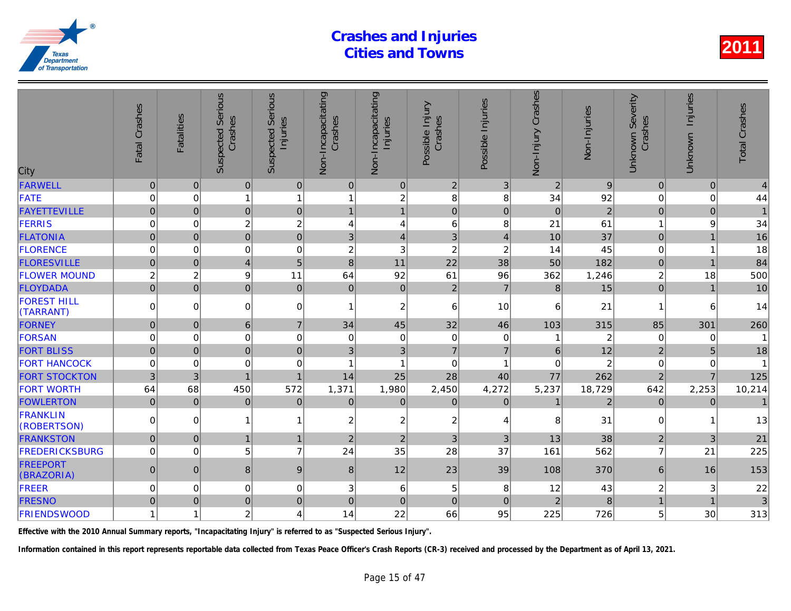| City                            | Fatal Crashes  | <b>Fatalities</b> | <b>Suspected Serious</b><br>Crashes | Serious<br>Injuries<br>Suspected | Non-Incapacitating<br>Crashes | Non-Incapacitating<br>Injuries | Possible Injury<br>Crashes | Possible Injuries       | Non-Injury Crashes | Non-Injuries   |
|---------------------------------|----------------|-------------------|-------------------------------------|----------------------------------|-------------------------------|--------------------------------|----------------------------|-------------------------|--------------------|----------------|
| <b>FARWELL</b>                  | $\mathbf 0$    | $\mathbf 0$       | $\mathbf 0$                         | 0                                | $\mathbf 0$                   | $\pmb{0}$                      | $\overline{2}$             | 3                       | $\overline{2}$     | 9              |
| FATE                            | $\Omega$       | $\mathbf 0$       | 1                                   | $\mathbf{1}$                     | 1                             | $\overline{c}$                 | 8                          | 8                       | 34                 | 92             |
| <b>FAYETTEVILLE</b>             | $\overline{0}$ | $\mathbf{0}$      | 0                                   | $\mathbf 0$                      | $\mathbf{1}$                  | $\mathbf{1}$                   | $\pmb{0}$                  | $\mathbf 0$             | $\overline{0}$     | $\overline{a}$ |
| FERRIS                          | 0              | $\mathbf 0$       | $\overline{c}$                      | $\overline{c}$                   | 4                             | $\overline{4}$                 | $\,6$                      | 8                       | 21                 | 61             |
| <b>FLATONIA</b>                 | $\overline{0}$ | $\mathbf{0}$      | $\overline{0}$                      | $\overline{0}$                   | 3                             | $\overline{4}$                 | 3                          | $\overline{4}$          | 10                 | 37             |
| <b>FLORENCE</b>                 | $\mathbf 0$    | 0                 | $\mathbf 0$                         | $\mathbf 0$                      | $\overline{c}$                | 3                              | $\overline{2}$             | $\overline{c}$          | 14                 | 45             |
| <b>FLORESVILLE</b>              | $\overline{0}$ | $\Omega$          | $\overline{4}$                      | 5                                | 8                             | 11                             | 22                         | 38                      | 50                 | 182            |
| <b>FLOWER MOUND</b>             | $\overline{c}$ | $\overline{c}$    | 9                                   | 11                               | 64                            | 92                             | 61                         | 96                      | 362                | 1,246          |
| FLOYDADA                        | $\mathbf 0$    | $\mathbf 0$       | $\overline{0}$                      | $\pmb{0}$                        | $\pmb{0}$                     | $\pmb{0}$                      | $\overline{2}$             | $\overline{7}$          | $\bf 8$            | 15             |
| <b>FOREST HILL</b><br>(TARRANT) | $\mathbf 0$    | $\Omega$          | $\mathbf 0$                         | $\overline{0}$                   | 1                             | $\overline{c}$                 | 6                          | 10                      | 6                  | 21             |
| <b>FORNEY</b>                   | $\pmb{0}$      | $\pmb{0}$         | $\,6\,$                             | $\overline{7}$                   | 34                            | 45                             | 32                         | 46                      | 103                | 315            |
| FORSAN                          | 0              | $\mathbf 0$       | $\mathbf 0$                         | $\mathbf 0$                      | 0                             | $\mathbf 0$                    | $\mathbf 0$                | $\mathbf 0$             |                    | $\overline{2}$ |
| <b>FORT BLISS</b>               | $\mathbf{0}$   | $\mathbf{0}$      | 0                                   | $\pmb{0}$                        | 3                             | 3                              | $\overline{7}$             | $\overline{7}$          | 6                  | 12             |
| <b>FORT HANCOCK</b>             | $\mathbf 0$    | $\Omega$          | $\mathbf 0$                         | $\Omega$                         | 1                             | 1                              | $\Omega$                   | $\overline{\mathbf{1}}$ | $\Omega$           | $\overline{2}$ |
| <b>FORT STOCKTON</b>            | 3              | 3                 | $\overline{1}$                      | $\mathbf{1}$                     | 14                            | 25                             | 28                         | 40                      | 77                 | 262            |
| <b>FORT WORTH</b>               | 64             | 68                | 450                                 | 572                              | 1,371                         | 1,980                          | 2,450                      | 4,272                   | 5,237              | 18,729         |
| <b>FOWLERTON</b>                | $\pmb{0}$      | $\Omega$          | $\pmb{0}$                           | $\pmb{0}$                        | $\mathbf 0$                   | $\pmb{0}$                      | $\mathbf{0}$               | $\mathbf 0$             | $\mathbf{1}$       | $\overline{2}$ |
| <b>FRANKLIN</b><br>(ROBERTSON)  | $\Omega$       | $\Omega$          |                                     | $\mathbf{1}$                     | $\overline{c}$                | $\boldsymbol{2}$               | $\overline{c}$             | 4                       | 8                  | 31             |
| <b>FRANKSTON</b>                | $\pmb{0}$      | $\mathbf{0}$      | $\overline{1}$                      | $\mathbf{1}$                     | $\overline{c}$                | $\overline{2}$                 | 3                          | 3                       | 13                 | 38             |
| <b>FREDERICKSBURG</b>           | $\mathbf 0$    | 0                 | 5                                   | $\overline{7}$                   | 24                            | 35                             | 28                         | 37                      | 161                | 562            |
| <b>FREEPORT</b><br>(BRAZORIA)   | $\pmb{0}$      | $\mathbf{0}$      | 8                                   | $9$                              | 8                             | 12                             | 23                         | 39                      | 108                | 370            |
| FREER                           | $\mathbf 0$    | 0                 | 0                                   | 0                                | 3                             | 6                              | 5                          | 8                       | 12                 | 43             |
| <b>FRESNO</b>                   | $\mathbf{0}$   | $\mathbf{0}$      | $\overline{0}$                      | $\mathbf 0$                      | $\overline{0}$                | $\mathbf 0$                    | $\Omega$                   | $\overline{0}$          | $\overline{2}$     | $\mathsf{R}$   |
| <b>FRIENDSWOOD</b>              |                | 1                 | $\overline{c}$                      | 4                                | 14                            | 22                             | 66                         | 95                      | 225                | 726            |
|                                 |                |                   |                                     |                                  |                               |                                |                            |                         |                    |                |

Effective with the 2010 Annual Summary reports, "Incapacitating Injury" is referred to as "Suspected Serious Injury".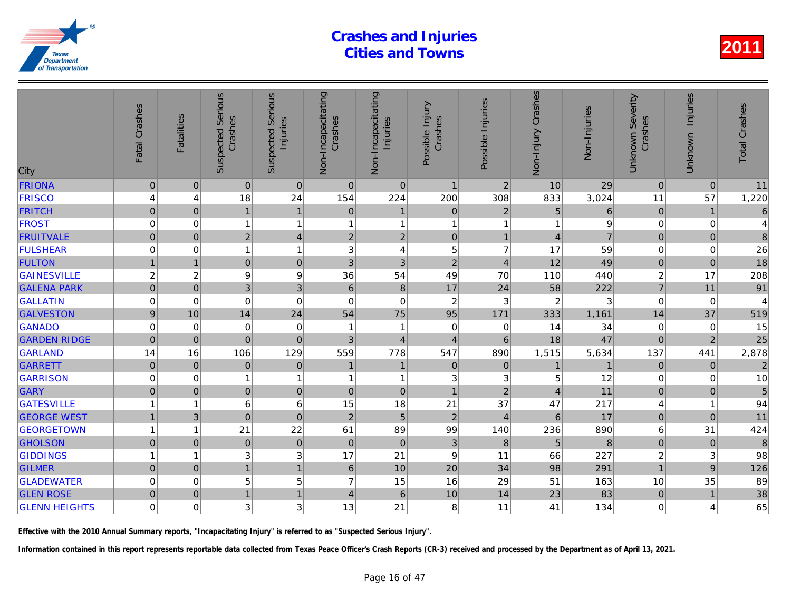| City                 | Fatal Crashes  | <b>Fatalities</b>       | <b>Suspected Serious</b><br>Crashes | Serious<br>Injuries<br>Suspected | Non-Incapacitating<br>Crashes | Non-Incapacitating<br>Injuries | Possible Injury<br>Crashes | Possible Injuries | Non-Injury Crashes | Non-Injuries   |
|----------------------|----------------|-------------------------|-------------------------------------|----------------------------------|-------------------------------|--------------------------------|----------------------------|-------------------|--------------------|----------------|
| <b>FRIONA</b>        | $\pmb{0}$      | $\mathbf 0$             | $\pmb{0}$                           | $\mathbf 0$                      | $\pmb{0}$                     | $\pmb{0}$                      | $\mathbf{1}$               | $\overline{2}$    | 10                 | 29             |
| <b>FRISCO</b>        | 4              | 4                       | 18                                  | 24                               | 154                           | 224                            | 200                        | 308               | 833                | 3,024          |
| <b>FRITCH</b>        | 0              | $\overline{0}$          | $\overline{1}$                      | $\mathbf{1}$                     | $\mathbf 0$                   | $\mathbf 1$                    | $\mathbf 0$                | $\overline{2}$    | 5                  |                |
| <b>FROST</b>         | $\mathbf 0$    | $\mathbf 0$             | 1                                   | $\mathbf{1}$                     | $\overline{1}$                | $\mathbf{1}$                   | 1                          | 1                 | 1                  |                |
| <b>FRUITVALE</b>     | $\mathbf 0$    | $\mathbf 0$             | $\overline{2}$                      | $\overline{4}$                   | $\overline{2}$                | $\sqrt{2}$                     | $\mathbf 0$                | $\mathbf{1}$      | $\overline{4}$     | $\overline{7}$ |
| <b>FULSHEAR</b>      | $\mathbf 0$    | $\mathbf 0$             | 1                                   | $\mathbf{1}$                     | 3                             | 4                              | 5                          | $\overline{7}$    | 17                 | 59             |
| <b>FULTON</b>        |                | 1                       | $\overline{0}$                      | $\mathbf 0$                      | 3                             | $\mathfrak{B}$                 | $\overline{2}$             | $\overline{4}$    | 12                 | 49             |
| <b>GAINESVILLE</b>   | $\overline{c}$ | $\overline{\mathbf{c}}$ | 9                                   | $\boldsymbol{9}$                 | 36                            | 54                             | 49                         | 70                | 110                | 440            |
| <b>GALENA PARK</b>   | $\mathbf 0$    | $\mathbf 0$             | 3                                   | 3                                | $\,6\,$                       | $\bf 8$                        | 17                         | 24                | 58                 | 222            |
| <b>GALLATIN</b>      | 0              | $\mathbf 0$             | $\mathbf 0$                         | $\mathbf 0$                      | $\mathbf 0$                   | $\mathbf 0$                    | $\boldsymbol{2}$           | $\mathbf{3}$      | $\overline{2}$     |                |
| <b>GALVESTON</b>     | $\mathsf g$    | 10                      | 14                                  | 24                               | 54                            | 75                             | 95                         | 171               | 333                | 1,161          |
| <b>GANADO</b>        | $\overline{0}$ | 0                       | $\mathbf 0$                         | $\mathbf 0$                      | $\overline{\mathbf{1}}$       | 1                              | $\pmb{0}$                  | 0                 | 14                 | 34             |
| <b>GARDEN RIDGE</b>  | $\mathbf 0$    | $\pmb{0}$               | $\mathbf 0$                         | $\mathbf 0$                      | 3                             | $\overline{4}$                 | 4                          | 6                 | 18                 | 47             |
| <b>GARLAND</b>       | 14             | 16                      | 106                                 | 129                              | 559                           | 778                            | 547                        | 890               | 1,515              | 5,634          |
| <b>GARRETT</b>       | $\pmb{0}$      | $\mathbf 0$             | $\mathbf 0$                         | $\boldsymbol{0}$                 | $\mathbf{1}$                  | $\mathbf{1}$                   | $\mathbf 0$                | $\mathbf 0$       |                    |                |
| <b>GARRISON</b>      | $\mathbf 0$    | 0                       | 1                                   | $\mathbf{1}$                     | 1                             | $\mathbf{1}$                   | 3                          | 3                 | 5                  | 12             |
| GARY                 | $\overline{0}$ | $\mathbf{0}$            | $\mathbf 0$                         | $\pmb{0}$                        | $\mathbf{0}$                  | $\mathbf 0$                    | $\mathbf{1}$               | 2 <sup>1</sup>    | $\overline{4}$     | 11             |
| <b>GATESVILLE</b>    |                | 1                       | 6                                   | 6                                | 15                            | 18                             | 21                         | 37                | 47                 | 217            |
| <b>GEORGE WEST</b>   | $\mathbf{1}$   | $\sqrt{3}$              | $\mathbf 0$                         | $\pmb{0}$                        | $\mathbf 2$                   | $\sqrt{5}$                     | $\overline{2}$             | 4                 | 6                  | 17             |
| <b>GEORGETOWN</b>    | 1              | 1                       | 21                                  | 22                               | 61                            | 89                             | 99                         | 140               | 236                | 890            |
| <b>GHOLSON</b>       | $\overline{0}$ | $\mathbf{0}$            | $\mathbf 0$                         | $\mathbf 0$                      | $\boldsymbol{0}$              | $\pmb{0}$                      | $\mathbf{3}$               | $\,8\,$           | $\overline{5}$     | 8              |
| <b>GIDDINGS</b>      | 1              | 1                       | 3                                   | 3                                | 17                            | 21                             | $\boldsymbol{9}$           | 11                | 66                 | 227            |
| <b>GILMER</b>        | $\mathbf 0$    | $\mathbf{0}$            | $\mathbf{1}$                        | $\overline{1}$                   | $\,6\,$                       | 10                             | 20                         | 34                | 98                 | 291            |
| <b>GLADEWATER</b>    | 0              | 0                       | 5                                   | 5                                | $\overline{7}$                | 15                             | 16                         | 29                | 51                 | 163            |
| <b>GLEN ROSE</b>     | $\mathbf 0$    | $\pmb{0}$               | $\overline{1}$                      | $\mathbf{1}$                     | $\overline{4}$                | $\,6$                          | $10$                       | 14                | 23                 | 83             |
| <b>GLENN HEIGHTS</b> | $\mathbf 0$    | $\Omega$                | 3                                   | 3                                | 13                            | 21                             | 8                          | 11                | 41                 | 134            |
|                      |                |                         |                                     |                                  |                               |                                |                            |                   |                    |                |

Effective with the 2010 Annual Summary reports, "Incapacitating Injury" is referred to as "Suspected Serious Injury".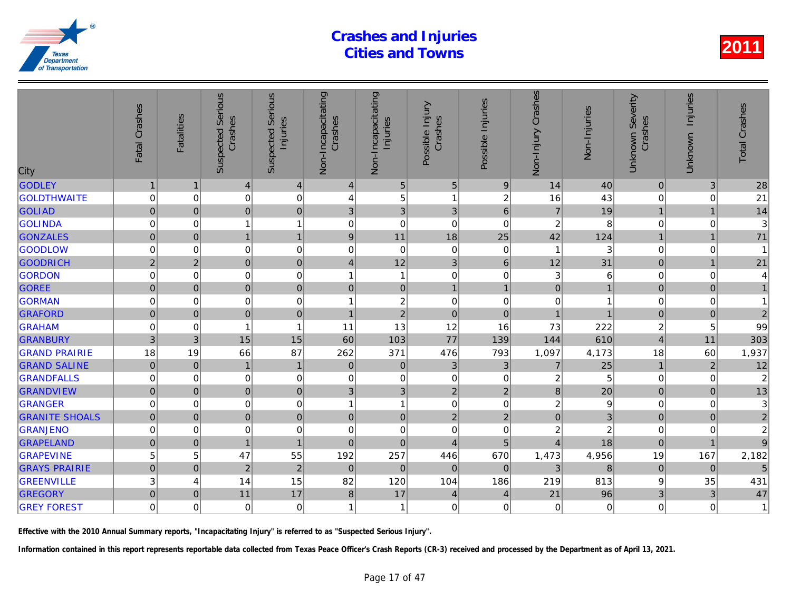| City                  | Fatal Crashes  | <b>Fatalities</b> | <b>Suspected Serious</b><br>Crashes | <b>Serious</b><br>Injuries<br>Suspected | Non-Incapacitating<br>Crashes | Non-Incapacitating<br>Injuries | Possible Injury<br>Crashes | Possible Injuries | Non-Injury Crashes | Non-Injuries   |
|-----------------------|----------------|-------------------|-------------------------------------|-----------------------------------------|-------------------------------|--------------------------------|----------------------------|-------------------|--------------------|----------------|
| <b>GODLEY</b>         | $\mathbf{1}$   | $\mathbf 1$       | $\vert 4 \vert$                     | $\overline{4}$                          | 4                             | $\sqrt{5}$                     | 5                          | $\boldsymbol{9}$  | 14                 | 40             |
| <b>GOLDTHWAITE</b>    | $\mathbf 0$    | 0                 | 0                                   | $\mathbf 0$                             | 4                             | 5                              | $\mathbf{1}$               | $\overline{c}$    | 16                 | 43             |
| <b>GOLIAD</b>         | $\mathbf{0}$   | $\Omega$          | $\overline{0}$                      | $\mathbf 0$                             | 3                             | 3                              | 3                          | $6\phantom{1}$    | $\overline{7}$     | 19             |
| <b>GOLINDA</b>        | $\mathbf 0$    | 0                 | 1                                   | $\overline{1}$                          | 0                             | $\boldsymbol{0}$               | $\mathbf 0$                | 0                 | $\overline{2}$     | 8              |
| <b>GONZALES</b>       | $\overline{0}$ | $\mathbf{0}$      | 1                                   | $\mathbf{1}$                            | $\boldsymbol{9}$              | 11                             | 18                         | 25                | 42                 | 124            |
| GOODLOW               | $\mathbf 0$    | 0                 | $\mathbf 0$                         | $\pmb{0}$                               | 0                             | $\pmb{0}$                      | $\mathbf 0$                | 0                 |                    |                |
| <b>GOODRICH</b>       | $\sqrt{2}$     | $\overline{2}$    | $\overline{0}$                      | $\mathbf 0$                             | $\overline{4}$                | 12                             | 3                          | $6\phantom{1}$    | 12                 | 31             |
| <b>GORDON</b>         | 0              | 0                 | 0                                   | $\mathbf 0$                             | 1                             | $\mathbf{1}$                   | $\mathbf 0$                | $\mathbf 0$       | 3                  |                |
| <b>GOREE</b>          | $\mathbf 0$    | $\mathbf 0$       | $\overline{0}$                      | $\mathbf 0$                             | $\mathbf 0$                   | $\pmb{0}$                      | $\mathbf{1}$               | $\mathbf{1}$      | $\mathbf 0$        |                |
| <b>GORMAN</b>         | $\mathbf 0$    | $\Omega$          | $\mathbf 0$                         | $\mathbf 0$                             | 1                             | $\boldsymbol{2}$               | $\mathbf 0$                | $\mathbf 0$       | $\mathbf 0$        |                |
| <b>GRAFORD</b>        | $\mathbf 0$    | $\Omega$          | $\overline{0}$                      | $\mathbf 0$                             | 1                             | $\overline{2}$                 | $\mathbf 0$                | $\Omega$          |                    |                |
| <b>GRAHAM</b>         | 0              | 0                 | 1                                   | $\overline{1}$                          | 11                            | 13                             | 12                         | 16                | 73                 | 222            |
| <b>GRANBURY</b>       | 3              | $\mathbf{3}$      | 15                                  | 15                                      | 60                            | 103                            | 77                         | 139               | 144                | 610            |
| <b>GRAND PRAIRIE</b>  | 18             | 19                | 66                                  | 87                                      | 262                           | 371                            | 476                        | 793               | 1,097              | 4,173          |
| <b>GRAND SALINE</b>   | $\pmb{0}$      | $\mathbf 0$       | $\mathbf{1}$                        | $\mathbf{1}$                            | $\pmb{0}$                     | $\pmb{0}$                      | 3                          | $\mathbf{3}$      | $\overline{7}$     | 25             |
| <b>GRANDFALLS</b>     | 0              | 0                 | 0                                   | $\mathbf 0$                             | 0                             | $\mathbf 0$                    | 0                          | 0                 | $\overline{c}$     | 5              |
| <b>GRANDVIEW</b>      | $\overline{0}$ | $\mathbf{0}$      | $\overline{0}$                      | $\mathbf 0$                             | 3                             | 3                              | $\overline{2}$             | $\overline{2}$    | 8                  | 20             |
| GRANGER               | $\mathbf 0$    | $\Omega$          | $\mathbf 0$                         | $\mathbf 0$                             | 1                             | $\mathbf{1}$                   | $\mathbf 0$                | $\mathbf 0$       | $\overline{c}$     |                |
| <b>GRANITE SHOALS</b> | $\overline{0}$ | $\mathbf 0$       | $\overline{0}$                      | $\mathbf 0$                             | $\pmb{0}$                     | $\pmb{0}$                      | $\overline{2}$             | $\overline{2}$    | $\overline{0}$     |                |
| GRANJENO              | 0              | 0                 | $\boldsymbol{0}$                    | $\mathbf 0$                             | 0                             | $\boldsymbol{0}$               | $\mathbf 0$                | 0                 | $\overline{c}$     | $\overline{a}$ |
| <b>GRAPELAND</b>      | $\overline{0}$ | $\pmb{0}$         | $\overline{1}$                      | $\mathbf{1}$                            | $\pmb{0}$                     | $\pmb{0}$                      | $\overline{4}$             | 5                 | $\overline{4}$     | 18             |
| <b>GRAPEVINE</b>      | 5              | 5                 | 47                                  | 55                                      | 192                           | 257                            | 446                        | 670               | 1,473              | 4,956          |
| <b>GRAYS PRAIRIE</b>  | $\overline{0}$ | $\mathbf{0}$      | $\overline{2}$                      | $\mathbf 2$                             | $\mathbf 0$                   | $\mathbf 0$                    | $\mathbf 0$                | $\mathbf{0}$      | 3                  | 8              |
| <b>GREENVILLE</b>     | 3              | 4                 | 14                                  | 15                                      | 82                            | 120                            | 104                        | 186               | 219                | 813            |
| <b>GREGORY</b>        | 0              | $\mathbf 0$       | 11                                  | 17                                      | 8                             | 17                             | 4                          | 4                 | 21                 | 96             |
| <b>GREY FOREST</b>    | $\Omega$       | $\Omega$          | $\Omega$                            | $\mathbf 0$                             | 1                             | $\mathbf{1}$                   | $\Omega$                   | 0                 | $\mathbf 0$        |                |
|                       |                |                   |                                     |                                         |                               |                                |                            |                   |                    |                |

Effective with the 2010 Annual Summary reports, "Incapacitating Injury" is referred to as "Suspected Serious Injury".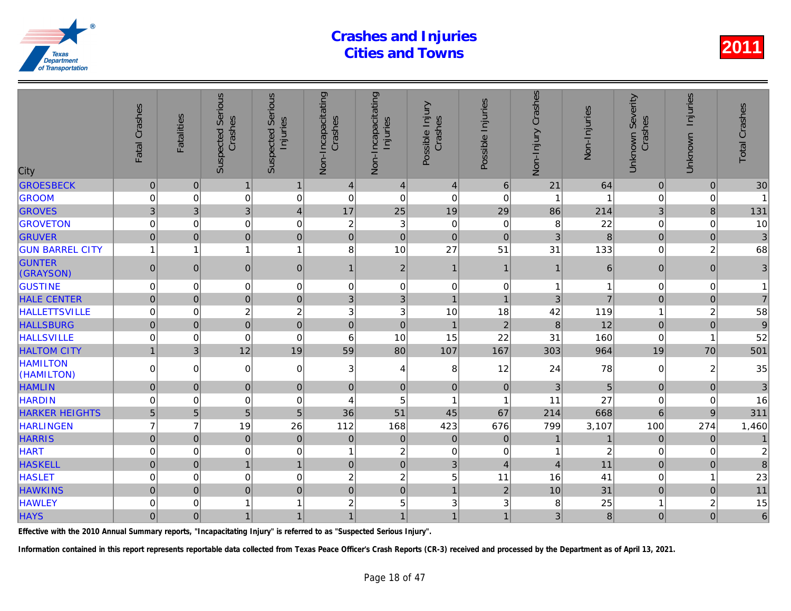| City                          | Fatal Crashes    | <b>Fatalities</b> | <b>Suspected Serious</b><br>Crashes | <b>Serious</b><br>Injuries<br>Suspected | Non-Incapacitating<br>Crashes | Non-Incapacitating<br>Injuries | Possible Injury<br>Crashes | Possible Injuries | Non-Injury Crashes | Non-Injuries   |
|-------------------------------|------------------|-------------------|-------------------------------------|-----------------------------------------|-------------------------------|--------------------------------|----------------------------|-------------------|--------------------|----------------|
| <b>GROESBECK</b>              | $\pmb{0}$        | $\mathbf 0$       | $\mathbf{1}$                        | $\mathbf{1}$                            | 4                             | $\vert 4 \vert$                | $\overline{4}$             | 6                 | 21                 | 64             |
| <b>GROOM</b>                  | $\mathbf 0$      | $\Omega$          | $\mathbf 0$                         | $\mathbf 0$                             | $\mathbf 0$                   | $\mathbf 0$                    | $\Omega$                   | $\mathbf 0$       |                    |                |
| <b>GROVES</b>                 | 3                | 3                 | 3 <sup>1</sup>                      | $\overline{\mathbf{4}}$                 | 17                            | 25                             | 19                         | 29                | 86                 | 214            |
| <b>GROVETON</b>               | $\boldsymbol{0}$ | $\mathbf 0$       | $\mathbf 0$                         | $\mathbf 0$                             | $\overline{c}$                | 3                              | $\mathbf 0$                | $\mathbf 0$       | 8                  | 22             |
| <b>GRUVER</b>                 | $\overline{0}$   | $\Omega$          | $\overline{0}$                      | $\mathbf 0$                             | $\pmb{0}$                     | $\mathbf 0$                    | $\overline{0}$             | $\overline{0}$    | 3                  | 8              |
| <b>GUN BARREL CITY</b>        | $\overline{1}$   | 1                 | 1                                   | $\overline{1}$                          | 8                             | 10                             | 27                         | 51                | 31                 | 133            |
| <b>GUNTER</b><br>(GRAYSON)    | $\pmb{0}$        | $\Omega$          | $\overline{0}$                      | $\mathbf 0$                             | $\mathbf{1}$                  | $\mathbf 2$                    | $\mathbf{1}$               | $\mathbf 1$       | 1                  | 6              |
| <b>GUSTINE</b>                | 0                | 0                 | $\Omega$                            | $\boldsymbol{0}$                        | 0                             | 0                              | $\mathbf 0$                | $\mathbf 0$       | 1                  |                |
| <b>HALE CENTER</b>            | $\mathbf 0$      | $\Omega$          | $\overline{0}$                      | $\mathbf 0$                             | 3                             | $\mathfrak{S}$                 | $\overline{1}$             | $\overline{1}$    | 3                  |                |
| <b>HALLETTSVILLE</b>          | $\mathbf 0$      | $\Omega$          | 2                                   | $\overline{c}$                          | 3                             | 3                              | 10                         | 18                | 42                 | 119            |
| <b>HALLSBURG</b>              | $\pmb{0}$        | $\mathbf 0$       | $\mathbf 0$                         | $\mathbf 0$                             | $\mathbf 0$                   | $\mathbf 0$                    | $\overline{1}$             | $\overline{2}$    | $\bf 8$            | 12             |
| <b>HALLSVILLE</b>             | $\mathbf 0$      | 0                 | $\mathbf 0$                         | $\mathbf 0$                             | 6                             | 10                             | 15                         | 22                | 31                 | 160            |
| <b>HALTOM CITY</b>            | $\mathbf{1}$     | 3                 | 12                                  | 19                                      | 59                            | 80                             | 107                        | 167               | 303                | 964            |
| <b>HAMILTON</b><br>(HAMILTON) | 0                | $\Omega$          | $\mathbf 0$                         | $\mathbf 0$                             | 3                             | 4                              | 8                          | 12                | 24                 | 78             |
| <b>HAMLIN</b>                 | $\overline{0}$   | $\mathbf{0}$      | $\overline{0}$                      | $\boldsymbol{0}$                        | $\pmb{0}$                     | $\pmb{0}$                      | $\mathbf{0}$               | $\mathbf{0}$      | $\mathfrak{B}$     | 5              |
| <b>HARDIN</b>                 | $\mathbf 0$      | $\Omega$          | $\mathbf 0$                         | $\mathbf 0$                             | 4                             | 5                              | 1                          | -1                | 11                 | 27             |
| <b>HARKER HEIGHTS</b>         | 5                | 5                 | 5 <sup>1</sup>                      | 5                                       | 36                            | 51                             | 45                         | 67                | 214                | 668            |
| <b>HARLINGEN</b>              | $\overline{7}$   | $\overline{7}$    | 19                                  | 26                                      | 112                           | 168                            | 423                        | 676               | 799                | 3,107          |
| <b>HARRIS</b>                 | $\overline{0}$   | $\mathbf{0}$      | $\mathbf 0$                         | $\mathbf 0$                             | $\pmb{0}$                     | $\pmb{0}$                      | $\mathbf 0$                | $\pmb{0}$         | $\overline{1}$     |                |
| <b>HART</b>                   | 0                | 0                 | 0                                   | $\mathbf 0$                             | 1                             | $\boldsymbol{2}$               | $\mathbf 0$                | 0                 | 1                  | $\overline{a}$ |
| <b>HASKELL</b>                | $\Omega$         | $\Omega$          | 1                                   | $\mathbf{1}$                            | $\mathbf 0$                   | $\overline{0}$                 | 3                          | $\overline{4}$    | $\overline{4}$     | 11             |
| <b>HASLET</b>                 | $\mathbf 0$      | $\Omega$          | $\mathbf 0$                         | $\mathbf 0$                             | $\sqrt{2}$                    | $\overline{c}$                 | 5                          | 11                | 16                 | 41             |
| <b>HAWKINS</b>                | $\mathbf 0$      | $\mathbf 0$       | $\overline{0}$                      | $\mathbf 0$                             | $\pmb{0}$                     | $\pmb{0}$                      | $\mathbf{1}$               | $\overline{2}$    | 10                 | 31             |
| <b>HAWLEY</b>                 | 0                | 0                 | 1                                   | $\overline{1}$                          | $\overline{c}$                | 5                              | 3                          | 3                 | 8                  | 25             |
| <b>HAYS</b>                   | $\overline{0}$   | $\overline{0}$    | $\mathbf{1}$                        | $\mathbf{1}$                            | $\mathbf{1}$                  | 1                              | $\mathbf{1}$               | $\mathbf{1}$      | 3                  | 8              |

Effective with the 2010 Annual Summary reports, "Incapacitating Injury" is referred to as "Suspected Serious Injury".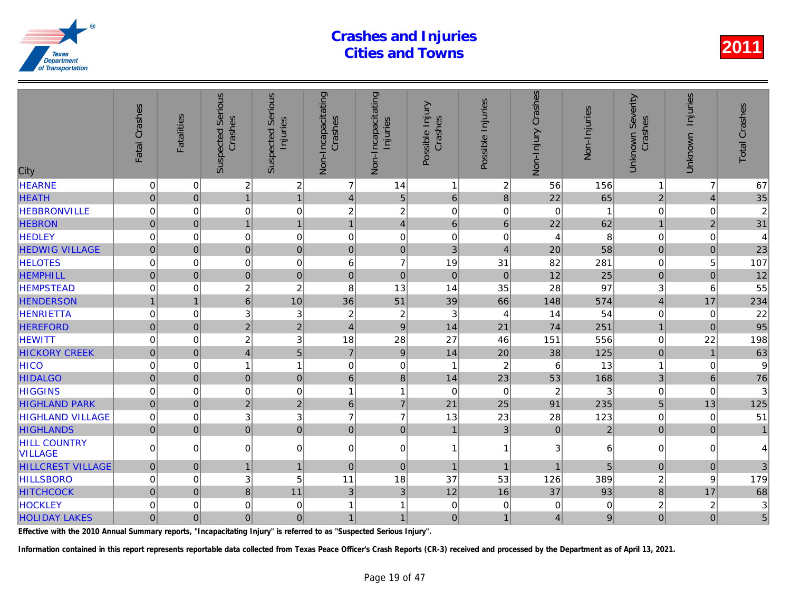| City                                  | Fatal Crashes       | <b>Fatalities</b> | Serious<br>Crashes<br>Suspected | <b>Serious</b><br>Injuries<br>Suspected | Non-Incapacitating<br>Crashes | Non-Incapacitating<br>Injuries | Possible Injury<br>Crashes | Possible Injuries | Non-Injury Crashes | Non-Injuries   |
|---------------------------------------|---------------------|-------------------|---------------------------------|-----------------------------------------|-------------------------------|--------------------------------|----------------------------|-------------------|--------------------|----------------|
| <b>HEARNE</b>                         | 0                   | $\mathbf 0$       | $\overline{\mathbf{c}}$         | $\overline{c}$                          | $\overline{7}$                | 14                             | $\overline{1}$             | 2                 | 56                 | 156            |
| <b>HEATH</b>                          | $\mathsf{O}\xspace$ | $\overline{0}$    | $\overline{1}$                  | $\overline{1}$                          | $\overline{4}$                | 5                              | $6\phantom{1}$             | $\bf 8$           | 22                 | 65             |
| <b>HEBBRONVILLE</b>                   | 0                   | $\mathbf 0$       | 0                               | $\mathbf 0$                             | $\overline{c}$                | $\overline{c}$                 | $\mathbf 0$                | 0                 | $\mathbf 0$        | 1              |
| <b>HEBRON</b>                         | $\overline{0}$      | $\overline{0}$    | $\mathbf{1}$                    | $\overline{1}$                          | $\overline{1}$                | $\vert 4 \vert$                | $6\phantom{1}6$            | $6\phantom{1}$    | 22                 | 62             |
| <b>HEDLEY</b>                         | 0                   | $\Omega$          | 0                               | $\mathbf 0$                             | $\Omega$                      | $\mathbf 0$                    | $\Omega$                   | $\Omega$          | 4                  | 8              |
| <b>HEDWIG VILLAGE</b>                 | $\mathbf{0}$        | $\Omega$          | $\overline{0}$                  | $\mathbf 0$                             | $\mathbf{0}$                  | $\overline{0}$                 | 3                          | $\overline{4}$    | 20                 | 58             |
| <b>HELOTES</b>                        | 0                   | $\mathbf 0$       | 0                               | $\mathbf 0$                             | 6                             | $\overline{7}$                 | 19                         | 31                | 82                 | 281            |
| <b>HEMPHILL</b>                       | $\overline{0}$      | $\overline{0}$    | $\overline{0}$                  | $\mathbf 0$                             | $\pmb{0}$                     | $\overline{0}$                 | $\mathbf 0$                | $\pmb{0}$         | 12                 | 25             |
| <b>HEMPSTEAD</b>                      | 0                   | $\Omega$          | $\overline{c}$                  | $\overline{c}$                          | 8                             | 13                             | 14                         | 35                | 28                 | 97             |
| <b>HENDERSON</b>                      | $\mathbf{1}$        |                   | $\overline{6}$                  | 10                                      | 36                            | 51                             | 39                         | 66                | 148                | 574            |
| <b>HENRIETTA</b>                      | 0                   | 0                 | 3                               | 3                                       | $\overline{c}$                | $\overline{c}$                 | 3                          | $\overline{4}$    | 14                 | 54             |
| <b>HEREFORD</b>                       | $\overline{0}$      | $\overline{0}$    | $\overline{2}$                  | $\overline{2}$                          | $\overline{4}$                | $\overline{9}$                 | 14                         | 21                | 74                 | 251            |
| <b>HEWITT</b>                         | 0                   | $\mathbf 0$       | $\overline{c}$                  | 3                                       | 18                            | 28                             | 27                         | 46                | 151                | 556            |
| <b>HICKORY CREEK</b>                  | $\overline{0}$      | $\Omega$          | $\overline{4}$                  | 5                                       | $\overline{7}$                | 9                              | 14                         | 20                | 38                 | 125            |
| <b>HICO</b>                           | 0                   | $\Omega$          | 1                               | $\mathbf{1}$                            | $\Omega$                      | $\boldsymbol{0}$               | $\mathbf 1$                | $\overline{2}$    | 6                  | 13             |
| <b>HIDALGO</b>                        | $\mathbf 0$         | $\mathbf 0$       | $\mathbf 0$                     | $\mathbf 0$                             | $\,6\,$                       | 8 <sup>1</sup>                 | 14                         | 23                | 53                 | 168            |
| <b>HIGGINS</b>                        | 0                   | $\mathbf 0$       | 0                               | $\mathbf 0$                             | 1                             | $\mathbf{1}$                   | $\mathbf 0$                | $\mathbf 0$       | $\overline{c}$     | 3              |
| <b>HIGHLAND PARK</b>                  | $\mathbf 0$         | $\overline{0}$    | $\overline{2}$                  | $\overline{2}$                          | $\,6\,$                       | $\overline{7}$                 | 21                         | 25                | 91                 | 235            |
| <b>HIGHLAND VILLAGE</b>               | 0                   | $\Omega$          | 3                               | 3                                       | $\overline{7}$                | $\overline{7}$                 | 13                         | 23                | 28                 | 123            |
| <b>HIGHLANDS</b>                      | $\overline{0}$      | $\mathbf 0$       | $\overline{0}$                  | $\mathbf 0$                             | $\mathbf 0$                   | $\overline{0}$                 | $\mathbf{1}$               | $\overline{3}$    | $\pmb{0}$          | $\overline{a}$ |
| <b>HILL COUNTRY</b><br><b>VILLAGE</b> | $\Omega$            | $\Omega$          | 0                               | $\boldsymbol{0}$                        | $\mathbf 0$                   | $\overline{0}$                 | $\overline{1}$             | 1                 | 3                  | 6              |
| <b>HILLCREST VILLAGE</b>              | $\mathsf{O}\xspace$ | $\overline{0}$    | $\mathbf{1}$                    | $\mathbf{1}$                            | $\pmb{0}$                     | $\overline{0}$                 | $\overline{1}$             | $\mathbf{1}$      | $\overline{1}$     | 5              |
| <b>HILLSBORO</b>                      | 0                   | $\Omega$          | 3                               | 5                                       | 11                            | 18                             | 37                         | 53                | 126                | 389            |
| <b>HITCHCOCK</b>                      | $\overline{0}$      | $\Omega$          | 8                               | 11                                      | $\mathbf{3}$                  | 3 <sup>1</sup>                 | 12                         | 16                | 37                 | 93             |
| <b>HOCKLEY</b>                        | 0                   | 0                 | 0                               | $\mathbf 0$                             | 1                             | 1                              | $\mathbf 0$                | 0                 | 0                  |                |
| <b>HOLIDAY LAKES</b>                  | $\overline{0}$      | $\overline{0}$    | $\overline{0}$                  | $\pmb{0}$                               | $\mathbf{1}$                  | 1                              | $\mathbf 0$                | 1                 | 4                  |                |

Effective with the 2010 Annual Summary reports, "Incapacitating Injury" is referred to as "Suspected Serious Injury".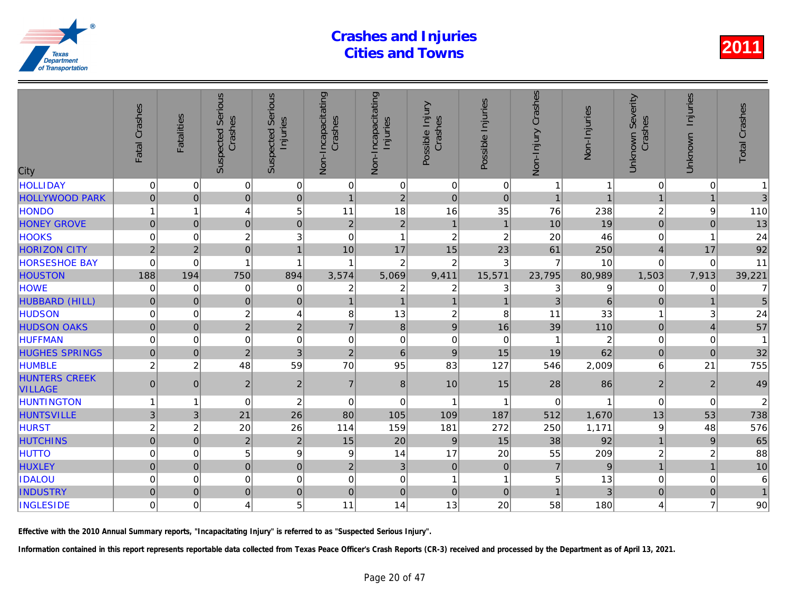| City                                   | Fatal Crashes       | <b>Fatalities</b> | <b>Serious</b><br>Crashes<br>Suspected | Serious<br>Injuries<br>Suspected | Non-Incapacitating<br>Crashes | Non-Incapacitating<br>Injuries | Possible Injury<br>Crashes | Possible Injuries | Crashes<br>Non-Injury | Non-Injuries   |
|----------------------------------------|---------------------|-------------------|----------------------------------------|----------------------------------|-------------------------------|--------------------------------|----------------------------|-------------------|-----------------------|----------------|
| <b>HOLLIDAY</b>                        | $\mathbf 0$         | 0                 | $\pmb{0}$                              | $\vert 0 \vert$                  | 0                             | $\mathbf 0$                    | $\mathbf 0$                | 0                 |                       |                |
| <b>HOLLYWOOD PARK</b>                  | $\mathbf 0$         | $\Omega$          | $\mathbf 0$                            | $\overline{0}$                   | $\mathbf{1}$                  | $\overline{2}$                 | $\mathbf 0$                | $\mathbf 0$       |                       |                |
| <b>HONDO</b>                           |                     | 1                 | 4                                      | 5                                | 11                            | 18                             | 16                         | 35                | 76                    | 238            |
| <b>HONEY GROVE</b>                     | $\mathbf 0$         | $\mathbf{0}$      | $\overline{0}$                         | $\mathbf 0$                      | $\overline{2}$                | $\overline{2}$                 | $\mathbf{1}$               | $\overline{1}$    | 10                    | 19             |
| <b>HOOKS</b>                           | 0                   | 0                 | $\overline{c}$                         | 3                                | $\mathbf 0$                   | 1                              | $\overline{c}$             | $\overline{c}$    | 20                    | 46             |
| <b>HORIZON CITY</b>                    | $\overline{2}$      | $\overline{2}$    | $\overline{0}$                         | $\mathbf{1}$                     | 10                            | 17                             | 15                         | 23                | 61                    | 250            |
| <b>HORSESHOE BAY</b>                   | $\Omega$            | $\Omega$          |                                        | 1                                | 1                             | $\overline{c}$                 | $\overline{2}$             | 3                 | 7                     | 10             |
| <b>HOUSTON</b>                         | 188                 | 194               | 750                                    | 894                              | 3,574                         | 5,069                          | 9,411                      | 15,571            | 23,795                | 80,989         |
| <b>HOWE</b>                            | $\mathbf 0$         | 0                 | 0                                      | 0                                | $\boldsymbol{2}$              | $\overline{c}$                 | $\boldsymbol{2}$           | 3                 | 3                     |                |
| HUBBARD (HILL)                         | $\mathbf 0$         | $\Omega$          | $\overline{0}$                         | $\mathbf 0$                      | $\mathbf{1}$                  | $\overline{1}$                 | $\overline{1}$             | $\overline{1}$    | 3                     | 6              |
| <b>HUDSON</b>                          | $\Omega$            | $\Omega$          | $\boldsymbol{2}$                       | 4                                | 8                             | 13                             | $\boldsymbol{2}$           | 8                 | 11                    | 33             |
| <b>HUDSON OAKS</b>                     | $\mathbf 0$         | $\Omega$          | $\overline{2}$                         | $\overline{2}$                   | $\overline{7}$                | $\,8\,$                        | $\boldsymbol{9}$           | 16                | 39                    | 110            |
| <b>HUFFMAN</b>                         | $\mathbf 0$         | $\mathbf 0$       | $\mathbf 0$                            | $\mathbf 0$                      | $\mathbf 0$                   | $\mathbf 0$                    | $\pmb{0}$                  | $\mathbf 0$       |                       | $\overline{2}$ |
| <b>HUGHES SPRINGS</b>                  | $\overline{0}$      | $\overline{0}$    | $\overline{2}$                         | 3                                | $\overline{2}$                | $6\phantom{1}$                 | $9\,$                      | 15                | 19                    | 62             |
| <b>HUMBLE</b>                          | $\overline{c}$      | $\overline{c}$    | 48                                     | 59                               | 70                            | 95                             | 83                         | 127               | 546                   | 2,009          |
| <b>HUNTERS CREEK</b><br><b>VILLAGE</b> | $\pmb{0}$           | $\mathbf 0$       | $\overline{2}$                         | $\overline{2}$                   | $\overline{7}$                | 8                              | 10                         | 15                | 28                    | 86             |
| <b>HUNTINGTON</b>                      |                     | 1                 | $\mathbf 0$                            | $\overline{c}$                   | $\mathbf 0$                   | $\mathbf 0$                    | $\mathbf{1}$               | -1                | $\mathbf 0$           |                |
| <b>HUNTSVILLE</b>                      | 3                   | 3                 | 21                                     | 26                               | 80                            | 105                            | 109                        | 187               | 512                   | 1,670          |
| <b>HURST</b>                           | $\overline{c}$      | $\overline{a}$    | 20                                     | 26                               | 114                           | 159                            | 181                        | 272               | 250                   | 1,171          |
| <b>HUTCHINS</b>                        | $\mathbf 0$         | $\mathbf{0}$      | $\overline{2}$                         | $\overline{c}$                   | 15                            | 20                             | $9\,$                      | 15                | 38                    | 92             |
| <b>HUTTO</b>                           | $\mathbf 0$         | $\Omega$          | 5                                      | 9                                | 9                             | 14                             | 17                         | 20                | 55                    | 209            |
| <b>HUXLEY</b>                          | $\mathsf{O}\xspace$ | $\overline{0}$    | $\mathbf 0$                            | $\pmb{0}$                        | $\overline{c}$                | $\mathfrak{B}$                 | $\pmb{0}$                  | $\mathbf{0}$      | $\overline{7}$        | 9              |
| <b>IDALOU</b>                          | 0                   | 0                 | $\mathbf 0$                            | 0                                | 0                             | $\mathbf 0$                    | 1                          | -1                | 5                     | 13             |
| <b>INDUSTRY</b>                        | $\overline{0}$      | $\Omega$          | $\overline{0}$                         | $\mathbf 0$                      | $\overline{0}$                | $\overline{0}$                 | $\mathbf 0$                | $\Omega$          |                       | 3              |
| <b>INGLESIDE</b>                       | 0                   | $\Omega$          | $\overline{4}$                         | 5                                | 11                            | 14                             | 13                         | 20                | 58                    | 180            |
|                                        |                     |                   |                                        |                                  |                               |                                |                            |                   |                       |                |

Effective with the 2010 Annual Summary reports, "Incapacitating Injury" is referred to as "Suspected Serious Injury".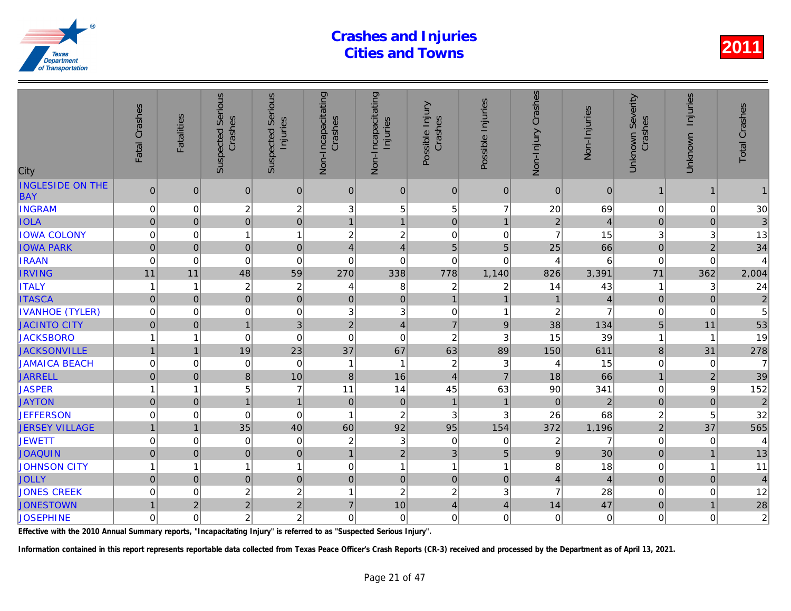| City                                  | Fatal Crashes       | <b>Fatalities</b> | <b>Suspected Serious</b><br>Crashes | Serious<br>Injuries<br>Suspected | Non-Incapacitating<br>Crashes | Non-Incapacitating<br>Injuries | Possible Injury<br>Crashes | Possible Injuries         | Non-Injury Crashes      | Non-Injuries            |
|---------------------------------------|---------------------|-------------------|-------------------------------------|----------------------------------|-------------------------------|--------------------------------|----------------------------|---------------------------|-------------------------|-------------------------|
| <b>INGLESIDE ON THE</b><br><b>BAY</b> | $\overline{0}$      | $\Omega$          | $\mathbf{0}$                        | $\mathbf 0$                      | $\mathbf{0}$                  | $\mathbf 0$                    | $\mathbf{0}$               | $\overline{0}$            | $\Omega$                | $\Omega$                |
| <b>INGRAM</b>                         | $\mathbf 0$         | $\mathbf 0$       | $\overline{c}$                      | $\overline{c}$                   | 3                             | 5                              | 5                          | $\overline{7}$            | 20                      | 69                      |
| <b>IOLA</b>                           | $\mathsf{O}\xspace$ | $\mathbf{0}$      | $\overline{0}$                      | $\mathbf 0$                      | $\overline{1}$                | $\mathbf{1}$                   | $\mathbf 0$                | $\mathbf{1}$              | $\overline{2}$          | $\overline{4}$          |
| <b>IOWA COLONY</b>                    | 0                   | 0                 | 1                                   | $\mathbf{1}$                     | $\overline{c}$                | $\overline{c}$                 | $\mathbf 0$                | 0                         | $\overline{7}$          | 15                      |
| <b>IOWA PARK</b>                      | $\overline{0}$      | $\Omega$          | $\mathbf 0$                         | $\mathbf 0$                      | $\overline{4}$                | $\overline{4}$                 | 5                          | 5                         | 25                      | 66                      |
| <b>IRAAN</b>                          | $\mathbf 0$         | $\Omega$          | $\Omega$                            | $\mathbf 0$                      | $\mathbf 0$                   | $\mathbf 0$                    | $\Omega$                   | $\Omega$                  | $\overline{4}$          | 6                       |
| <b>IRVING</b>                         | 11                  | 11                | 48                                  | 59                               | 270                           | 338                            | 778                        | 1,140                     | 826                     | 3,391                   |
| <b>ITALY</b>                          | 1                   | -1                | $\boldsymbol{2}$                    | $\overline{c}$                   | 4                             | 8                              | $\boldsymbol{2}$           | 2                         | 14                      | 43                      |
| <b>ITASCA</b>                         | $\mathbf 0$         | $\mathbf 0$       | $\overline{0}$                      | $\mathbf 0$                      | $\overline{0}$                | $\mathbf 0$                    | $\overline{1}$             | $\mathbf{1}$              | $\mathbf{1}$            |                         |
| <b>IVANHOE (TYLER)</b>                | $\mathbf 0$         | $\Omega$          | $\mathbf 0$                         | $\mathbf 0$                      | 3                             | $\mathfrak{S}$                 | $\mathbf 0$                | $\overline{\mathbf{1}}$   | $\overline{c}$          |                         |
| <b>JACINTO CITY</b>                   | $\mathbf 0$         | $\overline{0}$    | 1                                   | 3                                | $\overline{2}$                | $\overline{4}$                 | $\overline{7}$             | 9                         | 38                      | 134                     |
| <b>JACKSBORO</b>                      |                     | 1                 | $\mathbf 0$                         | $\mathbf 0$                      | $\mathbf 0$                   | $\mathbf 0$                    | $\overline{c}$             | 3                         | 15                      | 39                      |
| <b>JACKSONVILLE</b>                   | $\overline{1}$      | $\overline{1}$    | 19                                  | 23                               | 37                            | 67                             | 63                         | 89                        | 150                     | 611                     |
| <b>JAMAICA BEACH</b>                  | $\pmb{0}$           | $\mathbf 0$       | $\pmb{0}$                           | $\mathbf 0$                      | $\overline{1}$                | $\mathbf{1}$                   | $\boldsymbol{2}$           | $\ensuremath{\mathsf{3}}$ | 4                       | 15                      |
| <b>JARRELL</b>                        | $\overline{0}$      | $\Omega$          | 8                                   | 10                               | $\bf 8$                       | 16                             | $\overline{4}$             | $\overline{7}$            | 18                      | 66                      |
| <b>JASPER</b>                         |                     | 1                 | 5                                   | $\overline{7}$                   | 11                            | 14                             | 45                         | 63                        | 90                      | 341                     |
| <b>JAYTON</b>                         | $\mathbf 0$         | $\Omega$          | $\mathbf{1}$                        | $\mathbf{1}$                     | $\mathbf 0$                   | $\pmb{0}$                      | $\mathbf{1}$               | $\mathbf{1}$              | $\mathbf{0}$            | $\overline{a}$          |
| <b>JEFFERSON</b>                      | 0                   | $\mathbf 0$       | $\mathbf 0$                         | $\mathbf 0$                      | $\overline{\mathbf{1}}$       | $\sqrt{2}$                     | $\mathbf{3}$               | 3                         | 26                      | 68                      |
| <b>JERSEY VILLAGE</b>                 |                     | $\overline{1}$    | 35                                  | 40                               | 60                            | 92                             | 95                         | 154                       | 372                     | 1,196                   |
| <b>JEWETT</b>                         | $\mathbf 0$         | $\mathbf 0$       | $\mathbf 0$                         | $\mathbf 0$                      | 2                             | $\ensuremath{\mathsf{3}}$      | $\mathbf 0$                | $\mathbf 0$               | $\overline{\mathbf{c}}$ | 7                       |
| <b>JOAQUIN</b>                        | $\mathbf 0$         | $\mathbf 0$       | $\pmb{0}$                           | $\mathbf 0$                      | $\mathbf{1}$                  | $\overline{2}$                 | $\mathfrak{3}$             | 5                         | 9                       | 30                      |
| <b>JOHNSON CITY</b>                   | 1                   | 1                 | 1                                   | $\mathbf{1}$                     | $\mathbf 0$                   | $\mathbf{1}$                   | $\mathbf{1}$               | $\overline{1}$            | 8                       | 18                      |
| <b>JOLLY</b>                          | $\overline{0}$      | $\Omega$          | $\mathbf 0$                         | $\mathbf 0$                      | $\overline{0}$                | $\mathbf 0$                    | $\mathbf 0$                | $\mathbf 0$               | $\overline{4}$          | $\overline{\mathbf{A}}$ |
| <b>JONES CREEK</b>                    | $\mathbf 0$         | $\Omega$          | $\boldsymbol{2}$                    | $\overline{c}$                   | 1                             | $\sqrt{2}$                     | $\overline{c}$             | 3                         | $\overline{7}$          | 28                      |
| <b>JONESTOWN</b>                      | $\mathbf{1}$        | $\overline{2}$    | $\overline{2}$                      | $\overline{2}$                   | $\overline{7}$                | 10                             | $\overline{4}$             | 4                         | 14                      | 47                      |
| <b>JOSEPHINE</b>                      | 0                   | 0                 | $\boldsymbol{2}$                    | $\overline{c}$                   | 0                             | $\pmb{0}$                      | 0                          | 0                         | 0                       | $\Omega$                |

Effective with the 2010 Annual Summary reports, "Incapacitating Injury" is referred to as "Suspected Serious Injury".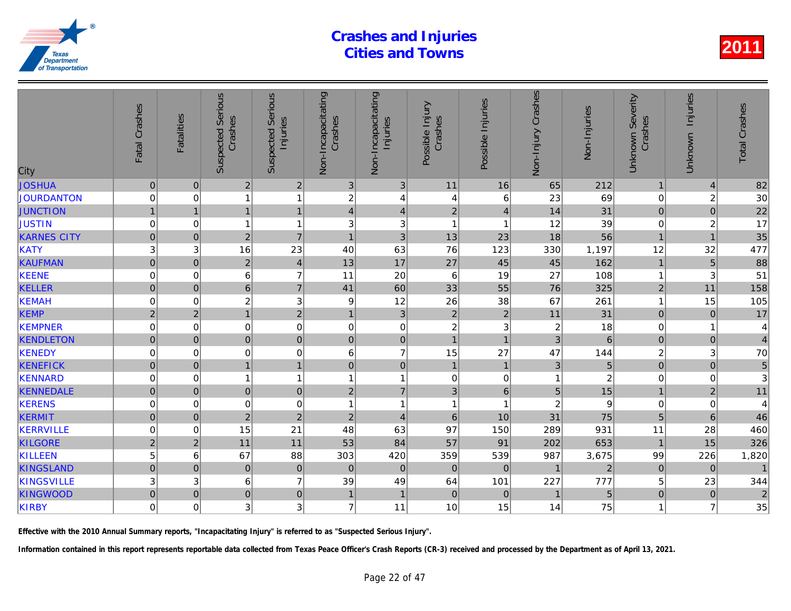| City               | Fatal Crashes  | <b>Fatalities</b> | <b>Suspected Serious</b><br>Crashes | Serious<br>Injuries<br>Suspected | Non-Incapacitating<br>Crashes | Non-Incapacitating<br>Injuries | Possible Injury<br>Crashes | Possible Injuries | Non-Injury Crashes | Non-Injuries   |
|--------------------|----------------|-------------------|-------------------------------------|----------------------------------|-------------------------------|--------------------------------|----------------------------|-------------------|--------------------|----------------|
| <b>JOSHUA</b>      | $\pmb{0}$      | $\mathbf 0$       | $\vert$ 2                           | $\overline{c}$                   | $\sqrt{3}$                    | 3                              | 11                         | 16                | 65                 | 212            |
| JOURDANTON         | $\mathbf 0$    | $\mathbf 0$       | 1                                   | $\mathbf{1}$                     | $\overline{c}$                | 4                              | 4                          | 6                 | 23                 | 69             |
| <b>JUNCTION</b>    |                | $\overline{1}$    | $\overline{1}$                      | $\mathbf{1}$                     | $\overline{4}$                | $\overline{4}$                 | $\mathbf 2$                | $\overline{4}$    | 14                 | 31             |
| <b>JUSTIN</b>      | $\mathbf 0$    | $\mathbf 0$       | 1                                   | 1                                | 3                             | $\ensuremath{\mathsf{3}}$      | $\mathbf{1}$               | $\overline{1}$    | 12                 | 39             |
| <b>KARNES CITY</b> | $\mathbf 0$    | $\mathbf 0$       | 2                                   | $\overline{7}$                   | $\mathbf{1}$                  | $\mathbf{3}$                   | 13                         | 23                | 18                 | 56             |
| <b>KATY</b>        | 3              | 3                 | 16                                  | 23                               | 40                            | 63                             | 76                         | 123               | 330                | 1,197          |
| <b>KAUFMAN</b>     | $\overline{0}$ | $\mathbf{0}$      | $\overline{2}$                      | $\overline{\mathbf{4}}$          | 13                            | 17                             | 27                         | 45                | 45                 | 162            |
| <b>KEENE</b>       | $\mathbf 0$    | 0                 | 6                                   | $\overline{7}$                   | 11                            | 20                             | $\,6$                      | 19                | 27                 | 108            |
| <b>KELLER</b>      | $\mathbf 0$    | $\mathbf 0$       | 6 <sup>1</sup>                      | $\overline{7}$                   | 41                            | 60                             | 33                         | 55                | 76                 | 325            |
| <b>KEMAH</b>       | $\mathbf 0$    | $\mathbf 0$       | $\overline{\mathbf{c}}$             | $\ensuremath{\mathsf{3}}$        | 9                             | 12                             | 26                         | 38                | 67                 | 261            |
| <b>KEMP</b>        | $\overline{2}$ | $\overline{2}$    | $\overline{1}$                      | $\overline{a}$                   | $\mathbf{1}$                  | $\overline{3}$                 | $\overline{2}$             | $\overline{2}$    | 11                 | 31             |
| <b>KEMPNER</b>     | $\mathbf 0$    | $\mathbf 0$       | $\overline{0}$                      | $\mathbf 0$                      | $\mathbf 0$                   | $\mathbf 0$                    | $\overline{c}$             | $\sqrt{3}$        | $\overline{2}$     | 18             |
| <b>KENDLETON</b>   | $\mathbf 0$    | $\pmb{0}$         | $\overline{0}$                      | $\mathbf 0$                      | $\pmb{0}$                     | $\overline{0}$                 | $\overline{1}$             | $\overline{1}$    | $\mathbf{3}$       | 6              |
| <b>KENEDY</b>      | $\mathbf 0$    | $\mathbf 0$       | $\mathbf 0$                         | $\mathbf 0$                      | 6                             | $\overline{7}$                 | 15                         | 27                | 47                 | 144            |
| <b>KENEFICK</b>    | $\mathbf 0$    | $\pmb{0}$         | 1                                   | $\mathbf{1}$                     | $\pmb{0}$                     | $\overline{0}$                 | $\mathbf{1}$               | $\mathbf{1}$      | 3                  | 5              |
| <b>KENNARD</b>     | $\mathbf 0$    | 0                 | 1                                   | 1                                | $\overline{1}$                | $\mathbf{1}$                   | $\mathbf 0$                | $\pmb{0}$         | 1                  | $\overline{a}$ |
| <b>KENNEDALE</b>   | $\Omega$       | $\mathbf{0}$      | $\overline{0}$                      | $\mathbf 0$                      | $\overline{2}$                | $\overline{7}$                 | 3                          | 6                 | 5                  | 15             |
| <b>KERENS</b>      | 0              | $\mathbf 0$       | $\mathbf 0$                         | $\mathbf 0$                      | $\overline{1}$                | $\mathbf{1}$                   | $\mathbf{1}$               | $\overline{1}$    | $\overline{c}$     | 9              |
| <b>KERMIT</b>      | $\mathbf{0}$   | $\mathbf 0$       | $\overline{c}$                      | $\mathbf 2$                      | $\sqrt{2}$                    | $\overline{4}$                 | $\,$ 6                     | 10                | 31                 | 75             |
| <b>KERRVILLE</b>   | $\mathbf 0$    | $\mathbf 0$       | 15                                  | 21                               | 48                            | 63                             | 97                         | 150               | 289                | 931            |
| <b>KILGORE</b>     | $\overline{2}$ | $\overline{2}$    | 11                                  | 11                               | 53                            | 84                             | 57                         | 91                | 202                | 653            |
| <b>KILLEEN</b>     | 5              | 6                 | 67                                  | 88                               | 303                           | 420                            | 359                        | 539               | 987                | 3,675          |
| <b>KINGSLAND</b>   | $\mathbf 0$    | $\mathbf{0}$      | $\mathbf 0$                         | $\pmb{0}$                        | $\mathbf 0$                   | $\mathbf 0$                    | $\boldsymbol{0}$           | $\mathbf{0}$      | $\mathbf{1}$       | $\overline{a}$ |
| <b>KINGSVILLE</b>  | 3              | 3                 | $\,6\,$                             | $\overline{7}$                   | 39                            | 49                             | 64                         | 101               | 227                | 777            |
| <b>KINGWOOD</b>    | $\mathbf 0$    | $\mathbf 0$       | $\mathbf 0$                         | $\mathbf 0$                      | $\mathbf{1}$                  | $\mathbf{1}$                   | $\mathbf 0$                | $\mathbf 0$       |                    | 5              |
| <b>KIRBY</b>       | $\mathbf 0$    | $\Omega$          | 3                                   | 3                                | $\overline{7}$                | 11                             | 10                         | 15                | 14                 | 75             |
|                    |                |                   |                                     |                                  |                               |                                |                            |                   |                    |                |

Effective with the 2010 Annual Summary reports, "Incapacitating Injury" is referred to as "Suspected Serious Injury".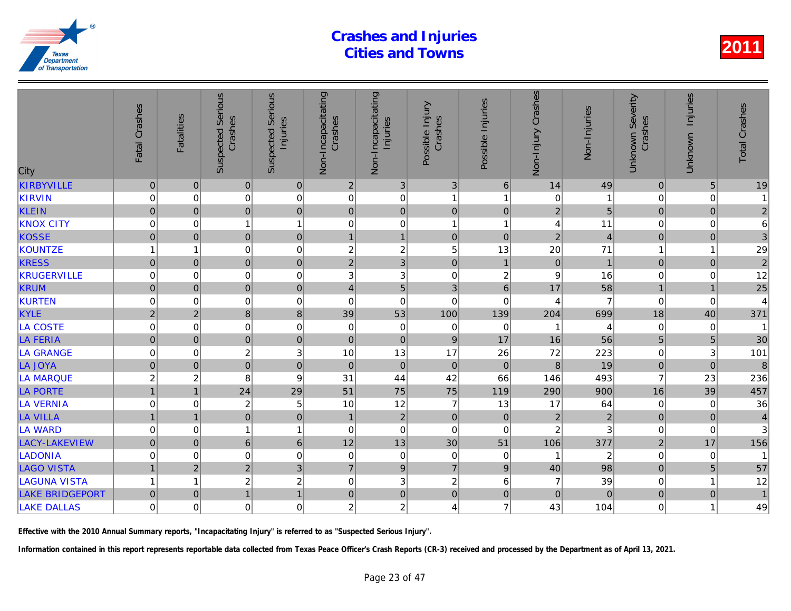| City                   | Fatal Crashes       | <b>Fatalities</b>       | <b>Suspected Serious</b><br>Crashes | Serious<br>Injuries<br>Suspected | Non-Incapacitating<br>Crashes | Non-Incapacitating<br>Injuries | Possible Injury<br>Crashes | Possible Injuries       | Non-Injury Crashes | Non-Injuries   |
|------------------------|---------------------|-------------------------|-------------------------------------|----------------------------------|-------------------------------|--------------------------------|----------------------------|-------------------------|--------------------|----------------|
| <b>KIRBYVILLE</b>      | $\pmb{0}$           | $\mathbf 0$             | $\pmb{0}$                           | $\pmb{0}$                        | $\overline{2}$                | $\sqrt{3}$                     | $\sqrt{3}$                 | 6                       | 14                 | 49             |
| KIRVIN                 | 0                   | 0                       | 0                                   | $\mathbf 0$                      | 0                             | 0                              | $\mathbf{1}$               | $\overline{\mathbf{1}}$ | 0                  |                |
| <b>KLEIN</b>           | $\mathbf 0$         | $\mathbf 0$             | $\mathbf 0$                         | $\pmb{0}$                        | $\pmb{0}$                     | $\mathbf 0$                    | $\mathbf 0$                | $\overline{0}$          | $\overline{2}$     | 5              |
| <b>KNOX CITY</b>       | $\mathbf 0$         | $\mathbf 0$             | 1                                   | $\mathbf{1}$                     | 0                             | $\pmb{0}$                      | $\mathbf{1}$               | 1                       | 4                  | 11             |
| <b>KOSSE</b>           | $\mathsf{O}\xspace$ | $\mathbf 0$             | $\pmb{0}$                           | $\mathbf 0$                      | $\mathbf{1}$                  | $\mathbf{1}$                   | $\mathbf 0$                | $\overline{0}$          | $\overline{2}$     | $\overline{4}$ |
| KOUNTZE                |                     | 1                       | $\mathbf 0$                         | $\mathbf 0$                      | 2                             | $\boldsymbol{2}$               | 5                          | 13                      | 20                 | 71             |
| <b>KRESS</b>           | $\mathbf 0$         | $\mathbf 0$             | $\overline{0}$                      | $\pmb{0}$                        | $\overline{2}$                | $\mathbf{3}$                   | $\mathbf 0$                | $\mathbf{1}$            | $\overline{0}$     |                |
| <b>KRUGERVILLE</b>     | $\mathbf 0$         | 0                       | $\mathbf 0$                         | 0                                | 3                             | 3                              | $\pmb{0}$                  | $\boldsymbol{2}$        | 9                  | 16             |
| <b>KRUM</b>            | $\overline{0}$      | $\mathbf 0$             | $\mathbf 0$                         | $\overline{0}$                   | $\overline{4}$                | 5                              | 3                          | $6\phantom{a}$          | 17                 | 58             |
| KURTEN                 | $\mathbf 0$         | $\mathbf 0$             | $\mathbf 0$                         | $\mathbf 0$                      | $\mathbf 0$                   | $\mathbf 0$                    | $\mathbf 0$                | $\mathbf 0$             | 4                  | $\overline{7}$ |
| <b>KYLE</b>            | $\overline{2}$      | $\overline{2}$          | 8                                   | 8                                | 39                            | 53                             | 100                        | 139                     | 204                | 699            |
| <b>LA COSTE</b>        | $\overline{0}$      | $\mathbf 0$             | $\mathbf 0$                         | $\mathbf 0$                      | $\mathbf 0$                   | $\pmb{0}$                      | $\mathbf 0$                | $\mathbf 0$             |                    |                |
| <b>LA FERIA</b>        | $\overline{0}$      | $\mathbf 0$             | $\overline{0}$                      | $\pmb{0}$                        | $\pmb{0}$                     | $\mathbf 0$                    | $\overline{9}$             | 17                      | 16                 | 56             |
| <b>LA GRANGE</b>       | 0                   | 0                       | $\boldsymbol{2}$                    | 3                                | 10                            | 13                             | 17                         | 26                      | 72                 | 223            |
| <b>LA JOYA</b>         | $\mathsf{O}\xspace$ | $\pmb{0}$               | $\mathbf 0$                         | $\mathbf 0$                      | $\boldsymbol{0}$              | $\pmb{0}$                      | $\mathbf 0$                | $\mathbf 0$             | 8                  | 19             |
| <b>LA MARQUE</b>       | $\overline{c}$      | $\overline{\mathbf{c}}$ | 8                                   | $\boldsymbol{9}$                 | 31                            | 44                             | 42                         | 66                      | 146                | 493            |
| <b>LA PORTE</b>        | $\overline{1}$      | $\overline{1}$          | 24                                  | 29                               | 51                            | 75                             | 75                         | 119                     | 290                | 900            |
| <b>LA VERNIA</b>       | $\mathbf 0$         | $\mathbf 0$             | $\overline{c}$                      | 5                                | 10                            | 12                             | $\overline{7}$             | 13                      | 17                 | 64             |
| <b>LA VILLA</b>        | $\mathbf{1}$        | $\overline{1}$          | $\pmb{0}$                           | $\mathbf 0$                      | $\mathbf{1}$                  | $\sqrt{2}$                     | $\pmb{0}$                  | $\mathbf{0}$            | $\overline{c}$     | $\overline{a}$ |
| <b>LA WARD</b>         | 0                   | 0                       | 1                                   | $\mathbf{1}$                     | 0                             | $\pmb{0}$                      | $\pmb{0}$                  | 0                       | $\overline{c}$     | 3              |
| LACY-LAKEVIEW          | $\mathbf 0$         | $\mathbf 0$             | $6\phantom{a}$                      | 6                                | 12                            | 13                             | 30                         | 51                      | 106                | 377            |
| <b>LADONIA</b>         | 0                   | 0                       | $\mathbf 0$                         | $\mathbf 0$                      | 0                             | $\pmb{0}$                      | $\pmb{0}$                  | 0                       | 1                  | $\overline{2}$ |
| <b>LAGO VISTA</b>      | $\mathbf{1}$        | $\overline{2}$          | $\overline{2}$                      | 3                                | $\overline{7}$                | $\boldsymbol{9}$               | $\overline{7}$             | $\boldsymbol{9}$        | 40                 | 98             |
| <b>LAGUNA VISTA</b>    | 1                   | 1                       | $\boldsymbol{2}$                    | $\overline{c}$                   | $\mathbf 0$                   | 3                              | $\overline{c}$             | 6                       | 7                  | 39             |
| <b>LAKE BRIDGEPORT</b> | $\mathbf 0$         | $\mathbf 0$             | $\overline{1}$                      | $\overline{1}$                   | $\mathbf 0$                   | $\overline{0}$                 | $\mathbf 0$                | $\mathbf 0$             | $\pmb{0}$          | $\Omega$       |
| <b>LAKE DALLAS</b>     | $\mathbf 0$         | $\mathbf 0$             | $\mathbf 0$                         | $\overline{0}$                   | $\overline{c}$                | $\overline{c}$                 | 4                          | $\overline{7}$          | 43                 | 104            |
|                        |                     |                         |                                     |                                  |                               |                                |                            |                         |                    |                |

Effective with the 2010 Annual Summary reports, "Incapacitating Injury" is referred to as "Suspected Serious Injury".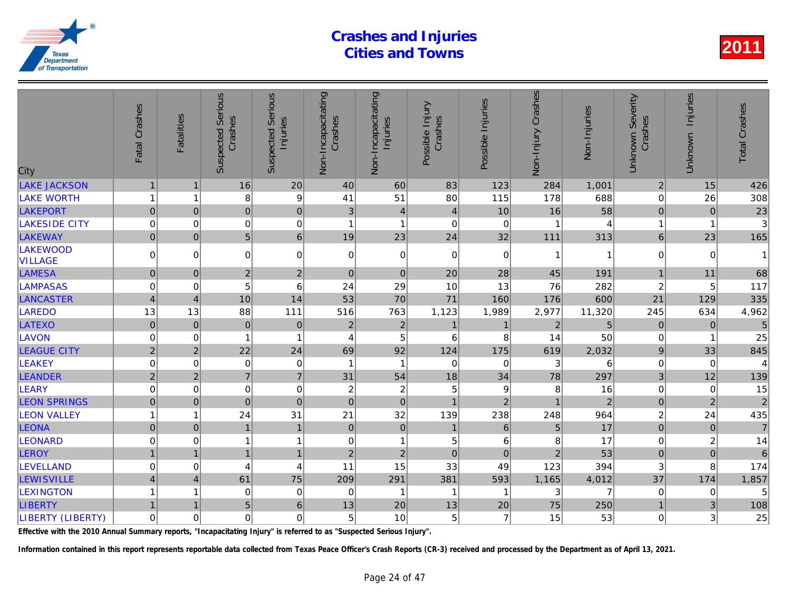| <b>LAKE JACKSON</b><br>16<br>20<br>40<br>60<br>83<br>284<br>$\mathbf{1}$<br>123<br>$\mathbf 1$<br><b>LAKE WORTH</b><br>9<br>8<br>51<br>80<br>178<br>41<br>115<br>1<br>1<br>LAKEPORT<br>$\pmb{0}$<br>16<br>$\mathsf{O}\xspace$<br>$\pmb{0}$<br>3<br>$\overline{4}$<br>$\overline{\mathbf{4}}$<br>10<br>$\mathbf{0}$<br>0<br>$\mathbf 0$<br><b>LAKESIDE CITY</b><br>$\mathbf 0$<br>$\mathbf 0$<br>$\mathbf 0$<br>$\overline{1}$<br>$\mathbf{1}$<br>$\mathbf 0$<br>1<br>$6\phantom{a}$<br>5<br>$\overline{0}$<br>19<br>24<br><b>LAKEWAY</b><br>$\Omega$<br>23<br>32<br>111<br><b>LAKEWOOD</b><br>$\overline{0}$<br>0<br>$\mathbf 0$<br>$\mathbf 0$<br>$\mathbf 0$<br>$\mathbf 0$<br>0<br>$\mathbf 0$<br>1<br><b>VILLAGE</b><br><b>LAMESA</b><br>$\overline{2}$<br>$\overline{c}$<br>$\pmb{0}$<br>$\mathbf{0}$<br>$\mathbf 0$<br>$\mathbf 0$<br>20<br>28<br>45<br><b>LAMPASAS</b><br>5<br>$6\phantom{1}6$<br>24<br>29<br>76<br>0<br>10<br>13<br>0<br>70<br><b>LANCASTER</b><br>53<br>71<br>$\overline{4}$<br>10<br>14<br>160<br>176<br>$\overline{4}$<br>13<br>111<br>763<br>1,123<br><b>LAREDO</b><br>13<br>88<br>516<br>1,989<br>2,977<br>$\mathbf 2$<br><b>LATEXO</b><br>$\pmb{0}$<br>$\mathbf 0$<br>$\mathbf 0$<br>$\overline{2}$<br>$\overline{2}$<br>$\mathbf 0$<br>$\mathbf{1}$<br>$\mathbf 1$<br>5<br><b>LAVON</b><br>$\mathbf 0$<br>4<br>6<br>8<br>14<br>0<br>1<br>$\overline{2}$<br>69<br>92<br><b>LEAGUE CITY</b><br>$\overline{2}$<br>22<br>24<br>124<br>175<br>619<br><b>LEAKEY</b><br>$\mathbf 0$<br>$\mathbf 0$<br>3<br>$\mathbf 0$<br>$\pmb{0}$<br>$\overline{1}$<br>$\mathbf 0$<br>$\mathbf{1}$<br>$\mathbf 0$<br>$\overline{7}$<br>$\overline{7}$<br>54<br>$\overline{2}$<br>$\overline{2}$<br>31<br>18<br>34<br>78<br><b>LEANDER</b><br>$\mathbf 0$<br>$\overline{c}$<br>5<br><b>LEARY</b><br>$\mathbf 0$<br>$\pmb{0}$<br>$\sqrt{2}$<br>9<br>8<br>0<br><b>LEON SPRINGS</b><br>$\pmb{0}$<br>$\mathbf 0$<br>$\pmb{0}$<br>$\pmb{0}$<br>$\mathbf{0}$<br>$\mathbf 0$<br>$\mathbf{1}$<br>$\overline{2}$<br>$\mathbf{1}$<br>31<br><b>LEON VALLEY</b><br>24<br>21<br>32<br>139<br>238<br>248<br>1<br>1<br>$\mathbf 0$<br>LEONA<br>$\overline{0}$<br>$6\phantom{1}6$<br>$\mathbf 0$<br>$\overline{1}$<br>$\mathbf 0$<br>5<br>$\mathbf{1}$<br>$\mathbf{1}$<br>LEONARD<br>0<br>$\mathbf{1}$<br>5<br>8<br>0<br>0<br>$\mathbf{1}$<br>6<br>1<br>$\overline{2}$<br>$\overline{2}$<br>$\mathbf 0$<br>$\overline{2}$<br><b>LEROY</b><br>$\mathbf{1}$<br>$\mathbf{1}$<br>$\mathbf{1}$<br>$\Omega$<br>$\overline{1}$<br><b>LEVELLAND</b><br>15<br>33<br>123<br>0<br>11<br>49<br>0<br>4<br>4<br><b>LEWISVILLE</b><br>$\overline{4}$<br>61<br>75<br>381<br>209<br>291<br>593<br>1,165<br>$\overline{4}$<br><b>LEXINGTON</b><br>$\mathbf 0$<br>0<br>0<br>3<br>1<br>$\mathbf 1$<br>1<br>-1<br><b>LIBERTY</b><br>5 <sup>1</sup><br>6<br>13<br>20<br>13<br>75<br>$\mathbf{1}$<br>20<br>$\mathbf 1$ | City              | Fatal Crashes | <b>Fatalities</b> | <b>Suspected Serious</b><br>Crashes | Serious<br>Injuries<br>Suspected | Non-Incapacitating<br>Crashes | Non-Incapacitating<br>Injuries | Possible Injury<br>Crashes | Possible Injuries | Non-Injury Crashes | Non-Injuries   |
|------------------------------------------------------------------------------------------------------------------------------------------------------------------------------------------------------------------------------------------------------------------------------------------------------------------------------------------------------------------------------------------------------------------------------------------------------------------------------------------------------------------------------------------------------------------------------------------------------------------------------------------------------------------------------------------------------------------------------------------------------------------------------------------------------------------------------------------------------------------------------------------------------------------------------------------------------------------------------------------------------------------------------------------------------------------------------------------------------------------------------------------------------------------------------------------------------------------------------------------------------------------------------------------------------------------------------------------------------------------------------------------------------------------------------------------------------------------------------------------------------------------------------------------------------------------------------------------------------------------------------------------------------------------------------------------------------------------------------------------------------------------------------------------------------------------------------------------------------------------------------------------------------------------------------------------------------------------------------------------------------------------------------------------------------------------------------------------------------------------------------------------------------------------------------------------------------------------------------------------------------------------------------------------------------------------------------------------------------------------------------------------------------------------------------------------------------------------------------------------------------------------------------------------------------------------------------------------------------------------------------------------------------------------------------------------------------------------------------------------------------------------------------------------------------------------------------------------------------------------------------------------|-------------------|---------------|-------------------|-------------------------------------|----------------------------------|-------------------------------|--------------------------------|----------------------------|-------------------|--------------------|----------------|
|                                                                                                                                                                                                                                                                                                                                                                                                                                                                                                                                                                                                                                                                                                                                                                                                                                                                                                                                                                                                                                                                                                                                                                                                                                                                                                                                                                                                                                                                                                                                                                                                                                                                                                                                                                                                                                                                                                                                                                                                                                                                                                                                                                                                                                                                                                                                                                                                                                                                                                                                                                                                                                                                                                                                                                                                                                                                                          |                   |               |                   |                                     |                                  |                               |                                |                            |                   |                    | 1,001          |
|                                                                                                                                                                                                                                                                                                                                                                                                                                                                                                                                                                                                                                                                                                                                                                                                                                                                                                                                                                                                                                                                                                                                                                                                                                                                                                                                                                                                                                                                                                                                                                                                                                                                                                                                                                                                                                                                                                                                                                                                                                                                                                                                                                                                                                                                                                                                                                                                                                                                                                                                                                                                                                                                                                                                                                                                                                                                                          |                   |               |                   |                                     |                                  |                               |                                |                            |                   |                    | 688            |
|                                                                                                                                                                                                                                                                                                                                                                                                                                                                                                                                                                                                                                                                                                                                                                                                                                                                                                                                                                                                                                                                                                                                                                                                                                                                                                                                                                                                                                                                                                                                                                                                                                                                                                                                                                                                                                                                                                                                                                                                                                                                                                                                                                                                                                                                                                                                                                                                                                                                                                                                                                                                                                                                                                                                                                                                                                                                                          |                   |               |                   |                                     |                                  |                               |                                |                            |                   |                    | 58             |
|                                                                                                                                                                                                                                                                                                                                                                                                                                                                                                                                                                                                                                                                                                                                                                                                                                                                                                                                                                                                                                                                                                                                                                                                                                                                                                                                                                                                                                                                                                                                                                                                                                                                                                                                                                                                                                                                                                                                                                                                                                                                                                                                                                                                                                                                                                                                                                                                                                                                                                                                                                                                                                                                                                                                                                                                                                                                                          |                   |               |                   |                                     |                                  |                               |                                |                            |                   |                    | 4              |
|                                                                                                                                                                                                                                                                                                                                                                                                                                                                                                                                                                                                                                                                                                                                                                                                                                                                                                                                                                                                                                                                                                                                                                                                                                                                                                                                                                                                                                                                                                                                                                                                                                                                                                                                                                                                                                                                                                                                                                                                                                                                                                                                                                                                                                                                                                                                                                                                                                                                                                                                                                                                                                                                                                                                                                                                                                                                                          |                   |               |                   |                                     |                                  |                               |                                |                            |                   |                    | 313            |
|                                                                                                                                                                                                                                                                                                                                                                                                                                                                                                                                                                                                                                                                                                                                                                                                                                                                                                                                                                                                                                                                                                                                                                                                                                                                                                                                                                                                                                                                                                                                                                                                                                                                                                                                                                                                                                                                                                                                                                                                                                                                                                                                                                                                                                                                                                                                                                                                                                                                                                                                                                                                                                                                                                                                                                                                                                                                                          |                   |               |                   |                                     |                                  |                               |                                |                            |                   |                    |                |
|                                                                                                                                                                                                                                                                                                                                                                                                                                                                                                                                                                                                                                                                                                                                                                                                                                                                                                                                                                                                                                                                                                                                                                                                                                                                                                                                                                                                                                                                                                                                                                                                                                                                                                                                                                                                                                                                                                                                                                                                                                                                                                                                                                                                                                                                                                                                                                                                                                                                                                                                                                                                                                                                                                                                                                                                                                                                                          |                   |               |                   |                                     |                                  |                               |                                |                            |                   |                    | 191            |
|                                                                                                                                                                                                                                                                                                                                                                                                                                                                                                                                                                                                                                                                                                                                                                                                                                                                                                                                                                                                                                                                                                                                                                                                                                                                                                                                                                                                                                                                                                                                                                                                                                                                                                                                                                                                                                                                                                                                                                                                                                                                                                                                                                                                                                                                                                                                                                                                                                                                                                                                                                                                                                                                                                                                                                                                                                                                                          |                   |               |                   |                                     |                                  |                               |                                |                            |                   |                    | 282            |
|                                                                                                                                                                                                                                                                                                                                                                                                                                                                                                                                                                                                                                                                                                                                                                                                                                                                                                                                                                                                                                                                                                                                                                                                                                                                                                                                                                                                                                                                                                                                                                                                                                                                                                                                                                                                                                                                                                                                                                                                                                                                                                                                                                                                                                                                                                                                                                                                                                                                                                                                                                                                                                                                                                                                                                                                                                                                                          |                   |               |                   |                                     |                                  |                               |                                |                            |                   |                    | 600            |
|                                                                                                                                                                                                                                                                                                                                                                                                                                                                                                                                                                                                                                                                                                                                                                                                                                                                                                                                                                                                                                                                                                                                                                                                                                                                                                                                                                                                                                                                                                                                                                                                                                                                                                                                                                                                                                                                                                                                                                                                                                                                                                                                                                                                                                                                                                                                                                                                                                                                                                                                                                                                                                                                                                                                                                                                                                                                                          |                   |               |                   |                                     |                                  |                               |                                |                            |                   |                    | 11,320         |
|                                                                                                                                                                                                                                                                                                                                                                                                                                                                                                                                                                                                                                                                                                                                                                                                                                                                                                                                                                                                                                                                                                                                                                                                                                                                                                                                                                                                                                                                                                                                                                                                                                                                                                                                                                                                                                                                                                                                                                                                                                                                                                                                                                                                                                                                                                                                                                                                                                                                                                                                                                                                                                                                                                                                                                                                                                                                                          |                   |               |                   |                                     |                                  |                               |                                |                            |                   |                    | 5              |
|                                                                                                                                                                                                                                                                                                                                                                                                                                                                                                                                                                                                                                                                                                                                                                                                                                                                                                                                                                                                                                                                                                                                                                                                                                                                                                                                                                                                                                                                                                                                                                                                                                                                                                                                                                                                                                                                                                                                                                                                                                                                                                                                                                                                                                                                                                                                                                                                                                                                                                                                                                                                                                                                                                                                                                                                                                                                                          |                   |               |                   |                                     |                                  |                               |                                |                            |                   |                    | 50             |
|                                                                                                                                                                                                                                                                                                                                                                                                                                                                                                                                                                                                                                                                                                                                                                                                                                                                                                                                                                                                                                                                                                                                                                                                                                                                                                                                                                                                                                                                                                                                                                                                                                                                                                                                                                                                                                                                                                                                                                                                                                                                                                                                                                                                                                                                                                                                                                                                                                                                                                                                                                                                                                                                                                                                                                                                                                                                                          |                   |               |                   |                                     |                                  |                               |                                |                            |                   |                    | 2,032          |
|                                                                                                                                                                                                                                                                                                                                                                                                                                                                                                                                                                                                                                                                                                                                                                                                                                                                                                                                                                                                                                                                                                                                                                                                                                                                                                                                                                                                                                                                                                                                                                                                                                                                                                                                                                                                                                                                                                                                                                                                                                                                                                                                                                                                                                                                                                                                                                                                                                                                                                                                                                                                                                                                                                                                                                                                                                                                                          |                   |               |                   |                                     |                                  |                               |                                |                            |                   |                    | 6              |
|                                                                                                                                                                                                                                                                                                                                                                                                                                                                                                                                                                                                                                                                                                                                                                                                                                                                                                                                                                                                                                                                                                                                                                                                                                                                                                                                                                                                                                                                                                                                                                                                                                                                                                                                                                                                                                                                                                                                                                                                                                                                                                                                                                                                                                                                                                                                                                                                                                                                                                                                                                                                                                                                                                                                                                                                                                                                                          |                   |               |                   |                                     |                                  |                               |                                |                            |                   |                    | 297            |
|                                                                                                                                                                                                                                                                                                                                                                                                                                                                                                                                                                                                                                                                                                                                                                                                                                                                                                                                                                                                                                                                                                                                                                                                                                                                                                                                                                                                                                                                                                                                                                                                                                                                                                                                                                                                                                                                                                                                                                                                                                                                                                                                                                                                                                                                                                                                                                                                                                                                                                                                                                                                                                                                                                                                                                                                                                                                                          |                   |               |                   |                                     |                                  |                               |                                |                            |                   |                    | 16             |
|                                                                                                                                                                                                                                                                                                                                                                                                                                                                                                                                                                                                                                                                                                                                                                                                                                                                                                                                                                                                                                                                                                                                                                                                                                                                                                                                                                                                                                                                                                                                                                                                                                                                                                                                                                                                                                                                                                                                                                                                                                                                                                                                                                                                                                                                                                                                                                                                                                                                                                                                                                                                                                                                                                                                                                                                                                                                                          |                   |               |                   |                                     |                                  |                               |                                |                            |                   |                    | $\overline{a}$ |
|                                                                                                                                                                                                                                                                                                                                                                                                                                                                                                                                                                                                                                                                                                                                                                                                                                                                                                                                                                                                                                                                                                                                                                                                                                                                                                                                                                                                                                                                                                                                                                                                                                                                                                                                                                                                                                                                                                                                                                                                                                                                                                                                                                                                                                                                                                                                                                                                                                                                                                                                                                                                                                                                                                                                                                                                                                                                                          |                   |               |                   |                                     |                                  |                               |                                |                            |                   |                    | 964            |
|                                                                                                                                                                                                                                                                                                                                                                                                                                                                                                                                                                                                                                                                                                                                                                                                                                                                                                                                                                                                                                                                                                                                                                                                                                                                                                                                                                                                                                                                                                                                                                                                                                                                                                                                                                                                                                                                                                                                                                                                                                                                                                                                                                                                                                                                                                                                                                                                                                                                                                                                                                                                                                                                                                                                                                                                                                                                                          |                   |               |                   |                                     |                                  |                               |                                |                            |                   |                    | 17             |
|                                                                                                                                                                                                                                                                                                                                                                                                                                                                                                                                                                                                                                                                                                                                                                                                                                                                                                                                                                                                                                                                                                                                                                                                                                                                                                                                                                                                                                                                                                                                                                                                                                                                                                                                                                                                                                                                                                                                                                                                                                                                                                                                                                                                                                                                                                                                                                                                                                                                                                                                                                                                                                                                                                                                                                                                                                                                                          |                   |               |                   |                                     |                                  |                               |                                |                            |                   |                    | 17             |
|                                                                                                                                                                                                                                                                                                                                                                                                                                                                                                                                                                                                                                                                                                                                                                                                                                                                                                                                                                                                                                                                                                                                                                                                                                                                                                                                                                                                                                                                                                                                                                                                                                                                                                                                                                                                                                                                                                                                                                                                                                                                                                                                                                                                                                                                                                                                                                                                                                                                                                                                                                                                                                                                                                                                                                                                                                                                                          |                   |               |                   |                                     |                                  |                               |                                |                            |                   |                    | 53             |
|                                                                                                                                                                                                                                                                                                                                                                                                                                                                                                                                                                                                                                                                                                                                                                                                                                                                                                                                                                                                                                                                                                                                                                                                                                                                                                                                                                                                                                                                                                                                                                                                                                                                                                                                                                                                                                                                                                                                                                                                                                                                                                                                                                                                                                                                                                                                                                                                                                                                                                                                                                                                                                                                                                                                                                                                                                                                                          |                   |               |                   |                                     |                                  |                               |                                |                            |                   |                    | 394            |
|                                                                                                                                                                                                                                                                                                                                                                                                                                                                                                                                                                                                                                                                                                                                                                                                                                                                                                                                                                                                                                                                                                                                                                                                                                                                                                                                                                                                                                                                                                                                                                                                                                                                                                                                                                                                                                                                                                                                                                                                                                                                                                                                                                                                                                                                                                                                                                                                                                                                                                                                                                                                                                                                                                                                                                                                                                                                                          |                   |               |                   |                                     |                                  |                               |                                |                            |                   |                    | 4,012          |
|                                                                                                                                                                                                                                                                                                                                                                                                                                                                                                                                                                                                                                                                                                                                                                                                                                                                                                                                                                                                                                                                                                                                                                                                                                                                                                                                                                                                                                                                                                                                                                                                                                                                                                                                                                                                                                                                                                                                                                                                                                                                                                                                                                                                                                                                                                                                                                                                                                                                                                                                                                                                                                                                                                                                                                                                                                                                                          |                   |               |                   |                                     |                                  |                               |                                |                            |                   |                    |                |
|                                                                                                                                                                                                                                                                                                                                                                                                                                                                                                                                                                                                                                                                                                                                                                                                                                                                                                                                                                                                                                                                                                                                                                                                                                                                                                                                                                                                                                                                                                                                                                                                                                                                                                                                                                                                                                                                                                                                                                                                                                                                                                                                                                                                                                                                                                                                                                                                                                                                                                                                                                                                                                                                                                                                                                                                                                                                                          |                   |               |                   |                                     |                                  |                               |                                |                            |                   |                    | 250            |
|                                                                                                                                                                                                                                                                                                                                                                                                                                                                                                                                                                                                                                                                                                                                                                                                                                                                                                                                                                                                                                                                                                                                                                                                                                                                                                                                                                                                                                                                                                                                                                                                                                                                                                                                                                                                                                                                                                                                                                                                                                                                                                                                                                                                                                                                                                                                                                                                                                                                                                                                                                                                                                                                                                                                                                                                                                                                                          | LIBERTY (LIBERTY) | $\mathbf 0$   | $\mathbf 0$       | $\mathbf 0$                         | 0                                | 5                             | 10                             | 5                          | $\overline{7}$    | 15                 | 53             |

Effective with the 2010 Annual Summary reports, "Incapacitating Injury" is referred to as "Suspected Serious Injury".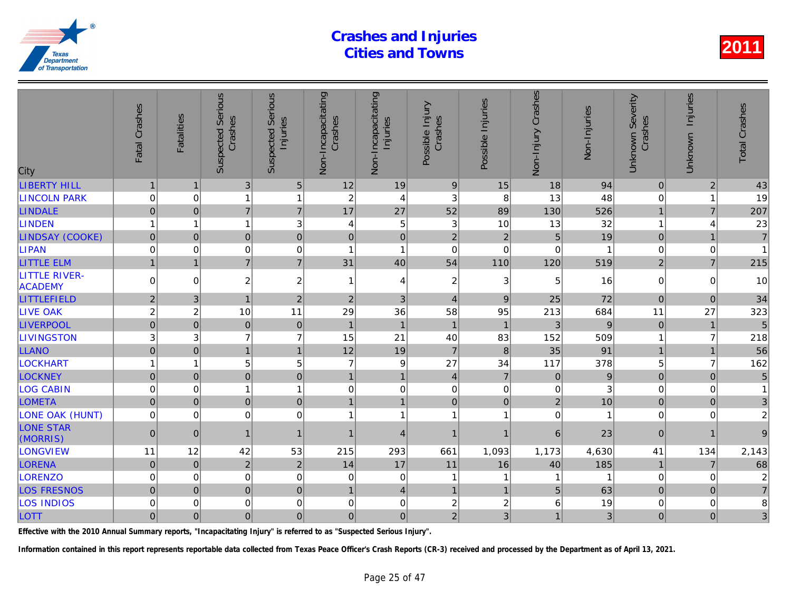| City                                   | Fatal Crashes  | Fatalities              | <b>Suspected Serious</b><br>Crashes | Serious<br>Injuries<br>Suspected | Non-Incapacitating<br>Crashes | Non-Incapacitating<br>Injuries | Possible Injury<br>Crashes | Possible Injuries | Non-Injury Crashes | Non-Injuries |
|----------------------------------------|----------------|-------------------------|-------------------------------------|----------------------------------|-------------------------------|--------------------------------|----------------------------|-------------------|--------------------|--------------|
| <b>LIBERTY HILL</b>                    | $\mathbf{1}$   | $\mathbf 1$             | 3                                   | $\sqrt{5}$                       | 12                            | 19                             | $9$                        | 15                | 18                 | 94           |
| <b>LINCOLN PARK</b>                    | $\mathbf 0$    | 0                       |                                     | $\mathbf{1}$                     | $\overline{c}$                | $\overline{4}$                 | 3                          | 8                 | 13                 | 48           |
| <b>LINDALE</b>                         | $\overline{0}$ | $\Omega$                | $\overline{7}$                      | $\overline{7}$                   | 17                            | 27                             | 52                         | 89                | 130                | 526          |
| <b>LINDEN</b>                          | 1              | $\overline{\mathbf{1}}$ | 1                                   | 3                                | 4                             | $\overline{5}$                 | $\mathbf{3}$               | 10                | 13                 | 32           |
| <b>LINDSAY (COOKE)</b>                 | $\mathbf 0$    | $\Omega$                | $\overline{0}$                      | $\overline{0}$                   | $\overline{0}$                | $\pmb{0}$                      | $\overline{2}$             | $\overline{2}$    | 5                  | 19           |
| <b>LIPAN</b>                           | $\mathbf 0$    | $\Omega$                | $\mathbf 0$                         | $\mathbf 0$                      | 1                             | $\mathbf{1}$                   | $\mathbf 0$                | $\mathbf 0$       | $\Omega$           |              |
| <b>LITTLE ELM</b>                      | $\overline{1}$ | $\overline{1}$          | $\overline{7}$                      | $\overline{7}$                   | 31                            | 40                             | 54                         | 110               | 120                | 519          |
| <b>LITTLE RIVER-</b><br><b>ACADEMY</b> | $\mathbf 0$    | $\Omega$                | $\overline{c}$                      | $\overline{\mathbf{c}}$          | -1                            | $\overline{4}$                 | $\boldsymbol{2}$           | 3                 | 5                  | 16           |
| LITTLEFIELD                            | $\overline{2}$ | 3                       | $\overline{1}$                      | $\sqrt{2}$                       | $\overline{c}$                | 3                              | $\overline{4}$             | 9                 | 25                 | 72           |
| <b>LIVE OAK</b>                        | $\overline{c}$ | $\overline{c}$          | 10                                  | 11                               | 29                            | 36                             | 58                         | 95                | 213                | 684          |
| <b>LIVERPOOL</b>                       | $\overline{0}$ | $\mathbf 0$             | $\mathbf 0$                         | $\pmb{0}$                        | $\overline{1}$                | $\overline{1}$                 | $\mathbf{1}$               | $\overline{1}$    | 3                  | 9            |
| <b>LIVINGSTON</b>                      | 3              | 3                       | $\overline{7}$                      | $\overline{7}$                   | 15                            | 21                             | 40                         | 83                | 152                | 509          |
| <b>LLANO</b>                           | $\overline{0}$ | $\overline{0}$          | $\overline{1}$                      | $\mathbf{1}$                     | 12                            | 19                             | $\overline{7}$             | $\,8\,$           | 35                 | 91           |
| <b>LOCKHART</b>                        |                | 1                       | 5                                   | 5                                | $\overline{7}$                | $\boldsymbol{9}$               | 27                         | 34                | 117                | 378          |
| <b>LOCKNEY</b>                         | $\mathbf 0$    | $\mathbf{0}$            | $\mathbf 0$                         | $\pmb{0}$                        | $\mathbf{1}$                  | $\mathbf{1}$                   | $\overline{4}$             | $\overline{7}$    | $\pmb{0}$          | 9            |
| <b>LOG CABIN</b>                       | $\mathbf 0$    | $\mathbf 0$             | 1                                   | $\mathbf{1}$                     | $\mathbf 0$                   | $\pmb{0}$                      | $\boldsymbol{0}$           | $\mathbf 0$       | 0                  |              |
| <b>LOMETA</b>                          | $\mathbf 0$    | $\Omega$                | $\overline{0}$                      | $\mathbf 0$                      | $\mathbf{1}$                  | $\overline{1}$                 | $\mathbf 0$                | $\Omega$          | $\overline{2}$     | 10           |
| <b>LONE OAK (HUNT)</b>                 | $\mathbf 0$    | $\Omega$                | $\mathbf 0$                         | $\mathbf 0$                      | 1                             | $\mathbf{1}$                   | $\mathbf{1}$               | -1                | $\mathbf 0$        |              |
| <b>LONE STAR</b><br>(MORRIS)           | $\overline{0}$ | $\Omega$                |                                     | $\mathbf{1}$                     |                               | $\overline{4}$                 | $\mathbf{1}$               | 1                 | 6                  | 23           |
| <b>LONGVIEW</b>                        | 11             | 12                      | 42                                  | 53                               | 215                           | 293                            | 661                        | 1,093             | 1,173              | 4,630        |
| <b>LORENA</b>                          | $\mathbf{0}$   | $\Omega$                | $\overline{2}$                      | $\overline{2}$                   | 14                            | 17                             | 11                         | 16                | 40                 | 185          |
| <b>LORENZO</b>                         | $\mathbf 0$    | $\mathbf 0$             | 0                                   | 0                                | 0                             | $\pmb{0}$                      | $\mathbf{1}$               | -1                |                    |              |
| <b>LOS FRESNOS</b>                     | $\Omega$       | $\Omega$                | $\overline{0}$                      | $\overline{0}$                   | $\mathbf{1}$                  | $\overline{4}$                 | $\mathbf{1}$               | $\overline{1}$    | 5                  | 63           |
| <b>LOS INDIOS</b>                      | 0              | 0                       | $\mathbf 0$                         | $\mathbf 0$                      | $\mathbf 0$                   | $\pmb{0}$                      | $\overline{\mathbf{c}}$    | 2                 | 6                  | 19           |
| LOTT                                   | $\overline{0}$ | $\overline{0}$          | $\overline{0}$                      | $\overline{0}$                   | $\overline{0}$                | $\mathbf 0$                    | $\overline{2}$             | 3                 | 1 <sub>1</sub>     | 3            |
|                                        |                |                         |                                     |                                  |                               |                                |                            |                   |                    |              |

Effective with the 2010 Annual Summary reports, "Incapacitating Injury" is referred to as "Suspected Serious Injury".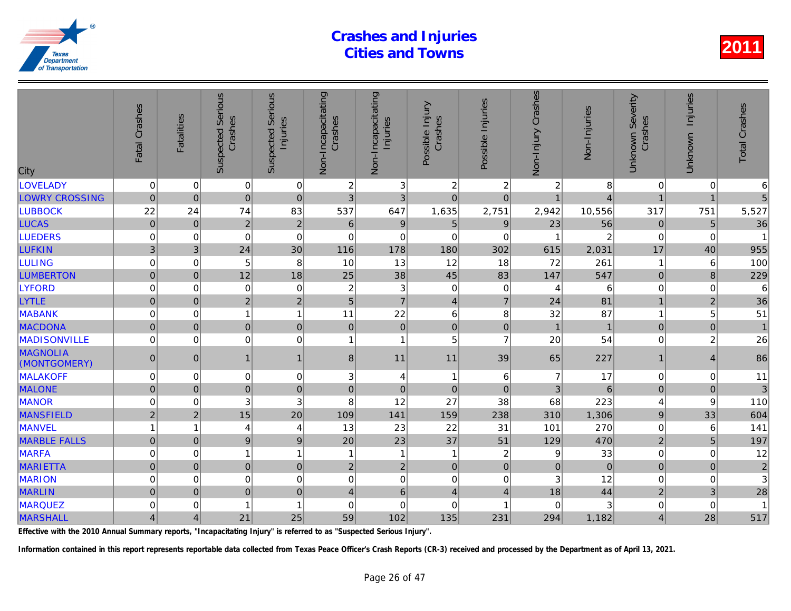| City                            | Fatal Crashes       | <b>Fatalities</b> | <b>Suspected Serious</b><br>Crashes | Serious<br>Injuries<br>Suspected | Non-Incapacitating<br>Crashes | Non-Incapacitating<br>Injuries | Possible Injury<br>Crashes | Possible Injuries | Non-Injury Crashes | Non-Injuries   |
|---------------------------------|---------------------|-------------------|-------------------------------------|----------------------------------|-------------------------------|--------------------------------|----------------------------|-------------------|--------------------|----------------|
| <b>LOVELADY</b>                 | $\mathbf 0$         | 0                 | $\mathbf 0$                         | $\overline{0}$                   | 2                             | 3                              | $\overline{c}$             | $\overline{c}$    | 2                  |                |
| <b>LOWRY CROSSING</b>           | $\pmb{0}$           | $\overline{0}$    | $\mathbf 0$                         | $\mathbf 0$                      | 3                             | 3                              | $\mathbf 0$                | $\mathbf 0$       | $\overline{1}$     |                |
| <b>LUBBOCK</b>                  | 22                  | 24                | 74                                  | 83                               | 537                           | 647                            | 1,635                      | 2,751             | 2,942              | 10,556         |
| <b>LUCAS</b>                    | $\mathbf 0$         | $\mathbf{0}$      | $\overline{2}$                      | $\overline{2}$                   | $\,$ 6 $\,$                   | $\mathsf g$                    | $\overline{5}$             | 9                 | 23                 | 56             |
| <b>LUEDERS</b>                  | $\mathbf 0$         | $\Omega$          | $\Omega$                            | $\Omega$                         | $\Omega$                      | $\mathbf 0$                    | $\Omega$                   | $\Omega$          |                    |                |
| <b>LUFKIN</b>                   | 3                   | 3                 | 24                                  | 30                               | 116                           | 178                            | 180                        | 302               | 615                | 2,031          |
| <b>LULING</b>                   | $\mathbf 0$         | 0                 | 5                                   | 8                                | 10                            | 13                             | 12                         | 18                | 72                 | 261            |
| <b>LUMBERTON</b>                | $\mathbf 0$         | $\pmb{0}$         | 12                                  | 18                               | 25                            | 38                             | 45                         | 83                | 147                | 547            |
| <b>LYFORD</b>                   | 0                   | $\Omega$          | $\mathbf 0$                         | $\mathbf 0$                      | $\overline{2}$                | $\mathbf{3}$                   | $\mathbf 0$                | 0                 | 4                  | 6              |
| <b>LYTLE</b>                    | $\mathbf 0$         | $\overline{0}$    | $\overline{2}$                      | $\overline{2}$                   | 5                             | $\overline{7}$                 | $\overline{4}$             | $\overline{7}$    | 24                 | 81             |
| <b>MABANK</b>                   | $\mathbf 0$         | 0                 |                                     | $\mathbf{1}$                     | 11                            | 22                             | 6                          | 8                 | 32                 | 87             |
| <b>MACDONA</b>                  | $\overline{0}$      | $\mathbf 0$       | $\mathbf 0$                         | $\pmb{0}$                        | $\mathbf 0$                   | $\pmb{0}$                      | $\mathbf 0$                | $\mathbf 0$       | $\overline{1}$     | $\overline{1}$ |
| <b>MADISONVILLE</b>             | 0                   | $\mathbf 0$       | $\mathbf 0$                         | 0                                | 1                             | $\mathbf{1}$                   | 5                          | $\overline{7}$    | 20                 | 54             |
| <b>MAGNOLIA</b><br>(MONTGOMERY) | $\mathbf{0}$        | $\Omega$          | $\overline{1}$                      | $\mathbf{1}$                     | 8                             | 11                             | 11                         | 39                | 65                 | 227            |
| <b>MALAKOFF</b>                 | 0                   | 0                 | $\mathbf 0$                         | $\mathbf 0$                      | 3                             | $\overline{4}$                 | $\mathbf{1}$               | 6                 | $\overline{7}$     | 17             |
| <b>MALONE</b>                   | $\mathsf{O}\xspace$ | $\mathbf{0}$      | $\mathbf 0$                         | $\pmb{0}$                        | $\boldsymbol{0}$              | $\pmb{0}$                      | $\mathbf 0$                | $\mathbf{0}$      | 3                  | 6              |
| <b>MANOR</b>                    | 0                   | 0                 | 3                                   | 3                                | 8                             | 12                             | 27                         | 38                | 68                 | 223            |
| <b>MANSFIELD</b>                | $\overline{2}$      | $\overline{2}$    | 15                                  | 20                               | 109                           | 141                            | 159                        | 238               | 310                | 1,306          |
| <b>MANVEL</b>                   |                     | 1                 | 4                                   | $\overline{4}$                   | 13                            | 23                             | 22                         | 31                | 101                | 270            |
| <b>MARBLE FALLS</b>             | $\mathbf 0$         | $\overline{0}$    | 9                                   | $\overline{9}$                   | 20                            | 23                             | 37                         | 51                | 129                | 470            |
| <b>MARFA</b>                    | 0                   | 0                 | 1                                   | $\mathbf{1}$                     | $\overline{1}$                | $\mathbf{1}$                   | $\mathbf{1}$               | $\boldsymbol{2}$  | 9                  | 33             |
| <b>MARIETTA</b>                 | $\mathbf 0$         | $\mathbf 0$       | 0                                   | $\pmb{0}$                        | $\overline{2}$                | $\overline{2}$                 | $\mathbf 0$                | $\mathbf 0$       | $\pmb{0}$          | $\overline{0}$ |
| <b>MARION</b>                   | $\mathbf 0$         | $\Omega$          | $\mathbf 0$                         | $\mathbf 0$                      | $\mathbf 0$                   | $\mathbf 0$                    | $\Omega$                   | $\Omega$          | 3                  | 12             |
| <b>MARLIN</b>                   | $\overline{0}$      | $\overline{0}$    | $\overline{0}$                      | $\pmb{0}$                        | 4                             | $6\phantom{1}$                 | $\overline{4}$             | 4                 | 18                 | 44             |
| <b>MARQUEZ</b>                  | 0                   | 0                 |                                     | 1                                | 0                             | $\Omega$                       | 0                          | -1                | $\Omega$           |                |
| <b>MARSHALL</b>                 | $\overline{4}$      | $\overline{4}$    | 21                                  | 25                               | 59                            | 102                            | 135                        | 231               | 294                | 1,182          |

Effective with the 2010 Annual Summary reports, "Incapacitating Injury" is referred to as "Suspected Serious Injury".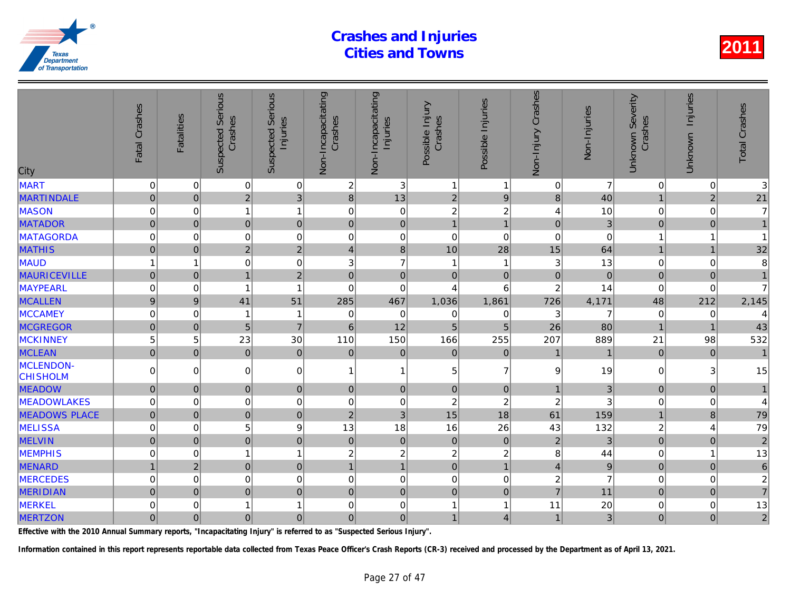| City                         | Fatal Crashes    | <b>Fatalities</b> | <b>Suspected Serious</b><br>Crashes | <b>Serious</b><br>Injuries<br>Suspected | Non-Incapacitating<br>Crashes | Non-Incapacitating<br>Injuries | Possible Injury<br>Crashes | Possible Injuries | Non-Injury Crashes        | Non-Injuries   |
|------------------------------|------------------|-------------------|-------------------------------------|-----------------------------------------|-------------------------------|--------------------------------|----------------------------|-------------------|---------------------------|----------------|
| <b>MART</b>                  | $\pmb{0}$        | 0                 | $\overline{0}$                      | $\pmb{0}$                               | $\overline{c}$                | 3                              | $\mathbf{1}$               | $\mathbf{1}$      | $\mathbf 0$               | 7              |
| <b>MARTINDALE</b>            | $\overline{0}$   | $\overline{0}$    | $\overline{2}$                      | $\overline{3}$                          | $\bf{8}$                      | 13                             | $\overline{2}$             | $\overline{9}$    | 8                         | 40             |
| MASON                        | $\mathbf 0$      | 0                 | $\mathbf{1}$                        | $\overline{1}$                          | 0                             | $\mathsf 0$                    | $\overline{c}$             | $\overline{c}$    | 4                         | 10             |
| <b>MATADOR</b>               | $\overline{0}$   | $\mathbf 0$       | $\overline{0}$                      | $\mathbf 0$                             | $\mathbf 0$                   | $\mathbf 0$                    | $\overline{1}$             | $\overline{1}$    | $\overline{0}$            | $\overline{3}$ |
| MATAGORDA                    | $\mathbf 0$      | $\Omega$          | $\mathbf 0$                         | $\mathbf 0$                             | $\mathbf 0$                   | $\mathbf 0$                    | $\mathbf 0$                | $\mathbf 0$       | $\mathbf 0$               |                |
| <b>MATHIS</b>                | $\overline{0}$   | $\Omega$          | $\overline{2}$                      | $\overline{2}$                          | $\overline{4}$                | $\mathbf{8}$                   | 10                         | 28                | 15                        | 64             |
| <b>MAUD</b>                  | 1                | 1                 | 0                                   | $\mathbf 0$                             | 3                             | $\overline{7}$                 | 1                          | 1                 | $\ensuremath{\mathsf{3}}$ | 13             |
| <b>MAURICEVILLE</b>          | $\overline{0}$   | $\overline{0}$    | $\mathbf{1}$                        | $\overline{2}$                          | $\mathbf{0}$                  | $\pmb{0}$                      | $\pmb{0}$                  | $\pmb{0}$         | $\pmb{0}$                 | $\overline{0}$ |
| MAYPEARL                     | $\mathbf 0$      | 0                 | 1                                   | $\overline{1}$                          | 0                             | $\mathbf 0$                    | $\overline{4}$             | 6                 | $\overline{c}$            | 14             |
| <b>MCALLEN</b>               | $\boldsymbol{9}$ | 9                 | 41                                  | 51                                      | 285                           | 467                            | 1,036                      | 1,861             | 726                       | 4,171          |
| <b>MCCAMEY</b>               | 0                | 0                 | 1                                   | $\overline{1}$                          | 0                             | $\mathbf 0$                    | $\mathbf 0$                | 0                 | 3                         | 7              |
| <b>MCGREGOR</b>              | $\mathbf 0$      | $\pmb{0}$         | 5 <sup>1</sup>                      | $\overline{7}$                          | $6\phantom{1}6$               | 12                             | 5                          | 5                 | 26                        | 80             |
| <b>MCKINNEY</b>              | 5                | 5                 | 23                                  | 30                                      | 110                           | 150                            | 166                        | 255               | 207                       | 889            |
| <b>MCLEAN</b>                | $\overline{0}$   | $\Omega$          | $\overline{0}$                      | $\mathbf 0$                             | $\pmb{0}$                     | $\pmb{0}$                      | $\mathbf 0$                | $\mathbf 0$       | 1                         |                |
| MCLENDON-<br><b>CHISHOLM</b> | $\Omega$         | $\Omega$          | 0                                   | $\mathbf 0$                             | 1                             | $\mathbf{1}$                   | 5                          | $\overline{7}$    | 9                         | 19             |
| <b>MEADOW</b>                | $\overline{0}$   | $\mathbf 0$       | $\overline{0}$                      | $\mathbf 0$                             | $\mathbf 0$                   | 0                              | $\mathbf 0$                | $\mathbf 0$       | $\mathbf{1}$              | 3              |
| <b>MEADOWLAKES</b>           | $\mathbf 0$      | 0                 | $\mathbf 0$                         | $\mathbf 0$                             | 0                             | $\mathsf 0$                    | $\overline{c}$             | $\boldsymbol{2}$  | $\boldsymbol{2}$          |                |
| <b>MEADOWS PLACE</b>         | $\pmb{0}$        | $\mathbf{0}$      | $\overline{0}$                      | $\pmb{0}$                               | $\overline{2}$                | 3                              | 15                         | 18                | 61                        | 159            |
| <b>MELISSA</b>               | $\mathbf 0$      | 0                 | 5                                   | 9                                       | 13                            | 18                             | 16                         | 26                | 43                        | 132            |
| <b>MELVIN</b>                | $\overline{0}$   | $\mathbf 0$       | $\overline{0}$                      | $\mathbf 0$                             | $\pmb{0}$                     | $\overline{0}$                 | $\pmb{0}$                  | $\mathbf 0$       | $\overline{2}$            | 3              |
| <b>MEMPHIS</b>               | 0                | 0                 | 1                                   | $\mathbf{1}$                            | $\overline{c}$                | $\overline{c}$                 | $\overline{c}$             | $\overline{c}$    | 8                         | 44             |
| <b>MENARD</b>                | $\overline{1}$   | $\overline{2}$    | $\overline{0}$                      | $\mathbf 0$                             | $\overline{1}$                | $\overline{1}$                 | $\pmb{0}$                  | $\overline{1}$    | $\overline{4}$            | 9              |
| <b>MERCEDES</b>              | $\mathbf 0$      | $\Omega$          | 0                                   | $\mathbf 0$                             | 0                             | $\mathbf 0$                    | $\Omega$                   | $\mathbf 0$       | $\overline{c}$            |                |
| <b>MERIDIAN</b>              | $\mathbf 0$      | $\mathbf 0$       | $\overline{0}$                      | $\pmb{0}$                               | $\mathbf 0$                   | $\mathbf 0$                    | $\mathbf 0$                | $\mathbf 0$       | $\overline{7}$            | 11             |
| MERKEL                       | 0                | 0                 | $\mathbf{1}$                        | $\overline{1}$                          | 0                             | $\mathsf 0$                    | 1                          | 1                 | 11                        | 20             |
| <b>MERTZON</b>               | $\overline{0}$   | $\mathbf 0$       | $\overline{0}$                      | $\pmb{0}$                               | $\mathbf 0$                   | $\overline{0}$                 | $\mathbf{1}$               | $\overline{4}$    | $\mathbf{1}$              | 3              |

Effective with the 2010 Annual Summary reports, "Incapacitating Injury" is referred to as "Suspected Serious Injury".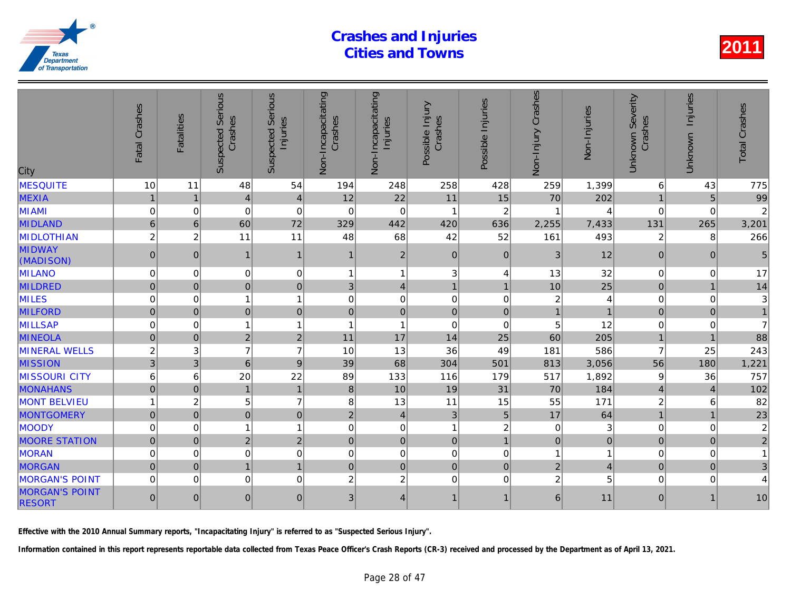| City                                   | Fatal Crashes  | <b>Fatalities</b> | Serious<br>Crashes<br>Suspected | Serious<br>Injuries<br>Suspected | Non-Incapacitating<br>Crashes | Non-Incapacitating<br>Injuries | Possible Injury<br>Crashes | Possible Injuries       | Crashes<br>Non-Injury | Non-Injuries |
|----------------------------------------|----------------|-------------------|---------------------------------|----------------------------------|-------------------------------|--------------------------------|----------------------------|-------------------------|-----------------------|--------------|
| <b>MESQUITE</b>                        | 10             | 11                | 48                              | 54                               | 194                           | 248                            | 258                        | 428                     | 259                   | 1,399        |
| <b>MEXIA</b>                           | $\mathbf{1}$   |                   | $\vert 4 \vert$                 | $\overline{4}$                   | 12                            | 22                             | 11                         | 15                      | 70                    | 202          |
| <b>MIAMI</b>                           | $\Omega$       | $\Omega$          | $\Omega$                        | $\Omega$                         | $\mathbf 0$                   | $\mathbf 0$                    | 1                          | $\overline{2}$          |                       |              |
| <b>MIDLAND</b>                         | $6\phantom{1}$ | $6\phantom{1}$    | 60                              | 72                               | 329                           | 442                            | 420                        | 636                     | 2,255                 | 7,433        |
| <b>MIDLOTHIAN</b>                      | $\overline{c}$ | $\overline{c}$    | 11                              | 11                               | 48                            | 68                             | 42                         | 52                      | 161                   | 493          |
| <b>MIDWAY</b><br>(MADISON)             | $\mathbf{0}$   | $\Omega$          | $\overline{1}$                  | $\mathbf{1}$                     | 1                             | $\overline{2}$                 | $\Omega$                   | $\Omega$                | 3                     | 12           |
| MILANO                                 | 0              | 0                 | 0                               | $\mathbf 0$                      | 1                             | $\mathbf{1}$                   | 3                          | 4                       | 13                    | 32           |
| <b>MILDRED</b>                         | $\Omega$       | $\Omega$          | $\overline{0}$                  | $\overline{0}$                   | 3                             | $\vert 4 \vert$                | $\mathbf{1}$               | $\overline{1}$          | 10                    | 25           |
| <b>MILES</b>                           | $\mathbf 0$    | $\Omega$          | 1                               | $\overline{1}$                   | $\Omega$                      | $\mathbf 0$                    | $\Omega$                   | $\Omega$                | $\overline{c}$        |              |
| <b>MILFORD</b>                         | $\overline{0}$ | $\mathbf{0}$      | $\overline{0}$                  | $\mathbf 0$                      | $\pmb{0}$                     | 0                              | $\pmb{0}$                  | $\mathbf 0$             | $\overline{1}$        |              |
| <b>MILLSAP</b>                         | $\mathbf 0$    | 0                 | $\mathbf{1}$                    | $\overline{1}$                   | 1                             | $\mathbf{1}$                   | $\Omega$                   | 0                       | 5                     | 12           |
| <b>MINEOLA</b>                         | 0              | $\mathbf 0$       | $\overline{2}$                  | $\overline{2}$                   | 11                            | 17                             | 14                         | 25                      | 60                    | 205          |
| <b>MINERAL WELLS</b>                   | $\overline{c}$ | 3                 | $\overline{7}$                  | $\overline{7}$                   | 10                            | 13                             | 36                         | 49                      | 181                   | 586          |
| <b>MISSION</b>                         | 3 <sup>1</sup> | 3                 | $6\phantom{1}$                  | 9                                | 39                            | 68                             | 304                        | 501                     | 813                   | 3,056        |
| <b>MISSOURI CITY</b>                   | 6              | 6                 | 20                              | 22                               | 89                            | 133                            | 116                        | 179                     | 517                   | 1,892        |
| <b>MONAHANS</b>                        | $\Omega$       | $\Omega$          | $\mathbf{1}$                    | $\mathbf{1}$                     | 8                             | 10                             | 19                         | 31                      | 70                    | 184          |
| <b>MONT BELVIEU</b>                    | 1              | $\overline{c}$    | 5                               | $\overline{7}$                   | 8                             | 13                             | 11                         | 15                      | 55                    | $171$        |
| <b>MONTGOMERY</b>                      | $\overline{0}$ | $\overline{0}$    | $\overline{0}$                  | $\overline{0}$                   | $\overline{2}$                | $\vert 4 \vert$                | 3                          | 5                       | 17                    | 64           |
| MOODY                                  | $\mathbf 0$    | $\Omega$          | 1                               | $\overline{1}$                   | $\mathbf 0$                   | $\mathsf 0$                    | 1                          | $\boldsymbol{2}$        | $\mathbf 0$           |              |
| <b>MOORE STATION</b>                   | $\overline{0}$ | $\mathbf{0}$      | $\overline{2}$                  | $\overline{2}$                   | $\mathbf{0}$                  | 0                              | $\mathbf 0$                | $\overline{1}$          | $\pmb{0}$             | $\Omega$     |
| <b>MORAN</b>                           | $\mathbf 0$    | $\Omega$          | 0                               | $\mathbf 0$                      | 0                             | $\mathbf 0$                    | $\Omega$                   | 0                       | 1                     |              |
| <b>MORGAN</b>                          | $\overline{0}$ | $\Omega$          | $\mathbf{1}$                    | $\mathbf{1}$                     | $\mathbf{0}$                  | $\overline{0}$                 | $\pmb{0}$                  | $\mathbf 0$             | $\overline{2}$        |              |
| <b>MORGAN'S POINT</b>                  | $\mathbf 0$    | $\Omega$          | $\mathbf 0$                     | $\mathbf 0$                      | $\overline{c}$                | $\overline{c}$                 | $\Omega$                   | 0                       | $\overline{c}$        |              |
| <b>MORGAN'S POINT</b><br><b>RESORT</b> | $\mathbf{0}$   | $\Omega$          | 0                               | $\mathbf{0}$                     | 3                             | $\overline{4}$                 | $\mathbf{1}$               | $\overline{\mathbf{1}}$ | 6                     | 11           |

Effective with the 2010 Annual Summary reports, "Incapacitating Injury" is referred to as "Suspected Serious Injury".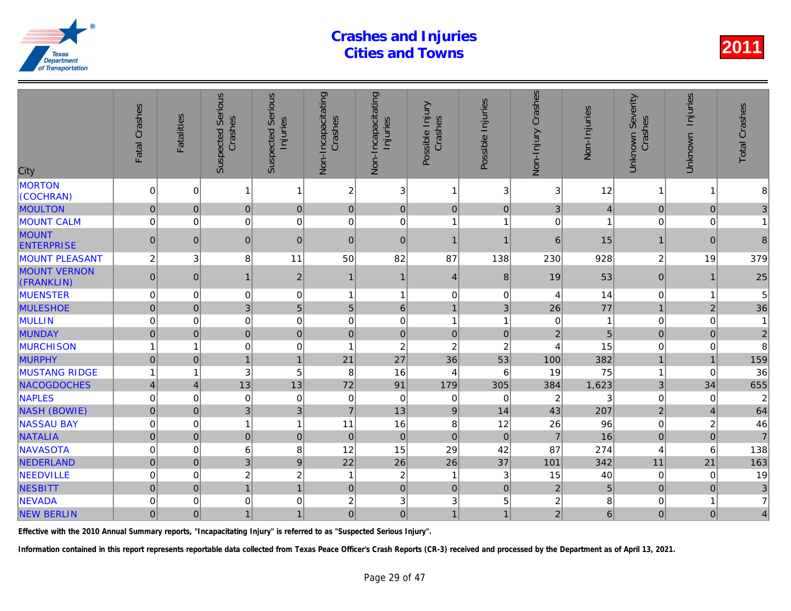| City                              | Fatal Crashes           | <b>Fatalities</b> | <b>Suspected Serious</b><br>Crashes | <b>Serious</b><br>Injuries<br>Suspected | Non-Incapacitating<br>Crashes | Non-Incapacitating<br>Injuries | Possible Injury<br>Crashes | Possible Injuries | Non-Injury Crashes | Non-Injuries   |
|-----------------------------------|-------------------------|-------------------|-------------------------------------|-----------------------------------------|-------------------------------|--------------------------------|----------------------------|-------------------|--------------------|----------------|
| <b>MORTON</b><br>(COCHRAN)        | 0                       | $\Omega$          | $\mathbf{1}$                        | $\mathbf{1}$                            | $\overline{c}$                | 3                              | $\overline{1}$             | 3                 | 3                  | 12             |
| <b>MOULTON</b>                    | $\mathbf 0$             | $\mathbf{0}$      | $\overline{0}$                      | $\mathbf 0$                             | $\mathbf{0}$                  | $\overline{0}$                 | $\mathbf{0}$               | $\mathbf 0$       | 3                  | $\overline{4}$ |
| <b>MOUNT CALM</b>                 | 0                       | 0                 | 0                                   | $\mathbf 0$                             | $\mathbf 0$                   | $\mathbf 0$                    | $\overline{1}$             | 1                 | $\mathbf 0$        |                |
| <b>MOUNT</b><br><b>ENTERPRISE</b> | $\pmb{0}$               | $\Omega$          | $\overline{0}$                      | $\overline{0}$                          | $\mathbf{0}$                  | $\pmb{0}$                      | $\overline{1}$             | $\overline{1}$    | 6                  | 15             |
| <b>MOUNT PLEASANT</b>             | $\overline{c}$          | 3                 | 8                                   | 11                                      | 50                            | 82                             | 87                         | 138               | 230                | 928            |
| <b>MOUNT VERNON</b><br>(FRANKLIN) | $\overline{0}$          | $\Omega$          | $\mathbf{1}$                        | $\overline{2}$                          | 1                             | $\mathbf{1}$                   | $\overline{4}$             | 8                 | 19                 | 53             |
| <b>MUENSTER</b>                   | 0                       | $\Omega$          | 0                                   | $\mathbf 0$                             | 1                             | $\mathbf{1}$                   | $\Omega$                   | 0                 | 4                  | 14             |
| <b>MULESHOE</b>                   | $\mathsf{O}\xspace$     | $\overline{0}$    | 3                                   | 5                                       | $\overline{5}$                | $\,6\,$                        | $\overline{1}$             | 3                 | 26                 | 77             |
| MULLIN                            | 0                       | $\mathbf 0$       | 0                                   | $\mathbf 0$                             | $\mathbf 0$                   | $\mathbf 0$                    | $\overline{1}$             | 1                 | $\,0\,$            |                |
| <b>MUNDAY</b>                     | $\mathbf 0$             | $\Omega$          | $\overline{0}$                      | $\mathbf 0$                             | $\mathbf{0}$                  | $\overline{0}$                 | $\mathbf 0$                | $\mathbf{0}$      | $\overline{2}$     | 5              |
| <b>MURCHISON</b>                  | 1                       | 1                 | 0                                   | $\mathbf 0$                             | -1                            | $\overline{c}$                 | $\overline{c}$             | $\overline{c}$    | 4                  | 15             |
| <b>MURPHY</b>                     | $\mathbf 0$             | $\Omega$          | $\overline{1}$                      | $\overline{1}$                          | 21                            | 27                             | 36                         | 53                | 100                | 382            |
| <b>MUSTANG RIDGE</b>              | 1                       | 1                 | 3                                   | 5                                       | 8                             | 16                             | $\overline{4}$             | 6                 | 19                 | 75             |
| NACOGDOCHES                       | $\overline{\mathbf{4}}$ | 4                 | 13                                  | 13                                      | 72                            | 91                             | 179                        | 305               | 384                | 1,623          |
| <b>NAPLES</b>                     | 0                       | $\Omega$          | 0                                   | $\mathbf 0$                             | 0                             | $\mathbf 0$                    | $\Omega$                   | $\Omega$          | $\overline{c}$     |                |
| <b>NASH (BOWIE)</b>               | $\mathbf 0$             | $\mathbf 0$       | 3                                   | 3                                       | $\overline{7}$                | 13                             | 9                          | 14                | 43                 | 207            |
| <b>NASSAU BAY</b>                 | 0                       | 0                 | $\mathbf{1}$                        | $\mathbf{1}$                            | 11                            | 16                             | 8                          | 12                | 26                 | 96             |
| <b>NATALIA</b>                    | $\overline{0}$          | $\Omega$          | $\overline{0}$                      | $\mathbf 0$                             | $\mathbf{0}$                  | $\overline{0}$                 | $\mathbf 0$                | $\mathbf{0}$      | $\overline{7}$     | 16             |
| <b>NAVASOTA</b>                   | 0                       | 0                 | 6                                   | 8                                       | 12                            | 15                             | 29                         | 42                | 87                 | 274            |
| NEDERLAND                         | $\overline{0}$          | $\mathbf 0$       | 3                                   | 9                                       | 22                            | 26                             | 26                         | 37                | 101                | 342            |
| <b>NEEDVILLE</b>                  | 0                       | $\mathbf 0$       | $\overline{c}$                      | $\overline{c}$                          | 1                             | $\boldsymbol{2}$               | $\overline{1}$             | 3                 | 15                 | 40             |
| <b>NESBITT</b>                    | $\overline{0}$          | $\overline{0}$    | $\overline{1}$                      | $\mathbf{1}$                            | $\mathbf{0}$                  | $\overline{0}$                 | $\mathbf 0$                | $\mathbf{0}$      | $\mathbf 2$        | 5              |
| <b>NEVADA</b>                     | 0                       | $\Omega$          | 0                                   | $\mathbf 0$                             | $\overline{c}$                | 3                              | 3                          | 5                 | $\overline{c}$     |                |
| <b>NEW BERLIN</b>                 | $\mathbf 0$             | $\overline{0}$    | $\mathbf{1}$                        | $\mathbf{1}$                            | $\mathbf 0$                   | $\overline{0}$                 | $\overline{1}$             | 1                 | $\overline{2}$     | $\overline{6}$ |

Effective with the 2010 Annual Summary reports, "Incapacitating Injury" is referred to as "Suspected Serious Injury".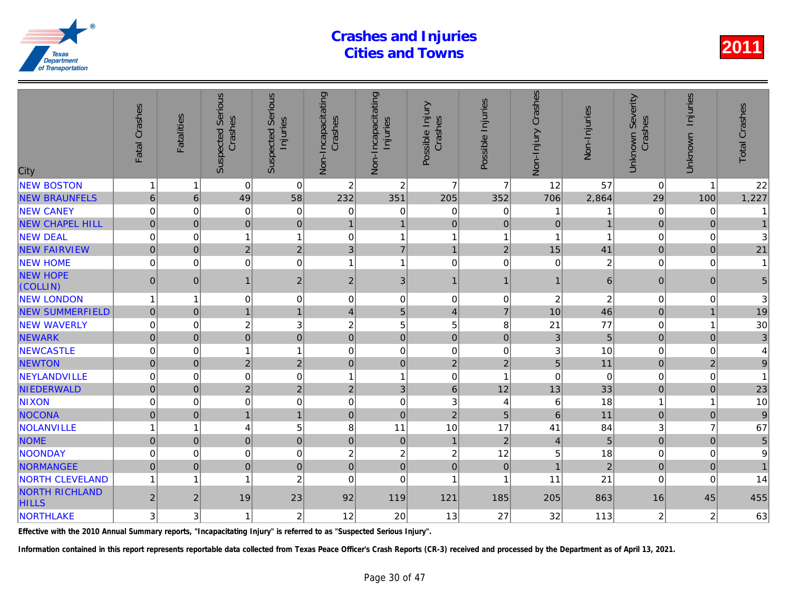| City                                  | Fatal Crashes  | <b>Fatalities</b> | Serious<br>Crashes<br>Suspected | Serious<br>Injuries<br>Suspected | Non-Incapacitating<br>Crashes | Non-Incapacitating<br>Injuries | Possible Injury<br>Crashes | Possible Injuries | Non-Injury Crashes | Non-Injuries   |
|---------------------------------------|----------------|-------------------|---------------------------------|----------------------------------|-------------------------------|--------------------------------|----------------------------|-------------------|--------------------|----------------|
| <b>NEW BOSTON</b>                     | 1              |                   | $\Omega$                        | $\mathbf 0$                      | $\overline{c}$                | $\overline{c}$                 | $\overline{7}$             | $\overline{7}$    | 12                 | 57             |
| <b>NEW BRAUNFELS</b>                  | $6\phantom{1}$ | 6                 | 49                              | 58                               | 232                           | 351                            | 205                        | 352               | 706                | 2,864          |
| <b>NEW CANEY</b>                      | 0              | $\mathbf 0$       | 0                               | $\mathbf 0$                      | 0                             | 0                              | $\mathbf 0$                | 0                 |                    |                |
| <b>NEW CHAPEL HILL</b>                | $\overline{0}$ | $\mathbf{0}$      | $\overline{0}$                  | $\mathbf 0$                      | $\overline{1}$                | $\mathbf{1}$                   | $\overline{0}$             | $\mathbf{0}$      | $\mathbf 0$        |                |
| <b>NEW DEAL</b>                       | 0              | $\mathbf 0$       | 1                               | $\mathbf{1}$                     | $\mathbf 0$                   | $\mathbf{1}$                   | $\overline{1}$             | 1                 | 1                  |                |
| <b>NEW FAIRVIEW</b>                   | $\mathbf 0$    | $\mathbf 0$       | $\overline{2}$                  | $\overline{2}$                   | $\mathbf{3}$                  | $\overline{7}$                 | $\overline{1}$             | $\overline{2}$    | 15                 | 41             |
| <b>NEW HOME</b>                       | 0              | $\Omega$          | 0                               | $\mathbf 0$                      | 1                             | $\overline{1}$                 | $\Omega$                   | $\Omega$          | $\mathbf 0$        | $\overline{a}$ |
| <b>NEW HOPE</b><br>(COLLIN)           | $\mathbf 0$    | $\mathbf{0}$      | $\mathbf{1}$                    | $\mathbf 2$                      | $\sqrt{2}$                    | 3 <sup>1</sup>                 | $\overline{1}$             | 1                 | $\mathbf{1}$       | $\overline{6}$ |
| <b>NEW LONDON</b>                     | 1              |                   | 0                               | $\mathbf 0$                      | $\mathbf 0$                   | $\mathbf 0$                    | $\mathbf 0$                | $\mathbf 0$       | $\boldsymbol{2}$   | $\overline{a}$ |
| <b>NEW SUMMERFIELD</b>                | $\overline{0}$ | $\mathbf 0$       | $\mathbf{1}$                    | $\mathbf{1}$                     | $\overline{4}$                | 5 <sup>1</sup>                 | $\overline{4}$             | $\overline{7}$    | 10                 | 46             |
| <b>NEW WAVERLY</b>                    | 0              | $\mathbf 0$       | $\overline{c}$                  | 3                                | $\overline{c}$                | 5                              | 5                          | 8                 | 21                 | 77             |
| <b>NEWARK</b>                         | $\mathbf 0$    | $\Omega$          | $\overline{0}$                  | $\overline{0}$                   | $\mathbf 0$                   | $\overline{0}$                 | $\mathbf 0$                | $\mathbf 0$       | 3                  | 5              |
| <b>NEWCASTLE</b>                      | 0              | $\mathbf 0$       | 1                               | $\mathbf{1}$                     | $\mathbf 0$                   | $\mathbf 0$                    | $\mathbf 0$                | 0                 | 3                  | 10             |
| <b>NEWTON</b>                         | $\overline{0}$ | $\Omega$          | $\overline{2}$                  | $\overline{2}$                   | $\mathbf{0}$                  | $\overline{0}$                 | $\overline{2}$             | $\overline{2}$    | 5                  | 11             |
| NEYLANDVILLE                          | 0              | $\Omega$          | 0                               | $\mathbf 0$                      | 1                             | $\mathbf{1}$                   | $\Omega$                   | 1                 | $\Omega$           | $\Omega$       |
| NIEDERWALD                            | $\mathbf 0$    | $\mathbf 0$       | $\overline{2}$                  | $\mathbf 2$                      | $\sqrt{2}$                    | $\overline{3}$                 | $6\phantom{1}$             | 12                | 13                 | 33             |
| <b>NIXON</b>                          | 0              | $\Omega$          | 0                               | $\mathbf 0$                      | $\mathbf 0$                   | $\mathbf 0$                    | 3                          | 4                 | 6                  | 18             |
| NOCONA                                | $\overline{0}$ | $\Omega$          | $\overline{1}$                  | $\overline{1}$                   | $\mathbf 0$                   | $\overline{0}$                 | $\overline{2}$             | 5                 | $6\phantom{a}$     | 11             |
| NOLANVILLE                            |                | 1                 | 4                               | 5                                | 8                             | 11                             | 10                         | 17                | 41                 | 84             |
| <b>NOME</b>                           | 0              | $\mathbf{0}$      | $\overline{0}$                  | $\mathbf 0$                      | $\pmb{0}$                     | $\overline{0}$                 | $\overline{1}$             | 2 <sup>1</sup>    | $\overline{4}$     | 5              |
| <b>NOONDAY</b>                        | 0              | $\mathbf 0$       | 0                               | $\mathbf 0$                      | $\overline{c}$                | $\overline{c}$                 | $\overline{c}$             | 12                | 5                  | 18             |
| <b>NORMANGEE</b>                      | $\overline{0}$ | $\overline{0}$    | $\overline{0}$                  | $\mathbf 0$                      | $\pmb{0}$                     | $\overline{0}$                 | $\mathbf 0$                | $\pmb{0}$         | $\overline{1}$     | $\overline{a}$ |
| <b>NORTH CLEVELAND</b>                | 1              | 1                 | 1                               | $\overline{2}$                   | $\Omega$                      | $\mathbf 0$                    | $\overline{1}$             | 1                 | 11                 | 21             |
| <b>NORTH RICHLAND</b><br><b>HILLS</b> | $\overline{c}$ | $\overline{c}$    | 19                              | 23                               | 92                            | 119                            | 121                        | 185               | 205                | 863            |
| NORTHLAKE                             | 3              | 3                 | 1                               | $\overline{c}$                   | 12                            | 20                             | 13                         | 27                | 32                 | 113            |
|                                       |                |                   |                                 |                                  |                               |                                |                            |                   |                    |                |

Effective with the 2010 Annual Summary reports, "Incapacitating Injury" is referred to as "Suspected Serious Injury".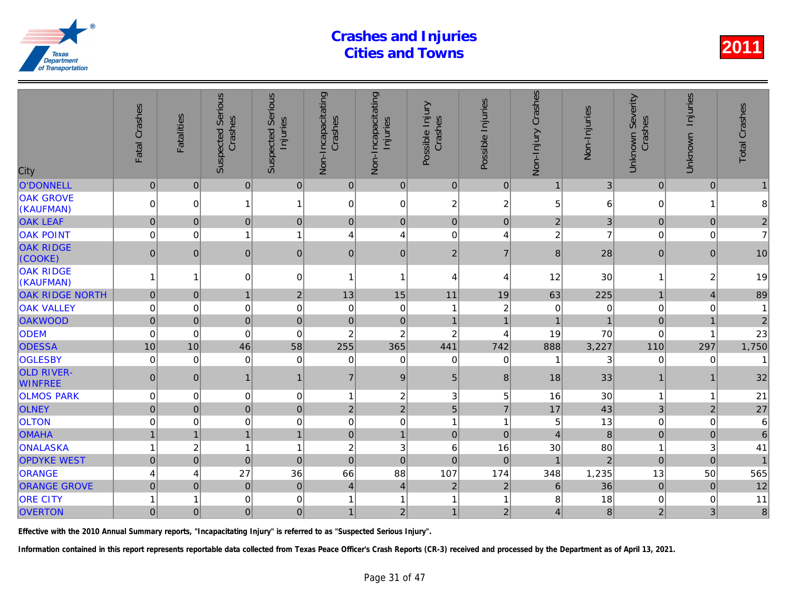| City                                | Fatal Crashes       | <b>Fatalities</b> | <b>Suspected Serious</b><br>Crashes | Serious<br>Injuries<br>Suspected | Non-Incapacitating<br>Crashes | Non-Incapacitating<br>Injuries | Possible Injury<br>Crashes | Possible Injuries        | Non-Injury Crashes      | Non-Injuries   |
|-------------------------------------|---------------------|-------------------|-------------------------------------|----------------------------------|-------------------------------|--------------------------------|----------------------------|--------------------------|-------------------------|----------------|
| <b>O'DONNELL</b>                    | $\pmb{0}$           | $\mathbf{0}$      | 0                                   | 0                                | $\overline{0}$                | 0                              | $\overline{0}$             | $\overline{0}$           | $\mathbf{1}$            | 3              |
| <b>OAK GROVE</b><br>(KAUFMAN)       | $\mathbf 0$         | $\Omega$          | 1                                   | 1                                | 0                             | $\pmb{0}$                      | $\overline{c}$             | $\overline{c}$           | 5                       | 6              |
| <b>OAK LEAF</b>                     | $\pmb{0}$           | $\mathbf{0}$      | $\pmb{0}$                           | $\mathbf 0$                      | 0                             | $\pmb{0}$                      | $\mathbf 0$                | $\mathbf 0$              | $\overline{2}$          | 3              |
| <b>OAK POINT</b>                    | 0                   | $\Omega$          |                                     | $\mathbf{1}$                     | 4                             | $\overline{4}$                 | $\Omega$                   | 4                        | $\overline{c}$          |                |
| <b>OAK RIDGE</b><br>(COOKE)         | $\mathbf{0}$        | $\mathbf{0}$      | $\overline{0}$                      | 0                                | $\mathbf{0}$                  | $\pmb{0}$                      | $\overline{2}$             | $\overline{7}$           | 8                       | 28             |
| <b>OAK RIDGE</b><br>(KAUFMAN)       |                     | 1                 | $\mathbf 0$                         | $\mathbf 0$                      | 1                             | 1                              | $\overline{4}$             | 4                        | 12                      | 30             |
| <b>OAK RIDGE NORTH</b>              | $\mathbf 0$         | $\mathbf{0}$      | $\mathbf{1}$                        | $\vert$ 2                        | 13                            | 15                             | 11                         | 19                       | 63                      | 225            |
| <b>OAK VALLEY</b>                   | $\mathbf 0$         | $\mathbf 0$       | 0                                   | 0                                | $\mathbf 0$                   | $\pmb{0}$                      | 1                          | $\boldsymbol{2}$         | $\mathbf 0$             |                |
| <b>OAKWOOD</b>                      | $\mathsf 0$         | $\mathbf 0$       | $\pmb{0}$                           | $\pmb{0}$                        | $\mathbf 0$                   | $\pmb{0}$                      | $\mathbf{1}$               | $\overline{1}$           |                         |                |
| <b>ODEM</b>                         | $\mathbf 0$         | $\Omega$          | $\Omega$                            | $\mathbf 0$                      | 2                             | $\overline{c}$                 | $\boldsymbol{2}$           | $\overline{\mathcal{L}}$ | 19                      | 70             |
| <b>ODESSA</b>                       | 10                  | 10                | 46                                  | 58                               | 255                           | 365                            | 441                        | 742                      | 888                     | 3,227          |
| <b>OGLESBY</b>                      | 0                   | 0                 | 0                                   | $\mathbf 0$                      | 0                             | 0                              | $\mathbf 0$                | $\mathbf 0$              |                         |                |
| <b>OLD RIVER-</b><br><b>WINFREE</b> | 0                   | $\overline{0}$    | $\overline{1}$                      | $\mathbf{1}$                     | $\overline{7}$                | $\boldsymbol{9}$               | 5                          | 8                        | 18                      | 33             |
| <b>OLMOS PARK</b>                   | 0                   | 0                 | $\mathbf 0$                         | $\overline{0}$                   | $\overline{1}$                | $\overline{c}$                 | 3                          | 5                        | 16                      | 30             |
| <b>OLNEY</b>                        | $\mathsf{O}\xspace$ | $\pmb{0}$         | $\overline{0}$                      | $\pmb{0}$                        | $\overline{2}$                | $\overline{2}$                 | 5                          | $\overline{7}$           | 17                      | 43             |
| <b>OLTON</b>                        | 0                   | 0                 | $\mathbf 0$                         | 0                                | 0                             | $\pmb{0}$                      | 1                          | $\overline{1}$           | 5                       | 13             |
| <b>OMAHA</b>                        |                     | $\overline{1}$    | $\overline{1}$                      | $\mathbf{1}$                     | $\mathbf 0$                   | $\mathbf{1}$                   | $\pmb{0}$                  | $\pmb{0}$                | $\overline{4}$          | $\overline{8}$ |
| ONALASKA                            |                     | $\overline{c}$    | 1                                   | $\mathbf{1}$                     | 2                             | 3                              | 6                          | 16                       | 30                      | 80             |
| <b>OPDYKE WEST</b>                  | $\mathbf 0$         | $\mathbf 0$       | $\mathbf 0$                         | $\mathbf 0$                      | $\mathbf 0$                   | $\mathbf 0$                    | $\mathbf 0$                | $\mathbf 0$              | $\overline{1}$          | $\overline{2}$ |
| <b>ORANGE</b>                       | 4                   | 4                 | 27                                  | 36                               | 66                            | 88                             | 107                        | 174                      | 348                     | 1,235          |
| <b>ORANGE GROVE</b>                 | $\overline{0}$      | $\Omega$          | $\mathbf 0$                         | $\mathbf 0$                      | $\overline{4}$                | $\overline{4}$                 | $\overline{2}$             | $\overline{2}$           | 6                       | 36             |
| <b>ORE CITY</b>                     |                     | 1                 | 0                                   | 0                                | 1                             | $\mathbf{1}$                   | 1                          | 1                        | 8                       | 18             |
| <b>OVERTON</b>                      | $\overline{0}$      | $\overline{0}$    | $\mathbf 0$                         | $\overline{0}$                   | $\mathbf{1}$                  | $\overline{2}$                 | $\mathbf{1}$               | $\overline{2}$           | $\overline{\mathbf{4}}$ | 8              |

Effective with the 2010 Annual Summary reports, "Incapacitating Injury" is referred to as "Suspected Serious Injury".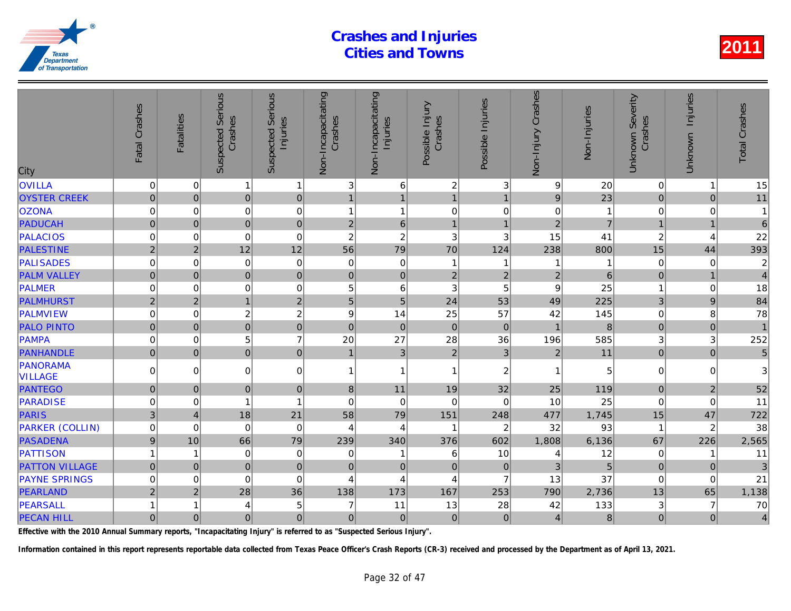| City                       | Fatal Crashes    | <b>Fatalities</b> | Serious<br>Crashes<br>Suspected | <b>Serious</b><br>Injuries<br>Suspected | Non-Incapacitating<br>Crashes | Non-Incapacitating<br>Injuries | Possible Injury<br>Crashes | Possible Injuries | Non-Injury Crashes | Non-Injuries   |
|----------------------------|------------------|-------------------|---------------------------------|-----------------------------------------|-------------------------------|--------------------------------|----------------------------|-------------------|--------------------|----------------|
| <b>OVILLA</b>              | $\pmb{0}$        | 0                 | $\mathbf{1}$                    | $\mathbf{1}$                            | 3                             | $\,6\,$                        | $\overline{c}$             | 3                 | 9                  | 20             |
| <b>OYSTER CREEK</b>        | $\overline{0}$   | $\mathbf 0$       | $\overline{0}$                  | $\mathbf 0$                             | $\mathbf{1}$                  | $\mathbf{1}$                   | $\mathbf{1}$               | $\overline{1}$    | $\overline{9}$     | 23             |
| <b>OZONA</b>               | $\mathbf 0$      | 0                 | 0                               | $\mathbf 0$                             | $\mathbf{1}$                  | $\mathbf{1}$                   | $\mathbf 0$                | $\mathbf 0$       | $\mathbf 0$        |                |
| <b>PADUCAH</b>             | $\overline{0}$   | $\mathbf 0$       | $\overline{0}$                  | $\mathbf 0$                             | $\overline{2}$                | $6\phantom{a}$                 | $\mathbf{1}$               | $\overline{1}$    | $\overline{2}$     | $\overline{7}$ |
| <b>PALACIOS</b>            | 0                | $\Omega$          | $\mathbf 0$                     | $\mathbf 0$                             | $\overline{c}$                | $\boldsymbol{2}$               | 3                          | 3                 | 15                 | 41             |
| <b>PALESTINE</b>           | $\overline{2}$   | $\overline{2}$    | 12                              | 12                                      | 56                            | 79                             | 70                         | 124               | 238                | 800            |
| <b>PALISADES</b>           | $\mathbf 0$      | 0                 | 0                               | $\mathbf 0$                             | $\mathbf 0$                   | $\pmb{0}$                      | $\mathbf{1}$               | 1                 |                    |                |
| <b>PALM VALLEY</b>         | $\mathbf 0$      | $\overline{0}$    | $\overline{0}$                  | $\mathbf 0$                             | $\mathbf 0$                   | $\mathbf 0$                    | $\overline{2}$             | $\sqrt{2}$        | $\overline{2}$     | $\overline{6}$ |
| PALMER                     | $\mathbf 0$      | 0                 | 0                               | $\mathbf 0$                             | 5                             | $\,6$                          | 3                          | 5                 | 9                  | 25             |
| <b>PALMHURST</b>           | $\overline{2}$   | $\overline{2}$    | $\mathbf{1}$                    | $\overline{2}$                          | 5                             | $\overline{5}$                 | 24                         | 53                | 49                 | 225            |
| PALMVIEW                   | $\boldsymbol{0}$ | 0                 | $\overline{c}$                  | $\overline{c}$                          | 9                             | 14                             | 25                         | 57                | 42                 | 145            |
| <b>PALO PINTO</b>          | $\pmb{0}$        | $\mathbf{0}$      | $\overline{0}$                  | $\mathbf 0$                             | $\mathbf 0$                   | $\pmb{0}$                      | $\Omega$                   | $\mathbf{0}$      | $\overline{1}$     | 8              |
| PAMPA                      | $\boldsymbol{0}$ | 0                 | 5                               | $\overline{7}$                          | 20                            | 27                             | 28                         | 36                | 196                | 585            |
| PANHANDLE                  | $\pmb{0}$        | $\mathbf 0$       | $\overline{0}$                  | $\mathbf 0$                             | $\overline{1}$                | $\overline{3}$                 | $\overline{2}$             | 3                 | $\overline{2}$     | 11             |
| PANORAMA<br><b>VILLAGE</b> | 0                | $\Omega$          | 0                               | $\pmb{0}$                               | 1                             | $\overline{1}$                 | 1                          | $\overline{c}$    |                    | 5              |
| <b>PANTEGO</b>             | $\pmb{0}$        | $\mathbf{0}$      | $\overline{0}$                  | $\mathbf 0$                             | $\bf 8$                       | 11                             | 19                         | 32                | 25                 | 119            |
| PARADISE                   | $\boldsymbol{0}$ | 0                 | 1                               | $\overline{1}$                          | 0                             | $\mathbf 0$                    | $\Omega$                   | 0                 | 10                 | 25             |
| <b>PARIS</b>               | 3                | $\overline{4}$    | 18                              | 21                                      | 58                            | 79                             | 151                        | 248               | 477                | 1,745          |
| <b>PARKER (COLLIN)</b>     | $\boldsymbol{0}$ | $\Omega$          | $\mathbf 0$                     | $\mathbf 0$                             | 4                             | $\overline{4}$                 | $\mathbf{1}$               | $\overline{2}$    | 32                 | 93             |
| <b>PASADENA</b>            | $\boldsymbol{9}$ | 10                | 66                              | 79                                      | 239                           | 340                            | 376                        | 602               | 1,808              | 6,136          |
| PATTISON                   | $\mathbf{1}$     | 1                 | 0                               | $\mathbf 0$                             | 0                             | 1                              | 6                          | 10                | 4                  | 12             |
| <b>PATTON VILLAGE</b>      | $\overline{0}$   | $\Omega$          | $\overline{0}$                  | $\overline{0}$                          | $\Omega$                      | $\overline{0}$                 | $\overline{0}$             | $\mathbf 0$       | $\overline{3}$     | $\overline{5}$ |
| <b>PAYNE SPRINGS</b>       | $\mathbf 0$      | 0                 | $\mathbf 0$                     | $\mathbf 0$                             | 4                             | $\overline{4}$                 | $\overline{4}$             | $\overline{7}$    | 13                 | 37             |
| PEARLAND                   | $\overline{2}$   | $\overline{2}$    | 28                              | 36                                      | 138                           | 173                            | 167                        | 253               | 790                | 2,736          |
| PEARSALL                   | 1                | 1                 | 4                               | 5                                       | 7                             | 11                             | 13                         | 28                | 42                 | 133            |
| <b>PECAN HILL</b>          | 0                | $\mathbf 0$       | 0                               | $\pmb{0}$                               | $\mathbf 0$                   | $\overline{0}$                 | $\mathbf 0$                | $\mathbf 0$       | $\overline{4}$     | 8              |

Effective with the 2010 Annual Summary reports, "Incapacitating Injury" is referred to as "Suspected Serious Injury".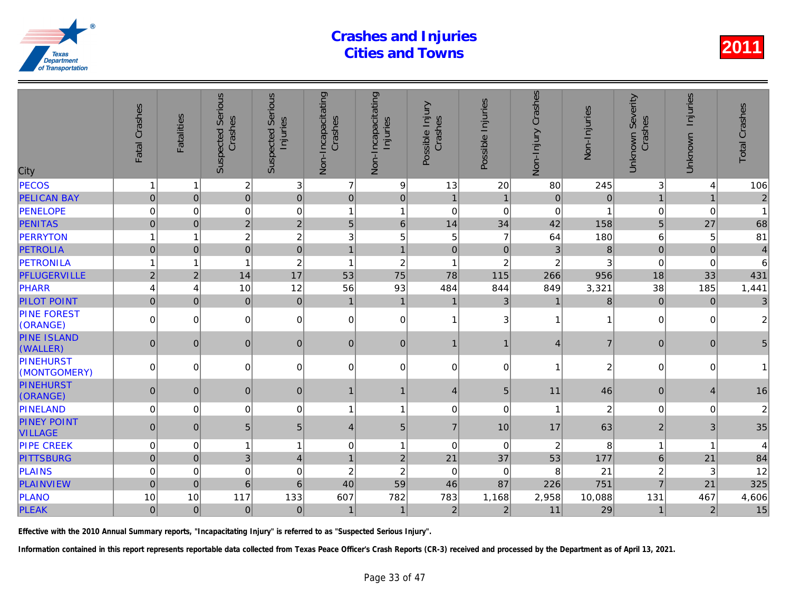| <b>PECOS</b><br>$\boldsymbol{2}$<br>3<br>7<br>9<br>13<br>20<br>80<br>245<br>1<br>1<br>$\mathbf 0$<br>$\mathbf 0$<br><b>PELICAN BAY</b><br>$\overline{0}$<br>$\mathbf 0$<br>$\overline{0}$<br>$\overline{0}$<br>$\Omega$<br>$\mathbf{1}$<br>$\mathbf 0$<br>$\mathbf{1}$<br>$\pmb{0}$<br><b>PENELOPE</b><br>0<br>$\mathbf 0$<br>$\,0\,$<br>$\mathbf{1}$<br>$\pmb{0}$<br>0<br>$\mathbf 0$<br>$\overline{1}$<br>$\overline{2}$<br>$\overline{2}$<br>$6\phantom{a}$<br>14<br>34<br>158<br><b>PENITAS</b><br>$\overline{0}$<br>5<br>42<br>$\Omega$<br>$\overline{c}$<br>$\boldsymbol{2}$<br>5<br>PERRYTON<br>3<br>5<br>$\overline{7}$<br>64<br>180<br>1<br>$\mathbf 0$<br>8<br><b>PETROLIA</b><br>$\pmb{0}$<br>$\mathbf 0$<br>$\mathbf{1}$<br>$\mathbf 0$<br>$\pmb{0}$<br>$\mathfrak{3}$<br>$\mathbf{0}$<br>$\mathbf{1}$<br>$\overline{c}$<br>$\sqrt{2}$<br>PETRONILA<br>$\sqrt{2}$<br>$\overline{c}$<br>$\mathbf{1}$<br>$\overline{\mathbf{1}}$<br>1<br>1<br>1<br>17<br>75<br>78<br>PFLUGERVILLE<br>$\overline{2}$<br>14<br>53<br>115<br>266<br>956<br>$\overline{2}$<br>PHARR<br>12<br>56<br>93<br>484<br>844<br>849<br>3,321<br>10<br>4<br>4<br>$\mathbf 0$<br><b>PILOT POINT</b><br>$\overline{0}$<br>$\mathbf 0$<br>$\mathbf{3}$<br>8<br>$\overline{0}$<br>$\mathbf{1}$<br>$\mathbf{1}$<br>$\mathbf{1}$<br>$\overline{1}$<br><b>PINE FOREST</b><br>$\pmb{0}$<br>$\mathbf 0$<br>$\Omega$<br>0<br> 0 <br>0<br>3<br>$\mathbf{1}$<br>$\mathbf{1}$<br>(ORANGE)<br><b>PINE ISLAND</b><br>$\mathbf 0$<br>$\pmb{0}$<br>$\overline{7}$<br>$\pmb{0}$<br>$\overline{0}$<br>0<br>0<br>$\mathbf{1}$<br>$\overline{4}$<br>1<br>(WALLER)<br><b>PINEHURST</b><br>$\overline{a}$<br>$\overline{0}$<br>0<br>$\mathbf 0$<br>$\mathbf 0$<br>0<br>0<br>0<br>0<br>1<br>(MONTGOMERY)<br>$\mathbf{0}$<br>$\overline{0}$<br>$\pmb{0}$<br>46<br>$\Omega$<br>5<br>11<br>$\mathbf{1}$<br>$\overline{4}$<br>1<br>PINELAND<br>$\pmb{0}$<br>$\overline{a}$<br>0<br>0<br>$\mathbf{1}$<br>$\pmb{0}$<br>$\mathbf 0$<br>0<br>1<br>1<br>$\overline{7}$<br>63<br>$\pmb{0}$<br>5<br>$\sqrt{5}$<br>$\sqrt{5}$<br>$\mathbf{0}$<br>10<br>17<br>4<br>8<br>$\mathbf{1}$<br>$\mathbf 0$<br>$\overline{c}$<br>$\mathbf 0$<br>$\mathbf 0$<br>$\mathbf{1}$<br>$\mathbf 0$<br>1<br>$\mathbf 0$<br>21<br>37<br>53<br>3<br>$\overline{2}$<br>177<br>$\mathsf{O}\xspace$<br>$\overline{\mathbf{4}}$<br>$\overline{0}$<br>$\mathbf{1}$<br>$\mathbf 0$<br>$\boldsymbol{2}$<br>$\overline{c}$<br>21<br>$\overline{0}$<br>$\mathbf 0$<br>$\pmb{0}$<br>$\mathbf 0$<br>8<br>0<br>59<br>$6\phantom{1}6$<br>751<br>$6\overline{6}$<br>40<br>46<br>87<br>$\overline{0}$<br>226<br>$\mathbf 0$<br>10<br>117<br>133<br>607<br>782<br>783<br>1,168<br>10,088<br>10<br>2,958<br>29<br>$\overline{2}$<br>$\overline{2}$<br>11<br>$\pmb{0}$<br>$\overline{0}$<br>$\mathbf 0$<br>$\pmb{0}$<br>$\mathbf{1}$<br>$\mathbf{1}$ | City                                 | Fatal Crashes | <b>Fatalities</b> | <b>Suspected Serious</b><br>Crashes | Serious<br>Injuries<br>Suspected | Non-Incapacitating<br>Crashes | Non-Incapacitating<br>Injuries | Possible Injury<br>Crashes | Possible Injuries | Non-Injury Crashes | Non-Injuries |
|--------------------------------------------------------------------------------------------------------------------------------------------------------------------------------------------------------------------------------------------------------------------------------------------------------------------------------------------------------------------------------------------------------------------------------------------------------------------------------------------------------------------------------------------------------------------------------------------------------------------------------------------------------------------------------------------------------------------------------------------------------------------------------------------------------------------------------------------------------------------------------------------------------------------------------------------------------------------------------------------------------------------------------------------------------------------------------------------------------------------------------------------------------------------------------------------------------------------------------------------------------------------------------------------------------------------------------------------------------------------------------------------------------------------------------------------------------------------------------------------------------------------------------------------------------------------------------------------------------------------------------------------------------------------------------------------------------------------------------------------------------------------------------------------------------------------------------------------------------------------------------------------------------------------------------------------------------------------------------------------------------------------------------------------------------------------------------------------------------------------------------------------------------------------------------------------------------------------------------------------------------------------------------------------------------------------------------------------------------------------------------------------------------------------------------------------------------------------------------------------------------------------------------------------------------------------------------------------------------------------------------------------------------------------------------------------------------------------------------------------------------------------------------------------------------------------------------------------------------|--------------------------------------|---------------|-------------------|-------------------------------------|----------------------------------|-------------------------------|--------------------------------|----------------------------|-------------------|--------------------|--------------|
|                                                                                                                                                                                                                                                                                                                                                                                                                                                                                                                                                                                                                                                                                                                                                                                                                                                                                                                                                                                                                                                                                                                                                                                                                                                                                                                                                                                                                                                                                                                                                                                                                                                                                                                                                                                                                                                                                                                                                                                                                                                                                                                                                                                                                                                                                                                                                                                                                                                                                                                                                                                                                                                                                                                                                                                                                                                        |                                      |               |                   |                                     |                                  |                               |                                |                            |                   |                    |              |
|                                                                                                                                                                                                                                                                                                                                                                                                                                                                                                                                                                                                                                                                                                                                                                                                                                                                                                                                                                                                                                                                                                                                                                                                                                                                                                                                                                                                                                                                                                                                                                                                                                                                                                                                                                                                                                                                                                                                                                                                                                                                                                                                                                                                                                                                                                                                                                                                                                                                                                                                                                                                                                                                                                                                                                                                                                                        |                                      |               |                   |                                     |                                  |                               |                                |                            |                   |                    |              |
|                                                                                                                                                                                                                                                                                                                                                                                                                                                                                                                                                                                                                                                                                                                                                                                                                                                                                                                                                                                                                                                                                                                                                                                                                                                                                                                                                                                                                                                                                                                                                                                                                                                                                                                                                                                                                                                                                                                                                                                                                                                                                                                                                                                                                                                                                                                                                                                                                                                                                                                                                                                                                                                                                                                                                                                                                                                        |                                      |               |                   |                                     |                                  |                               |                                |                            |                   |                    |              |
|                                                                                                                                                                                                                                                                                                                                                                                                                                                                                                                                                                                                                                                                                                                                                                                                                                                                                                                                                                                                                                                                                                                                                                                                                                                                                                                                                                                                                                                                                                                                                                                                                                                                                                                                                                                                                                                                                                                                                                                                                                                                                                                                                                                                                                                                                                                                                                                                                                                                                                                                                                                                                                                                                                                                                                                                                                                        |                                      |               |                   |                                     |                                  |                               |                                |                            |                   |                    |              |
|                                                                                                                                                                                                                                                                                                                                                                                                                                                                                                                                                                                                                                                                                                                                                                                                                                                                                                                                                                                                                                                                                                                                                                                                                                                                                                                                                                                                                                                                                                                                                                                                                                                                                                                                                                                                                                                                                                                                                                                                                                                                                                                                                                                                                                                                                                                                                                                                                                                                                                                                                                                                                                                                                                                                                                                                                                                        |                                      |               |                   |                                     |                                  |                               |                                |                            |                   |                    |              |
|                                                                                                                                                                                                                                                                                                                                                                                                                                                                                                                                                                                                                                                                                                                                                                                                                                                                                                                                                                                                                                                                                                                                                                                                                                                                                                                                                                                                                                                                                                                                                                                                                                                                                                                                                                                                                                                                                                                                                                                                                                                                                                                                                                                                                                                                                                                                                                                                                                                                                                                                                                                                                                                                                                                                                                                                                                                        |                                      |               |                   |                                     |                                  |                               |                                |                            |                   |                    |              |
|                                                                                                                                                                                                                                                                                                                                                                                                                                                                                                                                                                                                                                                                                                                                                                                                                                                                                                                                                                                                                                                                                                                                                                                                                                                                                                                                                                                                                                                                                                                                                                                                                                                                                                                                                                                                                                                                                                                                                                                                                                                                                                                                                                                                                                                                                                                                                                                                                                                                                                                                                                                                                                                                                                                                                                                                                                                        |                                      |               |                   |                                     |                                  |                               |                                |                            |                   |                    |              |
|                                                                                                                                                                                                                                                                                                                                                                                                                                                                                                                                                                                                                                                                                                                                                                                                                                                                                                                                                                                                                                                                                                                                                                                                                                                                                                                                                                                                                                                                                                                                                                                                                                                                                                                                                                                                                                                                                                                                                                                                                                                                                                                                                                                                                                                                                                                                                                                                                                                                                                                                                                                                                                                                                                                                                                                                                                                        |                                      |               |                   |                                     |                                  |                               |                                |                            |                   |                    |              |
|                                                                                                                                                                                                                                                                                                                                                                                                                                                                                                                                                                                                                                                                                                                                                                                                                                                                                                                                                                                                                                                                                                                                                                                                                                                                                                                                                                                                                                                                                                                                                                                                                                                                                                                                                                                                                                                                                                                                                                                                                                                                                                                                                                                                                                                                                                                                                                                                                                                                                                                                                                                                                                                                                                                                                                                                                                                        |                                      |               |                   |                                     |                                  |                               |                                |                            |                   |                    |              |
|                                                                                                                                                                                                                                                                                                                                                                                                                                                                                                                                                                                                                                                                                                                                                                                                                                                                                                                                                                                                                                                                                                                                                                                                                                                                                                                                                                                                                                                                                                                                                                                                                                                                                                                                                                                                                                                                                                                                                                                                                                                                                                                                                                                                                                                                                                                                                                                                                                                                                                                                                                                                                                                                                                                                                                                                                                                        |                                      |               |                   |                                     |                                  |                               |                                |                            |                   |                    |              |
|                                                                                                                                                                                                                                                                                                                                                                                                                                                                                                                                                                                                                                                                                                                                                                                                                                                                                                                                                                                                                                                                                                                                                                                                                                                                                                                                                                                                                                                                                                                                                                                                                                                                                                                                                                                                                                                                                                                                                                                                                                                                                                                                                                                                                                                                                                                                                                                                                                                                                                                                                                                                                                                                                                                                                                                                                                                        |                                      |               |                   |                                     |                                  |                               |                                |                            |                   |                    |              |
|                                                                                                                                                                                                                                                                                                                                                                                                                                                                                                                                                                                                                                                                                                                                                                                                                                                                                                                                                                                                                                                                                                                                                                                                                                                                                                                                                                                                                                                                                                                                                                                                                                                                                                                                                                                                                                                                                                                                                                                                                                                                                                                                                                                                                                                                                                                                                                                                                                                                                                                                                                                                                                                                                                                                                                                                                                                        |                                      |               |                   |                                     |                                  |                               |                                |                            |                   |                    |              |
|                                                                                                                                                                                                                                                                                                                                                                                                                                                                                                                                                                                                                                                                                                                                                                                                                                                                                                                                                                                                                                                                                                                                                                                                                                                                                                                                                                                                                                                                                                                                                                                                                                                                                                                                                                                                                                                                                                                                                                                                                                                                                                                                                                                                                                                                                                                                                                                                                                                                                                                                                                                                                                                                                                                                                                                                                                                        |                                      |               |                   |                                     |                                  |                               |                                |                            |                   |                    |              |
|                                                                                                                                                                                                                                                                                                                                                                                                                                                                                                                                                                                                                                                                                                                                                                                                                                                                                                                                                                                                                                                                                                                                                                                                                                                                                                                                                                                                                                                                                                                                                                                                                                                                                                                                                                                                                                                                                                                                                                                                                                                                                                                                                                                                                                                                                                                                                                                                                                                                                                                                                                                                                                                                                                                                                                                                                                                        | <b>PINEHURST</b><br>(ORANGE)         |               |                   |                                     |                                  |                               |                                |                            |                   |                    |              |
|                                                                                                                                                                                                                                                                                                                                                                                                                                                                                                                                                                                                                                                                                                                                                                                                                                                                                                                                                                                                                                                                                                                                                                                                                                                                                                                                                                                                                                                                                                                                                                                                                                                                                                                                                                                                                                                                                                                                                                                                                                                                                                                                                                                                                                                                                                                                                                                                                                                                                                                                                                                                                                                                                                                                                                                                                                                        |                                      |               |                   |                                     |                                  |                               |                                |                            |                   |                    |              |
|                                                                                                                                                                                                                                                                                                                                                                                                                                                                                                                                                                                                                                                                                                                                                                                                                                                                                                                                                                                                                                                                                                                                                                                                                                                                                                                                                                                                                                                                                                                                                                                                                                                                                                                                                                                                                                                                                                                                                                                                                                                                                                                                                                                                                                                                                                                                                                                                                                                                                                                                                                                                                                                                                                                                                                                                                                                        | <b>PINEY POINT</b><br><b>VILLAGE</b> |               |                   |                                     |                                  |                               |                                |                            |                   |                    |              |
|                                                                                                                                                                                                                                                                                                                                                                                                                                                                                                                                                                                                                                                                                                                                                                                                                                                                                                                                                                                                                                                                                                                                                                                                                                                                                                                                                                                                                                                                                                                                                                                                                                                                                                                                                                                                                                                                                                                                                                                                                                                                                                                                                                                                                                                                                                                                                                                                                                                                                                                                                                                                                                                                                                                                                                                                                                                        | <b>PIPE CREEK</b>                    |               |                   |                                     |                                  |                               |                                |                            |                   |                    |              |
|                                                                                                                                                                                                                                                                                                                                                                                                                                                                                                                                                                                                                                                                                                                                                                                                                                                                                                                                                                                                                                                                                                                                                                                                                                                                                                                                                                                                                                                                                                                                                                                                                                                                                                                                                                                                                                                                                                                                                                                                                                                                                                                                                                                                                                                                                                                                                                                                                                                                                                                                                                                                                                                                                                                                                                                                                                                        | <b>PITTSBURG</b>                     |               |                   |                                     |                                  |                               |                                |                            |                   |                    |              |
|                                                                                                                                                                                                                                                                                                                                                                                                                                                                                                                                                                                                                                                                                                                                                                                                                                                                                                                                                                                                                                                                                                                                                                                                                                                                                                                                                                                                                                                                                                                                                                                                                                                                                                                                                                                                                                                                                                                                                                                                                                                                                                                                                                                                                                                                                                                                                                                                                                                                                                                                                                                                                                                                                                                                                                                                                                                        | PLAINS                               |               |                   |                                     |                                  |                               |                                |                            |                   |                    |              |
|                                                                                                                                                                                                                                                                                                                                                                                                                                                                                                                                                                                                                                                                                                                                                                                                                                                                                                                                                                                                                                                                                                                                                                                                                                                                                                                                                                                                                                                                                                                                                                                                                                                                                                                                                                                                                                                                                                                                                                                                                                                                                                                                                                                                                                                                                                                                                                                                                                                                                                                                                                                                                                                                                                                                                                                                                                                        | <b>PLAINVIEW</b>                     |               |                   |                                     |                                  |                               |                                |                            |                   |                    |              |
|                                                                                                                                                                                                                                                                                                                                                                                                                                                                                                                                                                                                                                                                                                                                                                                                                                                                                                                                                                                                                                                                                                                                                                                                                                                                                                                                                                                                                                                                                                                                                                                                                                                                                                                                                                                                                                                                                                                                                                                                                                                                                                                                                                                                                                                                                                                                                                                                                                                                                                                                                                                                                                                                                                                                                                                                                                                        | PLANO                                |               |                   |                                     |                                  |                               |                                |                            |                   |                    |              |
|                                                                                                                                                                                                                                                                                                                                                                                                                                                                                                                                                                                                                                                                                                                                                                                                                                                                                                                                                                                                                                                                                                                                                                                                                                                                                                                                                                                                                                                                                                                                                                                                                                                                                                                                                                                                                                                                                                                                                                                                                                                                                                                                                                                                                                                                                                                                                                                                                                                                                                                                                                                                                                                                                                                                                                                                                                                        | <b>PLEAK</b>                         |               |                   |                                     |                                  |                               |                                |                            |                   |                    |              |

Effective with the 2010 Annual Summary reports, "Incapacitating Injury" is referred to as "Suspected Serious Injury".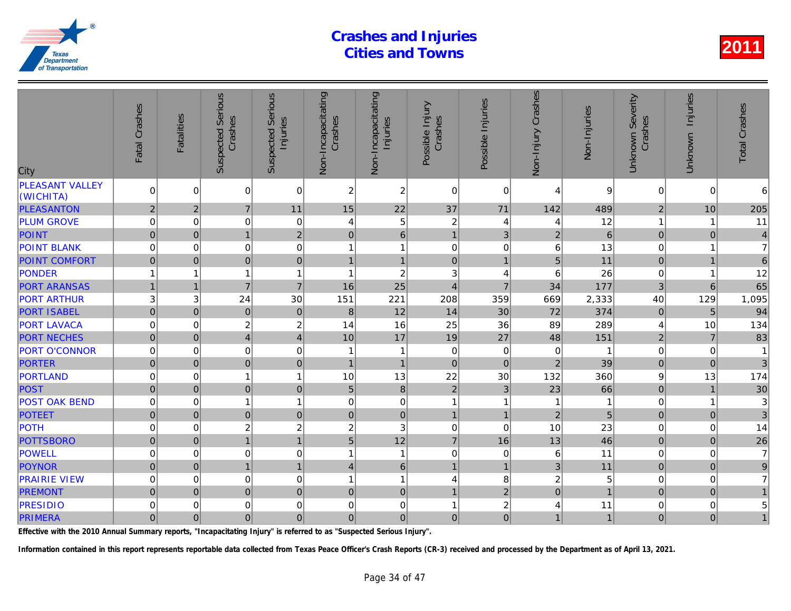| City                                | Fatal Crashes  | <b>Fatalities</b> | <b>Suspected Serious</b><br>Crashes | <b>Serious</b><br>Injuries<br>Suspected | Non-Incapacitating<br>Crashes | Non-Incapacitating<br>Injuries | Possible Injury<br>Crashes | Possible Injuries       | Non-Injury Crashes | Non-Injuries   |
|-------------------------------------|----------------|-------------------|-------------------------------------|-----------------------------------------|-------------------------------|--------------------------------|----------------------------|-------------------------|--------------------|----------------|
| <b>PLEASANT VALLEY</b><br>(WICHITA) | $\Omega$       | $\Omega$          | $\overline{0}$                      | $\Omega$                                | 2                             | $\overline{c}$                 | $\Omega$                   | $\Omega$                | 4                  |                |
| <b>PLEASANTON</b>                   | $\overline{2}$ | $\overline{2}$    | $\overline{7}$                      | 11                                      | 15                            | 22                             | 37                         | 71                      | 142                | 489            |
| <b>PLUM GROVE</b>                   | 0              | 0                 | 0                                   | $\mathbf 0$                             | 4                             | 5                              | $\overline{c}$             | 4                       | 4                  | 12             |
| POINT                               | $\mathbf 0$    | $\mathbf{0}$      | 1                                   | $\overline{2}$                          | $\mathbf{0}$                  | 6                              | $\mathbf{1}$               | 3                       | $\overline{2}$     | $\overline{6}$ |
| <b>POINT BLANK</b>                  | $\mathbf 0$    | $\Omega$          | $\boldsymbol{0}$                    | $\mathbf 0$                             |                               | $\mathbf{1}$                   | $\mathbf 0$                | $\mathbf 0$             | $6\phantom{1}6$    | 13             |
| <b>POINT COMFORT</b>                | $\mathbf{0}$   | $\Omega$          | $\overline{0}$                      | $\mathbf 0$                             |                               | $\mathbf{1}$                   | $\overline{0}$             | $\overline{1}$          | 5                  | 11             |
| PONDER                              |                |                   | 1                                   | $\overline{1}$                          | 1                             | $\overline{c}$                 | 3                          | $\overline{4}$          | 6                  | 26             |
| <b>PORT ARANSAS</b>                 | $\overline{1}$ | $\mathbf 1$       | $\overline{7}$                      | $\overline{7}$                          | 16                            | 25                             | $\overline{4}$             | $\overline{7}$          | 34                 | 177            |
| <b>PORT ARTHUR</b>                  | 3              | 3                 | 24                                  | 30                                      | 151                           | 221                            | 208                        | 359                     | 669                | 2,333          |
| <b>PORT ISABEL</b>                  | $\overline{0}$ | $\Omega$          | $\overline{0}$                      | $\mathbf 0$                             | 8                             | 12                             | 14                         | 30                      | 72                 | 374            |
| <b>PORT LAVACA</b>                  | 0              | 0                 | 2                                   | $\overline{c}$                          | 14                            | 16                             | 25                         | 36                      | 89                 | 289            |
| <b>PORT NECHES</b>                  | $\overline{0}$ | $\mathbf 0$       | $\vert 4 \vert$                     | $\overline{4}$                          | 10                            | 17                             | 19                         | 27                      | 48                 | 151            |
| <b>PORT O'CONNOR</b>                | $\mathbf 0$    | $\Omega$          | $\overline{0}$                      | $\mathbf 0$                             | 1                             | $\overline{1}$                 | $\Omega$                   | $\mathbf 0$             | 0                  |                |
| <b>PORTER</b>                       | $\mathbf 0$    | $\Omega$          | $\overline{0}$                      | $\mathbf 0$                             | 1                             | $\mathbf{1}$                   | $\Omega$                   | $\Omega$                | 2                  | 39             |
| <b>PORTLAND</b>                     | $\mathbf 0$    | $\Omega$          | 1                                   | $\overline{1}$                          | 10                            | 13                             | 22                         | 30                      | 132                | 360            |
| POST                                | $\overline{0}$ | $\Omega$          | $\overline{0}$                      | $\mathbf 0$                             | 5                             | $\,8\,$                        | $\overline{2}$             | 3                       | 23                 | 66             |
| <b>POST OAK BEND</b>                | $\mathbf 0$    | 0                 | 1                                   | $\overline{1}$                          | 0                             | $\mathsf 0$                    | $\mathbf{1}$               | 1                       |                    |                |
| <b>POTEET</b>                       | $\pmb{0}$      | $\mathbf{0}$      | 0                                   | $\mathbf 0$                             | $\pmb{0}$                     | $\mathbf 0$                    | $\mathbf{1}$               | $\overline{1}$          | $\overline{2}$     | 5              |
| <b>POTH</b>                         | $\mathbf 0$    | 0                 | $\overline{c}$                      | $\overline{c}$                          | $\overline{c}$                | 3                              | $\mathbf 0$                | $\mathbf 0$             | 10                 | 23             |
| <b>POTTSBORO</b>                    | $\overline{0}$ | $\mathbf{0}$      | $\overline{1}$                      | $\overline{1}$                          | 5                             | 12                             | $\overline{7}$             | 16                      | 13                 | 46             |
| POWELL                              | $\mathbf 0$    | 0                 | 0                                   | $\mathbf 0$                             | 1                             | $\mathbf{1}$                   | $\mathbf 0$                | 0                       | 6                  | 11             |
| <b>POYNOR</b>                       | $\pmb{0}$      | $\Omega$          | $\mathbf{1}$                        | $\mathbf{1}$                            | $\overline{4}$                | $\,6\,$                        | $\overline{1}$             | $\overline{1}$          | 3                  | 11             |
| <b>PRAIRIE VIEW</b>                 | $\mathbf 0$    | $\Omega$          | $\mathbf 0$                         | $\mathbf 0$                             | 1                             | $\mathbf{1}$                   | $\overline{4}$             | 8                       | $\overline{c}$     |                |
| <b>PREMONT</b>                      | $\mathbf 0$    | $\mathbf 0$       | $\overline{0}$                      | $\mathbf 0$                             | $\mathbf{0}$                  | $\overline{0}$                 | $\mathbf{1}$               | $\overline{2}$          | $\pmb{0}$          |                |
| <b>PRESIDIO</b>                     | 0              | 0                 | 0                                   | $\mathbf 0$                             | 0                             | $\boldsymbol{0}$               | 1                          | $\overline{\mathbf{c}}$ | 4                  | 11             |
| <b>PRIMERA</b>                      | $\overline{0}$ | $\mathbf 0$       | $\overline{0}$                      | $\pmb{0}$                               | $\mathbf 0$                   | $\overline{0}$                 | $\overline{0}$             | $\mathbf 0$             | $\mathbf{1}$       |                |

Effective with the 2010 Annual Summary reports, "Incapacitating Injury" is referred to as "Suspected Serious Injury".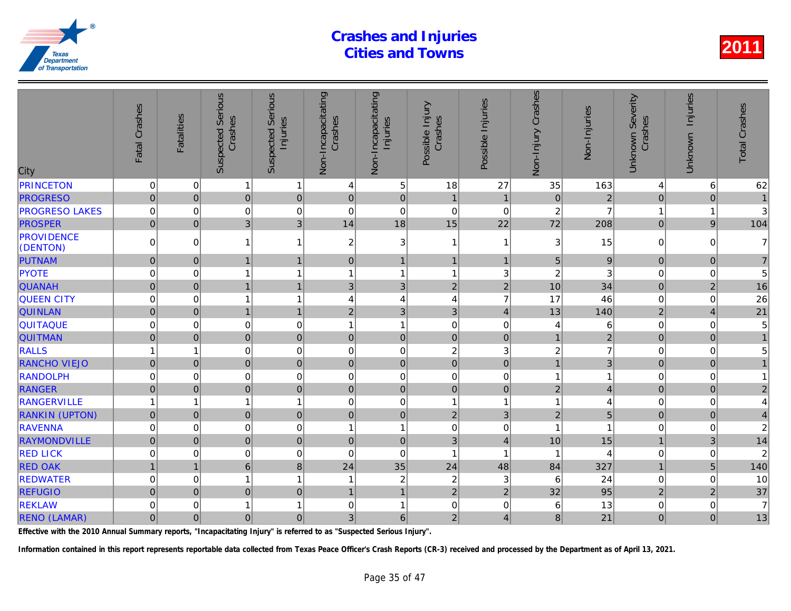| City                          | Fatal Crashes       | <b>Fatalities</b> | <b>Suspected Serious</b><br>Crashes | Serious<br>Injuries<br>Suspected | Non-Incapacitating<br>Crashes | Non-Incapacitating<br>Injuries | Possible Injury<br>Crashes | Possible Injuries | Non-Injury Crashes | Non-Injuries   |
|-------------------------------|---------------------|-------------------|-------------------------------------|----------------------------------|-------------------------------|--------------------------------|----------------------------|-------------------|--------------------|----------------|
| <b>PRINCETON</b>              | $\mathbf 0$         | 0                 | 1                                   | 1                                | 4                             | 5                              | 18                         | 27                | 35                 | 163            |
| <b>PROGRESO</b>               | $\mathbf 0$         | $\mathbf 0$       | $\mathbf 0$                         | $\mathbf 0$                      | $\pmb{0}$                     | $\mathbf 0$                    | $\mathbf{1}$               | $\overline{1}$    | $\pmb{0}$          | $\overline{a}$ |
| <b>PROGRESO LAKES</b>         | $\pmb{0}$           | $\mathbf 0$       | $\mathbf 0$                         | 0                                | $\mathbf 0$                   | $\mathbf 0$                    | $\mathbf 0$                | $\mathbf 0$       | $\overline{c}$     | $\overline{7}$ |
| <b>PROSPER</b>                | $\overline{0}$      | $\Omega$          | 3                                   | 3                                | 14                            | 18                             | 15                         | 22                | 72                 | 208            |
| <b>PROVIDENCE</b><br>(DENTON) | $\Omega$            | $\Omega$          |                                     | $\mathbf{1}$                     | $\overline{c}$                | $\ensuremath{\mathsf{3}}$      | $\mathbf{1}$               | -1                | 3                  | 15             |
| PUTNAM                        | $\mathsf{O}\xspace$ | $\pmb{0}$         | 1                                   | $\mathbf{1}$                     | $\mathsf 0$                   | $\mathbf{1}$                   | $\mathbf{1}$               | $\overline{1}$    | 5                  | 9              |
| <b>PYOTE</b>                  | $\Omega$            | 0                 |                                     | 1                                | 1                             | $\mathbf{1}$                   | 1                          | 3                 | $\overline{c}$     | 3              |
| <b>QUANAH</b>                 | $\overline{0}$      | $\mathbf 0$       | $\mathbf{1}$                        | $\mathbf{1}$                     | 3                             | $\mathbf{3}$                   | $\overline{2}$             | $\overline{2}$    | 10                 | 34             |
| <b>QUEEN CITY</b>             | 0                   | $\mathbf 0$       |                                     | $\mathbf{1}$                     | 4                             | 4                              | 4                          | $\overline{7}$    | 17                 | 46             |
| <b>QUINLAN</b>                | $\mathbf 0$         | $\Omega$          | 1                                   | $\mathbf{1}$                     | $\mathbf 2$                   | $\mathfrak{S}$                 | 3                          | $\overline{4}$    | 13                 | 140            |
| QUITAQUE                      | $\Omega$            | $\Omega$          | $\mathbf 0$                         | $\mathbf 0$                      | 1                             | $\mathbf{1}$                   | $\mathbf 0$                | $\mathbf 0$       | 4                  | 6              |
| <b>QUITMAN</b>                | $\mathbf 0$         | $\Omega$          | $\mathbf 0$                         | $\mathbf 0$                      | $\mathbf 0$                   | $\mathbf 0$                    | $\mathbf 0$                | $\Omega$          | $\mathbf{1}$       | $\overline{a}$ |
| <b>RALLS</b>                  |                     | 1                 | 0                                   | 0                                | $\mathbf 0$                   | $\pmb{0}$                      | $\boldsymbol{2}$           | 3                 | $\overline{c}$     |                |
| <b>RANCHO VIEJO</b>           | $\mathbf 0$         | $\mathbf 0$       | $\mathbf 0$                         | $\pmb{0}$                        | $\mathbf 0$                   | $\pmb{0}$                      | $\mathbf 0$                | $\mathbf 0$       | $\overline{1}$     |                |
| <b>RANDOLPH</b>               | 0                   | $\Omega$          | $\mathbf 0$                         | $\mathbf 0$                      | $\mathbf 0$                   | $\pmb{0}$                      | $\Omega$                   | $\mathbf 0$       | 1                  |                |
| <b>RANGER</b>                 | $\mathbf 0$         | $\mathbf 0$       | $\pmb{0}$                           | $\mathbf 0$                      | $\pmb{0}$                     | $\mathsf{O}\xspace$            | $\pmb{0}$                  | $\mathbf 0$       | $\sqrt{2}$         |                |
| <b>RANGERVILLE</b>            |                     | 1                 | $\mathbf{1}$                        | $\mathbf{1}$                     | 0                             | $\pmb{0}$                      | 1                          | -1                | 1                  |                |
| <b>RANKIN (UPTON)</b>         | $\mathbf 0$         | $\mathbf 0$       | $\overline{0}$                      | $\mathbf 0$                      | $\mathbf 0$                   | $\mathsf{O}\xspace$            | $\overline{2}$             | $\mathfrak{S}$    | $\overline{2}$     |                |
| <b>RAVENNA</b>                | $\mathbf 0$         | $\Omega$          | $\mathbf 0$                         | $\mathbf 0$                      | $\overline{1}$                | $\mathbf{1}$                   | $\Omega$                   | 0                 | 1                  |                |
| RAYMONDVILLE                  | $\overline{0}$      | $\mathbf 0$       | $\overline{0}$                      | $\pmb{0}$                        | $\mathbf 0$                   | $\pmb{0}$                      | 3                          | $\overline{4}$    | 10                 | 15             |
| <b>RED LICK</b>               | 0                   | 0                 | 0                                   | 0                                | 0                             | $\mathbf 0$                    | $\mathbf{1}$               | -1                |                    |                |
| <b>RED OAK</b>                |                     | $\overline{1}$    | $6\phantom{a}$                      | 8                                | 24                            | 35                             | 24                         | 48                | 84                 | 327            |
| <b>REDWATER</b>               | $\mathbf 0$         | $\Omega$          | 1                                   | $\mathbf{1}$                     | -1                            | $\sqrt{2}$                     | $\overline{c}$             | 3                 | 6                  | 24             |
| <b>REFUGIO</b>                | $\mathbf 0$         | $\mathbf{0}$      | $\overline{0}$                      | $\pmb{0}$                        | $\mathbf{1}$                  | $\mathbf{1}$                   | $\overline{2}$             | $\overline{2}$    | 32                 | 95             |
| <b>REKLAW</b>                 | 0                   | 0                 |                                     | $\mathbf{1}$                     | 0                             | 1                              | $\pmb{0}$                  | 0                 | 6                  | 13             |
| <b>RENO (LAMAR)</b>           | $\mathbf 0$         | $\mathbf 0$       | 0                                   | $\overline{0}$                   | 3                             | 6                              | $\overline{c}$             | 4                 | 8                  | 21             |

Effective with the 2010 Annual Summary reports, "Incapacitating Injury" is referred to as "Suspected Serious Injury".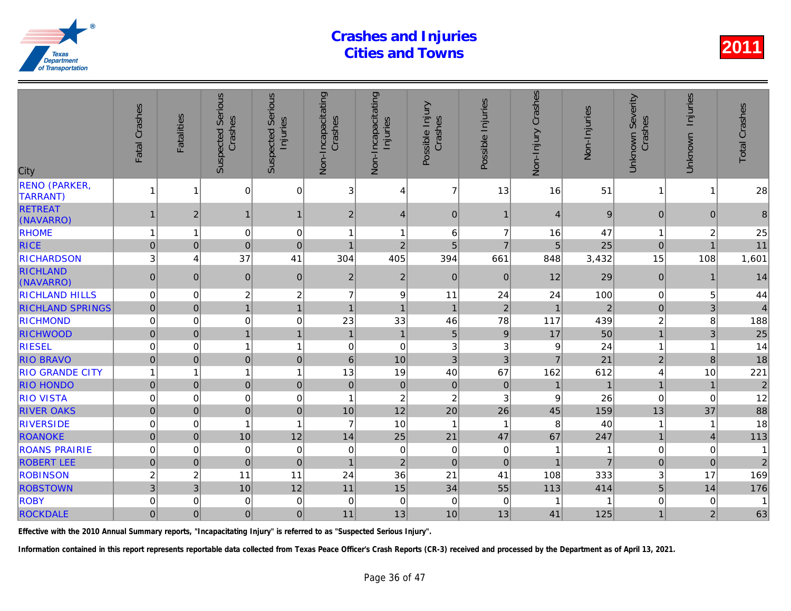| <b>RENO (PARKER,</b><br>$\mathbf 0$<br>$\overline{7}$<br>13<br>$\mathbf 0$<br>3<br>51<br>16<br>1<br>1<br>4<br><b>TARRANT)</b><br><b>RETREAT</b><br>9<br>$\overline{2}$<br>$\mathbf{1}$<br>$\overline{c}$<br>$\mathbf{0}$<br>$\mathbf{1}$<br>$\overline{4}$<br>$\overline{4}$<br>$\mathbf 1$<br>(NAVARRO)<br><b>RHOME</b><br>$\mathbf 0$<br>$\mathbf 0$<br>47<br>$\overline{1}$<br>6<br>$\overline{7}$<br>16<br>1<br>1<br>1<br><b>RICE</b><br>25<br>$\mathbf 0$<br>$\overline{0}$<br>$\overline{0}$<br>$\overline{2}$<br>5<br>$\overline{7}$<br>5<br>$\mathbf 0$<br>1<br>37<br><b>RICHARDSON</b><br>3<br>41<br>304<br>405<br>394<br>661<br>848<br>3,432<br>4<br><b>RICHLAND</b><br>$\mathbf 2$<br>12<br>29<br>$\pmb{0}$<br>$\mathbf{0}$<br>$\pmb{0}$<br>$\mathbf 0$<br>$\overline{c}$<br>$\overline{0}$<br>$\mathbf{0}$<br>(NAVARRO)<br>$\overline{c}$<br><b>RICHLAND HILLS</b><br>2<br>$\overline{7}$<br>9<br>100<br>$\mathbf 0$<br>0<br>11<br>24<br>24<br>1<br>$\overline{a}$<br>$\overline{0}$<br>$\mathbf{1}$<br>$\overline{1}$<br>$\overline{1}$<br>$\overline{2}$<br><b>RICHLAND SPRINGS</b><br>$\mathbf{0}$<br>$\overline{1}$<br>$\overline{1}$<br>$\mathbf 0$<br><b>RICHMOND</b><br>0<br>33<br>46<br>$\mathbf 0$<br>23<br>78<br>117<br>439<br>0<br>$\overline{1}$<br>$\overline{5}$<br>$\mathbf 0$<br>$\overline{1}$<br>$\mathbf{1}$<br>50<br><b>RICHWOOD</b><br>$\mathbf 0$<br>$\overline{1}$<br>$\boldsymbol{9}$<br>17<br><b>RIESEL</b><br>$\mathbf 0$<br>$\overline{1}$<br>3<br>24<br>$\mathbf 0$<br>0<br>$\mathbf{1}$<br>0<br>3<br>9<br>3<br><b>RIO BRAVO</b><br>$\overline{0}$<br>$\mathbf 0$<br>$\pmb{0}$<br>10<br>3<br>$\overline{7}$<br>21<br>$\mathbf 0$<br>$6\phantom{1}$<br><b>RIO GRANDE CITY</b><br>13<br>19<br>40<br>67<br>162<br>$\overline{1}$<br>612<br>$\mathbf{1}$<br>$\mathbf{1}$<br>1<br>$\overline{0}$<br>$\overline{0}$<br>$\mathbf 0$<br>$\pmb{0}$<br><b>RIO HONDO</b><br>$\mathbf 0$<br>$\pmb{0}$<br>$\mathbf 0$<br>$\mathbf 0$<br>$\overline{2}$<br><b>RIO VISTA</b><br>$\mathbf 0$<br>$\mathbf 0$<br>$\pmb{0}$<br>$\overline{c}$<br>3<br>26<br>$\mathbf 0$<br>1<br>9<br>12<br>20<br><b>RIVER OAKS</b><br>$\mathbf 0$<br>$\overline{0}$<br>$\mathbf 0$<br>10<br>26<br>159<br>$\mathbf{0}$<br>45<br><b>RIVERSIDE</b><br>$\overline{7}$<br>10<br>0<br>0<br>$\overline{1}$<br>8<br>40<br>1<br>$\mathbf{1}$<br>-1<br>$\mathbf 0$<br>10<br>12<br>25<br>21<br>67<br><b>ROANOKE</b><br>$\pmb{0}$<br>14<br>47<br>247<br>$\mathbf 0$<br><b>ROANS PRAIRIE</b><br>$\mathbf 0$<br>$\mathbf 0$<br>$\mathbf 0$<br>$\boldsymbol{0}$<br>$\Omega$<br>$\mathbf 0$<br>$\mathbf 0$<br>$\mathbf 0$<br>$\overline{2}$<br><b>ROBERT LEE</b><br>$\overline{0}$<br>$\pmb{0}$<br>$\mathbf{0}$<br>$\overline{0}$<br>$\overline{0}$<br>$\overline{1}$<br><b>ROBINSON</b><br>36<br>21<br>$\overline{\mathbf{c}}$<br>$\overline{c}$<br>11<br>24<br>41<br>108<br>333<br>11<br>15<br>3<br>10<br>12<br>11<br>34<br><b>ROBSTOWN</b><br>3<br>55<br>414<br>113<br>$\pmb{0}$<br>$\boldsymbol{0}$<br><b>ROBY</b><br>$\mathbf 0$<br>0<br>$\mathbf 0$<br>0<br>$\mathbf 0$<br>0<br> 0 <br>13<br>$\mathbf 0$<br>$\overline{0}$<br>11<br>10<br>13<br><b>ROCKDALE</b><br>$\mathbf 0$<br>41<br>125 | City | Fatal Crashes | <b>Fatalities</b> | <b>Suspected Serious</b><br>Crashes | <b>Serious</b><br>Injuries<br>Suspected | Non-Incapacitating<br>Crashes | Non-Incapacitating<br>Injuries | Possible Injury<br>Crashes | Possible Injuries | Non-Injury Crashes | Non-Injuries |
|----------------------------------------------------------------------------------------------------------------------------------------------------------------------------------------------------------------------------------------------------------------------------------------------------------------------------------------------------------------------------------------------------------------------------------------------------------------------------------------------------------------------------------------------------------------------------------------------------------------------------------------------------------------------------------------------------------------------------------------------------------------------------------------------------------------------------------------------------------------------------------------------------------------------------------------------------------------------------------------------------------------------------------------------------------------------------------------------------------------------------------------------------------------------------------------------------------------------------------------------------------------------------------------------------------------------------------------------------------------------------------------------------------------------------------------------------------------------------------------------------------------------------------------------------------------------------------------------------------------------------------------------------------------------------------------------------------------------------------------------------------------------------------------------------------------------------------------------------------------------------------------------------------------------------------------------------------------------------------------------------------------------------------------------------------------------------------------------------------------------------------------------------------------------------------------------------------------------------------------------------------------------------------------------------------------------------------------------------------------------------------------------------------------------------------------------------------------------------------------------------------------------------------------------------------------------------------------------------------------------------------------------------------------------------------------------------------------------------------------------------------------------------------------------------------------------------------------------------------------------------------------------------------------------------------------------------------------------------------------------------------------------------------------------------------------------------------------------------------------------------------------------------------------------------------------|------|---------------|-------------------|-------------------------------------|-----------------------------------------|-------------------------------|--------------------------------|----------------------------|-------------------|--------------------|--------------|
|                                                                                                                                                                                                                                                                                                                                                                                                                                                                                                                                                                                                                                                                                                                                                                                                                                                                                                                                                                                                                                                                                                                                                                                                                                                                                                                                                                                                                                                                                                                                                                                                                                                                                                                                                                                                                                                                                                                                                                                                                                                                                                                                                                                                                                                                                                                                                                                                                                                                                                                                                                                                                                                                                                                                                                                                                                                                                                                                                                                                                                                                                                                                                                                        |      |               |                   |                                     |                                         |                               |                                |                            |                   |                    |              |
|                                                                                                                                                                                                                                                                                                                                                                                                                                                                                                                                                                                                                                                                                                                                                                                                                                                                                                                                                                                                                                                                                                                                                                                                                                                                                                                                                                                                                                                                                                                                                                                                                                                                                                                                                                                                                                                                                                                                                                                                                                                                                                                                                                                                                                                                                                                                                                                                                                                                                                                                                                                                                                                                                                                                                                                                                                                                                                                                                                                                                                                                                                                                                                                        |      |               |                   |                                     |                                         |                               |                                |                            |                   |                    |              |
|                                                                                                                                                                                                                                                                                                                                                                                                                                                                                                                                                                                                                                                                                                                                                                                                                                                                                                                                                                                                                                                                                                                                                                                                                                                                                                                                                                                                                                                                                                                                                                                                                                                                                                                                                                                                                                                                                                                                                                                                                                                                                                                                                                                                                                                                                                                                                                                                                                                                                                                                                                                                                                                                                                                                                                                                                                                                                                                                                                                                                                                                                                                                                                                        |      |               |                   |                                     |                                         |                               |                                |                            |                   |                    |              |
|                                                                                                                                                                                                                                                                                                                                                                                                                                                                                                                                                                                                                                                                                                                                                                                                                                                                                                                                                                                                                                                                                                                                                                                                                                                                                                                                                                                                                                                                                                                                                                                                                                                                                                                                                                                                                                                                                                                                                                                                                                                                                                                                                                                                                                                                                                                                                                                                                                                                                                                                                                                                                                                                                                                                                                                                                                                                                                                                                                                                                                                                                                                                                                                        |      |               |                   |                                     |                                         |                               |                                |                            |                   |                    |              |
|                                                                                                                                                                                                                                                                                                                                                                                                                                                                                                                                                                                                                                                                                                                                                                                                                                                                                                                                                                                                                                                                                                                                                                                                                                                                                                                                                                                                                                                                                                                                                                                                                                                                                                                                                                                                                                                                                                                                                                                                                                                                                                                                                                                                                                                                                                                                                                                                                                                                                                                                                                                                                                                                                                                                                                                                                                                                                                                                                                                                                                                                                                                                                                                        |      |               |                   |                                     |                                         |                               |                                |                            |                   |                    |              |
|                                                                                                                                                                                                                                                                                                                                                                                                                                                                                                                                                                                                                                                                                                                                                                                                                                                                                                                                                                                                                                                                                                                                                                                                                                                                                                                                                                                                                                                                                                                                                                                                                                                                                                                                                                                                                                                                                                                                                                                                                                                                                                                                                                                                                                                                                                                                                                                                                                                                                                                                                                                                                                                                                                                                                                                                                                                                                                                                                                                                                                                                                                                                                                                        |      |               |                   |                                     |                                         |                               |                                |                            |                   |                    |              |
|                                                                                                                                                                                                                                                                                                                                                                                                                                                                                                                                                                                                                                                                                                                                                                                                                                                                                                                                                                                                                                                                                                                                                                                                                                                                                                                                                                                                                                                                                                                                                                                                                                                                                                                                                                                                                                                                                                                                                                                                                                                                                                                                                                                                                                                                                                                                                                                                                                                                                                                                                                                                                                                                                                                                                                                                                                                                                                                                                                                                                                                                                                                                                                                        |      |               |                   |                                     |                                         |                               |                                |                            |                   |                    |              |
|                                                                                                                                                                                                                                                                                                                                                                                                                                                                                                                                                                                                                                                                                                                                                                                                                                                                                                                                                                                                                                                                                                                                                                                                                                                                                                                                                                                                                                                                                                                                                                                                                                                                                                                                                                                                                                                                                                                                                                                                                                                                                                                                                                                                                                                                                                                                                                                                                                                                                                                                                                                                                                                                                                                                                                                                                                                                                                                                                                                                                                                                                                                                                                                        |      |               |                   |                                     |                                         |                               |                                |                            |                   |                    |              |
|                                                                                                                                                                                                                                                                                                                                                                                                                                                                                                                                                                                                                                                                                                                                                                                                                                                                                                                                                                                                                                                                                                                                                                                                                                                                                                                                                                                                                                                                                                                                                                                                                                                                                                                                                                                                                                                                                                                                                                                                                                                                                                                                                                                                                                                                                                                                                                                                                                                                                                                                                                                                                                                                                                                                                                                                                                                                                                                                                                                                                                                                                                                                                                                        |      |               |                   |                                     |                                         |                               |                                |                            |                   |                    |              |
|                                                                                                                                                                                                                                                                                                                                                                                                                                                                                                                                                                                                                                                                                                                                                                                                                                                                                                                                                                                                                                                                                                                                                                                                                                                                                                                                                                                                                                                                                                                                                                                                                                                                                                                                                                                                                                                                                                                                                                                                                                                                                                                                                                                                                                                                                                                                                                                                                                                                                                                                                                                                                                                                                                                                                                                                                                                                                                                                                                                                                                                                                                                                                                                        |      |               |                   |                                     |                                         |                               |                                |                            |                   |                    |              |
|                                                                                                                                                                                                                                                                                                                                                                                                                                                                                                                                                                                                                                                                                                                                                                                                                                                                                                                                                                                                                                                                                                                                                                                                                                                                                                                                                                                                                                                                                                                                                                                                                                                                                                                                                                                                                                                                                                                                                                                                                                                                                                                                                                                                                                                                                                                                                                                                                                                                                                                                                                                                                                                                                                                                                                                                                                                                                                                                                                                                                                                                                                                                                                                        |      |               |                   |                                     |                                         |                               |                                |                            |                   |                    |              |
|                                                                                                                                                                                                                                                                                                                                                                                                                                                                                                                                                                                                                                                                                                                                                                                                                                                                                                                                                                                                                                                                                                                                                                                                                                                                                                                                                                                                                                                                                                                                                                                                                                                                                                                                                                                                                                                                                                                                                                                                                                                                                                                                                                                                                                                                                                                                                                                                                                                                                                                                                                                                                                                                                                                                                                                                                                                                                                                                                                                                                                                                                                                                                                                        |      |               |                   |                                     |                                         |                               |                                |                            |                   |                    |              |
|                                                                                                                                                                                                                                                                                                                                                                                                                                                                                                                                                                                                                                                                                                                                                                                                                                                                                                                                                                                                                                                                                                                                                                                                                                                                                                                                                                                                                                                                                                                                                                                                                                                                                                                                                                                                                                                                                                                                                                                                                                                                                                                                                                                                                                                                                                                                                                                                                                                                                                                                                                                                                                                                                                                                                                                                                                                                                                                                                                                                                                                                                                                                                                                        |      |               |                   |                                     |                                         |                               |                                |                            |                   |                    |              |
|                                                                                                                                                                                                                                                                                                                                                                                                                                                                                                                                                                                                                                                                                                                                                                                                                                                                                                                                                                                                                                                                                                                                                                                                                                                                                                                                                                                                                                                                                                                                                                                                                                                                                                                                                                                                                                                                                                                                                                                                                                                                                                                                                                                                                                                                                                                                                                                                                                                                                                                                                                                                                                                                                                                                                                                                                                                                                                                                                                                                                                                                                                                                                                                        |      |               |                   |                                     |                                         |                               |                                |                            |                   |                    |              |
|                                                                                                                                                                                                                                                                                                                                                                                                                                                                                                                                                                                                                                                                                                                                                                                                                                                                                                                                                                                                                                                                                                                                                                                                                                                                                                                                                                                                                                                                                                                                                                                                                                                                                                                                                                                                                                                                                                                                                                                                                                                                                                                                                                                                                                                                                                                                                                                                                                                                                                                                                                                                                                                                                                                                                                                                                                                                                                                                                                                                                                                                                                                                                                                        |      |               |                   |                                     |                                         |                               |                                |                            |                   |                    |              |
|                                                                                                                                                                                                                                                                                                                                                                                                                                                                                                                                                                                                                                                                                                                                                                                                                                                                                                                                                                                                                                                                                                                                                                                                                                                                                                                                                                                                                                                                                                                                                                                                                                                                                                                                                                                                                                                                                                                                                                                                                                                                                                                                                                                                                                                                                                                                                                                                                                                                                                                                                                                                                                                                                                                                                                                                                                                                                                                                                                                                                                                                                                                                                                                        |      |               |                   |                                     |                                         |                               |                                |                            |                   |                    |              |
|                                                                                                                                                                                                                                                                                                                                                                                                                                                                                                                                                                                                                                                                                                                                                                                                                                                                                                                                                                                                                                                                                                                                                                                                                                                                                                                                                                                                                                                                                                                                                                                                                                                                                                                                                                                                                                                                                                                                                                                                                                                                                                                                                                                                                                                                                                                                                                                                                                                                                                                                                                                                                                                                                                                                                                                                                                                                                                                                                                                                                                                                                                                                                                                        |      |               |                   |                                     |                                         |                               |                                |                            |                   |                    |              |
|                                                                                                                                                                                                                                                                                                                                                                                                                                                                                                                                                                                                                                                                                                                                                                                                                                                                                                                                                                                                                                                                                                                                                                                                                                                                                                                                                                                                                                                                                                                                                                                                                                                                                                                                                                                                                                                                                                                                                                                                                                                                                                                                                                                                                                                                                                                                                                                                                                                                                                                                                                                                                                                                                                                                                                                                                                                                                                                                                                                                                                                                                                                                                                                        |      |               |                   |                                     |                                         |                               |                                |                            |                   |                    |              |
|                                                                                                                                                                                                                                                                                                                                                                                                                                                                                                                                                                                                                                                                                                                                                                                                                                                                                                                                                                                                                                                                                                                                                                                                                                                                                                                                                                                                                                                                                                                                                                                                                                                                                                                                                                                                                                                                                                                                                                                                                                                                                                                                                                                                                                                                                                                                                                                                                                                                                                                                                                                                                                                                                                                                                                                                                                                                                                                                                                                                                                                                                                                                                                                        |      |               |                   |                                     |                                         |                               |                                |                            |                   |                    |              |
|                                                                                                                                                                                                                                                                                                                                                                                                                                                                                                                                                                                                                                                                                                                                                                                                                                                                                                                                                                                                                                                                                                                                                                                                                                                                                                                                                                                                                                                                                                                                                                                                                                                                                                                                                                                                                                                                                                                                                                                                                                                                                                                                                                                                                                                                                                                                                                                                                                                                                                                                                                                                                                                                                                                                                                                                                                                                                                                                                                                                                                                                                                                                                                                        |      |               |                   |                                     |                                         |                               |                                |                            |                   |                    |              |
|                                                                                                                                                                                                                                                                                                                                                                                                                                                                                                                                                                                                                                                                                                                                                                                                                                                                                                                                                                                                                                                                                                                                                                                                                                                                                                                                                                                                                                                                                                                                                                                                                                                                                                                                                                                                                                                                                                                                                                                                                                                                                                                                                                                                                                                                                                                                                                                                                                                                                                                                                                                                                                                                                                                                                                                                                                                                                                                                                                                                                                                                                                                                                                                        |      |               |                   |                                     |                                         |                               |                                |                            |                   |                    |              |
|                                                                                                                                                                                                                                                                                                                                                                                                                                                                                                                                                                                                                                                                                                                                                                                                                                                                                                                                                                                                                                                                                                                                                                                                                                                                                                                                                                                                                                                                                                                                                                                                                                                                                                                                                                                                                                                                                                                                                                                                                                                                                                                                                                                                                                                                                                                                                                                                                                                                                                                                                                                                                                                                                                                                                                                                                                                                                                                                                                                                                                                                                                                                                                                        |      |               |                   |                                     |                                         |                               |                                |                            |                   |                    |              |
|                                                                                                                                                                                                                                                                                                                                                                                                                                                                                                                                                                                                                                                                                                                                                                                                                                                                                                                                                                                                                                                                                                                                                                                                                                                                                                                                                                                                                                                                                                                                                                                                                                                                                                                                                                                                                                                                                                                                                                                                                                                                                                                                                                                                                                                                                                                                                                                                                                                                                                                                                                                                                                                                                                                                                                                                                                                                                                                                                                                                                                                                                                                                                                                        |      |               |                   |                                     |                                         |                               |                                |                            |                   |                    |              |
|                                                                                                                                                                                                                                                                                                                                                                                                                                                                                                                                                                                                                                                                                                                                                                                                                                                                                                                                                                                                                                                                                                                                                                                                                                                                                                                                                                                                                                                                                                                                                                                                                                                                                                                                                                                                                                                                                                                                                                                                                                                                                                                                                                                                                                                                                                                                                                                                                                                                                                                                                                                                                                                                                                                                                                                                                                                                                                                                                                                                                                                                                                                                                                                        |      |               |                   |                                     |                                         |                               |                                |                            |                   |                    |              |

Effective with the 2010 Annual Summary reports, "Incapacitating Injury" is referred to as "Suspected Serious Injury".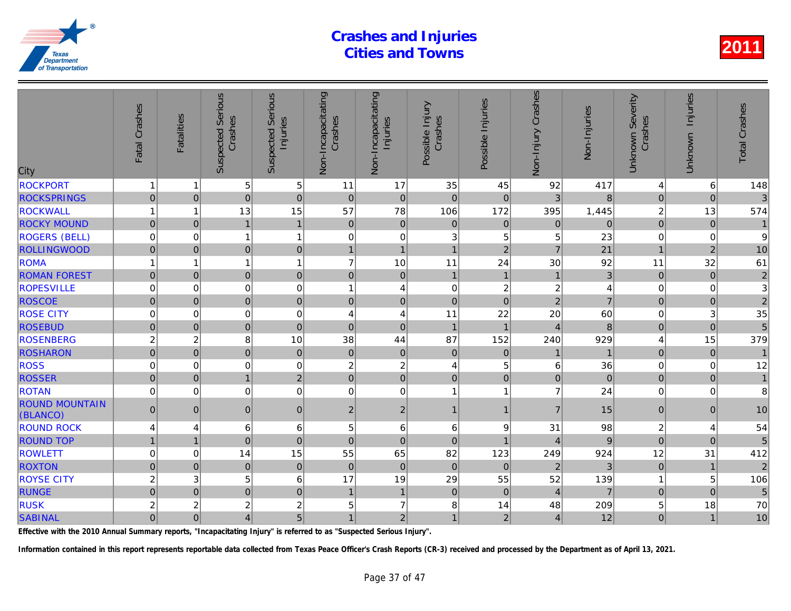| City                              | Fatal Crashes           | <b>Fatalities</b> | Serious<br>Crashes<br>Suspected | <b>Serious</b><br>Injuries<br>Suspected | Non-Incapacitating<br>Crashes | Non-Incapacitating<br>Injuries | Possible Injury<br>Crashes | Possible Injuries | Non-Injury Crashes | Non-Injuries   |
|-----------------------------------|-------------------------|-------------------|---------------------------------|-----------------------------------------|-------------------------------|--------------------------------|----------------------------|-------------------|--------------------|----------------|
| <b>ROCKPORT</b>                   | 1                       | 1                 | 5                               | 5                                       | 11                            | 17                             | 35                         | 45                | 92                 | 417            |
| <b>ROCKSPRINGS</b>                | $\overline{0}$          | $\mathbf 0$       | $\overline{0}$                  | $\overline{0}$                          | $\mathbf 0$                   | $\pmb{0}$                      | $\mathbf 0$                | $\mathbf 0$       | $\overline{3}$     | 8              |
| <b>ROCKWALL</b>                   | $\mathbf{1}$            | 1                 | 13                              | 15                                      | 57                            | 78                             | 106                        | 172               | 395                | 1,445          |
| <b>ROCKY MOUND</b>                | $\overline{0}$          | $\mathbf{0}$      | $\mathbf{1}$                    | $\mathbf{1}$                            | $\mathbf{0}$                  | $\overline{0}$                 | $\mathbf 0$                | 0                 | $\mathbf 0$        | $\Omega$       |
| <b>ROGERS (BELL)</b>              | $\mathbf 0$             | $\Omega$          | $\mathbf{1}$                    | $\overline{1}$                          | 0                             | $\mathsf 0$                    | 3                          | 5                 | 5                  | 23             |
| <b>ROLLINGWOOD</b>                | $\overline{0}$          | $\mathbf{0}$      | $\overline{0}$                  | $\boldsymbol{0}$                        | $\mathbf{1}$                  | $\mathbf{1}$                   | $\overline{1}$             | $\overline{2}$    | $\overline{7}$     | 21             |
| <b>ROMA</b>                       | $\overline{1}$          | 1                 | 1                               | $\overline{1}$                          | $\overline{7}$                | 10                             | 11                         | 24                | 30                 | 92             |
| <b>ROMAN FOREST</b>               | $\overline{0}$          | $\mathbf 0$       | $\overline{0}$                  | $\mathbf 0$                             | $\pmb{0}$                     | $\mathbf 0$                    | $\mathbf{1}$               | $\mathbf{1}$      | $\mathbf{1}$       | 3              |
| <b>ROPESVILLE</b>                 | $\mathbf 0$             | $\Omega$          | 0                               | $\mathbf 0$                             | 1                             | $\overline{\mathbf{4}}$        | $\mathbf 0$                | $\overline{c}$    | $\overline{c}$     |                |
| <b>ROSCOE</b>                     | $\overline{0}$          | $\Omega$          | $\overline{0}$                  | $\mathbf 0$                             | $\mathbf 0$                   | $\mathbf 0$                    | $\overline{0}$             | $\Omega$          | $\overline{2}$     |                |
| <b>ROSE CITY</b>                  | $\mathbf 0$             | $\Omega$          | 0                               | $\mathbf 0$                             | $\overline{4}$                | 4                              | 11                         | 22                | 20                 | 60             |
| <b>ROSEBUD</b>                    | $\pmb{0}$               | $\mathbf 0$       | $\overline{0}$                  | $\mathbf 0$                             | $\mathbf 0$                   | $\mathbf 0$                    | $\overline{1}$             | $\overline{1}$    | $\overline{4}$     | 8              |
| <b>ROSENBERG</b>                  | $\overline{c}$          | $\overline{c}$    | 8                               | 10                                      | 38                            | 44                             | 87                         | 152               | 240                | 929            |
| <b>ROSHARON</b>                   | $\pmb{0}$               | $\mathbf 0$       | 0                               | $\mathbf 0$                             | $\pmb{0}$                     | $\pmb{0}$                      | $\mathbf 0$                | $\mathbf 0$       |                    |                |
| <b>ROSS</b>                       | $\mathbf 0$             | 0                 | 0                               | $\mathbf 0$                             | $\overline{c}$                | $\boldsymbol{2}$               | $\overline{4}$             | 5                 | 6                  | 36             |
| <b>ROSSER</b>                     | $\overline{0}$          | $\mathbf{0}$      | 1                               | $\mathbf 2$                             | $\mathbf 0$                   | $\overline{0}$                 | $\pmb{0}$                  | $\mathbf 0$       | $\pmb{0}$          | $\overline{0}$ |
| <b>ROTAN</b>                      | $\mathbf 0$             | 0                 | $\overline{0}$                  | $\mathbf 0$                             | 0                             | $\mathbf 0$                    | $\mathbf{1}$               | 1                 | $\overline{7}$     | 24             |
| <b>ROUND MOUNTAIN</b><br>(BLANCO) | $\overline{0}$          | $\mathbf{0}$      | $\overline{0}$                  | $\pmb{0}$                               | $\overline{2}$                | $\overline{2}$                 | $\mathbf{1}$               | $\mathbf 1$       | $\overline{7}$     | 15             |
| <b>ROUND ROCK</b>                 | 4                       | 4                 | 6                               | 6                                       | 5                             | $\,6\,$                        | 6                          | 9                 | 31                 | 98             |
| <b>ROUND TOP</b>                  | $\mathbf{1}$            | 1                 | $\overline{0}$                  | $\mathbf 0$                             | $\pmb{0}$                     | $\mathbf 0$                    | $\mathbf 0$                | 1                 | $\overline{4}$     | 9              |
| <b>ROWLETT</b>                    | $\boldsymbol{0}$        | 0                 | 14                              | 15                                      | 55                            | 65                             | 82                         | 123               | 249                | 924            |
| <b>ROXTON</b>                     | $\overline{0}$          | $\Omega$          | $\overline{0}$                  | $\mathbf 0$                             | $\mathbf 0$                   | $\mathbf 0$                    | $\mathbf 0$                | $\Omega$          | $\overline{2}$     | 3              |
| <b>ROYSE CITY</b>                 | $\overline{c}$          | 3                 | 5                               | $\,6$                                   | 17                            | 19                             | 29                         | 55                | 52                 | 139            |
| <b>RUNGE</b>                      | $\overline{0}$          | $\Omega$          | $\overline{0}$                  | $\overline{0}$                          | $\overline{1}$                | $\mathbf{1}$                   | $\Omega$                   | $\Omega$          | $\overline{4}$     |                |
| <b>RUSK</b>                       | $\overline{\mathbf{c}}$ | $\overline{c}$    | $\overline{c}$                  | $\overline{c}$                          | 5                             | $\overline{7}$                 | 8                          | 14                | 48                 | 209            |
| <b>SABINAL</b>                    | 0                       | $\mathbf 0$       | $\vert 4 \vert$                 | 5                                       | $\mathbf{1}$                  | $\mathbf 2$                    | $\mathbf{1}$               | $\overline{2}$    | $\overline{4}$     | 12             |
|                                   |                         |                   |                                 |                                         |                               |                                |                            |                   |                    |                |

Effective with the 2010 Annual Summary reports, "Incapacitating Injury" is referred to as "Suspected Serious Injury".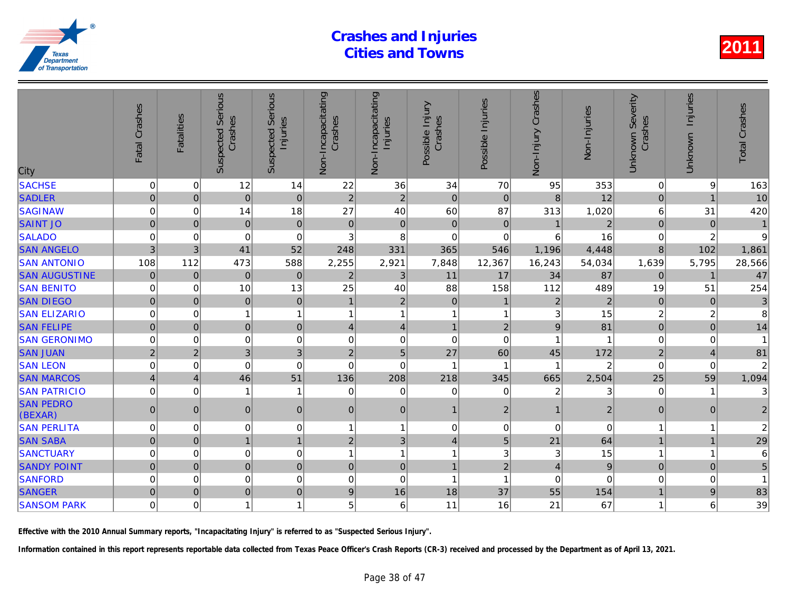| City                        | Fatal Crashes            | <b>Fatalities</b> | <b>Serious</b><br>Crashes<br>Suspected | Serious<br>Injuries<br>Suspected | Non-Incapacitating<br>Crashes | Non-Incapacitating<br>Injuries | Possible Injury<br>Crashes | Possible Injuries | Crashes<br>Non-Injury | Non-Injuries   |
|-----------------------------|--------------------------|-------------------|----------------------------------------|----------------------------------|-------------------------------|--------------------------------|----------------------------|-------------------|-----------------------|----------------|
| <b>SACHSE</b>               | 0                        | $\mathbf 0$       | 12                                     | 14                               | 22                            | 36                             | 34                         | 70                | 95                    | 353            |
| <b>SADLER</b>               | $\overline{0}$           | $\Omega$          | $\overline{0}$                         | $\mathbf 0$                      | $\overline{2}$                | $\overline{2}$                 | $\mathbf 0$                | 0                 | 8                     | 12             |
| <b>SAGINAW</b>              | 0                        | $\Omega$          | 14                                     | 18                               | 27                            | 40                             | 60                         | 87                | 313                   | 1,020          |
| <b>SAINT JO</b>             | $\mathbf 0$              | $\Omega$          | $\mathbf 0$                            | $\mathbf 0$                      | $\pmb{0}$                     | 0                              | $\mathbf 0$                | $\mathbf 0$       | $\overline{1}$        | $\overline{a}$ |
| <b>SALADO</b>               | 0                        | $\mathbf 0$       | 0                                      | $\mathbf 0$                      | 3                             | 8                              | $\mathbf 0$                | $\Omega$          | 6                     | 16             |
| <b>SAN ANGELO</b>           | 3                        | 3                 | 41                                     | 52                               | 248                           | 331                            | 365                        | 546               | 1,196                 | 4,448          |
| <b>SAN ANTONIO</b>          | 108                      | 112               | 473                                    | 588                              | 2,255                         | 2,921                          | 7,848                      | 12,367            | 16,243                | 54,034         |
| <b>SAN AUGUSTINE</b>        | $\pmb{0}$                | $\overline{0}$    | $\mathbf 0$                            | $\mathbf 0$                      | $\overline{2}$                | $\sqrt{3}$                     | 11                         | 17                | 34                    | 87             |
| <b>SAN BENITO</b>           | 0                        | $\mathbf 0$       | 10                                     | 13                               | 25                            | 40                             | 88                         | 158               | 112                   | 489            |
| <b>SAN DIEGO</b>            | $\overline{0}$           | $\Omega$          | $\overline{0}$                         | $\mathbf 0$                      | $\overline{1}$                | $\overline{2}$                 | $\Omega$                   | $\overline{1}$    | $\overline{2}$        | $\overline{2}$ |
| <b>SAN ELIZARIO</b>         | 0                        | $\Omega$          | 1                                      | $\mathbf{1}$                     | 1                             | $\mathbf{1}$                   | $\overline{1}$             | 1                 | 3                     | 15             |
| <b>SAN FELIPE</b>           | $\overline{0}$           | $\mathbf 0$       | $\overline{0}$                         | $\mathbf 0$                      | $\overline{4}$                | $\vert 4 \vert$                | $\overline{1}$             | $\overline{2}$    | 9                     | 81             |
| <b>SAN GERONIMO</b>         | 0                        | $\mathbf 0$       | 0                                      | $\mathbf 0$                      | $\mathbf 0$                   | $\mathbf 0$                    | $\mathbf 0$                | $\mathbf 0$       |                       |                |
| <b>SAN JUAN</b>             | $\overline{2}$           | $\overline{2}$    | 3                                      | 3                                | $\overline{2}$                | $\overline{5}$                 | 27                         | 60                | 45                    | 172            |
| <b>SAN LEON</b>             | 0                        | $\Omega$          | 0                                      | $\mathbf 0$                      | $\mathbf 0$                   | $\mathbf 0$                    | $\overline{1}$             | 1                 |                       | 2              |
| <b>SAN MARCOS</b>           | $\overline{\mathcal{L}}$ | $\overline{4}$    | 46                                     | 51                               | 136                           | 208                            | 218                        | 345               | 665                   | 2,504          |
| <b>SAN PATRICIO</b>         | 0                        | $\Omega$          | $\mathbf{1}$                           | -1                               | $\Omega$                      | $\mathbf 0$                    | $\Omega$                   | $\Omega$          | $\overline{2}$        |                |
| <b>SAN PEDRO</b><br>(BEXAR) | $\overline{0}$           | $\Omega$          | $\overline{0}$                         | $\mathbf 0$                      | $\mathbf{0}$                  | $\overline{0}$                 | $\overline{1}$             | $\overline{2}$    | $\overline{1}$        | $\overline{2}$ |
| <b>SAN PERLITA</b>          | 0                        | $\Omega$          | 0                                      | $\mathbf 0$                      | 1                             | $\mathbf{1}$                   | $\Omega$                   | 0                 | $\Omega$              |                |
| <b>SAN SABA</b>             | $\overline{0}$           | $\overline{0}$    | $\mathbf{1}$                           | $\mathbf{1}$                     | $\overline{2}$                | 3 <sup>1</sup>                 | $\overline{4}$             | 5                 | 21                    | 64             |
| <b>SANCTUARY</b>            | 0                        | $\Omega$          | 0                                      | $\mathbf 0$                      |                               | $\mathbf{1}$                   | 1                          | 3                 | 3                     | 15             |
| <b>SANDY POINT</b>          | $\overline{0}$           | $\Omega$          | $\overline{0}$                         | $\mathbf 0$                      | $\mathbf{0}$                  | $\overline{0}$                 | $\overline{1}$             | $\overline{2}$    | $\overline{4}$        | 9              |
| <b>SANFORD</b>              | 0                        | $\mathbf 0$       | 0                                      | $\mathbf 0$                      | $\Omega$                      | 0                              | $\overline{1}$             | 1                 | $\mathbf 0$           |                |
| <b>SANGER</b>               | $\Omega$                 | $\overline{0}$    | $\overline{0}$                         | $\mathbf 0$                      | 9                             | 16                             | 18                         | 37                | 55                    | 154            |
| <b>SANSOM PARK</b>          | 0                        | $\Omega$          | 1                                      | $\mathbf{1}$                     | 5                             | 6                              | 11                         | 16                | 21                    | 67             |
|                             |                          |                   |                                        |                                  |                               |                                |                            |                   |                       |                |

Effective with the 2010 Annual Summary reports, "Incapacitating Injury" is referred to as "Suspected Serious Injury".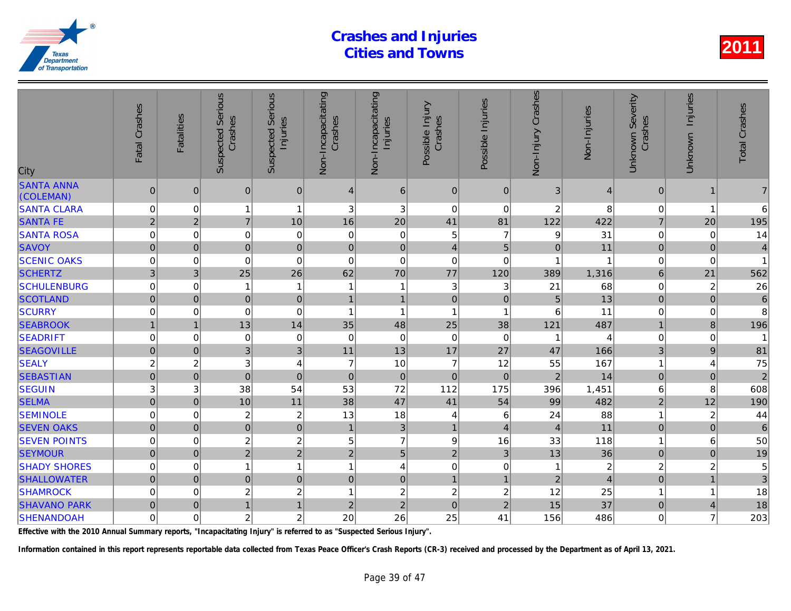| City                           | Fatal Crashes  | <b>Fatalities</b>       | <b>Suspected Serious</b><br>Crashes | Serious<br>Injuries<br>Suspected | Non-Incapacitating<br>Crashes | Non-Incapacitating<br>Injuries | Possible Injury<br>Crashes | Possible Injuries | Non-Injury Crashes | Non-Injuries   |
|--------------------------------|----------------|-------------------------|-------------------------------------|----------------------------------|-------------------------------|--------------------------------|----------------------------|-------------------|--------------------|----------------|
| <b>SANTA ANNA</b><br>(COLEMAN) | $\pmb{0}$      | $\mathbf{0}$            | $\mathbf 0$                         | $\mathbf 0$                      | 4                             | 6                              | $\mathbf 0$                | $\mathbf{0}$      | 3                  |                |
| <b>SANTA CLARA</b>             | 0              | 0                       | 1                                   | $\mathbf{1}$                     | 3                             | 3                              | 0                          | $\mathbf 0$       | 2                  | 8              |
| <b>SANTA FE</b>                | $\overline{2}$ | $\overline{2}$          | $\overline{7}$                      | 10                               | 16                            | 20                             | 41                         | 81                | 122                | 422            |
| <b>SANTA ROSA</b>              | 0              | 0                       | 0                                   | 0                                | 0                             | 0                              | 5                          | $\overline{7}$    | 9                  | 31             |
| <b>SAVOY</b>                   | $\overline{0}$ | $\mathbf 0$             | $\mathbf 0$                         | $\pmb{0}$                        | $\mathbf 0$                   | $\mathbf 0$                    | $\overline{4}$             | 5                 | $\overline{0}$     | 11             |
| <b>SCENIC OAKS</b>             | $\mathbf 0$    | $\mathbf 0$             | $\mathbf 0$                         | $\mathbf 0$                      | $\mathbf 0$                   | $\pmb{0}$                      | $\mathbf 0$                | $\mathbf 0$       | 1                  |                |
| <b>SCHERTZ</b>                 | 3              | 3 <sup>1</sup>          | 25                                  | 26                               | 62                            | 70                             | 77                         | 120               | 389                | 1,316          |
| <b>SCHULENBURG</b>             | $\mathbf 0$    | 0                       |                                     | $\mathbf{1}$                     | $\overline{1}$                | 1                              | $\mathbf{3}$               | 3                 | 21                 | 68             |
| <b>SCOTLAND</b>                | $\overline{0}$ | $\mathbf 0$             | $\mathbf 0$                         | $\pmb{0}$                        | $\mathbf{1}$                  | $\mathbf{1}$                   | $\mathbf 0$                | $\mathbf 0$       | 5                  | 13             |
| <b>SCURRY</b>                  | 0              | $\mathbf 0$             | $\mathbf 0$                         | $\mathbf 0$                      | $\overline{\mathbf{1}}$       | $\mathbf{1}$                   | $\mathbf{1}$               | -1                | 6                  | 11             |
| <b>SEABROOK</b>                |                | 1                       | 13                                  | 14                               | 35                            | 48                             | 25                         | 38                | 121                | 487            |
| <b>SEADRIFT</b>                | 0              | 0                       | $\mathbf 0$                         | 0                                | $\mathbf 0$                   | $\mathbf 0$                    | $\mathbf 0$                | $\mathbf 0$       | -1                 |                |
| <b>SEAGOVILLE</b>              | $\overline{0}$ | $\mathbf 0$             | $\overline{3}$                      | 3                                | 11                            | 13                             | 17                         | 27                | 47                 | 166            |
| <b>SEALY</b>                   | $\overline{c}$ | $\overline{\mathbf{c}}$ | $\ensuremath{\mathsf{3}}$           | $\overline{4}$                   | $\overline{7}$                | 10                             | $\overline{7}$             | 12                | 55                 | 167            |
| <b>SEBASTIAN</b>               | $\mathbf 0$    | $\overline{0}$          | $\mathbf 0$                         | $\overline{0}$                   | $\mathbf{0}$                  | $\pmb{0}$                      | $\mathbf 0$                | $\mathbf{0}$      | $\overline{2}$     | 14             |
| <b>SEGUIN</b>                  | 3              | 3                       | 38                                  | 54                               | 53                            | 72                             | 112                        | 175               | 396                | 1,451          |
| <b>SELMA</b>                   | $\mathbf 0$    | $\pmb{0}$               | 10                                  | 11                               | 38                            | 47                             | 41                         | 54                | 99                 | 482            |
| <b>SEMINOLE</b>                | 0              | 0                       | $\boldsymbol{2}$                    | $\overline{\mathbf{c}}$          | 13                            | 18                             | 4                          | 6                 | 24                 | 88             |
| <b>SEVEN OAKS</b>              | $\overline{0}$ | $\mathbf 0$             | $\overline{0}$                      | $\mathbf 0$                      | $\overline{1}$                | $\mathbf{3}$                   | $\mathbf{1}$               | $\overline{4}$    | $\overline{4}$     | 11             |
| <b>SEVEN POINTS</b>            | $\mathbf 0$    | $\Omega$                | $\boldsymbol{2}$                    | $\overline{c}$                   | 5                             | $\overline{7}$                 | $\boldsymbol{9}$           | 16                | 33                 | 118            |
| <b>SEYMOUR</b>                 | $\overline{0}$ | $\mathbf 0$             | $\overline{2}$                      | $\overline{2}$                   | $\overline{2}$                | $\overline{5}$                 | $\overline{2}$             | 3                 | 13                 | 36             |
| <b>SHADY SHORES</b>            | $\mathbf 0$    | 0                       | 1                                   | $\mathbf{1}$                     | $\overline{1}$                | 4                              | $\mathbf 0$                | 0                 | 1                  | $\overline{a}$ |
| <b>SHALLOWATER</b>             | $\mathbf 0$    | $\mathbf{0}$            | $\mathbf 0$                         | $\overline{0}$                   | $\overline{0}$                | $\mathbf 0$                    | $\mathbf{1}$               | $\overline{1}$    | $\overline{2}$     |                |
| <b>SHAMROCK</b>                | $\mathbf 0$    | 0                       | $\overline{c}$                      | $\overline{c}$                   | $\overline{1}$                | $\sqrt{2}$                     | $\overline{2}$             | $\overline{c}$    | 12                 | 25             |
| <b>SHAVANO PARK</b>            | $\pmb{0}$      | $\pmb{0}$               | 1                                   | $\mathbf{1}$                     | $\overline{c}$                | $\overline{2}$                 | $\mathbf 0$                | $\overline{2}$    | 15                 | 37             |
| <b>SHENANDOAH</b>              | $\mathbf 0$    | 0                       | $\overline{c}$                      | $\overline{c}$                   | 20                            | 26                             | 25                         | 41                | 156                | 486            |
|                                |                |                         |                                     |                                  |                               |                                |                            |                   |                    |                |

Effective with the 2010 Annual Summary reports, "Incapacitating Injury" is referred to as "Suspected Serious Injury".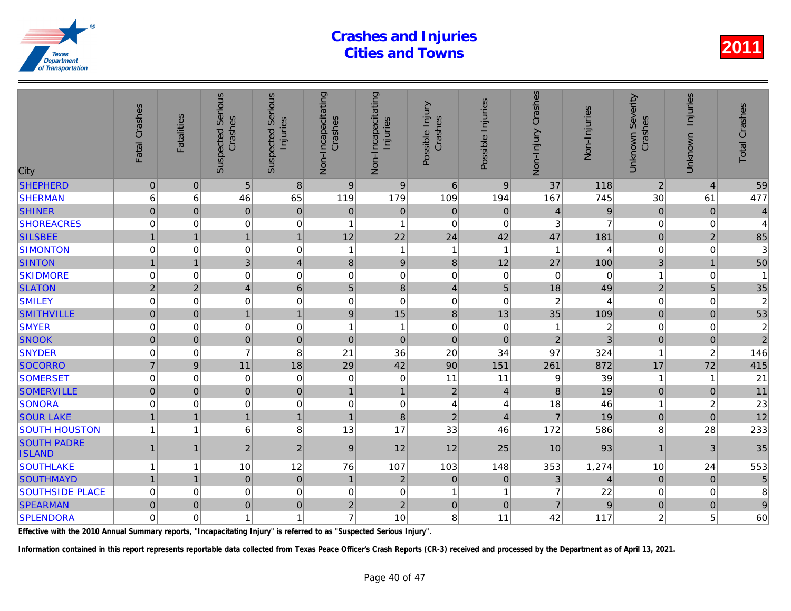| City                                | Fatal Crashes    | <b>Fatalities</b> | Serious<br>Crashes<br>Suspected | <b>Serious</b><br>Injuries<br>Suspected | Non-Incapacitating<br>Crashes | Non-Incapacitating<br>Injuries | Possible Injury<br>Crashes | Possible Injuries       | Non-Injury Crashes | Non-Injuries   |
|-------------------------------------|------------------|-------------------|---------------------------------|-----------------------------------------|-------------------------------|--------------------------------|----------------------------|-------------------------|--------------------|----------------|
| <b>SHEPHERD</b>                     | $\pmb{0}$        | $\mathbf{0}$      | 5                               | $\boldsymbol{8}$                        | $9$                           | $9\,$                          | $6\phantom{1}6$            | 9                       | 37                 | 118            |
| <b>SHERMAN</b>                      | 6                | 6                 | 46                              | 65                                      | 119                           | 179                            | 109                        | 194                     | 167                | 745            |
| <b>SHINER</b>                       | $\mathbf 0$      | $\Omega$          | $\mathbf 0$                     | $\mathbf 0$                             | $\mathbf 0$                   | $\pmb{0}$                      | $\mathbf 0$                | $\mathbf 0$             | $\overline{4}$     | 9              |
| <b>SHOREACRES</b>                   | 0                | 0                 | $\mathbf 0$                     | $\boldsymbol{0}$                        | 1                             | $\overline{1}$                 | $\Omega$                   | $\mathbf 0$             | 3                  |                |
| <b>SILSBEE</b>                      | $\mathbf{1}$     | 1                 | $\mathbf{1}$                    | $\mathbf{1}$                            | 12                            | 22                             | 24                         | 42                      | 47                 | 181            |
| <b>SIMONTON</b>                     | $\mathbf 0$      | $\Omega$          | 0                               | $\mathbf 0$                             | $\mathbf{1}$                  | $\mathbf{1}$                   | $\mathbf{1}$               | $\overline{\mathbf{1}}$ | 1                  |                |
| <b>SINTON</b>                       | $\mathbf{1}$     | $\overline{1}$    | $\overline{3}$                  | $\overline{\mathbf{4}}$                 | 8                             | $\vert 9 \vert$                | $\bf{8}$                   | 12                      | 27                 | 100            |
| <b>SKIDMORE</b>                     | 0                | 0                 | 0                               | $\mathbf 0$                             | 0                             | $\mathsf 0$                    | $\mathbf 0$                | 0                       | 0                  | $\Omega$       |
| <b>SLATON</b>                       | $\overline{2}$   | $\overline{2}$    | $\vert 4 \vert$                 | $6\phantom{1}$                          | 5                             | $\bf{8}$                       | $\overline{4}$             | 5                       | 18                 | 49             |
| <b>SMILEY</b>                       | $\mathbf 0$      | $\Omega$          | 0                               | $\mathbf 0$                             | 0                             | $\mathbf 0$                    | $\Omega$                   | $\Omega$                | $\boldsymbol{2}$   |                |
| <b>SMITHVILLE</b>                   | $\overline{0}$   | $\mathbf{0}$      | $\mathbf{1}$                    | $\mathbf{1}$                            | 9                             | 15                             | $\boldsymbol{8}$           | 13                      | 35                 | 109            |
| <b>SMYER</b>                        | 0                | 0                 | $\boldsymbol{0}$                | $\mathbf 0$                             | 1                             | 1                              | $\mathbf 0$                | 0                       |                    | $\overline{a}$ |
| <b>SNOOK</b>                        | $\overline{0}$   | $\mathbf 0$       | $\overline{0}$                  | $\mathbf 0$                             | $\pmb{0}$                     | $\pmb{0}$                      | $\mathbf 0$                | $\mathbf 0$             | $\overline{2}$     |                |
| <b>SNYDER</b>                       | $\boldsymbol{0}$ | $\mathbf 0$       | $\overline{7}$                  | 8                                       | 21                            | 36                             | 20                         | 34                      | 97                 | 324            |
| <b>SOCORRO</b>                      | $\overline{7}$   | 9                 | 11                              | 18                                      | 29                            | 42                             | 90                         | 151                     | 261                | 872            |
| <b>SOMERSET</b>                     | $\mathbf 0$      | 0                 | $\mathbf 0$                     | $\mathbf 0$                             | 0                             | $\boldsymbol{0}$               | 11                         | 11                      | 9                  | 39             |
| <b>SOMERVILLE</b>                   | $\overline{0}$   | $\mathbf 0$       | $\overline{0}$                  | $\mathbf 0$                             | $\mathbf{1}$                  | $\overline{1}$                 | $\overline{2}$             | $\overline{4}$          | 8                  | 19             |
| SONORA                              | $\mathbf 0$      | 0                 | 0                               | $\mathbf 0$                             | 0                             | $\mathsf 0$                    | $\overline{4}$             | 4                       | 18                 | 46             |
| <b>SOUR LAKE</b>                    | $\mathbf{1}$     |                   | $\mathbf{1}$                    | $\mathbf{1}$                            | 1                             | 8                              | $\overline{2}$             | $\overline{4}$          | $\overline{7}$     | 19             |
| <b>SOUTH HOUSTON</b>                | 1                | 1                 | 6                               | 8                                       | 13                            | 17                             | 33                         | 46                      | 172                | 586            |
| <b>SOUTH PADRE</b><br><b>ISLAND</b> | $\mathbf{1}$     | 1                 | $\overline{2}$                  | $\boldsymbol{2}$                        | 9                             | 12                             | 12                         | 25                      | 10                 | 93             |
| <b>SOUTHLAKE</b>                    | $\mathbf{1}$     | 1                 | 10                              | 12                                      | 76                            | 107                            | 103                        | 148                     | 353                | 1,274          |
| <b>SOUTHMAYD</b>                    | $\overline{1}$   | 1                 | $\overline{0}$                  | $\mathbf 0$                             | $\overline{1}$                | $\overline{2}$                 | $\mathbf{0}$               | $\mathbf{0}$            | 3                  |                |
| <b>SOUTHSIDE PLACE</b>              | $\mathbf 0$      | $\Omega$          | $\mathbf 0$                     | $\mathbf 0$                             | 0                             | $\mathbf 0$                    | 1                          | 1                       | $\overline{7}$     | 22             |
| <b>SPEARMAN</b>                     | $\overline{0}$   | $\mathbf{0}$      | $\overline{0}$                  | $\pmb{0}$                               | $\overline{c}$                | $\mathbf 2$                    | $\mathbf 0$                | $\overline{0}$          | $\overline{7}$     | 9              |
| <b>SPLENDORA</b>                    | $\mathbf 0$      | $\Omega$          | $\mathbf{1}$                    | $\overline{1}$                          | $\overline{7}$                | 10                             | 8                          | 11                      | 42                 | 117            |
|                                     |                  |                   |                                 |                                         |                               |                                |                            |                         |                    |                |

Effective with the 2010 Annual Summary reports, "Incapacitating Injury" is referred to as "Suspected Serious Injury".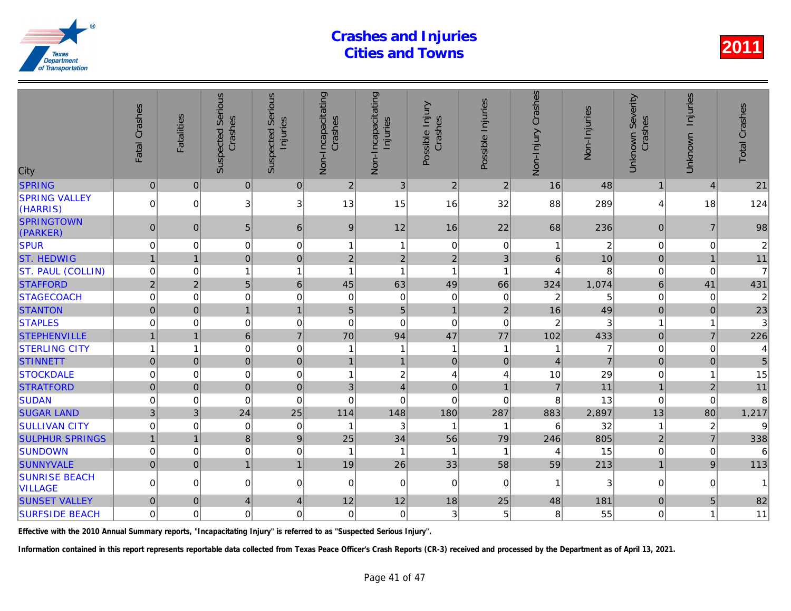| City                                   | Fatal Crashes  | <b>Fatalities</b> | <b>Suspected Serious</b><br>Crashes | Serious<br>Injuries<br>Suspected | Non-Incapacitating<br>Crashes | Non-Incapacitating<br>Injuries | Possible Injury<br>Crashes | Possible Injuries       | Non-Injury Crashes    | Non-Injuries   |
|----------------------------------------|----------------|-------------------|-------------------------------------|----------------------------------|-------------------------------|--------------------------------|----------------------------|-------------------------|-----------------------|----------------|
| <b>SPRING</b>                          | $\mathbf 0$    | $\mathbf{0}$      | $\mathbf{0}$                        | 0                                | $\overline{2}$                | 3                              | $\overline{2}$             | $\overline{2}$          | 16                    | 48             |
| <b>SPRING VALLEY</b><br>(HARRIS)       | $\Omega$       | $\Omega$          | 3                                   | 3                                | 13                            | 15                             | 16                         | 32                      | 88                    | 289            |
| <b>SPRINGTOWN</b><br>(PARKER)          | $\mathbf{0}$   | $\mathbf{0}$      | 5                                   | 6                                | 9                             | 12                             | 16                         | 22                      | 68                    | 236            |
| <b>SPUR</b>                            | 0              | 0                 | 0                                   | 0                                | 1                             | 1                              | 0                          | 0                       |                       | $\overline{a}$ |
| <b>ST. HEDWIG</b>                      |                | $\overline{1}$    | $\overline{0}$                      | $\mathbf 0$                      | $\overline{c}$                | $\overline{2}$                 | $\overline{c}$             | 3                       | $6\phantom{a}$        | 10             |
| <b>ST. PAUL (COLLIN)</b>               | 0              | $\Omega$          | 1                                   | $\mathbf{1}$                     | $\overline{1}$                | $\mathbf{1}$                   | 1                          | $\overline{\mathbf{1}}$ | $\boldsymbol{\Delta}$ |                |
| <b>STAFFORD</b>                        | $\overline{2}$ | 2 <sup>1</sup>    | $5\phantom{.}$                      | $\,6\,$                          | 45                            | 63                             | 49                         | 66                      | 324                   | 1,074          |
| <b>STAGECOACH</b>                      | 0              | 0                 | $\mathbf 0$                         | 0                                | 0                             | $\pmb{0}$                      | $\pmb{0}$                  | 0                       | $\overline{c}$        |                |
| <b>STANTON</b>                         | $\overline{0}$ | $\Omega$          | $\overline{1}$                      | $\mathbf{1}$                     | 5                             | 5                              | $\mathbf{1}$               | $\overline{2}$          | 16                    | 49             |
| <b>STAPLES</b>                         | $\mathbf 0$    | $\Omega$          | $\mathbf 0$                         | $\mathbf 0$                      | $\mathbf 0$                   | $\mathbf 0$                    | $\mathbf 0$                | $\mathbf 0$             | $\overline{c}$        |                |
| <b>STEPHENVILLE</b>                    | $\mathbf{1}$   | $\overline{1}$    | 6                                   | $\overline{7}$                   | 70                            | 94                             | 47                         | 77                      | 102                   | 433            |
| <b>STERLING CITY</b>                   | 1              | 1                 | $\mathbf 0$                         | $\mathbf 0$                      | 1                             | 1                              | $\mathbf{1}$               | -1                      | 1                     | 7              |
| <b>STINNETT</b>                        | $\mathbf 0$    | $\mathbf{0}$      | $\mathbf 0$                         | $\mathbf 0$                      | $\mathbf{1}$                  | $\mathbf{1}$                   | $\pmb{0}$                  | $\mathbf 0$             | $\overline{4}$        |                |
| <b>STOCKDALE</b>                       | $\mathbf 0$    | $\mathbf 0$       | $\pmb{0}$                           | $\pmb{0}$                        | $\overline{1}$                | $\boldsymbol{2}$               | 4                          | 4                       | 10                    | 29             |
| <b>STRATFORD</b>                       | $\overline{0}$ | $\mathbf{0}$      | $\overline{0}$                      | $\mathbf 0$                      | 3                             | $\overline{4}$                 | $\mathbf 0$                | $\overline{1}$          | $\overline{7}$        | 11             |
| <b>SUDAN</b>                           | $\mathbf 0$    | 0                 | $\mathbf 0$                         | $\mathbf 0$                      | $\Omega$                      | $\Omega$                       | $\mathbf 0$                | 0                       | 8                     | 13             |
| <b>SUGAR LAND</b>                      | 3              | $\mathbf{3}$      | 24                                  | 25                               | 114                           | 148                            | 180                        | 287                     | 883                   | 2,897          |
| <b>SULLIVAN CITY</b>                   | 0              | $\Omega$          | $\mathbf 0$                         | $\mathbf 0$                      | 1                             | 3                              | $\mathbf{1}$               | -1                      | 6                     | 32             |
| <b>SULPHUR SPRINGS</b>                 |                | 1                 | 8                                   | $\overline{9}$                   | 25                            | 34                             | 56                         | 79                      | 246                   | 805            |
| <b>SUNDOWN</b>                         | $\mathbf 0$    | 0                 | $\mathbf 0$                         | $\mathbf 0$                      | 1                             | $\mathbf{1}$                   | $\mathbf{1}$               | $\overline{1}$          | 4                     | 15             |
| <b>SUNNYVALE</b>                       | $\overline{0}$ | $\overline{0}$    | $\mathbf{1}$                        | $\overline{1}$                   | 19                            | 26                             | 33                         | 58                      | 59                    | 213            |
| <b>SUNRISE BEACH</b><br><b>VILLAGE</b> | $\Omega$       | $\Omega$          | $\mathbf 0$                         | $\overline{0}$                   | 0                             | $\mathbf 0$                    | $\mathbf 0$                | $\mathbf{0}$            |                       |                |
| <b>SUNSET VALLEY</b>                   | $\pmb{0}$      | $\mathbf{0}$      | $\overline{4}$                      | 4                                | 12                            | 12                             | 18                         | 25                      | 48                    | 181            |
| <b>SURFSIDE BEACH</b>                  | $\mathbf 0$    | $\Omega$          | $\mathbf 0$                         | $\Omega$                         | $\mathbf 0$                   | $\mathbf 0$                    | 3                          | 5                       | 8                     | 55             |
|                                        |                |                   |                                     |                                  |                               |                                |                            |                         |                       |                |

Effective with the 2010 Annual Summary reports, "Incapacitating Injury" is referred to as "Suspected Serious Injury".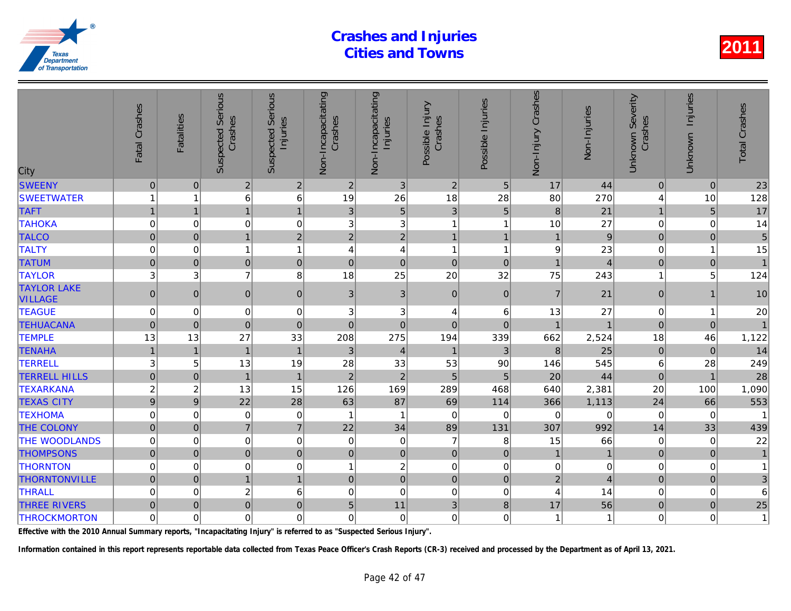| City                                 | Fatal Crashes  | <b>Fatalities</b> | <b>Suspected Serious</b><br>Crashes | Serious<br>Injuries<br>Suspected | Non-Incapacitating<br>Crashes | Non-Incapacitating<br>Injuries | Possible Injury<br>Crashes | Possible Injuries | Non-Injury Crashes | Non-Injuries   |
|--------------------------------------|----------------|-------------------|-------------------------------------|----------------------------------|-------------------------------|--------------------------------|----------------------------|-------------------|--------------------|----------------|
| <b>SWEENY</b>                        | $\mathbf 0$    | $\mathbf{0}$      | $\overline{2}$                      | $\overline{2}$                   | $\overline{2}$                | 3 <sup>1</sup>                 | $\overline{2}$             | 5                 | 17                 | 44             |
| <b>SWEETWATER</b>                    |                | 1                 | 6                                   | 6                                | 19                            | 26                             | 18                         | 28                | 80                 | 270            |
| <b>TAFT</b>                          | $\mathbf{1}$   | $\mathbf{1}$      | $\mathbf{1}$                        | $\mathbf{1}$                     | 3                             | 5 <sup>1</sup>                 | 3                          | 5                 | 8                  | 21             |
| <b>TAHOKA</b>                        | $\mathbf 0$    | $\mathbf 0$       | $\mathbf 0$                         | $\mathbf 0$                      | 3                             | $\ensuremath{\mathsf{3}}$      | 1                          | $\overline{1}$    | 10                 | 27             |
| <b>TALCO</b>                         | $\overline{0}$ | $\Omega$          | $\overline{1}$                      | $\overline{2}$                   | $\overline{2}$                | $\overline{2}$                 | $\mathbf{1}$               | $\overline{1}$    |                    | 9              |
| <b>TALTY</b>                         | $\mathbf 0$    | $\mathbf 0$       | $\overline{1}$                      | $\overline{1}$                   | $\overline{A}$                | $\overline{4}$                 | 1                          | $\overline{1}$    | 9                  | 23             |
| <b>TATUM</b>                         | $\mathbf 0$    | $\pmb{0}$         | $\pmb{0}$                           | $\mathbf 0$                      | $\pmb{0}$                     | $\mathbf 0$                    | $\mathbf 0$                | $\mathbf 0$       | $\overline{1}$     | $\overline{A}$ |
| <b>TAYLOR</b>                        | 3              | 3                 | $\overline{7}$                      | 8                                | 18                            | 25                             | 20                         | 32                | 75                 | 243            |
| <b>TAYLOR LAKE</b><br><b>VILLAGE</b> | $\mathbf{0}$   | $\mathbf{0}$      | $\mathbf{0}$                        | $\mathbf 0$                      | $\mathbf{3}$                  | 3                              | $\boldsymbol{0}$           | $\mathbf{0}$      | $\overline{7}$     | 21             |
| <b>TEAGUE</b>                        | $\mathbf 0$    | $\Omega$          | $\mathbf 0$                         | $\mathbf 0$                      | 3                             | 3                              | $\overline{4}$             | 6                 | 13                 | 27             |
| <b>TEHUACANA</b>                     | $\overline{0}$ | $\mathbf{0}$      | $\Omega$                            | $\mathbf 0$                      | $\mathbf{0}$                  | $\overline{0}$                 | $\mathbf 0$                | $\Omega$          |                    |                |
| <b>TEMPLE</b>                        | 13             | 13                | 27                                  | 33                               | 208                           | 275                            | 194                        | 339               | 662                | 2,524          |
| <b>TENAHA</b>                        | $\overline{1}$ | $\mathbf{1}$      | $\overline{1}$                      | $\mathbf{1}$                     | $\mathfrak{S}$                | $\overline{4}$                 | $\mathbf{1}$               | $\overline{3}$    | 8                  | 25             |
| <b>TERRELL</b>                       | 3              | 5                 | 13                                  | 19                               | 28                            | 33                             | 53                         | 90                | 146                | 545            |
| <b>TERRELL HILLS</b>                 | $\mathbf 0$    | $\Omega$          | $\overline{1}$                      | $\mathbf{1}$                     | $\overline{2}$                | $\overline{2}$                 | 5                          | 5                 | 20                 | 44             |
| <b>TEXARKANA</b>                     | $\overline{c}$ | $\overline{c}$    | 13                                  | 15                               | 126                           | 169                            | 289                        | 468               | 640                | 2,381          |
| <b>TEXAS CITY</b>                    | 9              | 9                 | 22                                  | 28                               | 63                            | 87                             | 69                         | 114               | 366                | 1,113          |
| <b>TEXHOMA</b>                       | $\mathbf 0$    | $\mathbf 0$       | $\mathbf 0$                         | 0                                | -1                            | $\mathbf{1}$                   | $\mathbf 0$                | $\mathbf 0$       | 0                  | $\Omega$       |
| <b>THE COLONY</b>                    | $\pmb{0}$      | $\mathbf{0}$      | $\overline{7}$                      | $\overline{7}$                   | 22                            | 34                             | 89                         | 131               | 307                | 992            |
| THE WOODLANDS                        | $\mathbf 0$    | $\mathbf 0$       | $\mathbf 0$                         | $\mathbf 0$                      | $\pmb{0}$                     | $\mathbf 0$                    | $\overline{7}$             | 8                 | 15                 | 66             |
| <b>THOMPSONS</b>                     | $\pmb{0}$      | $\pmb{0}$         | $\pmb{0}$                           | $\mathbf 0$                      | $\pmb{0}$                     | $\pmb{0}$                      | $\mathbf 0$                | $\pmb{0}$         | $\mathbf{1}$       | $\overline{1}$ |
| <b>THORNTON</b>                      | $\mathbf 0$    | 0                 | 0                                   | $\mathbf 0$                      | 1                             | $\overline{c}$                 | $\mathbf 0$                | $\mathbf 0$       | 0                  | $\Omega$       |
| <b>THORNTONVILLE</b>                 | $\Omega$       | $\Omega$          | $\overline{1}$                      | $\overline{1}$                   | $\mathbf 0$                   | $\overline{0}$                 | $\mathbf 0$                | $\Omega$          | $\overline{2}$     |                |
| <b>THRALL</b>                        | $\Omega$       | $\Omega$          | $\sqrt{2}$                          | 6                                | $\mathbf 0$                   | $\mathbf 0$                    | $\Omega$                   | $\mathbf 0$       | $\overline{4}$     | 14             |
| <b>THREE RIVERS</b>                  | $\Omega$       | $\mathbf{0}$      | $\mathbf 0$                         | $\pmb{0}$                        | $\sqrt{5}$                    | 11                             | 3                          | $\bf 8$           | 17                 | 56             |
| <b>THROCKMORTON</b>                  | $\mathbf 0$    | 0                 | 0                                   | $\mathbf 0$                      | $\mathbf 0$                   | $\mathbf 0$                    | $\mathbf 0$                | 0                 | 1                  |                |

Effective with the 2010 Annual Summary reports, "Incapacitating Injury" is referred to as "Suspected Serious Injury".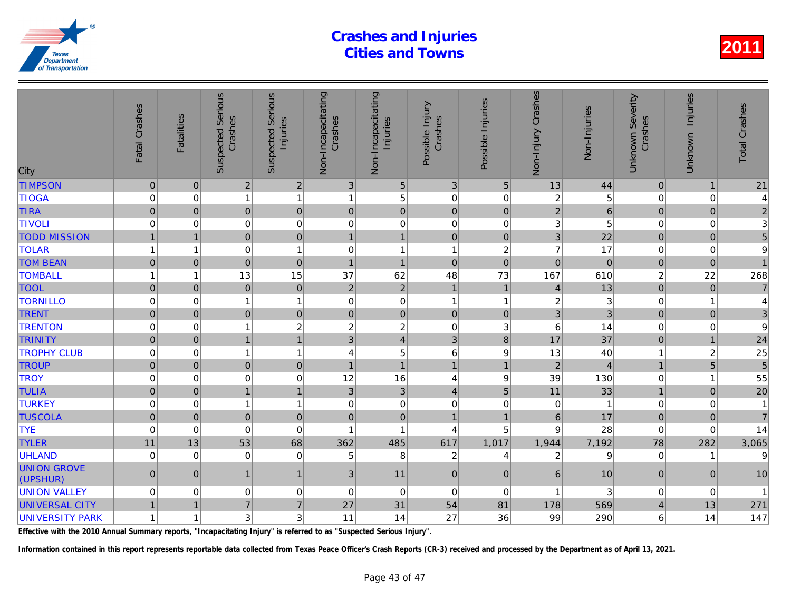| City                           | Fatal Crashes       | <b>Fatalities</b> | <b>Suspected Serious</b><br>Crashes | <b>Suspected Serious</b><br>Injuries | Non-Incapacitating<br>Crashes | Non-Incapacitating<br>Injuries | Possible Injury<br>Crashes | Possible Injuries       | Non-Injury Crashes | Non-Injuries   |
|--------------------------------|---------------------|-------------------|-------------------------------------|--------------------------------------|-------------------------------|--------------------------------|----------------------------|-------------------------|--------------------|----------------|
| <b>TIMPSON</b>                 | $\mathbf 0$         | $\mathbf 0$       | $\overline{2}$                      | $\overline{2}$                       | 3                             | $\sqrt{5}$                     | $\sqrt{3}$                 | 5                       | 13                 | 44             |
| <b>TIOGA</b>                   | $\mathbf 0$         | $\mathbf 0$       | -1                                  | $\mathbf{1}$                         | $\mathbf{1}$                  | 5                              | $\mathbf 0$                | 0                       | $\boldsymbol{2}$   | 5              |
| <b>TIRA</b>                    | $\pmb{0}$           | $\mathbf 0$       | $\overline{0}$                      | $\pmb{0}$                            | $\mathbf 0$                   | $\pmb{0}$                      | $\pmb{0}$                  | $\mathbf{0}$            | $\overline{2}$     | 6              |
| <b>TIVOLI</b>                  | 0                   | $\mathbf 0$       | $\pmb{0}$                           | 0                                    | 0                             | $\pmb{0}$                      | $\mathbf 0$                | $\pmb{0}$               | 3                  | 5              |
| <b>TODD MISSION</b>            |                     | $\overline{1}$    | $\pmb{0}$                           | $\mathbf 0$                          | $\overline{1}$                | $\mathbf{1}$                   | $\mathbf 0$                | $\pmb{0}$               | 3                  | 22             |
| <b>TOLAR</b>                   |                     | $\overline{1}$    | $\mathbf 0$                         | $\mathbf{1}$                         | $\mathbf 0$                   | $\overline{1}$                 | $\overline{1}$             | $\overline{\mathbf{c}}$ | $\overline{7}$     | 17             |
| <b>TOM BEAN</b>                | $\pmb{0}$           | $\mathbf 0$       | $\pmb{0}$                           | $\mathbf 0$                          | $\mathbf{1}$                  | $\mathbf{1}$                   | $\mathbf 0$                | $\pmb{0}$               | $\mathbf 0$        | $\overline{0}$ |
| <b>TOMBALL</b>                 |                     | $\mathbf 1$       | 13                                  | 15                                   | 37                            | 62                             | 48                         | 73                      | 167                | 610            |
| <b>TOOL</b>                    | $\Omega$            | $\pmb{0}$         | $\mathbf 0$                         | $\mathbf 0$                          | $\sqrt{2}$                    | $\mathbf 2$                    | $\overline{1}$             | $\overline{1}$          | $\overline{4}$     | 13             |
| <b>TORNILLO</b>                | 0                   | $\mathbf 0$       |                                     | $\mathbf{1}$                         | $\pmb{0}$                     | $\mathsf 0$                    | $\overline{1}$             | $\overline{1}$          | $\boldsymbol{2}$   |                |
| <b>TRENT</b>                   | $\overline{0}$      | $\mathbf 0$       | $\mathbf 0$                         | $\pmb{0}$                            | $\pmb{0}$                     | $\pmb{0}$                      | $\mathbf 0$                | $\pmb{0}$               | 3                  | 3              |
| <b>TRENTON</b>                 | 0                   | $\pmb{0}$         |                                     | $\overline{\mathbf{c}}$              | $\overline{c}$                | $\overline{\mathbf{c}}$        | $\pmb{0}$                  | 3                       | 6                  | 14             |
| <b>TRINITY</b>                 | $\overline{0}$      | $\mathbf 0$       | $\mathbf{1}$                        | $\mathbf{1}$                         | 3                             | $\overline{4}$                 | 3                          | $\bf 8$                 | 17                 | 37             |
| <b>TROPHY CLUB</b>             | 0                   | $\mathbf 0$       | -1                                  | $\mathbf{1}$                         | 4                             | 5                              | 6                          | 9                       | 13                 | 40             |
| <b>TROUP</b>                   | $\mathsf{O}\xspace$ | $\mathbf 0$       | $\mathbf 0$                         | $\mathbf 0$                          | $\overline{1}$                | $\mathbf{1}$                   | $\overline{1}$             | $\overline{1}$          | $\overline{2}$     |                |
| <b>TROY</b>                    | $\mathbf 0$         | $\mathbf 0$       | $\mathbf 0$                         | $\mathbf 0$                          | 12                            | 16                             | 4                          | $\boldsymbol{9}$        | 39                 | 130            |
| <b>TULIA</b>                   | $\mathsf{O}\xspace$ | $\pmb{0}$         | $\mathbf{1}$                        | $\mathbf{1}$                         | $\mathbf{3}$                  | 3 <sup>1</sup>                 | $\overline{\mathbf{4}}$    | $\sqrt{5}$              | 11                 | 33             |
| <b>TURKEY</b>                  | 0                   | $\mathbf 0$       |                                     | 1                                    | $\pmb{0}$                     | $\mathbf 0$                    | $\mathbf 0$                | $\mathbf 0$             | $\mathbf 0$        |                |
| <b>TUSCOLA</b>                 | $\pmb{0}$           | $\mathbf 0$       | $\mathbf 0$                         | $\pmb{0}$                            | $\mathbf 0$                   | $\pmb{0}$                      | $\overline{1}$             | $\overline{1}$          | $\,$ 6 $\,$        | 17             |
| <b>TYE</b>                     | $\mathbf 0$         | 0                 | $\overline{0}$                      | $\mathbf 0$                          | 1                             |                                | 4                          | 5                       | 9                  | 28             |
| <b>TYLER</b>                   | 11                  | 13                | 53                                  | 68                                   | 362                           | 485                            | 617                        | 1,017                   | 1,944              | 7,192          |
| <b>UHLAND</b>                  | 0                   | 0                 | 0                                   | 0                                    | 5                             | 8                              | $\overline{\mathbf{c}}$    | 4                       | 2                  | 9              |
| <b>UNION GROVE</b><br>(UPSHUR) | $\pmb{0}$           | $\mathbf 0$       | $\mathbf{1}$                        | $\mathbf{1}$                         | $\sqrt{3}$                    | 11                             | $\pmb{0}$                  | $\mathbf 0$             | $\,6$              | 10             |
| <b>UNION VALLEY</b>            | 0                   | 0                 | 0                                   | 0                                    | $\mathbf 0$                   | $\mathbf 0$                    | $\mathbf 0$                | $\mathbf 0$             |                    | 3              |
| <b>UNIVERSAL CITY</b>          | $\mathbf{1}$        | $\mathbf 1$       | $\overline{7}$                      | $\overline{7}$                       | 27                            | 31                             | 54                         | 81                      | 178                | 569            |
| <b>UNIVERSITY PARK</b>         |                     | 1                 | 3                                   | 3                                    | 11                            | 14                             | 27                         | 36                      | 99                 | 290            |
|                                |                     |                   |                                     |                                      |                               |                                |                            |                         |                    |                |

Effective with the 2010 Annual Summary reports, "Incapacitating Injury" is referred to as "Suspected Serious Injury".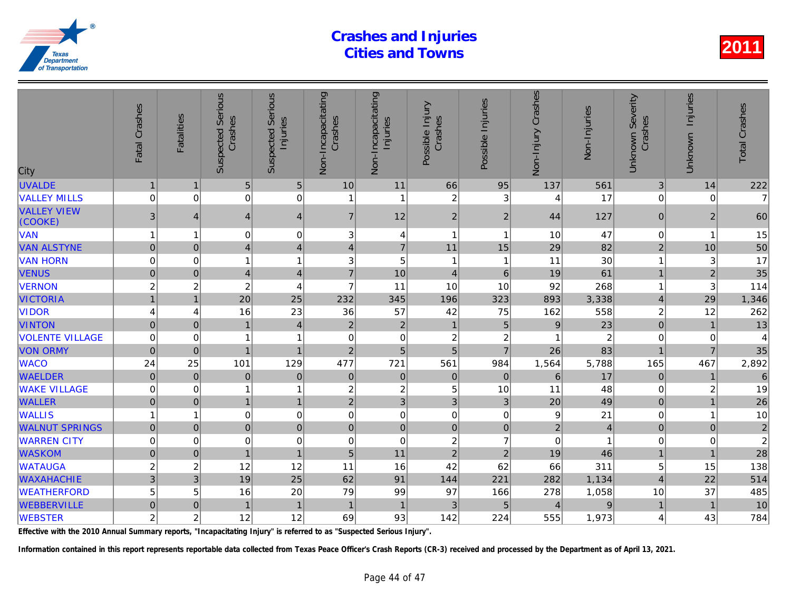| City                          | Fatal Crashes       | <b>Fatalities</b> | <b>Suspected Serious</b><br>Crashes | Serious<br>Injuries<br>Suspected | Non-Incapacitating<br>Crashes | Non-Incapacitating<br>Injuries | Possible Injury<br>Crashes | Possible Injuries       | Non-Injury Crashes | Non-Injuries   |
|-------------------------------|---------------------|-------------------|-------------------------------------|----------------------------------|-------------------------------|--------------------------------|----------------------------|-------------------------|--------------------|----------------|
| <b>UVALDE</b>                 | $\mathbf{1}$        | $\mathbf 1$       | 5                                   | 5                                | 10                            | 11                             | 66                         | 95                      | 137                | 561            |
| <b>VALLEY MILLS</b>           | $\mathbf 0$         | $\mathbf 0$       | $\mathbf 0$                         | $\mathbf 0$                      | 1                             | $\mathbf{1}$                   | $\overline{c}$             | 3                       | 4                  | 17             |
| <b>VALLEY VIEW</b><br>(COOKE) | $\mathfrak{S}$      | 4                 | $\overline{4}$                      | $\overline{4}$                   | $\overline{7}$                | 12                             | $\overline{2}$             | $\overline{2}$          | 44                 | 127            |
| <b>VAN</b>                    | 1                   | 1                 | 0                                   | 0                                | 3                             | 4                              | 1                          | $\overline{\mathbf{1}}$ | 10                 | 47             |
| <b>VAN ALSTYNE</b>            | $\mathbf 0$         | $\Omega$          | $\overline{4}$                      | $\overline{\mathbf{4}}$          | $\overline{4}$                | $\overline{7}$                 | 11                         | 15                      | 29                 | 82             |
| <b>VAN HORN</b>               | 0                   | 0                 | 1                                   | $\mathbf{1}$                     | 3                             | $\sqrt{5}$                     | $\mathbf{1}$               | -1                      | 11                 | 30             |
| <b>VENUS</b>                  | $\mathsf{O}\xspace$ | $\overline{0}$    | $\overline{4}$                      | $\overline{\mathbf{4}}$          | $\overline{7}$                | 10                             | $\overline{4}$             | $6\phantom{1}6$         | 19                 | 61             |
| <b>VERNON</b>                 | $\overline{c}$      | $\boldsymbol{2}$  | $\boldsymbol{2}$                    | 4                                | $\overline{7}$                | 11                             | 10                         | 10                      | 92                 | 268            |
| <b>VICTORIA</b>               |                     | $\overline{1}$    | 20                                  | 25                               | 232                           | 345                            | 196                        | 323                     | 893                | 3,338          |
| <b>VIDOR</b>                  | 4                   | 4                 | 16                                  | 23                               | 36                            | 57                             | 42                         | 75                      | 162                | 558            |
| <b>VINTON</b>                 | $\pmb{0}$           | $\overline{0}$    | $\overline{1}$                      | 4                                | $\overline{2}$                | $\sqrt{2}$                     | $\mathbf{1}$               | $\overline{5}$          | 9                  | 23             |
| <b>VOLENTE VILLAGE</b>        | 0                   | 0                 |                                     | 1                                | 0                             | $\mathbf 0$                    | $\overline{\mathbf{c}}$    | $\boldsymbol{2}$        |                    | $\overline{a}$ |
| <b>VON ORMY</b>               | $\mathbf 0$         | $\mathbf 0$       | $\overline{1}$                      | $\overline{1}$                   | $\overline{2}$                | 5                              | $\overline{5}$             | $\overline{7}$          | 26                 | 83             |
| <b>WACO</b>                   | 24                  | 25                | 101                                 | 129                              | 477                           | 721                            | 561                        | 984                     | 1,564              | 5,788          |
| <b>WAELDER</b>                | $\pmb{0}$           | $\Omega$          | $\mathbf 0$                         | $\mathbf 0$                      | $\boldsymbol{0}$              | $\pmb{0}$                      | $\mathbf 0$                | $\overline{0}$          | $6\phantom{1}$     | 17             |
| <b>WAKE VILLAGE</b>           | $\mathbf 0$         | 0                 |                                     | $\mathbf{1}$                     | $\overline{c}$                | $\overline{c}$                 | 5                          | 10                      | 11                 | 48             |
| <b>WALLER</b>                 | $\mathbf 0$         | $\mathbf{0}$      | $\mathbf{1}$                        | $\mathbf{1}$                     | $\overline{2}$                | $\mathfrak{B}$                 | 3                          | 3                       | 20                 | 49             |
| <b>WALLIS</b>                 |                     | 1                 | 0                                   | $\mathbf 0$                      | $\mathbf 0$                   | $\pmb{0}$                      | $\mathbf 0$                | 0                       | 9                  | 21             |
| <b>WALNUT SPRINGS</b>         | $\pmb{0}$           | $\mathbf{0}$      | 0                                   | $\pmb{0}$                        | $\mathbf 0$                   | $\mathsf{O}\xspace$            | $\mathbf 0$                | $\mathbf 0$             | $\overline{c}$     | $\Delta$       |
| <b>WARREN CITY</b>            | $\mathbf 0$         | $\mathbf 0$       | 0                                   | $\mathbf 0$                      | 0                             | $\mathbf 0$                    | $\boldsymbol{2}$           | $\overline{7}$          | $\mathbf 0$        |                |
| <b>WASKOM</b>                 | $\mathbf 0$         | $\pmb{0}$         | $\mathbf{1}$                        | $\mathbf{1}$                     | $\overline{5}$                | 11                             | $\overline{2}$             | $\overline{2}$          | 19                 | 46             |
| <b>WATAUGA</b>                | $\overline{c}$      | $\overline{c}$    | 12                                  | 12                               | 11                            | 16                             | 42                         | 62                      | 66                 | 311            |
| <b>WAXAHACHIE</b>             | 3                   | 3                 | 19                                  | 25                               | 62                            | 91                             | 144                        | 221                     | 282                | 1,134          |
| <b>WEATHERFORD</b>            | 5                   | 5                 | 16                                  | 20                               | 79                            | 99                             | 97                         | 166                     | 278                | 1,058          |
| <b>WEBBERVILLE</b>            | $\mathsf{O}\xspace$ | $\mathbf 0$       | $\overline{1}$                      | $\mathbf{1}$                     | $\mathbf 1$                   | $\mathbf{1}$                   | 3                          | 5                       | $\overline{4}$     |                |
| <b>WEBSTER</b>                | $\overline{c}$      | $\overline{c}$    | 12                                  | 12                               | 69                            | 93                             | 142                        | 224                     | 555                | 1,973          |

Effective with the 2010 Annual Summary reports, "Incapacitating Injury" is referred to as "Suspected Serious Injury".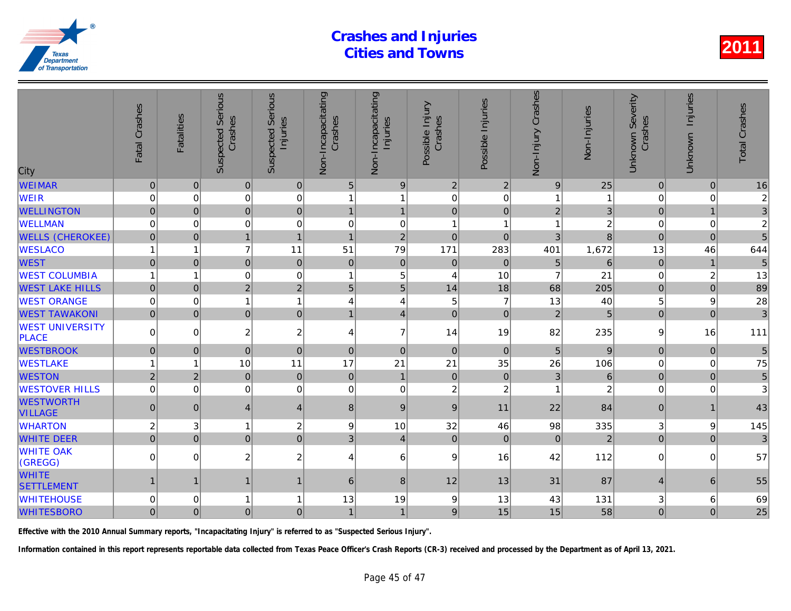| City                                   | Fatal Crashes       | <b>Fatalities</b> | <b>Suspected Serious</b><br>Crashes | Serious<br>Injuries<br>Suspected | Non-Incapacitating<br>Crashes | Non-Incapacitating<br>Injuries | Possible Injury<br>Crashes | Possible Injuries | Non-Injury Crashes | Non-Injuries   |
|----------------------------------------|---------------------|-------------------|-------------------------------------|----------------------------------|-------------------------------|--------------------------------|----------------------------|-------------------|--------------------|----------------|
| <b>WEIMAR</b>                          | $\pmb{0}$           | $\mathbf 0$       | $\pmb{0}$                           | $\overline{0}$                   | $5\phantom{.0}$               | $\boldsymbol{9}$               | $\overline{2}$             | $\overline{2}$    | $\boldsymbol{9}$   | 25             |
| <b>WEIR</b>                            | 0                   | 0                 | $\pmb{0}$                           | $\mathbf 0$                      | 1                             | 1                              | $\pmb{0}$                  | 0                 | 1                  |                |
| <b>WELLINGTON</b>                      | $\overline{0}$      | $\mathbf 0$       | 0                                   | $\mathbf 0$                      | $\mathbf{1}$                  | $\overline{1}$                 | $\mathbf 0$                | $\mathbf 0$       | $\overline{2}$     |                |
| <b>WELLMAN</b>                         | $\mathbf 0$         | $\Omega$          | $\mathbf 0$                         | $\mathbf 0$                      | $\mathbf 0$                   | $\pmb{0}$                      | $\mathbf{1}$               | -1                | 1                  |                |
| <b>WELLS (CHEROKEE)</b>                | $\mathbf 0$         | $\mathbf{0}$      | $\mathbf{1}$                        | $\mathbf{1}$                     | $\mathbf{1}$                  | $\overline{2}$                 | $\mathbf 0$                | $\mathbf 0$       | 3                  | 8              |
| <b>WESLACO</b>                         | 1                   | 1                 | $\overline{7}$                      | 11                               | 51                            | 79                             | 171                        | 283               | 401                | 1,672          |
| <b>WEST</b>                            | $\overline{0}$      | $\mathbf 0$       | $\mathbf 0$                         | $\pmb{0}$                        | $\mathbf 0$                   | $\pmb{0}$                      | $\mathbf 0$                | $\mathbf 0$       | $\overline{5}$     | 6              |
| <b>WEST COLUMBIA</b>                   | 1                   | $\overline{1}$    | $\pmb{0}$                           | $\mathbf 0$                      | $\overline{1}$                | $\sqrt{5}$                     | $\overline{4}$             | 10                | $\overline{7}$     | 21             |
| <b>WEST LAKE HILLS</b>                 | $\mathbf{0}$        | $\mathbf{0}$      | $\overline{2}$                      | $\overline{2}$                   | 5                             | 5                              | 14                         | 18                | 68                 | 205            |
| <b>WEST ORANGE</b>                     | $\pmb{0}$           | 0                 | 1                                   | $\mathbf{1}$                     | 4                             | 4                              | 5                          | $\overline{7}$    | 13                 | 40             |
| <b>WEST TAWAKONI</b>                   | $\overline{0}$      | $\Omega$          | 0                                   | $\overline{0}$                   | $\mathbf{1}$                  | $\overline{4}$                 | $\mathbf 0$                | $\Omega$          | $\overline{2}$     | 5              |
| <b>WEST UNIVERSITY</b><br><b>PLACE</b> | 0                   | $\Omega$          | $\boldsymbol{2}$                    | $\overline{c}$                   | 4                             | $\overline{7}$                 | 14                         | 19                | 82                 | 235            |
| <b>WESTBROOK</b>                       | $\mathsf{O}\xspace$ | $\pmb{0}$         | $\overline{0}$                      | $\mathbf 0$                      | $\mathbf 0$                   | $\mathbf 0$                    | $\mathbf 0$                | $\mathbf 0$       | 5                  | 9              |
| <b>WESTLAKE</b>                        |                     | 1                 | 10                                  | 11                               | 17                            | 21                             | 21                         | 35                | 26                 | 106            |
| <b>WESTON</b>                          | $\overline{2}$      | $\overline{2}$    | $\mathbf 0$                         | $\mathbf 0$                      | $\mathbf 0$                   | $\mathbf{1}$                   | $\pmb{0}$                  | $\mathbf 0$       | $\overline{3}$     | 6              |
| <b>WESTOVER HILLS</b>                  | $\mathbf 0$         | $\mathbf 0$       | $\mathbf 0$                         | $\mathbf 0$                      | $\mathbf 0$                   | $\mathbf 0$                    | $\overline{c}$             | $\overline{c}$    |                    |                |
| <b>WESTWORTH</b><br><b>VILLAGE</b>     | $\overline{0}$      | $\mathbf{0}$      | $\overline{4}$                      | $\overline{\mathbf{4}}$          | 8                             | 9                              | $9\,$                      | 11                | 22                 | 84             |
| <b>WHARTON</b>                         | $\overline{c}$      | 3                 | $\overline{1}$                      | $\overline{c}$                   | 9                             | 10                             | 32                         | 46                | 98                 | 335            |
| <b>WHITE DEER</b>                      | $\overline{0}$      | $\Omega$          | 0                                   | $\mathbf 0$                      | 3                             | $\vert$                        | $\mathbf 0$                | $\Omega$          | $\mathbf{0}$       | $\overline{a}$ |
| <b>WHITE OAK</b><br>(GREGG)            | 0                   | 0                 | 2                                   | $\overline{c}$                   | 4                             | 6                              | 9                          | 16                | 42                 | 112            |
| <b>WHITE</b><br><b>SETTLEMENT</b>      | 1                   | -1                | 1                                   | $\mathbf{1}$                     | 6                             | 8                              | 12                         | 13                | 31                 | 87             |
| <b>WHITEHOUSE</b>                      | $\mathbf 0$         | 0                 |                                     | $\mathbf{1}$                     | 13                            | 19                             | 9                          | 13                | 43                 | 131            |
| <b>WHITESBORO</b>                      | $\mathbf 0$         | $\overline{0}$    | $\mathbf 0$                         | $\overline{0}$                   | $\mathbf{1}$                  | $\mathbf{1}$                   | 9                          | 15                | 15                 | 58             |
|                                        |                     |                   |                                     |                                  |                               |                                |                            |                   |                    |                |

Effective with the 2010 Annual Summary reports, "Incapacitating Injury" is referred to as "Suspected Serious Injury".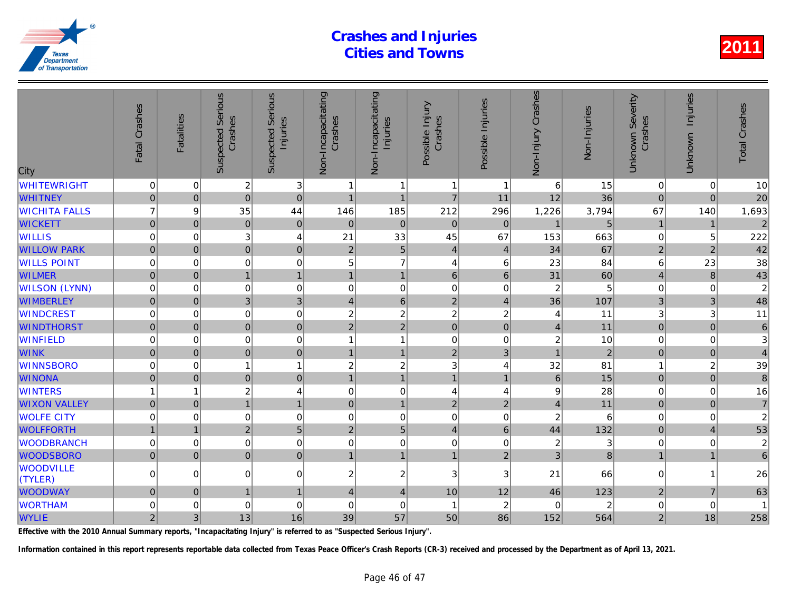| City                        | Fatal Crashes       | <b>Fatalities</b> | <b>Suspected Serious</b><br>Crashes | Serious<br>Injuries<br>Suspected | Non-Incapacitating<br>Crashes | Non-Incapacitating<br>Injuries | Possible Injury<br>Crashes | Possible Injuries | Non-Injury Crashes | Non-Injuries   |
|-----------------------------|---------------------|-------------------|-------------------------------------|----------------------------------|-------------------------------|--------------------------------|----------------------------|-------------------|--------------------|----------------|
| <b>WHITEWRIGHT</b>          | 0                   | $\mathbf 0$       | $\overline{c}$                      | 3                                | 1                             | $\mathbf{1}$                   | $\overline{1}$             | -1                | 6                  | 15             |
| <b>WHITNEY</b>              | $\mathsf{O}\xspace$ | $\mathbf 0$       | $\overline{0}$                      | $\mathbf 0$                      | $\overline{1}$                | $\mathbf{1}$                   | $\overline{7}$             | 11                | 12                 | 36             |
| <b>WICHITA FALLS</b>        | $\overline{7}$      | 9                 | 35                                  | 44                               | 146                           | 185                            | 212                        | 296               | 1,226              | 3,794          |
| <b>WICKETT</b>              | $\overline{0}$      | $\mathbf{0}$      | $\mathbf 0$                         | $\boldsymbol{0}$                 | $\pmb{0}$                     | $\pmb{0}$                      | $\mathbf 0$                | 0                 | $\overline{1}$     | 5              |
| <b>WILLIS</b>               | 0                   | $\mathbf 0$       | 3                                   | 4                                | 21                            | 33                             | 45                         | 67                | 153                | 663            |
| <b>WILLOW PARK</b>          | $\overline{0}$      | $\mathbf{0}$      | $\overline{0}$                      | $\mathbf 0$                      | $\overline{2}$                | 5 <sup>1</sup>                 | $\overline{4}$             | $\overline{4}$    | 34                 | 67             |
| <b>WILLS POINT</b>          | 0                   | $\mathbf 0$       | 0                                   | $\mathbf 0$                      | 5                             | $\overline{7}$                 | $\overline{4}$             | 6                 | 23                 | 84             |
| <b>WILMER</b>               | $\overline{0}$      | $\overline{0}$    | $\mathbf{1}$                        | $\mathbf{1}$                     | $\overline{1}$                | $\mathbf{1}$                   | $6\phantom{1}$             | $6\phantom{1}$    | 31                 | 60             |
| <b>WILSON (LYNN)</b>        | 0                   | 0                 | 0                                   | $\mathbf 0$                      | $\mathbf 0$                   | $\mathbf 0$                    | $\mathbf 0$                | 0                 | $\overline{2}$     |                |
| <b>WIMBERLEY</b>            | $\mathbf 0$         | $\mathbf 0$       | 3                                   | 3                                | $\overline{4}$                | $\,$ 6 $\,$                    | $\mathbf 2$                | $\overline{4}$    | 36                 | 107            |
| <b>WINDCREST</b>            | 0                   | $\mathbf 0$       | 0                                   | $\mathbf 0$                      | $\overline{c}$                | $\overline{c}$                 | $\overline{c}$             | $\overline{c}$    | 4                  | 11             |
| <b>WINDTHORST</b>           | $\overline{0}$      | $\Omega$          | $\overline{0}$                      | $\overline{0}$                   | $\overline{2}$                | $\overline{2}$                 | $\overline{0}$             | $\overline{0}$    | $\overline{4}$     | 11             |
| <b>WINFIELD</b>             | 0                   | $\mathbf 0$       | 0                                   | $\mathbf 0$                      | 1                             | $\mathbf{1}$                   | $\mathbf 0$                | 0                 | 2                  | 10             |
| <b>WINK</b>                 | $\overline{0}$      | $\Omega$          | $\mathbf 0$                         | $\mathbf 0$                      |                               | $\mathbf{1}$                   | $\overline{2}$             | 3                 |                    | $\overline{a}$ |
| <b>WINNSBORO</b>            | 0                   | $\mathbf 0$       | 1                                   | $\mathbf{1}$                     | $\overline{c}$                | $\boldsymbol{2}$               | 3                          | 4                 | 32                 | 81             |
| <b>WINONA</b>               | $\mathbf 0$         | $\pmb{0}$         | $\mathsf 0$                         | $\mathbf 0$                      | $\mathbf{1}$                  | $\overline{1}$                 | $\mathbf{1}$               | $\overline{1}$    | 6                  | 15             |
| <b>WINTERS</b>              | 1                   |                   | $\overline{\mathbf{c}}$             | $\overline{4}$                   | $\mathbf 0$                   | $\mathbf 0$                    | $\overline{4}$             | 4                 | 9                  | 28             |
| <b>WIXON VALLEY</b>         | $\overline{0}$      | $\Omega$          | $\overline{1}$                      | $\mathbf{1}$                     | $\mathbf{0}$                  | $\overline{1}$                 | $\overline{2}$             | $\overline{2}$    | $\overline{4}$     | 11             |
| <b>WOLFE CITY</b>           | 0                   | 0                 | 0                                   | $\mathbf 0$                      | 0                             | $\mathbf 0$                    | $\mathbf 0$                | 0                 | $\overline{c}$     | 6              |
| <b>WOLFFORTH</b>            | $\mathbf{1}$        | $\mathbf 1$       | $\overline{2}$                      | 5                                | $\overline{2}$                | 5                              | $\overline{4}$             | $6\phantom{1}6$   | 44                 | 132            |
| <b>WOODBRANCH</b>           | 0                   | 0                 | 0                                   | $\mathbf 0$                      | $\mathbf 0$                   | 0                              | $\mathbf 0$                | 0                 | 2                  | 3              |
| <b>WOODSBORO</b>            | $\overline{0}$      | $\mathbf 0$       | $\overline{0}$                      | $\mathbf 0$                      | $\overline{1}$                | $\overline{1}$                 | $\mathbf{1}$               | $\overline{2}$    | 3                  | $\overline{8}$ |
| <b>WOODVILLE</b><br>(TYLER) | 0                   | $\Omega$          | 0                                   | $\mathbf 0$                      | $\overline{c}$                | $\overline{\mathbf{c}}$        | 3                          | 3                 | 21                 | 66             |
| <b>WOODWAY</b>              | $\overline{0}$      | $\Omega$          | $\mathbf{1}$                        | $\mathbf{1}$                     | $\overline{4}$                | $\vert$                        | 10                         | 12                | 46                 | 123            |
| <b>WORTHAM</b>              | 0                   | 0                 | 0                                   | $\mathbf 0$                      | $\mathbf 0$                   | $\mathbf 0$                    | $\mathbf 1$                | $\overline{2}$    | $\Omega$           | 2              |
| <b>WYLIE</b>                | $\overline{2}$      | 3 <sup>1</sup>    | 13                                  | 16                               | 39                            | 57                             | 50                         | 86                | 152                | 564            |

Effective with the 2010 Annual Summary reports, "Incapacitating Injury" is referred to as "Suspected Serious Injury".